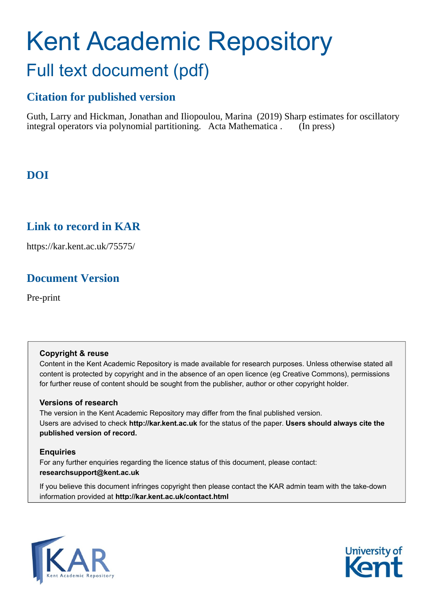# Kent Academic Repository Full text document (pdf)

# **Citation for published version**

Guth, Larry and Hickman, Jonathan and Iliopoulou, Marina (2019) Sharp estimates for oscillatory integral operators via polynomial partitioning. Acta Mathematica . (In press)

# **DOI**

## **Link to record in KAR**

https://kar.kent.ac.uk/75575/

# **Document Version**

Pre-print

## **Copyright & reuse**

Content in the Kent Academic Repository is made available for research purposes. Unless otherwise stated all content is protected by copyright and in the absence of an open licence (eg Creative Commons), permissions for further reuse of content should be sought from the publisher, author or other copyright holder.

## **Versions of research**

The version in the Kent Academic Repository may differ from the final published version. Users are advised to check **http://kar.kent.ac.uk** for the status of the paper. **Users should always cite the published version of record.**

## **Enquiries**

For any further enquiries regarding the licence status of this document, please contact: **researchsupport@kent.ac.uk**

If you believe this document infringes copyright then please contact the KAR admin team with the take-down information provided at **http://kar.kent.ac.uk/contact.html**



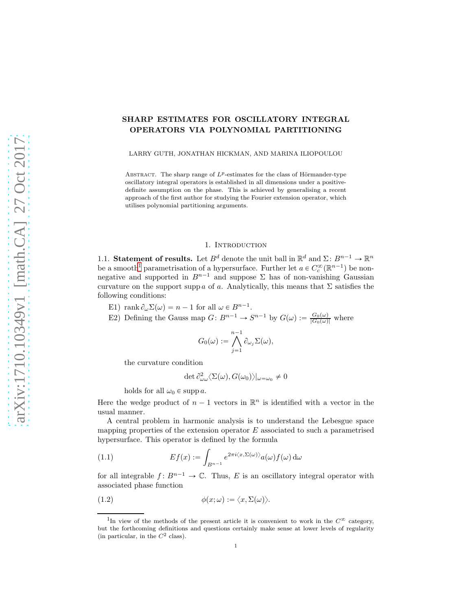### SHARP ESTIMATES FOR OSCILLATORY INTEGRAL OPERATORS VIA POLYNOMIAL PARTITIONING

LARRY GUTH, JONATHAN HICKMAN, AND MARINA ILIOPOULOU

ABSTRACT. The sharp range of  $L^p$ -estimates for the class of Hörmander-type oscillatory integral operators is established in all dimensions under a positivedefinite assumption on the phase. This is achieved by generalising a recent approach of the first author for studying the Fourier extension operator, which utilises polynomial partitioning arguments.

#### 1. INTRODUCTION

1.1. Statement of results. Let  $B^d$  denote the unit ball in  $\mathbb{R}^d$  and  $\Sigma: B^{n-1} \to \mathbb{R}^n$ be a smooth<sup>1</sup> parametrisation of a hypersurface. Further let  $a \in C_c^{\infty}(\mathbb{R}^{n-1})$  be nonnegative and supported in  $B^{n-1}$  and suppose  $\Sigma$  has of non-vanishing Gaussian curvature on the support supp a of a. Analytically, this means that  $\Sigma$  satisfies the following conditions:

- E1) rank  $\partial_{\omega} \Sigma(\omega) = n 1$  for all  $\omega \in B^{n-1}$ .
- E2) Defining the Gauss map  $G: B^{n-1} \to S^{n-1}$  by  $G(\omega) := \frac{G_0(\omega)}{|G_0(\omega)|}$  where

$$
G_0(\omega) := \bigwedge_{j=1}^{n-1} \partial_{\omega_j} \Sigma(\omega),
$$

the curvature condition

$$
\det \partial_{\omega\omega}^2 \langle \Sigma(\omega), G(\omega_0) \rangle |_{\omega=\omega_0} \neq 0
$$

holds for all  $\omega_0 \in \text{supp } a$ .

Here the wedge product of  $n-1$  vectors in  $\mathbb{R}^n$  is identified with a vector in the usual manner.

A central problem in harmonic analysis is to understand the Lebesgue space mapping properties of the extension operator  $E$  associated to such a parametrised hypersurface. This operator is defined by the formula

(1.1) 
$$
Ef(x) := \int_{B^{n-1}} e^{2\pi i \langle x, \Sigma(\omega) \rangle} a(\omega) f(\omega) d\omega
$$

for all integrable  $f: B^{n-1} \to \mathbb{C}$ . Thus, E is an oscillatory integral operator with associated phase function

$$
(1.2) \qquad \qquad \phi(x;\omega) := \langle x, \Sigma(\omega) \rangle.
$$

<sup>&</sup>lt;sup>1</sup>In view of the methods of the present article it is convenient to work in the  $C^{\infty}$  category, but the forthcoming definitions and questions certainly make sense at lower levels of regularity (in particular, in the  $C^2$  class).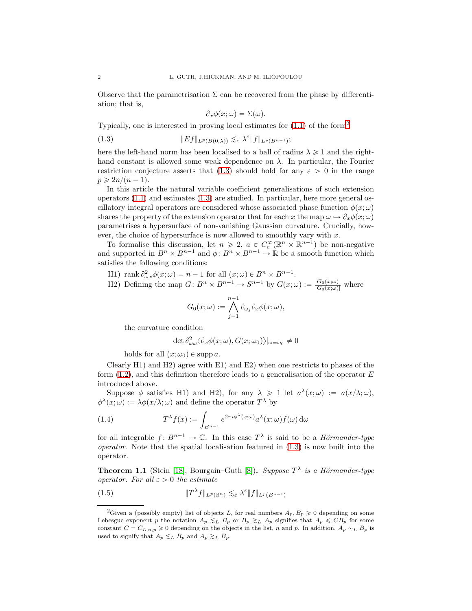Observe that the parametrisation  $\Sigma$  can be recovered from the phase by differentiation; that is,

$$
\partial_x \phi(x; \omega) = \Sigma(\omega).
$$

Typically, one is interested in proving local estimates for (1.1) of the form<sup>2</sup>

(1.3) 
$$
||Ef||_{L^p(B(0,\lambda))} \lesssim_{\varepsilon} \lambda^{\varepsilon} ||f||_{L^p(B^{n-1})};
$$

here the left-hand norm has been localised to a ball of radius  $\lambda \geq 1$  and the righthand constant is allowed some weak dependence on  $\lambda$ . In particular, the Fourier restriction conjecture asserts that (1.3) should hold for any  $\varepsilon > 0$  in the range  $p \geqslant 2n/(n-1)$ .

In this article the natural variable coefficient generalisations of such extension operators (1.1) and estimates (1.3) are studied. In particular, here more general oscillatory integral operators are considered whose associated phase function  $\phi(x; \omega)$ shares the property of the extension operator that for each x the map  $\omega \mapsto \partial_x \phi(x; \omega)$ parametrises a hypersurface of non-vanishing Gaussian curvature. Crucially, however, the choice of hypersurface is now allowed to smoothly vary with  $x$ .

To formalise this discussion, let  $n \geq 2$ ,  $a \in C_c^{\infty}(\mathbb{R}^n \times \mathbb{R}^{n-1})$  be non-negative and supported in  $B^n \times B^{n-1}$  and  $\phi: B^n \times B^{n-1} \to \mathbb{R}$  be a smooth function which satisfies the following conditions:

H1) rank 
$$
\partial_{\omega x}^2 \phi(x; \omega) = n - 1
$$
 for all  $(x; \omega) \in B^n \times B^{n-1}$ .  
\nH2) Defining the map  $G: B^n \times B^{n-1} \to S^{n-1}$  by  $G(x; \omega) := \frac{G_0(x; \omega)}{|G_0(x; \omega)|}$  where  
\n
$$
G_0(x; \omega) := \bigwedge_{j=1}^{n-1} \partial_{\omega_j} \partial_x \phi(x; \omega),
$$

the curvature condition

$$
\det \partial_{\omega\omega}^2 \langle \partial_x \phi(x;\omega), G(x;\omega_0) \rangle |_{\omega=\omega_0} \neq 0
$$

holds for all  $(x; \omega_0) \in \text{supp } a$ .

Clearly H1) and H2) agree with E1) and E2) when one restricts to phases of the form  $(1.2)$ , and this definition therefore leads to a generalisation of the operator E introduced above.

Suppose  $\phi$  satisfies H1) and H2), for any  $\lambda \geq 1$  let  $a^{\lambda}(x;\omega) := a(x/\lambda;\omega)$ ,  $\phi^{\lambda}(x;\omega) := \lambda \phi(x/\lambda;\omega)$  and define the operator  $T^{\lambda}$  by

(1.4) 
$$
T^{\lambda} f(x) := \int_{B^{n-1}} e^{2\pi i \phi^{\lambda}(x; \omega)} a^{\lambda}(x; \omega) f(\omega) d\omega
$$

for all integrable  $f: B^{n-1} \to \mathbb{C}$ . In this case  $T^{\lambda}$  is said to be a *Hörmander-type* operator. Note that the spatial localisation featured in (1.3) is now built into the operator.

**Theorem 1.1** (Stein [18], Bourgain–Guth [8]). Suppose  $T^{\lambda}$  is a Hörmander-type operator. For all  $\varepsilon > 0$  the estimate

(1.5) 
$$
||T^{\lambda}f||_{L^{p}(\mathbb{R}^{n})} \lesssim_{\varepsilon} \lambda^{\varepsilon} ||f||_{L^{p}(B^{n-1})}
$$

<sup>&</sup>lt;sup>2</sup>Given a (possibly empty) list of objects L, for real numbers  $A_p, B_p \geq 0$  depending on some Lebesgue exponent p the notation  $A_p \leq_L B_p$  or  $B_p \geq_L A_p$  signifies that  $A_p \leq CB_p$  for some constant  $C = C_{L,n,p} \geq 0$  depending on the objects in the list, n and p. In addition,  $A_p \sim_L B_p$  is used to signify that  $A_p \lesssim_L B_p$  and  $A_p \gtrsim_L B_p$ .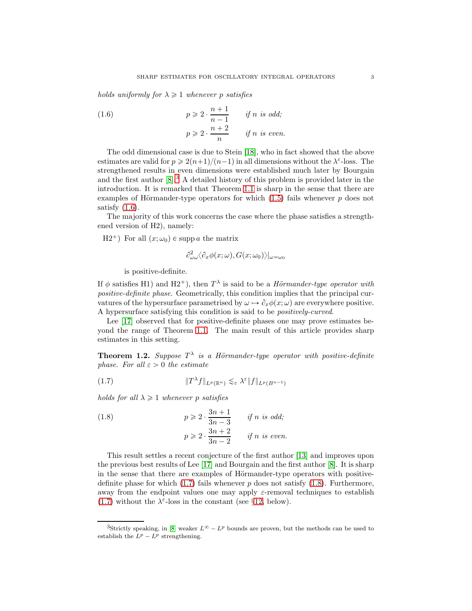holds uniformly for  $\lambda \geq 1$  whenever p satisfies

(1.6) 
$$
p \geqslant 2 \cdot \frac{n+1}{n-1} \quad \text{if } n \text{ is odd};
$$

$$
p \geqslant 2 \cdot \frac{n+2}{n} \quad \text{if } n \text{ is even}.
$$

The odd dimensional case is due to Stein [18], who in fact showed that the above estimates are valid for  $p \geqslant 2(n+1)/(n-1)$  in all dimensions without the  $\lambda^{\varepsilon}$ -loss. The strengthened results in even dimensions were established much later by Bourgain and the first author  $[8]^3$ . A detailed history of this problem is provided later in the introduction. It is remarked that Theorem 1.1 is sharp in the sense that there are examples of Hörmander-type operators for which  $(1.5)$  fails whenever p does not satisfy  $(1.6)$ .

The majority of this work concerns the case where the phase satisfies a strengthened version of H2), namely:

 $H2^+$ ) For all  $(x; \omega_0) \in \text{supp } a$  the matrix

$$
\partial^2_{\omega\omega}\langle\partial_x\phi(x;\omega),G(x;\omega_0)\rangle|_{\omega=\omega_0}
$$

is positive-definite.

If  $\phi$  satisfies H<sub>1</sub>) and H<sub>2</sub><sup>+</sup>), then  $T^{\lambda}$  is said to be a *Hörmander-type operator with* positive-definite phase. Geometrically, this condition implies that the principal curvatures of the hypersurface parametrised by  $\omega \mapsto \partial_x \phi(x; \omega)$  are everywhere positive. A hypersurface satisfying this condition is said to be positively-curved.

Lee [17] observed that for positive-definite phases one may prove estimates beyond the range of Theorem 1.1. The main result of this article provides sharp estimates in this setting.

**Theorem 1.2.** Suppose  $T^{\lambda}$  is a Hörmander-type operator with positive-definite phase. For all  $\varepsilon > 0$  the estimate

$$
(1.7) \t\t\t\t \|T^{\lambda}f\|_{L^{p}(\mathbb{R}^{n})} \lesssim_{\varepsilon} \lambda^{\varepsilon} \|f\|_{L^{p}(B^{n-1})}
$$

holds for all  $\lambda \geq 1$  whenever p satisfies

(1.8) 
$$
p \geqslant 2 \cdot \frac{3n+1}{3n-3} \quad \text{if } n \text{ is odd};
$$

$$
p \geqslant 2 \cdot \frac{3n+2}{3n-2} \quad \text{if } n \text{ is even}.
$$

This result settles a recent conjecture of the first author [13] and improves upon the previous best results of Lee [17] and Bourgain and the first author [8]. It is sharp in the sense that there are examples of Hörmander-type operators with positivedefinite phase for which  $(1.7)$  fails whenever p does not satisfy  $(1.8)$ . Furthermore, away from the endpoint values one may apply  $\varepsilon$ -removal techniques to establish (1.7) without the  $\lambda^{\varepsilon}$ -loss in the constant (see §12, below).

<sup>&</sup>lt;sup>3</sup>Strictly speaking, in [8] weaker  $L^{\infty} - L^p$  bounds are proven, but the methods can be used to establish the  $L^p - L^p$  strengthening.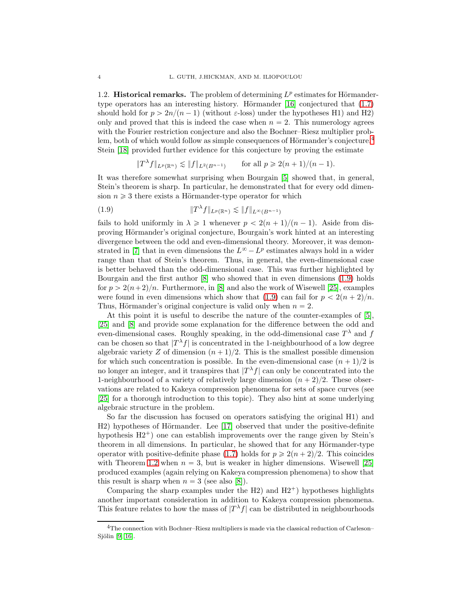1.2. Historical remarks. The problem of determining  $L^p$  estimates for Hörmandertype operators has an interesting history. Hörmander [16] conjectured that  $(1.7)$ should hold for  $p > 2n/(n-1)$  (without  $\varepsilon$ -loss) under the hypotheses H1) and H2) only and proved that this is indeed the case when  $n = 2$ . This numerology agrees with the Fourier restriction conjecture and also the Bochner–Riesz multiplier problem, both of which would follow as simple consequences of Hörmander's conjecture.<sup>4</sup> Stein [18] provided further evidence for this conjecture by proving the estimate

$$
||T^{\lambda}f||_{L^{p}(\mathbb{R}^{n})} \lesssim ||f||_{L^{2}(B^{n-1})} \quad \text{for all } p \geq 2(n+1)/(n-1).
$$

It was therefore somewhat surprising when Bourgain [5] showed that, in general, Stein's theorem is sharp. In particular, he demonstrated that for every odd dimension  $n \geq 3$  there exists a Hörmander-type operator for which

(1.9) }T λ f}LppRn<sup>q</sup> À }f}L8pBn´1<sup>q</sup>

fails to hold uniformly in  $\lambda \geq 1$  whenever  $p < 2(n + 1)/(n - 1)$ . Aside from disproving Hörmander's original conjecture, Bourgain's work hinted at an interesting divergence between the odd and even-dimensional theory. Moreover, it was demonstrated in [7] that in even dimensions the  $L^{\infty} - L^p$  estimates always hold in a wider range than that of Stein's theorem. Thus, in general, the even-dimensional case is better behaved than the odd-dimensional case. This was further highlighted by Bourgain and the first author [8] who showed that in even dimensions (1.9) holds for  $p > 2(n+2)/n$ . Furthermore, in [8] and also the work of Wisewell [25], examples were found in even dimensions which show that (1.9) can fail for  $p < 2(n+2)/n$ . Thus, Hörmander's original conjecture is valid only when  $n = 2$ .

At this point it is useful to describe the nature of the counter-examples of [5], [25] and [8] and provide some explanation for the difference between the odd and even-dimensional cases. Roughly speaking, in the odd-dimensional case  $T^{\lambda}$  and f can be chosen so that  $|T^{\lambda} f|$  is concentrated in the 1-neighbourhood of a low degree algebraic variety Z of dimension  $(n + 1)/2$ . This is the smallest possible dimension for which such concentration is possible. In the even-dimensional case  $(n + 1)/2$  is no longer an integer, and it transpires that  $|T^{\lambda} f|$  can only be concentrated into the 1-neighbourhood of a variety of relatively large dimension  $(n + 2)/2$ . These observations are related to Kakeya compression phenomena for sets of space curves (see [25] for a thorough introduction to this topic). They also hint at some underlying algebraic structure in the problem.

So far the discussion has focused on operators satisfying the original H1) and H2) hypotheses of Hörmander. Lee [17] observed that under the positive-definite hypothesis  $H2^+$ ) one can establish improvements over the range given by Stein's theorem in all dimensions. In particular, he showed that for any Hörmander-type operator with positive-definite phase (1.7) holds for  $p \geqslant 2(n + 2)/2$ . This coincides with Theorem 1.2 when  $n = 3$ , but is weaker in higher dimensions. Wisewell [25] produced examples (again relying on Kakeya compression phenomena) to show that this result is sharp when  $n = 3$  (see also [8]).

Comparing the sharp examples under the H2) and  $H2^+$  hypotheses highlights another important consideration in addition to Kakeya compression phenomena. This feature relates to how the mass of  $|T^{\lambda} f|$  can be distributed in neighbourhoods

<sup>4</sup>The connection with Bochner–Riesz multipliers is made via the classical reduction of Carleson– Sjölin  $[9, 16]$ .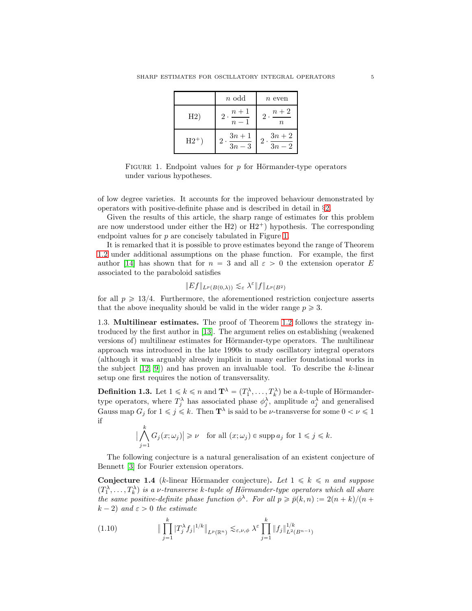|          | $n$ odd                                     | $n$ even                      |
|----------|---------------------------------------------|-------------------------------|
| H2)      | $n+1$<br>$\mathfrak{D}$<br>$\overline{n-1}$ | $n+2$<br>2.<br>п              |
| $H2^+$ ) | $3n+1$<br>$3n-3$                            | $3n+2$<br>$\overline{3n} - 2$ |

FIGURE 1. Endpoint values for  $p$  for Hörmander-type operators under various hypotheses.

of low degree varieties. It accounts for the improved behaviour demonstrated by operators with positive-definite phase and is described in detail in §2.

Given the results of this article, the sharp range of estimates for this problem are now understood under either the H2) or  $H2^+$ ) hypothesis. The corresponding endpoint values for p are concisely tabulated in Figure 1.

It is remarked that it is possible to prove estimates beyond the range of Theorem 1.2 under additional assumptions on the phase function. For example, the first author [14] has shown that for  $n = 3$  and all  $\varepsilon > 0$  the extension operator E associated to the paraboloid satisfies

$$
\|Ef\|_{L^p(B(0,\lambda))} \lesssim_{\varepsilon} \lambda^{\varepsilon} \|f\|_{L^p(B^2)}
$$

for all  $p \geq 13/4$ . Furthermore, the aforementioned restriction conjecture asserts that the above inequality should be valid in the wider range  $p \geq 3$ .

1.3. Multilinear estimates. The proof of Theorem 1.2 follows the strategy introduced by the first author in [13]. The argument relies on establishing (weakened versions of) multilinear estimates for Hörmander-type operators. The multilinear approach was introduced in the late 1990s to study oscillatory integral operators (although it was arguably already implicit in many earlier foundational works in the subject  $[12, 9]$  and has proven an invaluable tool. To describe the k-linear setup one first requires the notion of transversality.

**Definition 1.3.** Let  $1 \leq k \leq n$  and  $\mathbf{T}^{\lambda} = (T_1^{\lambda}, \ldots, T_k^{\lambda})$  be a k-tuple of Hörmandertype operators, where  $T_j^{\lambda}$  has associated phase  $\phi_j^{\lambda}$ , amplitude  $a_j^{\lambda}$  and generalised Gauss map  $G_j$  for  $1 \leq j \leq k$ . Then  $\mathbf{T}^{\lambda}$  is said to be *v*-transverse for some  $0 < \nu \leq 1$ if

$$
\big|\bigwedge_{j=1}^k G_j(x;\omega_j)\big| \geqslant \nu \quad \text{for all } (x;\omega_j)\in \operatorname{supp} a_j \text{ for } 1\leqslant j\leqslant k.
$$

The following conjecture is a natural generalisation of an existent conjecture of Bennett [3] for Fourier extension operators.

**Conjecture 1.4** (k-linear Hörmander conjecture). Let  $1 \leq k \leq n$  and suppose  $(T_1^{\lambda},...,T_k^{\lambda})$  is a v-transverse k-tuple of Hörmander-type operators which all share the same positive-definite phase function  $\phi^{\lambda}$ . For all  $p \geq \bar{p}(k,n) := 2(n+k)/(n+k)$  $k - 2$ ) and  $\varepsilon > 0$  the estimate

(1.10) 
$$
\|\prod_{j=1}^k |T_j^{\lambda} f_j|^{1/k} \|_{L^p(\mathbb{R}^n)} \lesssim_{\varepsilon,\nu,\phi} \lambda^{\varepsilon} \prod_{j=1}^k \|f_j\|_{L^2(B^{n-1})}^{1/k}
$$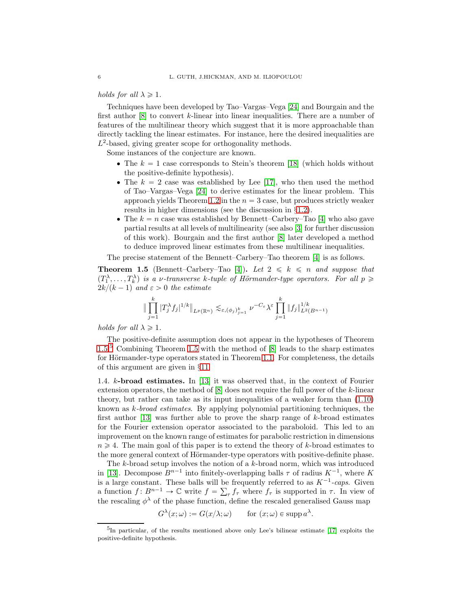#### holds for all  $\lambda \geq 1$ .

Techniques have been developed by Tao–Vargas–Vega [24] and Bourgain and the first author  $[8]$  to convert k-linear into linear inequalities. There are a number of features of the multilinear theory which suggest that it is more approachable than directly tackling the linear estimates. For instance, here the desired inequalities are  $L^2$ -based, giving greater scope for orthogonality methods.

Some instances of the conjecture are known.

- The  $k = 1$  case corresponds to Stein's theorem [18] (which holds without the positive-definite hypothesis).
- The  $k = 2$  case was established by Lee [17], who then used the method of Tao–Vargas–Vega [24] to derive estimates for the linear problem. This approach yields Theorem 1.2 in the  $n = 3$  case, but produces strictly weaker results in higher dimensions (see the discussion in §1.2).
- The  $k = n$  case was established by Bennett–Carbery–Tao [4] who also gave partial results at all levels of multilinearity (see also [3] for further discussion of this work). Bourgain and the first author [8] later developed a method to deduce improved linear estimates from these multilinear inequalities.

The precise statement of the Bennett–Carbery–Tao theorem [4] is as follows.

**Theorem 1.5** (Bennett–Carbery–Tao [4]). Let  $2 \leq k \leq n$  and suppose that  $(T_1^{\lambda},...,T_k^{\lambda})$  is a v-transverse k-tuple of Hörmander-type operators. For all  $p \geq$  $2k/(k - 1)$  and  $\varepsilon > 0$  the estimate

$$
\|\prod_{j=1}^k |T_j^{\lambda} f_j|^{1/k} \|_{L^p(\mathbb{R}^n)} \lesssim_{\varepsilon, (\phi_j)_{j=1}^k} \nu^{-C_{\varepsilon}} \lambda^{\varepsilon} \prod_{j=1}^k \|f_j\|_{L^2(B^{n-1})}^{1/k}
$$

holds for all  $\lambda \geq 1$ .

The positive-definite assumption does not appear in the hypotheses of Theorem 1.5.<sup>5</sup> Combining Theorem 1.5 with the method of [8] leads to the sharp estimates for Hörmander-type operators stated in Theorem 1.1. For completeness, the details of this argument are given in §11.

1.4. k-broad estimates. In [13] it was observed that, in the context of Fourier extension operators, the method of  $[8]$  does not require the full power of the k-linear theory, but rather can take as its input inequalities of a weaker form than (1.10) known as k-broad estimates. By applying polynomial partitioning techniques, the first author [13] was further able to prove the sharp range of k-broad estimates for the Fourier extension operator associated to the paraboloid. This led to an improvement on the known range of estimates for parabolic restriction in dimensions  $n \geq 4$ . The main goal of this paper is to extend the theory of k-broad estimates to the more general context of Hörmander-type operators with positive-definite phase.

The  $k$ -broad setup involves the notion of a  $k$ -broad norm, which was introduced in [13]. Decompose  $B^{n-1}$  into finitely-overlapping balls  $\tau$  of radius  $K^{-1}$ , where K is a large constant. These balls will be frequently referred to as  $K^{-1}$ -caps. Given a function  $f: B^{n-1} \to \mathbb{C}$  write  $f = \sum_{\tau} f_{\tau}$  where  $f_{\tau}$  is supported in  $\tau$ . In view of the rescaling  $\phi^{\lambda}$  of the phase function, define the rescaled generalised Gauss map

> $G^{\lambda}(x;\omega) := G(x/\lambda;\omega)$  for  $(x;\omega) \in \mathrm{supp} \, a$  $\lambda$ .

<sup>5</sup> In particular, of the results mentioned above only Lee's bilinear estimate [17] exploits the positive-definite hypothesis.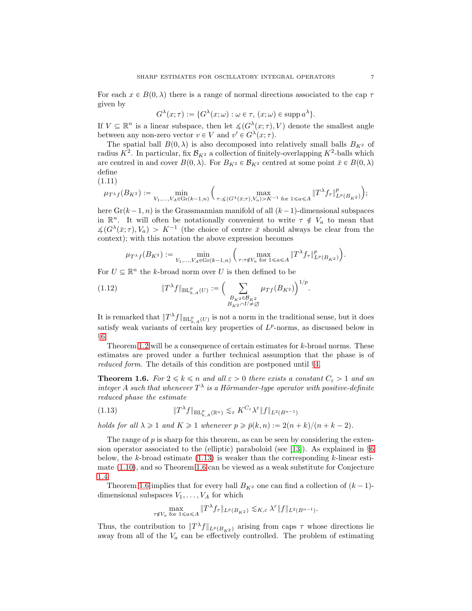For each  $x \in B(0, \lambda)$  there is a range of normal directions associated to the cap  $\tau$ given by

$$
G^{\lambda}(x;\tau) := \{ G^{\lambda}(x;\omega) : \omega \in \tau, (x;\omega) \in \operatorname{supp} a^{\lambda} \}.
$$

If  $V \subseteq \mathbb{R}^n$  is a linear subspace, then let  $\measuredangle(G^{\lambda}(x;\tau), V)$  denote the smallest angle between any non-zero vector  $v \in V$  and  $v' \in G^{\lambda}(x; \tau)$ .

The spatial ball  $B(0, \lambda)$  is also decomposed into relatively small balls  $B_{K^2}$  of radius  $K^2$ . In particular, fix  $\mathcal{B}_{K^2}$  a collection of finitely-overlapping  $K^2$ -balls which are centred in and cover  $B(0, \lambda)$ . For  $B_{K^2} \in \mathcal{B}_{K^2}$  centred at some point  $\bar{x} \in B(0, \lambda)$ define

(1.11)

$$
\mu_{T^{\lambda}f}(B_{K^2}):=\min_{V_1,...,V_A\in \operatorname{Gr}(k-1,n)}\Big(\max_{\tau:\H\prec (G^{\lambda}(\bar{x};\tau),V_a)>K^{-1}\text{ for }1\leqslant a\leqslant A}\|T^{\lambda}f_\tau\|_{L^p(B_{K^2})}^p\Big);
$$

here  $Gr(k-1, n)$  is the Grassmannian manifold of all  $(k-1)$ -dimensional subspaces in  $\mathbb{R}^n$ . It will often be notationally convenient to write  $\tau \notin V_a$  to mean that  $\measuredangle(G^{\lambda}(\bar{x};\tau), V_a) > K^{-1}$  (the choice of centre  $\bar{x}$  should always be clear from the context); with this notation the above expression becomes

$$
\mu_{T^{\lambda}f}(B_{K^2}):=\min_{V_1,...,V_A\in \operatorname{Gr}(k-1,n)}\Big(\max_{\tau:\tau\notin V_a \text{ for } 1\leqslant a\leqslant A}\|T^{\lambda}f_\tau\|_{L^p(B_{K^2})}^p\Big).
$$

For  $U \subseteq \mathbb{R}^n$  the k-broad norm over U is then defined to be

(1.12) 
$$
\|T^{\lambda}f\|_{\mathrm{BL}_{k,A}^p(U)} := \Big(\sum_{\substack{B_{K^2} \in \mathcal{B}_{K^2} \\ B_{K^2} \cap U \neq \emptyset}} \mu_{Tf}(B_{K^2})\Big)^{1/p}.
$$

It is remarked that  $||T^{\lambda}f||_{BL^p_{k,A}(U)}$  is not a norm in the traditional sense, but it does satisfy weak variants of certain key properties of  $L^p$ -norms, as discussed below in §6.

Theorem 1.2 will be a consequence of certain estimates for k-broad norms. These estimates are proved under a further technical assumption that the phase is of reduced form. The details of this condition are postponed until §4.

**Theorem 1.6.** For  $2 \le k \le n$  and all  $\varepsilon > 0$  there exists a constant  $C_{\varepsilon} > 1$  and an integer A such that whenever  $T^{\lambda}$  is a Hörmander-type operator with positive-definite reduced phase the estimate

$$
(1.13)\t\t\t\t \|T^{\lambda}f\|_{\operatorname{BL}_{k,A}^p(\mathbb{R}^n)} \lesssim_{\varepsilon} K^{C_{\varepsilon}}\lambda^{\varepsilon} \|f\|_{L^2(B^{n-1})}
$$

holds for all  $\lambda \geq 1$  and  $K \geq 1$  whenever  $p \geq \bar{p}(k, n) := 2(n + k)/(n + k - 2)$ .

The range of  $p$  is sharp for this theorem, as can be seen by considering the extension operator associated to the (elliptic) paraboloid (see [13]). As explained in §6 below, the k-broad estimate  $(1.13)$  is weaker than the corresponding k-linear estimate (1.10), and so Theorem 1.6 can be viewed as a weak substitute for Conjecture 1.4.

Theorem 1.6 implies that for every ball  $B_{K^2}$  one can find a collection of  $(k-1)$ dimensional subspaces  $V_1, \ldots, V_A$  for which

$$
\max_{\tau \notin V_a \text{ for } 1 \leq a \leq A} \|T^{\lambda} f_{\tau}\|_{L^p(B_{K^2})} \lesssim_{K,\varepsilon} \lambda^{\varepsilon} \|f\|_{L^2(B^{n-1})}.
$$

Thus, the contribution to  $||T^{\lambda}f||_{L^p(B_{K^2})}$  arising from caps  $\tau$  whose directions lie away from all of the  $V_a$  can be effectively controlled. The problem of estimating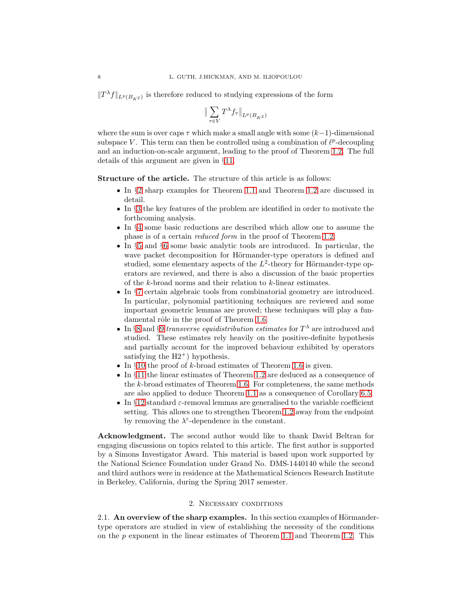$||T^{\lambda}f||_{L^{p}(B_{K^2})}$  is therefore reduced to studying expressions of the form

$$
\big\| \sum_{\tau \in V} T^\lambda f_\tau \big\|_{L^p(B_{K^2})}
$$

where the sum is over caps  $\tau$  which make a small angle with some  $(k-1)$ -dimensional subspace V. This term can then be controlled using a combination of  $\ell^p$ -decoupling and an induction-on-scale argument, leading to the proof of Theorem 1.2. The full details of this argument are given in §11.

Structure of the article. The structure of this article is as follows:

- ' In §2 sharp examples for Theorem 1.1 and Theorem 1.2 are discussed in detail.
- ' In §3 the key features of the problem are identified in order to motivate the forthcoming analysis.
- ' In §4 some basic reductions are described which allow one to assume the phase is of a certain reduced form in the proof of Theorem 1.2.
- ' In §5 and §6 some basic analytic tools are introduced. In particular, the wave packet decomposition for Hörmander-type operators is defined and studied, some elementary aspects of the  $L^2$ -theory for Hörmander-type operators are reviewed, and there is also a discussion of the basic properties of the k-broad norms and their relation to k-linear estimates.
- ' In §7 certain algebraic tools from combinatorial geometry are introduced. In particular, polynomial partitioning techniques are reviewed and some important geometric lemmas are proved; these techniques will play a fundamental rôle in the proof of Theorem 1.6.
- In §8 and §9 transverse equidistribution estimates for  $T^{\lambda}$  are introduced and studied. These estimates rely heavily on the positive-definite hypothesis and partially account for the improved behaviour exhibited by operators satisfying the  $H2^+$ ) hypothesis.
- $\bullet$  In §10 the proof of k-broad estimates of Theorem 1.6 is given.
- ' In §11 the linear estimates of Theorem 1.2 are deduced as a consequence of the k-broad estimates of Theorem 1.6. For completeness, the same methods are also applied to deduce Theorem 1.1 as a consequence of Corollary 6.5.
- In §12 standard  $\varepsilon$ -removal lemmas are generalised to the variable coefficient setting. This allows one to strengthen Theorem 1.2 away from the endpoint by removing the  $\lambda^{\varepsilon}$ -dependence in the constant.

Acknowledgment. The second author would like to thank David Beltran for engaging discussions on topics related to this article. The first author is supported by a Simons Investigator Award. This material is based upon work supported by the National Science Foundation under Grand No. DMS-1440140 while the second and third authors were in residence at the Mathematical Sciences Research Institute in Berkeley, California, during the Spring 2017 semester.

#### 2. Necessary conditions

2.1. An overview of the sharp examples. In this section examples of Hörmandertype operators are studied in view of establishing the necessity of the conditions on the  $p$  exponent in the linear estimates of Theorem 1.1 and Theorem 1.2. This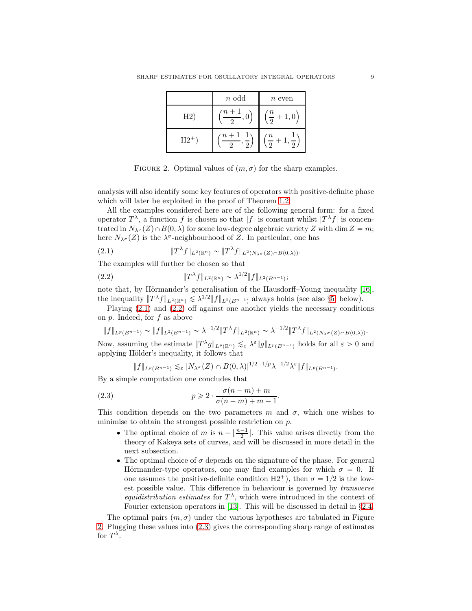|        | $n$ odd        | $n$ even                       |
|--------|----------------|--------------------------------|
| H2)    | $(n+1)$<br>, υ | $\left(\frac{n}{2}+1,0\right)$ |
| $H2^+$ | $(n+1)$        | $\frac{n}{2}$ +                |

FIGURE 2. Optimal values of  $(m, \sigma)$  for the sharp examples.

analysis will also identify some key features of operators with positive-definite phase which will later be exploited in the proof of Theorem 1.2.

All the examples considered here are of the following general form: for a fixed operator  $T^{\lambda}$ , a function f is chosen so that |f| is constant whilst  $|T^{\lambda}f|$  is concentrated in  $N_{\lambda^{\sigma}}(Z) \cap B(0, \lambda)$  for some low-degree algebraic variety Z with dim  $Z = m$ ; here  $N_{\lambda^{\sigma}}(Z)$  is the  $\lambda^{\sigma}$ -neighbourhood of Z. In particular, one has

(2.1) 
$$
\|T^{\lambda}f\|_{L^2(\mathbb{R}^n)} \sim \|T^{\lambda}f\|_{L^2(N_{\lambda}\sigma(Z)\cap B(0,\lambda))}.
$$

The examples will further be chosen so that

(2.2) 
$$
||T^{\lambda}f||_{L^{2}(\mathbb{R}^{n})} \sim \lambda^{1/2}||f||_{L^{2}(B^{n-1})};
$$

note that, by Hörmander's generalisation of the Hausdorff–Young inequality  $[16]$ , the inequality  $||T^{\lambda}f||_{L^2(\mathbb{R}^n)} \lesssim \lambda^{1/2} ||f||_{L^2(B^{n-1})}$  always holds (see also §5, below).

Playing  $(2.1)$  and  $(2.2)$  off against one another yields the necessary conditions on p. Indeed, for f as above

$$
||f||_{L^p(B^{n-1})} \sim ||f||_{L^2(B^{n-1})} \sim \lambda^{-1/2} ||T^{\lambda}f||_{L^2(\mathbb{R}^n)} \sim \lambda^{-1/2} ||T^{\lambda}f||_{L^2(N_{\lambda^\sigma}(Z) \cap B(0,\lambda))}.
$$

Now, assuming the estimate  $||T^{\lambda}g||_{L^p(\mathbb{R}^n)} \lesssim_{\varepsilon} \lambda^{\varepsilon} ||g||_{L^p(B^{n-1})}$  holds for all  $\varepsilon > 0$  and applying Hölder's inequality, it follows that

$$
||f||_{L^p(B^{n-1})} \lesssim_{\varepsilon} |N_{\lambda^\sigma}(Z) \cap B(0,\lambda)|^{1/2-1/p} \lambda^{-1/2} \lambda^{\varepsilon} ||f||_{L^p(B^{n-1})}.
$$

By a simple computation one concludes that

(2.3) 
$$
p \geqslant 2 \cdot \frac{\sigma(n-m)+m}{\sigma(n-m)+m-1}.
$$

This condition depends on the two parameters m and  $\sigma$ , which one wishes to minimise to obtain the strongest possible restriction on p.

- The optimal choice of m is  $n \lfloor \frac{n-1}{2} \rfloor$ . This value arises directly from the theory of Kakeya sets of curves, and will be discussed in more detail in the next subsection.
- $\bullet$  The optimal choice of  $\sigma$  depends on the signature of the phase. For general Hörmander-type operators, one may find examples for which  $\sigma = 0$ . If one assumes the positive-definite condition  $H2^+$ ), then  $\sigma = 1/2$  is the lowest possible value. This difference in behaviour is governed by transverse equidistribution estimates for  $T^{\lambda}$ , which were introduced in the context of Fourier extension operators in [13]. This will be discussed in detail in  $\S 2.4$ .

The optimal pairs  $(m, \sigma)$  under the various hypotheses are tabulated in Figure 2. Plugging these values into (2.3) gives the corresponding sharp range of estimates for  $T^{\lambda}$ .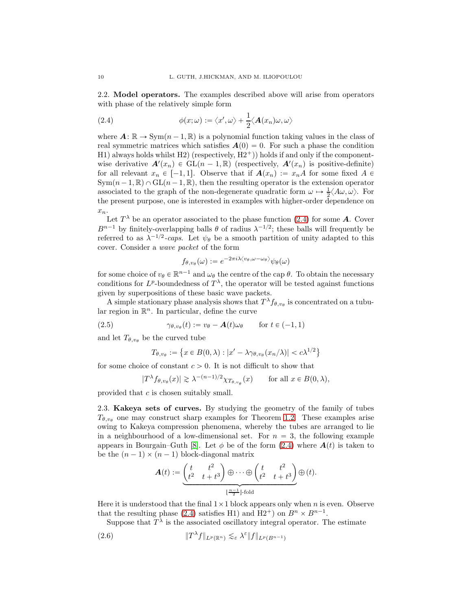2.2. Model operators. The examples described above will arise from operators with phase of the relatively simple form

(2.4) 
$$
\phi(x;\omega) := \langle x',\omega \rangle + \frac{1}{2} \langle \mathbf{A}(x_n)\omega,\omega \rangle
$$

where  $\mathbf{A} : \mathbb{R} \to \text{Sym}(n-1, \mathbb{R})$  is a polynomial function taking values in the class of real symmetric matrices which satisfies  $A(0) = 0$ . For such a phase the condition H1) always holds whilst H2) (respectively,  $H2^+$ )) holds if and only if the componentwise derivative  $\mathbf{A}'(x_n) \in GL(n-1,\mathbb{R})$  (respectively,  $\mathbf{A}'(x_n)$  is positive-definite) for all relevant  $x_n \in [-1, 1]$ . Observe that if  $A(x_n) := x_nA$  for some fixed  $A \in$  $Sym(n-1, \mathbb{R}) \cap GL(n-1, \mathbb{R})$ , then the resulting operator is the extension operator associated to the graph of the non-degenerate quadratic form  $\omega \mapsto \frac{1}{2} \langle A\omega, \omega \rangle$ . For the present purpose, one is interested in examples with higher-order dependence on  $x_n$ .

Let  $T^{\lambda}$  be an operator associated to the phase function (2.4) for some **A**. Cover  $B^{n-1}$  by finitely-overlapping balls  $\theta$  of radius  $\lambda^{-1/2}$ ; these balls will frequently be referred to as  $\lambda^{-1/2}$ -caps. Let  $\psi_{\theta}$  be a smooth partition of unity adapted to this cover. Consider a wave packet of the form

$$
f_{\theta, v_{\theta}}(\omega) := e^{-2\pi i \lambda \langle v_{\theta}, \omega - \omega_{\theta} \rangle} \psi_{\theta}(\omega)
$$

for some choice of  $v_{\theta} \in \mathbb{R}^{n-1}$  and  $\omega_{\theta}$  the centre of the cap  $\theta$ . To obtain the necessary conditions for  $L^p$ -boundedness of  $T^{\lambda}$ , the operator will be tested against functions given by superpositions of these basic wave packets.

A simple stationary phase analysis shows that  $T^{\lambda} f_{\theta, v_{\theta}}$  is concentrated on a tubular region in  $\mathbb{R}^n$ . In particular, define the curve

(2.5) 
$$
\gamma_{\theta, v_{\theta}}(t) := v_{\theta} - \mathbf{A}(t)\omega_{\theta} \quad \text{for } t \in (-1, 1)
$$

and let  $T_{\theta,\nu_{\theta}}$  be the curved tube

$$
T_{\theta, v_{\theta}} := \left\{ x \in B(0, \lambda) : |x' - \lambda \gamma_{\theta, v_{\theta}}(x_n/\lambda)| < c \lambda^{1/2} \right\}
$$

for some choice of constant  $c > 0$ . It is not difficult to show that

$$
|T^{\lambda} f_{\theta, v_{\theta}}(x)| \gtrsim \lambda^{-(n-1)/2} \chi_{T_{\theta, v_{\theta}}}(x) \quad \text{for all } x \in B(0, \lambda),
$$

provided that c is chosen suitably small.

2.3. Kakeya sets of curves. By studying the geometry of the family of tubes  $T_{\theta, v_{\theta}}$  one may construct sharp examples for Theorem 1.2. These examples arise owing to Kakeya compression phenomena, whereby the tubes are arranged to lie in a neighbourhood of a low-dimensional set. For  $n = 3$ , the following example appears in Bourgain–Guth [8]. Let  $\phi$  be of the form (2.4) where  $\mathbf{A}(t)$  is taken to be the  $(n - 1) \times (n - 1)$  block-diagonal matrix

$$
\mathbf{A}(t) := \underbrace{\begin{pmatrix} t & t^2 \\ t^2 & t+t^3 \end{pmatrix} \oplus \cdots \oplus \begin{pmatrix} t & t^2 \\ t^2 & t+t^3 \end{pmatrix}}_{\lfloor \frac{n-1}{2} \rfloor \cdot \text{fold}} \oplus (t).
$$

Here it is understood that the final  $1 \times 1$  block appears only when n is even. Observe that the resulting phase (2.4) satisfies H1) and H2<sup>+</sup>) on  $B<sup>n</sup> \times B<sup>n-1</sup>$ .

Suppose that  $T^{\lambda}$  is the associated oscillatory integral operator. The estimate

(2.6) 
$$
\|T^{\lambda}f\|_{L^p(\mathbb{R}^n)} \lesssim_{\varepsilon} \lambda^{\varepsilon} \|f\|_{L^p(B^{n-1})}
$$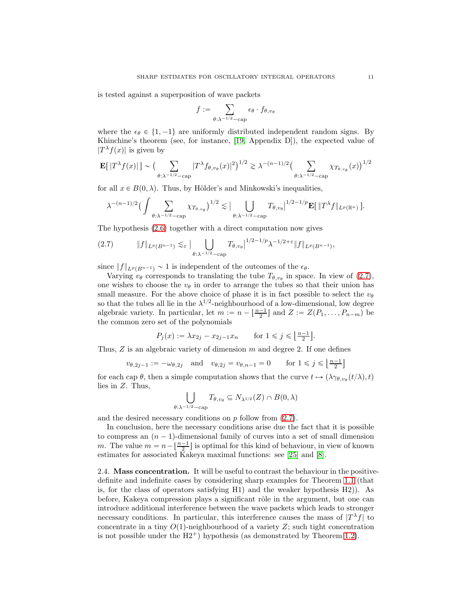is tested against a superposition of wave packets

$$
f:=\sum_{\theta:\lambda^{-1/2}-\text{cap}}\epsilon_{\theta}\cdot f_{\theta,v_{\theta}}
$$

where the  $\epsilon_{\theta} \in \{1, -1\}$  are uniformly distributed independent random signs. By Khinchine's theorem (see, for instance, [19, Appendix D]), the expected value of  $|T^{\lambda}f(x)|$  is given by

$$
\mathbf{E}[|T^{\lambda}f(x)|] \sim \left(\sum_{\theta:\lambda^{-1/2}-\text{cap}}|T^{\lambda}f_{\theta,v_{\theta}}(x)|^{2}\right)^{1/2} \gtrsim \lambda^{-(n-1)/2} \left(\sum_{\theta:\lambda^{-1/2}-\text{cap}}\chi_{T_{\theta,v_{\theta}}}(x)\right)^{1/2}
$$

for all  $x \in B(0, \lambda)$ . Thus, by Hölder's and Minkowski's inequalities,

$$
\lambda^{-(n-1)/2} \big( \int \sum_{\theta:\lambda^{-1/2}-\text{cap}} \chi_{T_{\theta,v_{\theta}}}\big)^{1/2} \lesssim \big| \bigcup_{\theta:\lambda^{-1/2}-\text{cap}} T_{\theta,v_{\theta}} \big|^{1/2-1/p} \mathbf{E} \big[ \|T^{\lambda} f\|_{L^{p}(\mathbb{R}^{n})} \big].
$$

The hypothesis (2.6) together with a direct computation now gives

$$
(2.7) \t\t\t ||f||_{L^{p}(B^{n-1})} \lesssim_{\varepsilon} \big| \bigcup_{\theta:\lambda^{-1/2}-\text{cap}} T_{\theta,v_{\theta}} \big|^{1/2-1/p} \lambda^{-1/2+\varepsilon} \|f\|_{L^{p}(B^{n-1})},
$$

since  $||f||_{L^p(B^{n-1})} \sim 1$  is independent of the outcomes of the  $\epsilon_{\theta}$ .

Varying  $v_{\theta}$  corresponds to translating the tube  $T_{\theta,v_{\theta}}$  in space. In view of (2.7), one wishes to choose the  $v_{\theta}$  in order to arrange the tubes so that their union has small measure. For the above choice of phase it is in fact possible to select the  $v_{\theta}$ so that the tubes all lie in the  $\lambda^{1/2}$ -neighbourhood of a low-dimensional, low degree algebraic variety. In particular, let  $m := n - \lfloor \frac{n-1}{2} \rfloor$  and  $Z := Z(P_1, \ldots, P_{n-m})$  be the common zero set of the polynomials

$$
P_j(x) := \lambda x_{2j} - x_{2j-1} x_n
$$
 for  $1 \le j \le \left\lfloor \frac{n-1}{2} \right\rfloor$ .

Thus,  $Z$  is an algebraic variety of dimension  $m$  and degree 2. If one defines

$$
v_{\theta,2j-1} := -\omega_{\theta,2j} \quad \text{and} \quad v_{\theta,2j} = v_{\theta,n-1} = 0 \qquad \text{for } 1 \le j \le \left\lfloor \frac{n-1}{2} \right\rfloor
$$

for each cap  $\theta$ , then a simple computation shows that the curve  $t \mapsto (\lambda \gamma_{\theta, v_{\theta}}(t/\lambda), t)$ lies in Z. Thus,

$$
\bigcup_{\theta:\lambda^{-1/2}-\text{cap}} T_{\theta,v_{\theta}} \subseteq N_{\lambda^{1/2}}(Z) \cap B(0,\lambda)
$$

and the desired necessary conditions on  $p$  follow from  $(2.7)$ .

In conclusion, here the necessary conditions arise due the fact that it is possible to compress an  $(n - 1)$ -dimensional family of curves into a set of small dimension m. The value  $m = n - \lfloor \frac{n-1}{2} \rfloor$  is optimal for this kind of behaviour, in view of known estimates for associated Kakeya maximal functions: see [25] and [8].

2.4. Mass concentration. It will be useful to contrast the behaviour in the positivedefinite and indefinite cases by considering sharp examples for Theorem 1.1 (that is, for the class of operators satisfying H1) and the weaker hypothesis H2)). As before, Kakeya compression plays a significant rôle in the argument, but one can introduce additional interference between the wave packets which leads to stronger necessary conditions. In particular, this interference causes the mass of  $|T^{\lambda} f|$  to concentrate in a tiny  $O(1)$ -neighbourhood of a variety Z; such tight concentration is not possible under the  $H2^+$ ) hypothesis (as demonstrated by Theorem 1.2).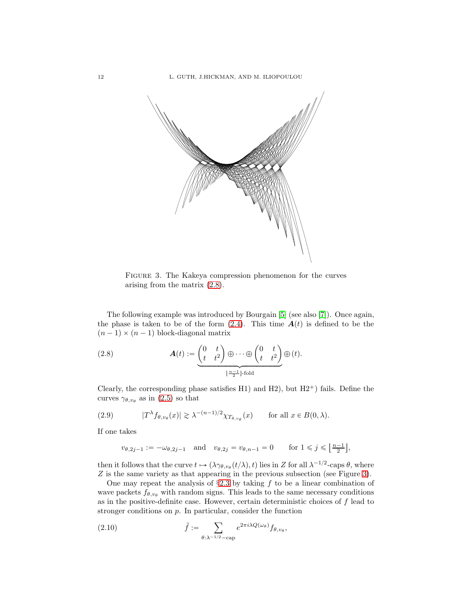

Figure 3. The Kakeya compression phenomenon for the curves arising from the matrix (2.8).

The following example was introduced by Bourgain [5] (see also [7]). Once again, the phase is taken to be of the form  $(2.4)$ . This time  $A(t)$  is defined to be the  $(n - 1) \times (n - 1)$  block-diagonal matrix

(2.8) 
$$
\mathbf{A}(t) := \underbrace{\begin{pmatrix} 0 & t \\ t & t^2 \end{pmatrix} \oplus \cdots \oplus \begin{pmatrix} 0 & t \\ t & t^2 \end{pmatrix}}_{\left[\frac{n-1}{2}\right] \text{-fold}} \oplus (t).
$$

Clearly, the corresponding phase satisfies H1) and H2), but  $H2^+$ ) fails. Define the curves  $\gamma_{\theta,v_{\theta}}$  as in (2.5) so that

(2.9) 
$$
|T^{\lambda} f_{\theta, v_{\theta}}(x)| \gtrsim \lambda^{-(n-1)/2} \chi_{T_{\theta, v_{\theta}}}(x) \quad \text{for all } x \in B(0, \lambda).
$$

If one takes

$$
v_{\theta,2j-1}:=-\omega_{\theta,2j-1} \quad \text{and} \quad v_{\theta,2j}=v_{\theta,n-1}=0 \qquad \text{for } 1 \leq j \leq \left\lfloor \frac{n-1}{2} \right\rfloor,
$$

then it follows that the curve  $t \mapsto (\lambda \gamma_{\theta, v_{\theta}}(t/\lambda), t)$  lies in Z for all  $\lambda^{-1/2}$ -caps  $\theta$ , where Z is the same variety as that appearing in the previous subsection (see Figure 3).

One may repeat the analysis of  $\S 2.3$  by taking f to be a linear combination of wave packets  $f_{\theta,v_\theta}$  with random signs. This leads to the same necessary conditions as in the positive-definite case. However, certain deterministic choices of  $f$  lead to stronger conditions on  $p$ . In particular, consider the function

(2.10) 
$$
\tilde{f} := \sum_{\theta : \lambda^{-1/2} - \text{cap}} e^{2\pi i \lambda Q(\omega_{\theta})} f_{\theta, v_{\theta}},
$$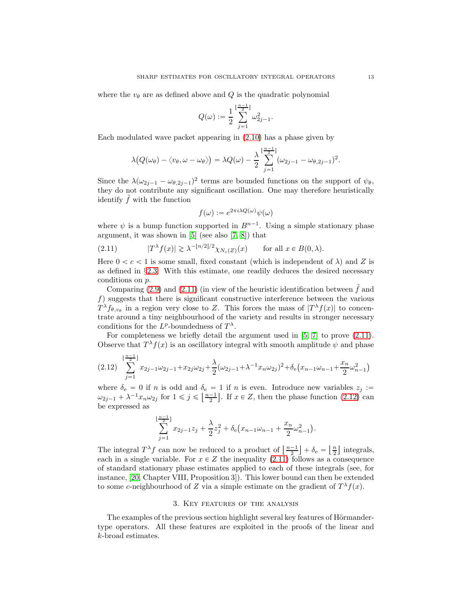where the  $v_{\theta}$  are as defined above and Q is the quadratic polynomial

$$
Q(\omega):=\frac{1}{2}\sum_{j=1}^{\lfloor\frac{n-1}{2}\rfloor}\omega_{2j-1}^2.
$$

Each modulated wave packet appearing in (2.10) has a phase given by

$$
\lambda\big(Q(\omega_{\theta})-\langle v_{\theta}, \omega-\omega_{\theta}\rangle\big)=\lambda Q(\omega)-\frac{\lambda}{2}\sum_{j=1}^{\lfloor\frac{n-1}{2}\rfloor}(\omega_{2j-1}-\omega_{\theta,2j-1})^2.
$$

Since the  $\lambda(\omega_{2j-1} - \omega_{\theta,2j-1})^2$  terms are bounded functions on the support of  $\psi_{\theta}$ , they do not contribute any significant oscillation. One may therefore heuristically identify  $\hat{f}$  with the function

$$
f(\omega) := e^{2\pi i \lambda Q(\omega)} \psi(\omega)
$$

where  $\psi$  is a bump function supported in  $B^{n-1}$ . Using a simple stationary phase argument, it was shown in [5] (see also [7, 8]) that

(2.11) 
$$
|T^{\lambda}f(x)| \gtrsim \lambda^{-\lfloor n/2 \rfloor/2} \chi_{N_c(Z)}(x) \quad \text{for all } x \in B(0,\lambda).
$$

Here  $0 < c < 1$  is some small, fixed constant (which is independent of  $\lambda$ ) and Z is as defined in §2.3. With this estimate, one readily deduces the desired necessary conditions on p.

Comparing (2.9) and (2.11) (in view of the heuristic identification between  $\tilde{f}$  and f) suggests that there is significant constructive interference between the various  $T^{\lambda}f_{\theta,v_{\theta}}$  in a region very close to Z. This forces the mass of  $|T^{\lambda}f(x)|$  to concentrate around a tiny neighbourhood of the variety and results in stronger necessary conditions for the  $L^p$ -boundedness of  $T^{\lambda}$ .

For completeness we briefly detail the argument used in [5, 7] to prove (2.11). Observe that  $T^{\lambda}f(x)$  is an oscillatory integral with smooth amplitude  $\psi$  and phase

$$
(2.12) \sum_{j=1}^{\lfloor \frac{n-1}{2} \rfloor} x_{2j-1} \omega_{2j-1} + x_{2j} \omega_{2j} + \frac{\lambda}{2} (\omega_{2j-1} + \lambda^{-1} x_n \omega_{2j})^2 + \delta_e (x_{n-1} \omega_{n-1} + \frac{x_n}{2} \omega_{n-1}^2)
$$

where  $\delta_e = 0$  if n is odd and  $\delta_e = 1$  if n is even. Introduce new variables  $z_j :=$  $\omega_{2j-1} + \lambda^{-1} x_n \omega_{2j}$  for  $1 \leq j \leq \left\lfloor \frac{n-1}{2} \right\rfloor$ . If  $x \in Z$ , then the phase function  $(2.12)$  can be expressed as

$$
\sum_{j=1}^{\lfloor \frac{n-1}{2} \rfloor} x_{2j-1} z_j + \frac{\lambda}{2} z_j^2 + \delta_{\mathbf{e}} (x_{n-1} \omega_{n-1} + \frac{x_n}{2} \omega_{n-1}^2).
$$

The integral  $T^{\lambda} f$  can now be reduced to a product of  $\left\lfloor \frac{n-1}{2} \right\rfloor + \delta_e = \left\lfloor \frac{n}{2} \right\rfloor$  integrals, each in a single variable. For  $x \in Z$  the inequality (2.11) follows as a consequence of standard stationary phase estimates applied to each of these integrals (see, for instance, [20, Chapter VIII, Proposition 3]). This lower bound can then be extended to some c-neighbourhood of Z via a simple estimate on the gradient of  $T^{\lambda}f(x)$ .

#### 3. Key features of the analysis

The examples of the previous section highlight several key features of Hörmandertype operators. All these features are exploited in the proofs of the linear and k-broad estimates.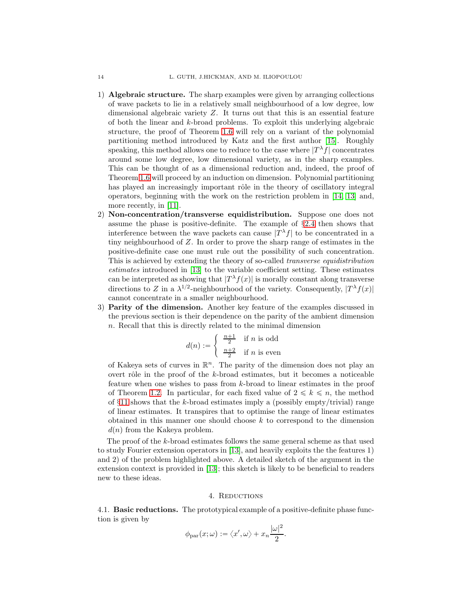- 1) Algebraic structure. The sharp examples were given by arranging collections of wave packets to lie in a relatively small neighbourhood of a low degree, low dimensional algebraic variety Z. It turns out that this is an essential feature of both the linear and k-broad problems. To exploit this underlying algebraic structure, the proof of Theorem 1.6 will rely on a variant of the polynomial partitioning method introduced by Katz and the first author [15]. Roughly speaking, this method allows one to reduce to the case where  $|T^{\lambda} f|$  concentrates around some low degree, low dimensional variety, as in the sharp examples. This can be thought of as a dimensional reduction and, indeed, the proof of Theorem 1.6 will proceed by an induction on dimension. Polynomial partitioning has played an increasingly important rôle in the theory of oscillatory integral operators, beginning with the work on the restriction problem in [14, 13] and, more recently, in [11].
- 2) Non-concentration/transverse equidistribution. Suppose one does not assume the phase is positive-definite. The example of §2.4 then shows that interference between the wave packets can cause  $|T^{\lambda}f|$  to be concentrated in a tiny neighbourhood of Z. In order to prove the sharp range of estimates in the positive-definite case one must rule out the possibility of such concentration. This is achieved by extending the theory of so-called *transverse equidistribution* estimates introduced in [13] to the variable coefficient setting. These estimates can be interpreted as showing that  $|T^{\lambda}f(x)|$  is morally constant along transverse directions to Z in a  $\lambda^{1/2}$ -neighbourhood of the variety. Consequently,  $|T^{\lambda} f(x)|$ cannot concentrate in a smaller neighbourhood.
- 3) Parity of the dimension. Another key feature of the examples discussed in the previous section is their dependence on the parity of the ambient dimension n. Recall that this is directly related to the minimal dimension

$$
d(n) := \begin{cases} \frac{n+1}{2} & \text{if } n \text{ is odd} \\ \frac{n+2}{2} & \text{if } n \text{ is even} \end{cases}
$$

of Kakeya sets of curves in  $\mathbb{R}^n$ . The parity of the dimension does not play an overt rôle in the proof of the  $k$ -broad estimates, but it becomes a noticeable feature when one wishes to pass from k-broad to linear estimates in the proof of Theorem 1.2. In particular, for each fixed value of  $2 \leq k \leq n$ , the method of  $\S11$  shows that the k-broad estimates imply a (possibly empty/trivial) range of linear estimates. It transpires that to optimise the range of linear estimates obtained in this manner one should choose  $k$  to correspond to the dimension  $d(n)$  from the Kakeya problem.

The proof of the k-broad estimates follows the same general scheme as that used to study Fourier extension operators in [13], and heavily exploits the the features 1) and 2) of the problem highlighted above. A detailed sketch of the argument in the extension context is provided in [13]; this sketch is likely to be beneficial to readers new to these ideas.

#### 4. REDUCTIONS

4.1. Basic reductions. The prototypical example of a positive-definite phase function is given by

$$
\phi_{\mathrm{par}}(x;\omega) := \langle x',\omega \rangle + x_n \frac{|\omega|^2}{2}.
$$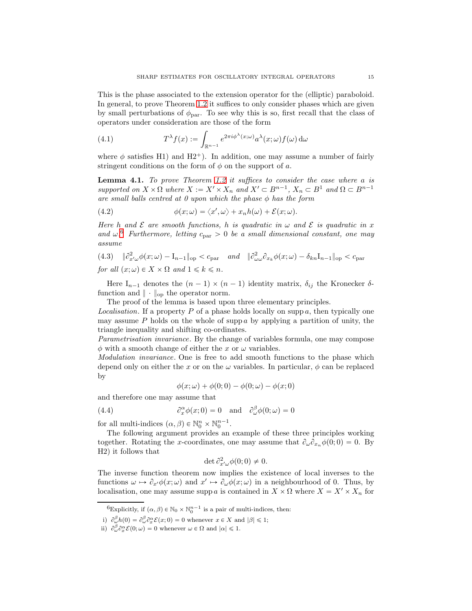This is the phase associated to the extension operator for the (elliptic) paraboloid. In general, to prove Theorem 1.2 it suffices to only consider phases which are given by small perturbations of  $\phi_{\text{par}}$ . To see why this is so, first recall that the class of operators under consideration are those of the form

(4.1) 
$$
T^{\lambda} f(x) := \int_{\mathbb{R}^{n-1}} e^{2\pi i \phi^{\lambda}(x; \omega)} a^{\lambda}(x; \omega) f(\omega) d\omega
$$

where  $\phi$  satisfies H1) and H2<sup>+</sup>). In addition, one may assume a number of fairly stringent conditions on the form of  $\phi$  on the support of a.

Lemma 4.1. To prove Theorem 1.2 it suffices to consider the case where a is supported on  $X \times \Omega$  where  $X := X' \times X_n$  and  $X' \subset B^{n-1}$ ,  $X_n \subset B^1$  and  $\Omega \subset B^{n-1}$ are small balls centred at 0 upon which the phase  $\phi$  has the form

(4.2) 
$$
\phi(x;\omega) = \langle x',\omega \rangle + x_n h(\omega) + \mathcal{E}(x;\omega).
$$

Here h and  $\mathcal E$  are smooth functions, h is quadratic in  $\omega$  and  $\mathcal E$  is quadratic in x and  $\omega$ .<sup>6</sup> Furthermore, letting  $c_{\text{par}} > 0$  be a small dimensional constant, one may assume

(4.3) 
$$
\|\partial_{x'\omega}^2 \phi(x;\omega) - I_{n-1}\|_{\text{op}} < c_{\text{par}} \quad \text{and} \quad \|\partial_{\omega\omega}^2 \partial_{x_k} \phi(x;\omega) - \delta_{kn} I_{n-1}\|_{\text{op}} < c_{\text{par}}
$$
  
for all  $(x;\omega) \in X \times \Omega$  and  $1 \le k \le n$ .

Here  $I_{n-1}$  denotes the  $(n - 1) \times (n - 1)$  identity matrix,  $\delta_{ij}$  the Kronecker  $\delta$ function and  $\|\cdot\|_{op}$  the operator norm.

The proof of the lemma is based upon three elementary principles.

*Localisation*. If a property P of a phase holds locally on supp a, then typically one may assume P holds on the whole of supp a by applying a partition of unity, the triangle inequality and shifting co-ordinates.

Parametrisation invariance. By the change of variables formula, one may compose  $\phi$  with a smooth change of either the x or  $\omega$  variables.

Modulation invariance. One is free to add smooth functions to the phase which depend only on either the x or on the  $\omega$  variables. In particular,  $\phi$  can be replaced by

$$
\phi(x;\omega) + \phi(0;0) - \phi(0;\omega) - \phi(x;0)
$$

and therefore one may assume that

(4.4) 
$$
\partial_x^{\alpha} \phi(x; 0) = 0 \text{ and } \partial_{\omega}^{\beta} \phi(0; \omega) = 0
$$

for all multi-indices  $(\alpha, \beta) \in \mathbb{N}_0^n \times \mathbb{N}_0^{n-1}$ .

The following argument provides an example of these three principles working together. Rotating the x-coordinates, one may assume that  $\partial_{\omega} \partial_{x_n} \phi(0; 0) = 0$ . By H2) it follows that

$$
\det \partial_{x'\omega}^2 \phi(0;0) \neq 0.
$$

The inverse function theorem now implies the existence of local inverses to the functions  $\omega \mapsto \partial_{x'}\phi(x;\omega)$  and  $x' \mapsto \partial_{\omega}\phi(x;\omega)$  in a neighbourhood of 0. Thus, by localisation, one may assume supp a is contained in  $X \times \Omega$  where  $X = X' \times X_n$  for

<sup>&</sup>lt;sup>6</sup>Explicitly, if  $(\alpha, \beta) \in \mathbb{N}_0 \times \mathbb{N}_0^{n-1}$  is a pair of multi-indices, then:

i)  $\partial_{\omega}^{\beta}h(0) = \partial_{\omega}^{\beta}\partial_{x}^{\alpha}\mathcal{E}(x; 0) = 0$  whenever  $x \in X$  and  $|\beta| \leq 1$ ;

ii)  $\partial_{\omega}^{\beta} \partial_{x}^{\alpha} \mathcal{E}(0; \omega) = 0$  whenever  $\omega \in \Omega$  and  $|\alpha| \leq 1$ .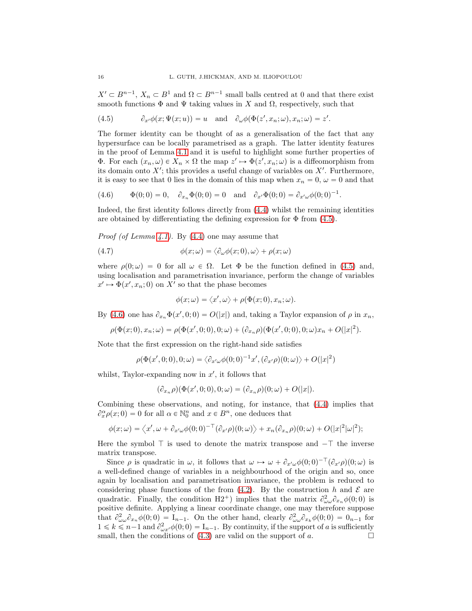$X' \subset B^{n-1}$ ,  $X_n \subset B^1$  and  $\Omega \subset B^{n-1}$  small balls centred at 0 and that there exist smooth functions  $\Phi$  and  $\Psi$  taking values in X and  $\Omega$ , respectively, such that

(4.5) 
$$
\partial_{x'}\phi(x;\Psi(x;u)) = u \text{ and } \partial_{\omega}\phi(\Phi(z',x_n;\omega),x_n;\omega) = z'.
$$

The former identity can be thought of as a generalisation of the fact that any hypersurface can be locally parametrised as a graph. The latter identity features in the proof of Lemma 4.1 and it is useful to highlight some further properties of **Φ**. For each  $(x_n, \omega) \in X_n \times \Omega$  the map  $z' \mapsto \Phi(z', x_n; \omega)$  is a diffeomorphism from its domain onto  $X'$ ; this provides a useful change of variables on  $X'$ . Furthermore, it is easy to see that 0 lies in the domain of this map when  $x_n = 0$ ,  $\omega = 0$  and that

(4.6) 
$$
\Phi(0;0) = 0
$$
,  $\partial_{x_n} \Phi(0;0) = 0$  and  $\partial_{x'} \Phi(0;0) = \partial_{x' \omega} \phi(0;0)^{-1}$ .

Indeed, the first identity follows directly from (4.4) whilst the remaining identities are obtained by differentiating the defining expression for  $\Phi$  from (4.5).

*Proof (of Lemma 4.1).* By  $(4.4)$  one may assume that

(4.7) 
$$
\phi(x; \omega) = \langle \partial_{\omega} \phi(x; 0), \omega \rangle + \rho(x; \omega)
$$

where  $\rho(0;\omega) = 0$  for all  $\omega \in \Omega$ . Let  $\Phi$  be the function defined in (4.5) and, using localisation and parametrisation invariance, perform the change of variables  $x' \mapsto \Phi(x', x_n; 0)$  on X' so that the phase becomes

$$
\phi(x; \omega) = \langle x', \omega \rangle + \rho(\Phi(x; 0), x_n; \omega).
$$

By (4.6) one has  $\partial_{x_n} \Phi(x', 0; 0) = O(|x|)$  and, taking a Taylor expansion of  $\rho$  in  $x_n$ ,

$$
\rho(\Phi(x;0),x_n;\omega)=\rho(\Phi(x',0;0),0;\omega)+(\partial_{x_n}\rho)(\Phi(x',0;0),0;\omega)x_n+O(|x|^2).
$$

Note that the first expression on the right-hand side satisfies

$$
\rho(\Phi(x',0;0),0;\omega)=\langle \partial_{x'\omega}\phi(0;0)^{-1}x',(\partial_{x'}\rho)(0;\omega)\rangle+O(|x|^2)
$$

whilst, Taylor-expanding now in  $x'$ , it follows that

$$
(\partial_{x_n}\rho)(\Phi(x',0;0),0;\omega)=(\partial_{x_n}\rho)(0;\omega)+O(|x|).
$$

Combining these observations, and noting, for instance, that (4.4) implies that  $\partial_x^{\alpha} \rho(x; 0) = 0$  for all  $\alpha \in \mathbb{N}_0^n$  and  $x \in B^n$ , one deduces that

$$
\phi(x;\omega) = \langle x', \omega + \partial_{x'\omega}\phi(0;0)^{-\top}(\partial_{x'}\rho)(0;\omega)\rangle + x_n(\partial_{x_n}\rho)(0;\omega) + O(|x|^2|\omega|^2);
$$

Here the symbol  $\top$  is used to denote the matrix transpose and  $-\top$  the inverse matrix transpose.

Since  $\rho$  is quadratic in  $\omega$ , it follows that  $\omega \mapsto \omega + \partial_{x'\omega}\phi(0;0)^{-\top}(\partial_{x'}\rho)(0;\omega)$  is a well-defined change of variables in a neighbourhood of the origin and so, once again by localisation and parametrisation invariance, the problem is reduced to considering phase functions of the from  $(4.2)$ . By the construction h and  $\mathcal E$  are quadratic. Finally, the condition H2<sup>+</sup>) implies that the matrix  $\partial_{\omega\omega}^2 \partial_{x_n} \phi(0;0)$  is positive definite. Applying a linear coordinate change, one may therefore suppose that  $\partial_{\omega\omega}^2 \partial_{x_n} \phi(0;0) = I_{n-1}$ . On the other hand, clearly  $\partial_{\omega\omega}^2 \partial_{x_k} \phi(0;0) = 0_{n-1}$  for  $1 \le k \le n-1$  and  $\partial^2_{\omega x'}\phi(0;0) = I_{n-1}$ . By continuity, if the support of a is sufficiently small, then the conditions of  $(4.3)$  are valid on the support of a.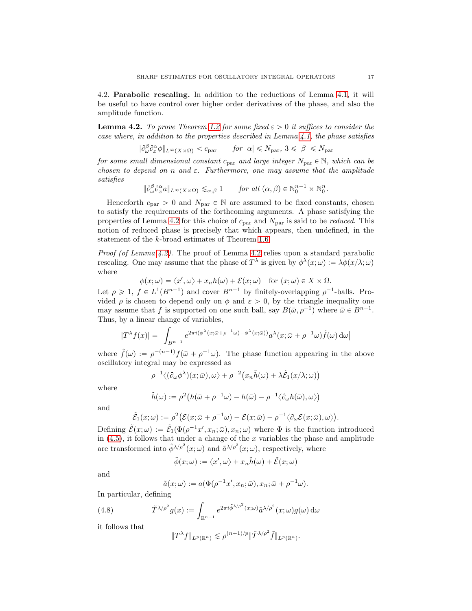4.2. Parabolic rescaling. In addition to the reductions of Lemma 4.1, it will be useful to have control over higher order derivatives of the phase, and also the amplitude function.

**Lemma 4.2.** To prove Theorem 1.2 for some fixed  $\varepsilon > 0$  it suffices to consider the case where, in addition to the properties described in Lemma 4.1, the phase satisfies

$$
\|\partial^{\beta}_{\omega}\partial^{\alpha}_{x}\phi\|_{L^{\infty}(X\times\Omega)} < c_{\text{par}} \quad \text{for } |\alpha| \leq N_{\text{par}}, 3 \leq |\beta| \leq N_{\text{par}}
$$

for some small dimensional constant  $c_{\text{par}}$  and large integer  $N_{\text{par}} \in \mathbb{N}$ , which can be chosen to depend on n and  $\varepsilon$ . Furthermore, one may assume that the amplitude satisfies

$$
\|\partial_{\omega}^{\beta}\partial_{x}^{\alpha}a\|_{L^{\infty}(X\times\Omega)}\lesssim_{\alpha,\beta}1 \quad \text{for all }(\alpha,\beta)\in\mathbb{N}_{0}^{n-1}\times\mathbb{N}_{0}^{n}.
$$

Henceforth  $c_{\text{par}} > 0$  and  $N_{\text{par}} \in \mathbb{N}$  are assumed to be fixed constants, chosen to satisfy the requirements of the forthcoming arguments. A phase satisfying the properties of Lemma 4.2 for this choice of  $c_{par}$  and  $N_{par}$  is said to be *reduced*. This notion of reduced phase is precisely that which appears, then undefined, in the statement of the k-broad estimates of Theorem 1.6.

Proof (of Lemma 4.2). The proof of Lemma 4.2 relies upon a standard parabolic rescaling. One may assume that the phase of  $T^{\lambda}$  is given by  $\phi^{\lambda}(x;\omega) := \lambda \phi(x/\lambda;\omega)$ where

$$
\phi(x;\omega) = \langle x',\omega \rangle + x_n h(\omega) + \mathcal{E}(x;\omega) \quad \text{for } (x;\omega) \in X \times \Omega.
$$

Let  $\rho \geq 1$ ,  $f \in L^1(B^{n-1})$  and cover  $B^{n-1}$  by finitely-overlapping  $\rho^{-1}$ -balls. Provided  $\rho$  is chosen to depend only on  $\phi$  and  $\varepsilon > 0$ , by the triangle inequality one may assume that f is supported on one such ball, say  $B(\bar{\omega}, \rho^{-1})$  where  $\bar{\omega} \in B^{n-1}$ . Thus, by a linear change of variables,

$$
|T^{\lambda}f(x)| = \Big| \int_{B^{n-1}} e^{2\pi i (\phi^{\lambda}(x;\bar{\omega}+\rho^{-1}\omega)-\phi^{\lambda}(x;\bar{\omega}))} a^{\lambda}(x;\bar{\omega}+\rho^{-1}\omega) \tilde{f}(\omega) d\omega \Big|
$$

where  $\tilde{f}(\omega) := \rho^{-(n-1)} f(\bar{\omega} + \rho^{-1}\omega)$ . The phase function appearing in the above oscillatory integral may be expressed as

$$
\rho^{-1}\langle(\partial_{\omega}\phi^{\lambda})(x;\bar{\omega}),\omega\rangle+\rho^{-2}\big(x_n\tilde{h}(\omega)+\lambda\tilde{\mathcal{E}}_1(x/\lambda;\omega)\big)
$$

where

$$
\tilde{h}(\omega) := \rho^2 \big( h(\bar{\omega} + \rho^{-1} \omega) - h(\bar{\omega}) - \rho^{-1} \langle \partial_{\omega} h(\bar{\omega}), \omega \rangle \big)
$$

and

$$
\tilde{\mathcal{E}}_1(x;\omega) := \rho^2 (\mathcal{E}(x;\bar{\omega} + \rho^{-1}\omega) - \mathcal{E}(x;\bar{\omega}) - \rho^{-1} \langle \partial_\omega \mathcal{E}(x;\bar{\omega}), \omega \rangle).
$$

Defining  $\tilde{\mathcal{E}}(x;\omega) := \tilde{\mathcal{E}}_1(\Phi(\rho^{-1}x',x_n;\bar{\omega}),x_n;\omega)$  where  $\Phi$  is the function introduced in  $(4.5)$ , it follows that under a change of the x variables the phase and amplitude are transformed into  $\tilde{\phi}^{\lambda/\rho^2}(x;\omega)$  and  $\tilde{\alpha}^{\lambda/\rho^2}(x;\omega)$ , respectively, where

$$
\tilde{\phi}(x;\omega) := \langle x',\omega \rangle + x_n \tilde{h}(\omega) + \tilde{\mathcal{E}}(x;\omega)
$$

and

$$
\tilde{a}(x;\omega) := a(\Phi(\rho^{-1}x', x_n; \bar{\omega}), x_n; \bar{\omega} + \rho^{-1}\omega).
$$

In particular, defining

E˜

(4.8) 
$$
\tilde{T}^{\lambda/\rho^2}g(x) := \int_{\mathbb{R}^{n-1}} e^{2\pi i \tilde{\phi}^{\lambda/\rho^2}(x;\omega)} \tilde{a}^{\lambda/\rho^2}(x;\omega)g(\omega) d\omega
$$

it follows that

$$
||T^{\lambda}f||_{L^p(\mathbb{R}^n)} \lesssim \rho^{(n+1)/p}||\tilde{T}^{\lambda/\rho^2}\tilde{f}||_{L^p(\mathbb{R}^n)}.
$$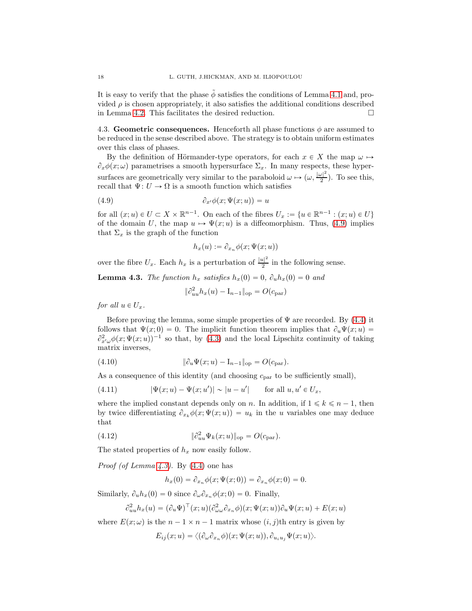It is easy to verify that the phase  $\phi$  satisfies the conditions of Lemma 4.1 and, provided  $\rho$  is chosen appropriately, it also satisfies the additional conditions described in Lemma 4.2. This facilitates the desired reduction.

4.3. Geometric consequences. Henceforth all phase functions  $\phi$  are assumed to be reduced in the sense described above. The strategy is to obtain uniform estimates over this class of phases.

By the definition of Hörmander-type operators, for each  $x \in X$  the map  $\omega \mapsto$  $\partial_x \phi(x;\omega)$  parametrises a smooth hypersurface  $\Sigma_x$ . In many respects, these hypersurfaces are geometrically very similar to the paraboloid  $\omega \mapsto (\omega, \frac{|\omega|^2}{2})$  $\frac{1}{2}$ ). To see this, recall that  $\Psi: U \to \Omega$  is a smooth function which satisfies

$$
(4.9) \t\t\t \partial_{x'}\phi(x;\Psi(x;u)) = u
$$

for all  $(x; u) \in U \subset X \times \mathbb{R}^{n-1}$ . On each of the fibres  $U_x := \{u \in \mathbb{R}^{n-1} : (x; u) \in U\}$ of the domain U, the map  $u \mapsto \Psi(x; u)$  is a diffeomorphism. Thus, (4.9) implies that  $\Sigma_x$  is the graph of the function

$$
h_x(u) := \partial_{x_n} \phi(x; \Psi(x; u))
$$

over the fibre  $U_x$ . Each  $h_x$  is a perturbation of  $\frac{|u|^2}{2}$  $\frac{l}{2}$  in the following sense.

**Lemma 4.3.** The function  $h_x$  satisfies  $h_x(0) = 0$ ,  $\partial_u h_x(0) = 0$  and

$$
\|\partial_{uu}^2 h_x(u) - I_{n-1}\|_{\text{op}} = O(c_{\text{par}})
$$

for all  $u \in U_x$ .

Before proving the lemma, some simple properties of  $\Psi$  are recorded. By (4.4) it follows that  $\Psi(x; 0) = 0$ . The implicit function theorem implies that  $\partial_u \Psi(x; u) =$  $\partial_{x'\omega}^2 \phi(x;\Psi(x;u))^{-1}$  so that, by (4.3) and the local Lipschitz continuity of taking matrix inverses,

(4.10) 
$$
\|\partial_u \Psi(x; u) - I_{n-1}\|_{op} = O(c_{par}).
$$

As a consequence of this identity (and choosing  $c_{par}$  to be sufficiently small),

(4.11) 
$$
|\Psi(x;u) - \Psi(x;u')| \sim |u - u'| \quad \text{for all } u, u' \in U_x,
$$

where the implied constant depends only on n. In addition, if  $1 \leq k \leq n - 1$ , then by twice differentiating  $\partial_{x_k} \phi(x; \Psi(x; u)) = u_k$  in the u variables one may deduce that

(4.12) 
$$
\|\partial_{uu}^2 \Psi_k(x;u)\|_{\text{op}} = O(c_{\text{par}}).
$$

The stated properties of  $h_x$  now easily follow.

*Proof (of Lemma 4.3)*. By  $(4.4)$  one has

$$
h_x(0) = \partial_{x_n} \phi(x; \Psi(x; 0)) = \partial_{x_n} \phi(x; 0) = 0.
$$

Similarly,  $\partial_u h_x(0) = 0$  since  $\partial_\omega \partial_{x_n} \phi(x; 0) = 0$ . Finally,

$$
\partial_{uu}^2 h_x(u) = (\partial_u \Psi)^{\top}(x; u) (\partial_{\omega \omega}^2 \partial_{x_n} \phi)(x; \Psi(x; u)) \partial_u \Psi(x; u) + E(x; u)
$$

where  $E(x; \omega)$  is the  $n - 1 \times n - 1$  matrix whose  $(i, j)$ th entry is given by

$$
E_{ij}(x;u) = \langle (\partial_{\omega}\partial_{x_n}\phi)(x;\Psi(x;u)), \partial_{u_iu_j}\Psi(x;u) \rangle.
$$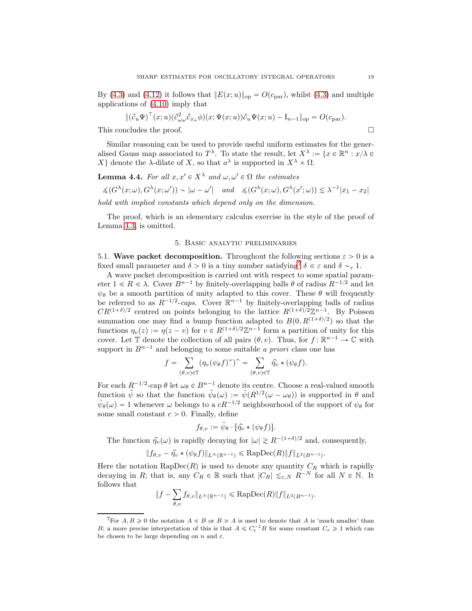By (4.3) and (4.12) it follows that  $||E(x;u)||_{op} = O(c_{par})$ , whilst (4.3) and multiple applications of (4.10) imply that

$$
\|(\partial_u\Psi)^\top(x;u)(\partial^2_{\omega\omega}\partial_{x_n}\phi)(x;\Psi(x;u))\partial_u\Psi(x;u) - \mathcal{I}_{n-1}\|_{\text{op}} = O(c_{\text{par}}).
$$

This concludes the proof.  $\Box$ 

Similar reasoning can be used to provide useful uniform estimates for the generalised Gauss map associated to  $T^{\lambda}$ . To state the result, let  $X^{\lambda} := \{x \in \mathbb{R}^n : x/\lambda \in$ X denote the  $\lambda$ -dilate of X, so that  $a^{\lambda}$  is supported in  $X^{\lambda} \times \Omega$ .

**Lemma 4.4.** For all 
$$
x, x' \in X^{\lambda}
$$
 and  $\omega, \omega' \in \Omega$  the estimates  
\n $\measuredangle(G^{\lambda}(x; \omega), G^{\lambda}(x; \omega')) \sim |\omega - \omega'|$  and  $\measuredangle(G^{\lambda}(x; \omega), G^{\lambda}(x'; \omega)) \lesssim \lambda^{-1}|x_1 - x_2|$ 

hold with implied constants which depend only on the dimension.

The proof, which is an elementary calculus exercise in the style of the proof of Lemma 4.3, is omitted.

#### 5. Basic analytic preliminaries

5.1. Wave packet decomposition. Throughout the following sections  $\varepsilon > 0$  is a fixed small parameter and  $\delta > 0$  is a tiny number satisfying<sup>7</sup>  $\delta \ll \varepsilon$  and  $\delta \sim_{\varepsilon} 1$ .

A wave packet decomposition is carried out with respect to some spatial parameter  $1 \ll R \ll \lambda$ . Cover  $B^{n-1}$  by finitely-overlapping balls  $\theta$  of radius  $R^{-1/2}$  and let  $\psi_{\theta}$  be a smooth partition of unity adapted to this cover. These  $\theta$  will frequently be referred to as  $R^{-1/2}$ -caps. Cover  $\mathbb{R}^{n-1}$  by finitely-overlapping balls of radius  $CR^{(1+\delta)/2}$  centred on points belonging to the lattice  $R^{(1+\delta)/2}\mathbb{Z}^{n-1}$ . By Poisson summation one may find a bump function adapted to  $B(0, R^{(1+\delta)/2})$  so that the functions  $\eta_v(z) := \eta(z - v)$  for  $v \in R^{(1+\delta)/2}\mathbb{Z}^{n-1}$  form a partition of unity for this cover. Let  $\mathbb T$  denote the collection of all pairs  $(\theta, v)$ . Thus, for  $f : \mathbb R^{n-1} \to \mathbb C$  with support in  $B^{n-1}$  and belonging to some suitable a priori class one has

$$
f = \sum_{(\theta, v) \in \mathbb{T}} (\eta_v(\psi_{\theta} f)^{\smallsmile})^{\smallfrown} = \sum_{(\theta, v) \in \mathbb{T}} \hat{\eta_v} * (\psi_{\theta} f).
$$

For each  $R^{-1/2}$ -cap  $\theta$  let  $\omega_{\theta} \in B^{n-1}$  denote its centre. Choose a real-valued smooth function  $\tilde{\psi}$  so that the function  $\tilde{\psi}_{\theta}(\omega) := \tilde{\psi}(R^{1/2}(\omega - \omega_{\theta}))$  is supported in  $\theta$  and  $\tilde{\psi}_{\theta}(\omega) = 1$  whenever  $\omega$  belongs to a  $cR^{-1/2}$  neighbourhood of the support of  $\psi_{\theta}$  for some small constant  $c > 0$ . Finally, define

$$
f_{\theta,v} := \tilde{\psi}_{\theta} \cdot [\hat{\eta_v} * (\psi_{\theta} f)].
$$

The function  $\hat{\eta}_v(\omega)$  is rapidly decaying for  $|\omega| \ge R^{-(1+\delta)/2}$  and, consequently,

$$
||f_{\theta,v} - \widehat{\eta_v} * (\psi_{\theta} f)||_{L^{\infty}(\mathbb{R}^{n-1})} \leqslant \text{RapDec}(R) ||f||_{L^2(B^{n-1})}.
$$

Here the notation  $\text{RapDec}(R)$  is used to denote any quantity  $C_R$  which is rapidly decaying in R; that is, any  $C_R \in \mathbb{R}$  such that  $|C_R| \lesssim_{\varepsilon,N} R^{-N}$  for all  $N \in \mathbb{N}$ . It follows that

$$
||f - \sum_{\theta,v} f_{\theta,v}||_{L^{\infty}(\mathbb{R}^{n-1})} \leqslant \text{RapDec}(R)||f||_{L^{2}(B^{n-1})}.
$$

<sup>&</sup>lt;sup>7</sup>For  $A, B \ge 0$  the notation  $A \ll B$  or  $B \gg A$  is used to denote that A is 'much smaller' than B; a more precise interpretation of this is that  $A \leq C_{\varepsilon}^{-1}B$  for some constant  $C_{\varepsilon} \geq 1$  which can be chosen to be large depending on n and  $\varepsilon$ .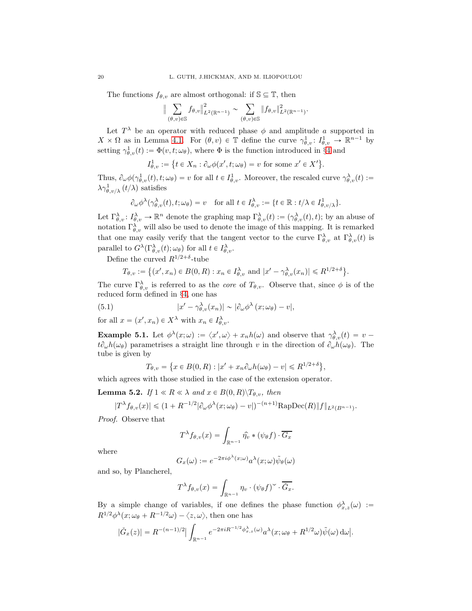The functions  $f_{\theta,v}$  are almost orthogonal: if  $\mathbb{S} \subseteq \mathbb{T}$ , then

$$
\Big\|\sum_{(\theta,v)\in\mathbb{S}}f_{\theta,v}\Big\|^2_{L^2(\mathbb{R}^{n-1})}\sim\sum_{(\theta,v)\in\mathbb{S}}\|f_{\theta,v}\|^2_{L^2(\mathbb{R}^{n-1})}.
$$

Let  $T^{\lambda}$  be an operator with reduced phase  $\phi$  and amplitude a supported in  $X \times \Omega$  as in Lemma 4.1. For  $(\theta, v) \in \mathbb{T}$  define the curve  $\gamma_{\theta, v}^1 : I_{\theta, v}^1 \to \mathbb{R}^{n-1}$  by setting  $\gamma_{\theta,v}^1(t) := \Phi(v, t; \omega_\theta)$ , where  $\Phi$  is the function introduced in §4 and

$$
I_{\theta,v}^1 := \{ t \in X_n : \partial_{\omega} \phi(x', t; \omega_{\theta}) = v \text{ for some } x' \in X' \}.
$$

Thus,  $\partial_{\omega}\phi(\gamma_{\theta,v}^1(t), t; \omega_{\theta}) = v$  for all  $t \in I^1_{\theta,v}$ . Moreover, the rescaled curve  $\gamma_{\theta,v}^{\lambda}(t) :=$  $\lambda \gamma^1_{\theta,\nu/\lambda} (t/\lambda)$  satisfies

$$
\partial_{\omega}\phi^{\lambda}(\gamma^{\lambda}_{\theta,v}(t), t; \omega_{\theta}) = v \quad \text{for all } t \in I^{\lambda}_{\theta,v} := \{t \in \mathbb{R} : t/\lambda \in I^1_{\theta,v/\lambda}\}.
$$

Let  $\Gamma^{\lambda}_{\theta,v} : I^{\lambda}_{\theta,v} \to \mathbb{R}^n$  denote the graphing map  $\Gamma^{\lambda}_{\theta,v}(t) := (\gamma^{\lambda}_{\theta,v}(t), t)$ ; by an abuse of notation  $\Gamma_{\theta,v}^{\lambda}$  will also be used to denote the image of this mapping. It is remarked that one may easily verify that the tangent vector to the curve  $\Gamma_{\theta,\nu}^{\lambda}$  at  $\Gamma_{\theta,\nu}^{\lambda}(t)$  is parallel to  $G^{\lambda}(\Gamma^{\lambda}_{\theta,v}(t);\omega_{\theta})$  for all  $t \in I^{\lambda}_{\theta,v}$ .

Define the curved  $R^{1/2+\delta}$ -tube

$$
T_{\theta,v} := \{(x',x_n) \in B(0,R) : x_n \in I_{\theta,v}^{\lambda} \text{ and } |x'-\gamma_{\theta,v}^{\lambda}(x_n)| \leq R^{1/2+\delta}\}.
$$

The curve  $\Gamma_{\theta,v}^{\lambda}$  is referred to as the *core* of  $T_{\theta,v}$ . Observe that, since  $\phi$  is of the reduced form defined in §4, one has

(5.1) 
$$
|x'-\gamma_{\theta,v}^{\lambda}(x_n)| \sim |\partial_{\omega}\phi^{\lambda}(x;\omega_{\theta})-v|,
$$

for all  $x = (x', x_n) \in X^{\lambda}$  with  $x_n \in I_{\theta, v}^{\lambda}$ .

 $\overline{\overline{I}}$ 

**Example 5.1.** Let  $\phi^{\lambda}(x;\omega) := \langle x',\omega \rangle + x_n h(\omega)$  and observe that  $\gamma_{\theta,v}^{\lambda}(t) = v$  $t\partial_\omega h(\omega_\theta)$  parametrises a straight line through v in the direction of  $\partial_\omega h(\omega_\theta)$ . The tube is given by

$$
G_{\theta,v} = \left\{ x \in B(0,R) : |x' + x_n \partial_\omega h(\omega_\theta) - v| \leq R^{1/2 + \delta} \right\}
$$

,

which agrees with those studied in the case of the extension operator.

**Lemma 5.2.** If  $1 \ll R \ll \lambda$  and  $x \in B(0, R) \backslash T_{\theta, v}$ , then

$$
|T^{\lambda}f_{\theta,v}(x)| \leq (1+R^{-1/2}|\partial_{\omega}\phi^{\lambda}(x;\omega_{\theta})-v|)^{-(n+1)}\text{RapDec}(R)\|f\|_{L^{2}(B^{n-1})}.
$$

Proof. Observe that

$$
T^{\lambda} f_{\theta,v}(x) = \int_{\mathbb{R}^{n-1}} \widehat{\eta_v} * (\psi_{\theta} f) \cdot \overline{G_x}
$$

where

$$
G_x(\omega) := e^{-2\pi i \phi^{\lambda}(x;\omega)} a^{\lambda}(x;\omega) \tilde{\psi}_{\theta}(\omega)
$$

and so, by Plancherel,

$$
T^{\lambda} f_{\theta, v}(x) = \int_{\mathbb{R}^{n-1}} \eta_v \cdot (\psi_{\theta} f)^{\vee} \cdot \overline{\check{G}_x}.
$$

By a simple change of variables, if one defines the phase function  $\phi_{x,z}^{\lambda}(\omega) :=$  $R^{1/2}\phi^{\lambda}(x;\omega_{\theta}+R^{-1/2}\omega)-\langle z,\omega\rangle$ , then one has

$$
|\check{G}_x(z)| = R^{-(n-1)/2} \big| \int_{\mathbb{R}^{n-1}} e^{-2\pi i R^{-1/2} \phi_{x,z}^{\lambda}(\omega)} a^{\lambda}(x; \omega_{\theta} + R^{1/2}\omega) \tilde{\psi}(\omega) d\omega \big|.
$$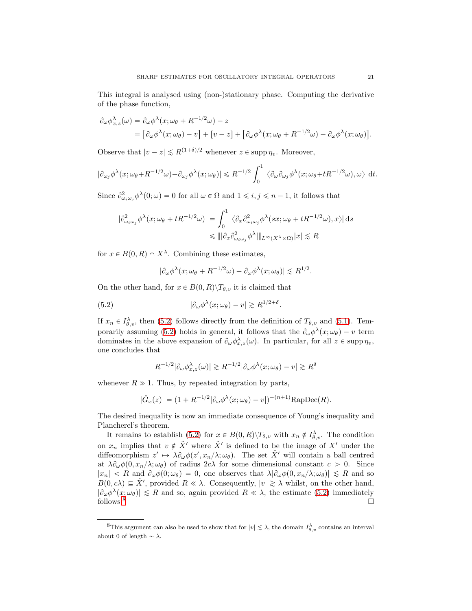This integral is analysed using (non-)stationary phase. Computing the derivative of the phase function,

$$
\partial_{\omega} \phi_{x,z}^{\lambda}(\omega) = \partial_{\omega} \phi^{\lambda}(x; \omega_{\theta} + R^{-1/2}\omega) - z
$$
  
=  $[\partial_{\omega} \phi^{\lambda}(x; \omega_{\theta}) - v] + [v - z] + [\partial_{\omega} \phi^{\lambda}(x; \omega_{\theta} + R^{-1/2}\omega) - \partial_{\omega} \phi^{\lambda}(x; \omega_{\theta})].$ 

Observe that  $|v - z| \le R^{(1+\delta)/2}$  whenever  $z \in \text{supp } \eta_v$ . Moreover,

$$
|\partial_{\omega_j} \phi^{\lambda}(x; \omega_{\theta} + R^{-1/2}\omega) - \partial_{\omega_j} \phi^{\lambda}(x; \omega_{\theta})| \le R^{-1/2} \int_0^1 |\langle \partial_{\omega} \partial_{\omega_j} \phi^{\lambda}(x; \omega_{\theta} + tR^{-1/2}\omega), \omega \rangle| dt.
$$

Since  $\partial_{\omega_i\omega_j}^2 \phi^{\lambda}(0;\omega) = 0$  for all  $\omega \in \Omega$  and  $1 \leq i, j \leq n-1$ , it follows that

$$
|\partial^2_{\omega_i\omega_j}\phi^\lambda(x;\omega_\theta + tR^{-1/2}\omega)| = \int_0^1 |\langle \partial_x \partial^2_{\omega_i\omega_j}\phi^\lambda(sx;\omega_\theta + tR^{-1/2}\omega), x \rangle| ds
$$
  

$$
\leq \|\partial_x \partial^2_{\omega_i\omega_j}\phi^\lambda\|_{L^\infty(X^\lambda \times \Omega)}|x| \lesssim R
$$

for  $x \in B(0, R) \cap X^{\lambda}$ . Combining these estimates,

$$
|\partial_{\omega}\phi^{\lambda}(x;\omega_{\theta} + R^{-1/2}\omega) - \partial_{\omega}\phi^{\lambda}(x;\omega_{\theta})| \lesssim R^{1/2}.
$$

On the other hand, for  $x \in B(0, R) \backslash T_{\theta, v}$  it is claimed that

(5.2) 
$$
|\partial_{\omega}\phi^{\lambda}(x;\omega_{\theta})-v| \gtrsim R^{1/2+\delta}.
$$

If  $x_n \in I_{\theta,\upsilon}^{\lambda}$ , then (5.2) follows directly from the definition of  $T_{\theta,\upsilon}$  and (5.1). Temporarily assuming (5.2) holds in general, it follows that the  $\partial_{\omega} \phi^{\lambda}(x; \omega_{\theta}) - v$  term dominates in the above expansion of  $\partial_{\omega} \phi_{x,z}^{\lambda}(\omega)$ . In particular, for all  $z \in \text{supp } \eta_v$ , one concludes that

$$
R^{-1/2}|\partial_{\omega}\phi_{x,z}^{\lambda}(\omega)|\gtrsim R^{-1/2}|\partial_{\omega}\phi^{\lambda}(x;\omega_{\theta})-v|\gtrsim R^{\delta}
$$

whenever  $R \gg 1$ . Thus, by repeated integration by parts,

$$
|\check{G}_x(z)| = (1 + R^{-1/2} |\partial_\omega \phi^\lambda(x; \omega_\theta) - v|)^{-(n+1)} \text{RapDec}(R).
$$

The desired inequality is now an immediate consequence of Young's inequality and Plancherel's theorem.

It remains to establish (5.2) for  $x \in B(0,R)\backslash T_{\theta,v}$  with  $x_n \notin I_{\theta,v}^{\lambda}$ . The condition on  $x_n$  implies that  $v \notin \tilde{X}'$  where  $\tilde{X}'$  is defined to be the image of  $X'$  under the diffeomorphism  $z' \mapsto \lambda \partial_{\omega} \phi(z', x_n/\lambda; \omega_{\theta})$ . The set  $\tilde{X}'$  will contain a ball centred at  $\lambda \partial_{\omega} \phi(0, x_n/\lambda; \omega_{\theta})$  of radius  $2c\lambda$  for some dimensional constant  $c > 0$ . Since  $|x_n| < R$  and  $\partial_\omega \phi(0;\omega_\theta) = 0$ , one observes that  $\lambda |\partial_\omega \phi(0; x_n/\lambda; \omega_\theta)| \leq R$  and so  $B(0, c\lambda) \subseteq \tilde{X}'$ , provided  $R \ll \lambda$ . Consequently,  $|v| \geq \lambda$  whilst, on the other hand,  $|\partial_{\omega}\phi^{\lambda}(x;\omega_{\theta})| \leq R$  and so, again provided  $R \ll \lambda$ , the estimate (5.2) immediately follows.<sup>8</sup>

<sup>&</sup>lt;sup>8</sup>This argument can also be used to show that for  $|v| \lesssim \lambda$ , the domain  $I_{\theta,v}^{\lambda}$  contains an interval about 0 of length  $\sim \lambda$ .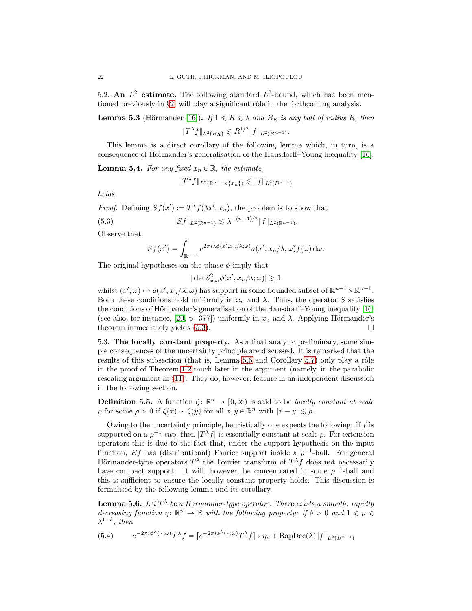5.2. An  $L^2$  estimate. The following standard  $L^2$ -bound, which has been mentioned previously in  $\S2$ , will play a significant rôle in the forthcoming analysis.

**Lemma 5.3** (Hörmander [16]). If  $1 \le R \le \lambda$  and  $B_R$  is any ball of radius R, then  $||T^{\lambda}f||_{L^2(B_R)} \lesssim R^{1/2}||f||_{L^2(B^{n-1})}.$ 

This lemma is a direct corollary of the following lemma which, in turn, is a consequence of Hörmander's generalisation of the Hausdorff–Young inequality  $[16]$ .

**Lemma 5.4.** For any fixed  $x_n \in \mathbb{R}$ , the estimate

$$
||T^{\lambda}f||_{L^{2}(\mathbb{R}^{n-1}\times\{x_{n}\})}\lesssim ||f||_{L^{2}(B^{n-1})}
$$

holds.

*Proof.* Defining  $Sf(x') := T^{\lambda} f(\lambda x', x_n)$ , the problem is to show that

$$
(5.3) \t\t\t \|Sf\|_{L^2(\mathbb{R}^{n-1})} \lesssim \lambda^{-(n-1)/2} \|f\|_{L^2(\mathbb{R}^{n-1})}.
$$

Observe that

$$
Sf(x') = \int_{\mathbb{R}^{n-1}} e^{2\pi i \lambda \phi(x',x_n/\lambda;\omega)} a(x',x_n/\lambda;\omega) f(\omega) d\omega.
$$

The original hypotheses on the phase  $\phi$  imply that

 $|\det \partial^2_{x'\omega} \phi(x',x_n/\lambda;\omega)| \gtrsim 1$ 

whilst  $(x';\omega) \mapsto a(x',x_n/\lambda;\omega)$  has support in some bounded subset of  $\mathbb{R}^{n-1} \times \mathbb{R}^{n-1}$ . Both these conditions hold uniformly in  $x_n$  and  $\lambda$ . Thus, the operator S satisfies the conditions of Hörmander's generalisation of the Hausdorff–Young inequality  $[16]$ (see also, for instance, [20, p. 377]) uniformly in  $x_n$  and  $\lambda$ . Applying Hörmander's theorem immediately yields  $(5.3)$ .

5.3. The locally constant property. As a final analytic preliminary, some simple consequences of the uncertainty principle are discussed. It is remarked that the results of this subsection (that is, Lemma  $5.6$  and Corollary  $5.7$ ) only play a rôle in the proof of Theorem 1.2 much later in the argument (namely, in the parabolic rescaling argument in §11). They do, however, feature in an independent discussion in the following section.

**Definition 5.5.** A function  $\zeta: \mathbb{R}^n \to [0, \infty)$  is said to be *locally constant at scale*  $\rho$  for some  $\rho > 0$  if  $\zeta(x) \sim \zeta(y)$  for all  $x, y \in \mathbb{R}^n$  with  $|x - y| \lesssim \rho$ .

Owing to the uncertainty principle, heuristically one expects the following: if f is supported on a  $\rho^{-1}$ -cap, then  $|T^{\lambda} f|$  is essentially constant at scale  $\rho$ . For extension operators this is due to the fact that, under the support hypothesis on the input function, Ef has (distributional) Fourier support inside a  $\rho^{-1}$ -ball. For general Hörmander-type operators  $T^{\lambda}$  the Fourier transform of  $T^{\lambda}f$  does not necessarily have compact support. It will, however, be concentrated in some  $\rho^{-1}$ -ball and this is sufficient to ensure the locally constant property holds. This discussion is formalised by the following lemma and its corollary.

**Lemma 5.6.** Let  $T^{\lambda}$  be a Hörmander-type operator. There exists a smooth, rapidly decreasing function  $\eta: \mathbb{R}^n \to \mathbb{R}$  with the following property: if  $\delta > 0$  and  $1 \leq \rho \leq \delta$  $\lambda^{1-\delta}$ , then

(5.4) 
$$
e^{-2\pi i\phi^{\lambda}(\cdot;\bar{\omega})}T^{\lambda}f = [e^{-2\pi i\phi^{\lambda}(\cdot;\bar{\omega})}T^{\lambda}f] * \eta_{\rho} + \text{RapDec}(\lambda)\|f\|_{L^{2}(B^{n-1})}
$$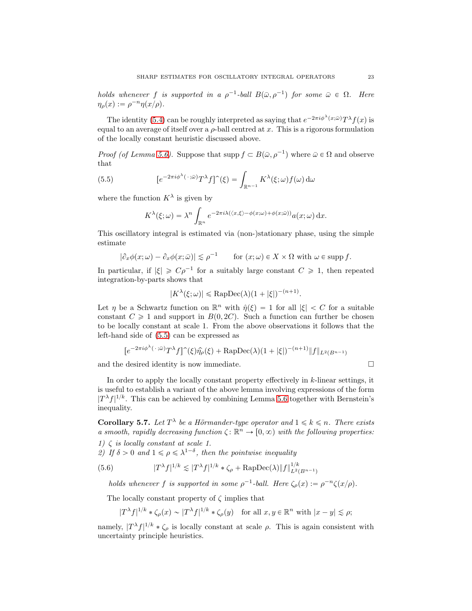holds whenever f is supported in a  $\rho^{-1}$ -ball  $B(\bar{\omega}, \rho^{-1})$  for some  $\bar{\omega} \in \Omega$ . Here  $\eta_{\rho}(x) := \rho^{-n} \eta(x/\rho).$ 

The identity (5.4) can be roughly interpreted as saying that  $e^{-2\pi i \phi^{\lambda}(x;\bar{\omega})} T^{\lambda} f(x)$  is equal to an average of itself over a  $\rho$ -ball centred at x. This is a rigorous formulation of the locally constant heuristic discussed above.

*Proof (of Lemma 5.6)*. Suppose that supp  $f \subset B(\bar{\omega}, \rho^{-1})$  where  $\bar{\omega} \in \Omega$  and observe that

(5.5) 
$$
[e^{-2\pi i\phi^{\lambda}(\cdot;\bar{\omega})}T^{\lambda}f]^{\hat{ }}(\xi) = \int_{\mathbb{R}^{n-1}} K^{\lambda}(\xi;\omega)f(\omega) d\omega
$$

where the function  $K^{\lambda}$  is given by

$$
K^{\lambda}(\xi;\omega) = \lambda^{n} \int_{\mathbb{R}^{n}} e^{-2\pi i \lambda (\langle x,\xi\rangle - \phi(x;\omega) + \phi(x;\bar{\omega}))} a(x;\omega) dx.
$$

This oscillatory integral is estimated via (non-)stationary phase, using the simple estimate

$$
|\partial_x \phi(x;\omega) - \partial_x \phi(x;\bar{\omega})| \le \rho^{-1} \quad \text{for } (x;\omega) \in X \times \Omega \text{ with } \omega \in \text{supp } f.
$$

In particular, if  $|\xi| \geqslant C\rho^{-1}$  for a suitably large constant  $C \geqslant 1$ , then repeated integration-by-parts shows that

$$
|K^{\lambda}(\xi;\omega)| \leqslant \text{RapDec}(\lambda)(1+|\xi|)^{-(n+1)}.
$$

Let  $\eta$  be a Schwartz function on  $\mathbb{R}^n$  with  $\hat{\eta}(\xi) = 1$  for all  $|\xi| < C$  for a suitable constant  $C \geq 1$  and support in  $B(0, 2C)$ . Such a function can further be chosen to be locally constant at scale 1. From the above observations it follows that the left-hand side of (5.5) can be expressed as

$$
[e^{-2\pi i\phi^{\lambda}(\cdot;\bar{\omega})}T^{\lambda}f]^{\hat{}}(\xi)\hat{\eta_{\rho}}(\xi) + \text{RapDec}(\lambda)(1+|\xi|)^{-(n+1)}\|f\|_{L^{2}(B^{n-1})}
$$

and the desired identity is now immediate.  $\Box$ 

In order to apply the locally constant property effectively in k-linear settings, it is useful to establish a variant of the above lemma involving expressions of the form  $|T^{\lambda}f|^{1/k}$ . This can be achieved by combining Lemma 5.6 together with Bernstein's inequality.

**Corollary 5.7.** Let  $T^{\lambda}$  be a Hörmander-type operator and  $1 \leq k \leq n$ . There exists a smooth, rapidly decreasing function  $\zeta: \mathbb{R}^n \to [0, \infty)$  with the following properties: 1)  $\zeta$  is locally constant at scale 1.

2) If  $\delta > 0$  and  $1 \leq \rho \leq \lambda^{1-\delta}$ , then the pointwise inequality

(5.6) 
$$
|T^{\lambda} f|^{1/k} \lesssim |T^{\lambda} f|^{1/k} * \zeta_{\rho} + \text{RapDec}(\lambda) \|f\|_{L^{2}(B^{n-1})}^{1/k}
$$

holds whenever f is supported in some  $\rho^{-1}$ -ball. Here  $\zeta_{\rho}(x) := \rho^{-n} \zeta(x/\rho)$ .

The locally constant property of  $\zeta$  implies that

$$
|T^{\lambda}f|^{1/k} * \zeta_{\rho}(x) \sim |T^{\lambda}f|^{1/k} * \zeta_{\rho}(y) \quad \text{for all } x, y \in \mathbb{R}^{n} \text{ with } |x - y| \lesssim \rho;
$$

namely,  $|T^{\lambda} f|^{1/k} * \zeta_{\rho}$  is locally constant at scale  $\rho$ . This is again consistent with uncertainty principle heuristics.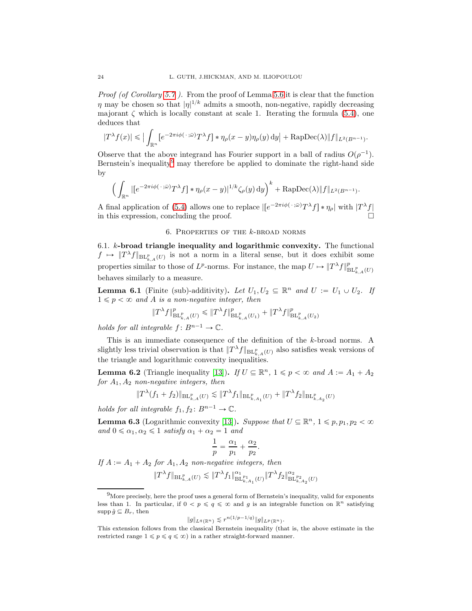Proof (of Corollary 5.7). From the proof of Lemma 5.6 it is clear that the function  $\eta$  may be chosen so that  $|\eta|^{1/k}$  admits a smooth, non-negative, rapidly decreasing majorant  $\zeta$  which is locally constant at scale 1. Iterating the formula (5.4), one deduces that

$$
|T^{\lambda}f(x)| \leqslant \big|\int_{\mathbb{R}^n} \big[e^{-2\pi i \phi(\,\cdot\,;\bar{\omega})}T^{\lambda}f\big]\ast \eta_{\rho}(x-y)\eta_{\rho}(y)\,\mathrm{d}y\big| + \mathrm{RapDec}(\lambda)\|f\|_{L^2(B^{n-1})}.
$$

Observe that the above integrand has Fourier support in a ball of radius  $O(\rho^{-1})$ . Bernstein's inequality<sup>9</sup> may therefore be applied to dominate the right-hand side by

$$
\left(\int_{\mathbb{R}^n} |[e^{-2\pi i \phi(\cdot;\bar{\omega})} T^{\lambda} f] * \eta_{\rho}(x-y)|^{1/k} \zeta_{\rho}(y) dy\right)^k + \text{RapDec}(\lambda) \|f\|_{L^2(B^{n-1})}.
$$

A final application of (5.4) allows one to replace  $\left[ e^{-2\pi i \phi(\cdot;\bar{\omega})} T^{\lambda} f \right] * \eta_{\rho}$  with  $|T^{\lambda} f|$ in this expression, concluding the proof.

#### 6. PROPERTIES OF THE  $k$ -BROAD NORMS

6.1. k-broad triangle inequality and logarithmic convexity. The functional  $f \mapsto \|T^{\lambda}f\|_{\text{BL}_{k,A}^p(U)}$  is not a norm in a literal sense, but it does exhibit some properties similar to those of  $L^p$ -norms. For instance, the map  $U \mapsto ||T^{\lambda} f||_{BL^p_{k,A}(U)}^p$ behaves similarly to a measure.

**Lemma 6.1** (Finite (sub)-additivity). Let  $U_1, U_2 \subseteq \mathbb{R}^n$  and  $U := U_1 \cup U_2$ . If  $1 \leqslant p < \infty$  and A is a non-negative integer, then

$$
\|T^{\lambda}f\|_{\mathrm{BL}_{k,A}^{p}(U)}^{p}\leqslant \|T^{\lambda}f\|_{\mathrm{BL}_{k,A}^{p}(U_{1})}^{p}+\|T^{\lambda}f\|_{\mathrm{BL}_{k,A}^{p}(U_{2})}^{p}
$$

holds for all integrable  $f: B^{n-1} \to \mathbb{C}$ .

This is an immediate consequence of the definition of the k-broad norms. A slightly less trivial observation is that  $||T^{\lambda}f||_{BL^p_{k,A}(U)}$  also satisfies weak versions of the triangle and logarithmic convexity inequalities.

**Lemma 6.2** (Triangle inequality [13]). If  $U \subseteq \mathbb{R}^n$ ,  $1 \leq p < \infty$  and  $A := A_1 + A_2$ for  $A_1, A_2$  non-negative integers, then

$$
||T^{\lambda}(f_1+f_2)||_{\mathrm{BL}_{k,A}^p(U)} \lesssim ||T^{\lambda}f_1||_{\mathrm{BL}_{k,A_1}^p(U)} + ||T^{\lambda}f_2||_{\mathrm{BL}_{k,A_2}^p(U)}
$$

holds for all integrable  $f_1, f_2 \colon B^{n-1} \to \mathbb{C}$ .

**Lemma 6.3** (Logarithmic convexity [13]). Suppose that  $U \subseteq \mathbb{R}^n$ ,  $1 \leq p, p_1, p_2 < \infty$ and  $0 \le \alpha_1, \alpha_2 \le 1$  satisfy  $\alpha_1 + \alpha_2 = 1$  and

$$
\frac{1}{p} = \frac{\alpha_1}{p_1} + \frac{\alpha_2}{p_2}.
$$

If  $A := A_1 + A_2$  for  $A_1, A_2$  non-negative integers, then

$$
\|T^{\lambda} f\|_{\mathrm{BL}_{k,A}^p(U)} \lesssim \|T^{\lambda} f_1\|_{\mathrm{BL}_{k,A_1}^{p_1}(U)}^{\alpha_1} \|T^{\lambda} f_2\|_{\mathrm{BL}_{k,A_2}^{p_2}(U)}^{\alpha_2}
$$

$$
||g||_{L^q(\mathbb{R}^n)} \lesssim r^{n(1/p-1/q)} ||g||_{L^p(\mathbb{R}^n)}.
$$

<sup>9</sup>More precisely, here the proof uses a general form of Bernstein's inequality, valid for exponents less than 1. In particular, if  $0 < p \leqslant q \leqslant \infty$  and g is an integrable function on  $\mathbb{R}^n$  satisfying  $\text{supp}\,\hat{g}\subseteq B_r$ , then

This extension follows from the classical Bernstein inequality (that is, the above estimate in the restricted range  $1 \leqslant p \leqslant q \leqslant \infty$ ) in a rather straight-forward manner.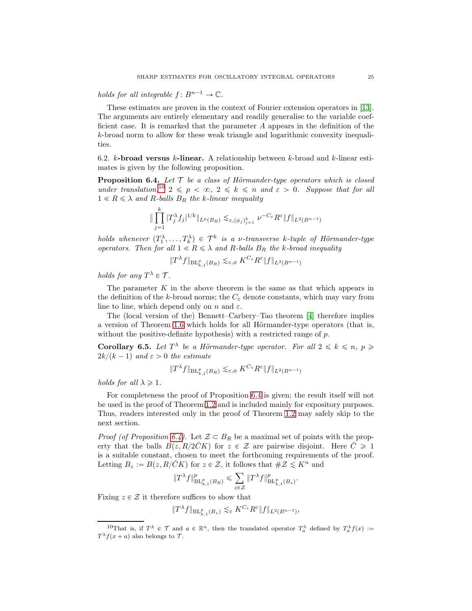holds for all integrable  $f: B^{n-1} \to \mathbb{C}$ .

These estimates are proven in the context of Fourier extension operators in [13]. The arguments are entirely elementary and readily generalise to the variable coefficient case. It is remarked that the parameter A appears in the definition of the k-broad norm to allow for these weak triangle and logarithmic convexity inequalities.

6.2. k-broad versus k-linear. A relationship between k-broad and k-linear estimates is given by the following proposition.

**Proposition 6.4.** Let  $T$  be a class of Hörmander-type operators which is closed under translation,<sup>10</sup>  $2 \leqslant p < \infty$ ,  $2 \leqslant k \leqslant n$  and  $\varepsilon > 0$ . Suppose that for all  $1 \ll R \leq \lambda$  and R-balls  $B_R$  the k-linear inequality

$$
\|\prod_{j=1}^k |T_j^{\lambda} f_j|^{1/k} \|_{L^p(B_R)} \lesssim_{\varepsilon, (\phi_j)_{j=1}^k} \nu^{-C_{\varepsilon}} R^{\varepsilon} \|f\|_{L^2(B^{n-1})}
$$

holds whenever  $(T_1^{\lambda},...,T_k^{\lambda}) \in \mathcal{T}^k$  is a v-transverse k-tuple of Hörmander-type operators. Then for all  $1 \ll R \leq \lambda$  and R-balls  $B_R$  the k-broad inequality

$$
\|T^{\lambda}f\|_{\mathrm{BL}_{k,1}^p(B_R)} \lesssim_{\varepsilon,\phi} K^{C_{\varepsilon}} R^{\varepsilon} \|f\|_{L^2(B^{n-1})}
$$

holds for any  $T^{\lambda} \in \mathcal{T}$ .

The parameter  $K$  in the above theorem is the same as that which appears in the definition of the k-broad norms; the  $C_{\varepsilon}$  denote constants, which may vary from line to line, which depend only on n and  $\varepsilon$ .

The (local version of the) Bennett–Carbery–Tao theorem [4] therefore implies a version of Theorem 1.6 which holds for all Hörmander-type operators (that is, without the positive-definite hypothesis) with a restricted range of  $p$ .

**Corollary 6.5.** Let  $T^{\lambda}$  be a Hörmander-type operator. For all  $2 \leq k \leq n$ ,  $p \geq$  $2k/(k - 1)$  and  $\varepsilon > 0$  the estimate

$$
\|T^{\lambda}f\|_{\operatorname{BL}_{k,1}^p(B_R)}\lesssim_{\varepsilon,\phi}K^{C_\varepsilon}R^\varepsilon\|f\|_{L^2(B^{n-1})}
$$

holds for all  $\lambda \geq 1$ .

For completeness the proof of Proposition 6.4 is given; the result itself will not be used in the proof of Theorem 1.2 and is included mainly for expository purposes. Thus, readers interested only in the proof of Theorem 1.2 may safely skip to the next section.

*Proof (of Proposition 6.4).* Let  $\mathcal{Z} \subset B_R$  be a maximal set of points with the property that the balls  $B(z, R/2\bar{C}K)$  for  $z \in \mathcal{Z}$  are pairwise disjoint. Here  $\bar{C} \geq 1$ is a suitable constant, chosen to meet the forthcoming requirements of the proof. Letting  $B_z := B(z, R/\overline{C}K)$  for  $z \in \mathcal{Z}$ , it follows that  $\#\mathcal{Z} \leq K^n$  and

$$
\|T^{\lambda}f\|^p_{{\rm BL}_{k,1}^p(B_R)}\leqslant \sum_{z\in\mathcal{Z}}\|T^{\lambda}f\|^p_{{\rm BL}_{k,1}^p(B_z)}.
$$

Fixing  $z \in \mathcal{Z}$  it therefore suffices to show that

$$
||T^{\lambda}f||_{\mathrm{BL}_{k,1}^p(B_z)} \lesssim_{\varepsilon} K^{C_{\varepsilon}} R^{\varepsilon} ||f||_{L^2(B^{n-1})},
$$

<sup>&</sup>lt;sup>10</sup>That is, if  $T^{\lambda} \in \mathcal{T}$  and  $a \in \mathbb{R}^n$ , then the translated operator  $T_a^{\lambda}$  defined by  $T_a^{\lambda} f(x) :=$  $T^{\lambda} f(x+a)$  also belongs to T.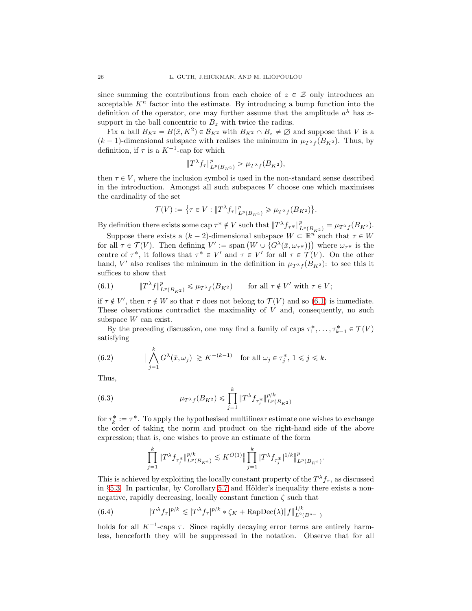since summing the contributions from each choice of  $z \in \mathcal{Z}$  only introduces an acceptable  $K<sup>n</sup>$  factor into the estimate. By introducing a bump function into the definition of the operator, one may further assume that the amplitude  $a^{\lambda}$  has xsupport in the ball concentric to  $B_z$  with twice the radius.

Fix a ball  $B_{K^2} = B(\bar{x}, K^2) \in \mathcal{B}_{K^2}$  with  $B_{K^2} \cap B_z \neq \emptyset$  and suppose that V is a  $(k-1)$ -dimensional subspace with realises the minimum in  $\mu_{T^{\lambda} f}(B_{K^2})$ . Thus, by definition, if  $\tau$  is a  $K^{-1}$ -cap for which

$$
||T^{\lambda} f_{\tau}||_{L^{p}(B_{K^2})}^p > \mu_{T^{\lambda} f}(B_{K^2}),
$$

then  $\tau \in V$ , where the inclusion symbol is used in the non-standard sense described in the introduction. Amongst all such subspaces  $V$  choose one which maximises the cardinality of the set

$$
\mathcal{T}(V):=\big\{\tau\in V:\|T^\lambda f_\tau\|^p_{L^p(B_{K^2})}\geqslant \mu_{T^\lambda f}(B_{K^2})\big\}.
$$

By definition there exists some cap  $\tau^* \notin V$  such that  $||T^{\lambda} f_{\tau^*}||_{L^p(B_{K^2})}^p = \mu_{T^{\lambda} f}(B_{K^2}).$ 

Suppose there exists a  $(k-2)$ -dimensional subspace  $W \subset \mathbb{R}^n$  such that  $\tau \in W$ for all  $\tau \in \mathcal{T}(V)$ . Then defining  $V' := \text{span} \left( W \cup \{ G^{\lambda}(\bar{x}, \omega_{\tau^*}) \} \right)$  where  $\omega_{\tau^*}$  is the centre of  $\tau^*$ , it follows that  $\tau^* \in V'$  and  $\tau \in V'$  for all  $\tau \in \mathcal{T}(V)$ . On the other hand, V' also realises the minimum in the definition in  $\mu_{T^{\lambda}f}(B_{K^2})$ : to see this it suffices to show that

(6.1) 
$$
\|T^{\lambda}f\|_{L^p(B_{K^2})}^p \leq \mu_{T^{\lambda}f}(B_{K^2}) \quad \text{for all } \tau \notin V' \text{ with } \tau \in V;
$$

if  $\tau \notin V'$ , then  $\tau \notin W$  so that  $\tau$  does not belong to  $\mathcal{T}(V)$  and so (6.1) is immediate. These observations contradict the maximality of  $V$  and, consequently, no such subspace W can exist.

By the preceding discussion, one may find a family of caps  $\tau_1^*, \ldots, \tau_{k-1}^* \in \mathcal{T}(V)$ satisfying

(6.2) 
$$
\left|\bigwedge_{j=1}^k G^{\lambda}(\bar{x}, \omega_j)\right| \gtrsim K^{-(k-1)} \text{ for all } \omega_j \in \tau_j^*, 1 \leq j \leq k.
$$

Thus,

(6.3) 
$$
\mu_{T^{\lambda}f}(B_{K^2}) \leq \prod_{j=1}^k \|T^{\lambda} f_{\tau_j^*}\|_{L^p(B_{K^2})}^{p/k}
$$

for  $\tau_k^* := \tau^*$ . To apply the hypothesised multilinear estimate one wishes to exchange the order of taking the norm and product on the right-hand side of the above expression; that is, one wishes to prove an estimate of the form

$$
\prod_{j=1}^k \|T^{\lambda} f_{\tau_j^*}\|_{L^p(B_{K^2})}^{p/k} \lesssim K^{O(1)} \|\prod_{j=1}^k |T^{\lambda} f_{\tau_j^*}|^{1/k} \|^p_{L^p(B_{K^2})}.
$$

This is achieved by exploiting the locally constant property of the  $T^{\lambda} f_{\tau}$ , as discussed in §5.3. In particular, by Corollary 5.7 and Hölder's inequality there exists a nonnegative, rapidly decreasing, locally constant function  $\zeta$  such that

(6.4) 
$$
|T^{\lambda} f_{\tau}|^{p/k} \lesssim |T^{\lambda} f_{\tau}|^{p/k} * \zeta_K + \text{RapDec}(\lambda) \|f\|_{L^2(B^{n-1})}^{1/k}
$$

holds for all  $K^{-1}$ -caps  $\tau$ . Since rapidly decaying error terms are entirely harmless, henceforth they will be suppressed in the notation. Observe that for all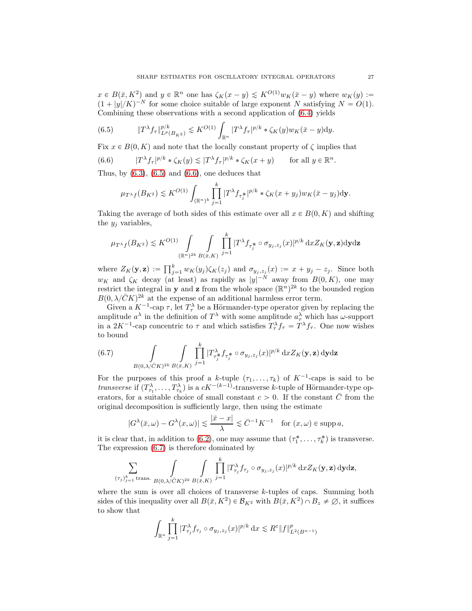$x \in B(\bar{x}, K^2)$  and  $y \in \mathbb{R}^n$  one has  $\zeta_K(x-y) \lesssim K^{O(1)}w_K(\bar{x}-y)$  where  $w_K(y) :=$  $(1+|y|/K)^{-N}$  for some choice suitable of large exponent N satisfying  $N = O(1)$ . Combining these observations with a second application of (6.4) yields

(6.5) 
$$
\|T^{\lambda} f_{\tau}\|_{L^{p}(B_{K^2})}^{p/k} \lesssim K^{O(1)} \int_{\mathbb{R}^n} |T^{\lambda} f_{\tau}|^{p/k} * \zeta_K(y) w_K(\bar{x} - y) dy.
$$

Fix  $x \in B(0, K)$  and note that the locally constant property of  $\zeta$  implies that

(6.6) 
$$
|T^{\lambda} f_{\tau}|^{p/k} * \zeta_K(y) \lesssim |T^{\lambda} f_{\tau}|^{p/k} * \zeta_K(x+y) \quad \text{for all } y \in \mathbb{R}^n.
$$

Thus, by  $(6.3)$ ,  $(6.5)$  and  $(6.6)$ , one deduces that

$$
\mu_{T^{\lambda}f}(B_{K^2}) \lesssim K^{O(1)} \int_{(\mathbb{R}^n)^k} \prod_{j=1}^k |T^{\lambda} f_{\tau_j^*}|^{p/k} * \zeta_K(x+y_j) w_K(\bar{x}-y_j) d\mathbf{y}.
$$

Taking the average of both sides of this estimate over all  $x \in B(0, K)$  and shifting the  $y_i$  variables,

$$
\mu_{T^{\lambda}f}(B_{K^2}) \lesssim K^{O(1)} \int_{(\mathbb{R}^n)^{2k}} \int_{B(\bar{x},K)} \prod_{j=1}^k |T^{\lambda} f_{\tau_j^*} \circ \sigma_{y_j,z_j}(x)|^{p/k} dx Z_K(\mathbf{y},\mathbf{z}) \mathrm{d}\mathbf{y} \mathrm{d}\mathbf{z}
$$

where  $Z_K(\mathbf{y}, \mathbf{z}) := \prod_{j=1}^k w_K(y_j) \zeta_K(z_j)$  and  $\sigma_{y_j, z_j}(x) := x + y_j - z_j$ . Since both  $w_K$  and  $\zeta_K$  decay (at least) as rapidly as  $|y|^{-N}$  away from  $B(0, K)$ , one may restrict the integral in **y** and **z** from the whole space  $(\mathbb{R}^n)^{2k}$  to the bounded region  $B(0, \lambda/\bar{C}K)^{2k}$  at the expense of an additional harmless error term.

Given a  $K^{-1}$ -cap  $\tau$ , let  $T_{\tau}^{\lambda}$  be a Hörmander-type operator given by replacing the amplitude  $a^{\lambda}$  in the definition of  $T^{\lambda}$  with some amplitude  $a_{\tau}^{\lambda}$  which has  $\omega$ -support in a  $2K^{-1}$ -cap concentric to  $\tau$  and which satisfies  $T_{\tau}^{\lambda} f_{\tau} = T^{\lambda} f_{\tau}$ . One now wishes to bound

(6.7) 
$$
\int\limits_{B(0,\lambda/\bar{C}K)^{2k}} \int\limits_{B(\bar{x},K)} \prod_{j=1}^k |T^{\lambda}_{\tau_j^*} f_{\tau_j^*} \circ \sigma_{y_j,z_j}(x)|^{p/k} dx Z_K(\mathbf{y},\mathbf{z}) \, \mathrm{d}\mathbf{y} \mathrm{d}\mathbf{z}
$$

For the purposes of this proof a k-tuple  $(\tau_1, \ldots, \tau_k)$  of  $K^{-1}$ -caps is said to be *transverse* if  $(T^{\lambda}_{\tau_1},...,T^{\lambda}_{\tau_k})$  is a  $cK^{-(k-1)}$ -transverse k-tuple of Hörmander-type operators, for a suitable choice of small constant  $c > 0$ . If the constant  $\overline{C}$  from the original decomposition is sufficiently large, then using the estimate

$$
|G^{\lambda}(\bar{x}, \omega) - G^{\lambda}(x, \omega)| \lesssim \frac{|\bar{x} - x|}{\lambda} \lesssim \bar{C}^{-1} K^{-1} \quad \text{for } (x, \omega) \in \text{supp } a,
$$

it is clear that, in addition to (6.2), one may assume that  $(\tau_1^*, \ldots, \tau_k^*)$  is transverse. The expression (6.7) is therefore dominated by

$$
\sum_{(\tau_j)_{j=1}^k \text{trans.}} \int\limits_{B(0,\lambda/\bar{C}K)^{2k}} \int\limits_{B(\bar{x},K)} \prod_{j=1}^k |T_{\tau_j}^{\lambda} f_{\tau_j} \circ \sigma_{y_j,z_j}(x)|^{p/k} \,\mathrm{d} x Z_K(\mathbf{y},\mathbf{z}) \,\mathrm{d} \mathbf{y} \,\mathrm{d} \mathbf{z},
$$

where the sum is over all choices of transverse k-tuples of caps. Summing both sides of this inequality over all  $B(\bar{x}, K^2) \in \mathcal{B}_{K^2}$  with  $B(\bar{x}, K^2) \cap B_z \neq \emptyset$ , it suffices to show that

$$
\int_{\mathbb{R}^n} \prod_{j=1}^k |T^{\lambda}_{\tau_j} f_{\tau_j} \circ \sigma_{y_j, z_j}(x)|^{p/k} dx \lesssim R^{\varepsilon} \|f\|_{L^2(B^{n-1})}^p
$$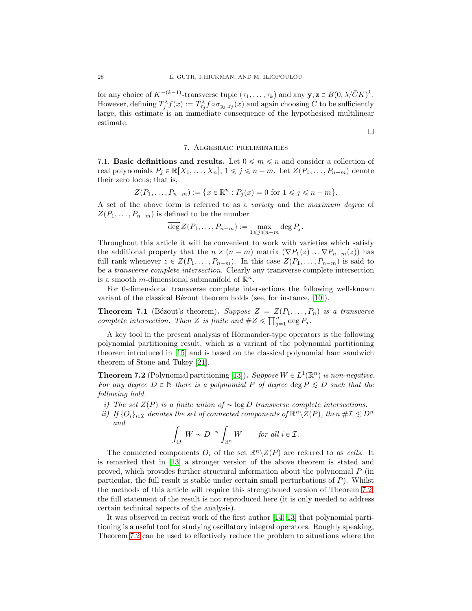for any choice of  $K^{-(k-1)}$ -transverse tuple  $(\tau_1, \ldots, \tau_k)$  and any  $\mathbf{y}, \mathbf{z} \in B(0, \lambda/\bar{C}K)^k$ . However, defining  $T_j^{\lambda} f(x) := T_{\tau_j}^{\lambda} f \circ \sigma_{y_j, z_j}(x)$  and again choosing  $\bar{C}$  to be sufficiently large, this estimate is an immediate consequence of the hypothesised multilinear estimate.

#### $\Box$

#### 7. Algebraic preliminaries

7.1. **Basic definitions and results.** Let  $0 \leq m \leq n$  and consider a collection of real polynomials  $P_j \in \mathbb{R}[X_1, \ldots, X_n], 1 \leq j \leq n-m$ . Let  $Z(P_1, \ldots, P_{n-m})$  denote their zero locus; that is,

$$
Z(P_1, ..., P_{n-m}) := \{ x \in \mathbb{R}^n : P_j(x) = 0 \text{ for } 1 \leq j \leq n - m \}.
$$

A set of the above form is referred to as a variety and the maximum degree of  $Z(P_1, \ldots, P_{n-m})$  is defined to be the number

$$
\overline{\deg}\,Z(P_1,\ldots,P_{n-m}) := \max_{1 \leq j \leq n-m} \deg P_j.
$$

Throughout this article it will be convenient to work with varieties which satisfy the additional property that the  $n \times (n-m)$  matrix  $(\nabla P_1(z) \dots \nabla P_{n-m}(z))$  has full rank whenever  $z \in Z(P_1, \ldots, P_{n-m})$ . In this case  $Z(P_1, \ldots, P_{n-m})$  is said to be a transverse complete intersection. Clearly any transverse complete intersection is a smooth *m*-dimensional submanifold of  $\mathbb{R}^n$ .

For 0-dimensional transverse complete intersections the following well-known variant of the classical Bézout theorem holds (see, for instance,  $[10]$ ).

**Theorem 7.1** (Bézout's theorem). Suppose  $Z = Z(P_1, \ldots, P_n)$  is a transverse complete intersection. Then Z is finite and  $#Z \leq \prod_{j=1}^n \deg P_j$ .

A key tool in the present analysis of Hörmander-type operators is the following polynomial partitioning result, which is a variant of the polynomial partitioning theorem introduced in [15] and is based on the classical polynomial ham sandwich theorem of Stone and Tukey [21].

**Theorem 7.2** (Polynomial partitioning [13]). Suppose  $W \in L^1(\mathbb{R}^n)$  is non-negative. For any degree  $D \in \mathbb{N}$  there is a polynomial P of degree  $\deg P \le D$  such that the following hold.

i) The set  $Z(P)$  is a finite union of  $\sim \log D$  transverse complete intersections.

ii) If  $\{O_i\}_{i\in\mathcal{I}}$  denotes the set of connected components of  $\mathbb{R}^n\backslash Z(P)$ , then  $\#\mathcal{I}\lesssim D^n$ and

$$
\int_{O_i} W \sim D^{-n} \int_{\mathbb{R}^n} W \qquad \text{for all } i \in \mathcal{I}.
$$

The connected components  $O_i$  of the set  $\mathbb{R}^n \backslash Z(P)$  are referred to as cells. It is remarked that in [13] a stronger version of the above theorem is stated and proved, which provides further structural information about the polynomial P (in particular, the full result is stable under certain small perturbations of  $P$ ). Whilst the methods of this article will require this strengthened version of Theorem 7.2, the full statement of the result is not reproduced here (it is only needed to address certain technical aspects of the analysis).

It was observed in recent work of the first author [14, 13] that polynomial partitioning is a useful tool for studying oscillatory integral operators. Roughly speaking, Theorem 7.2 can be used to effectively reduce the problem to situations where the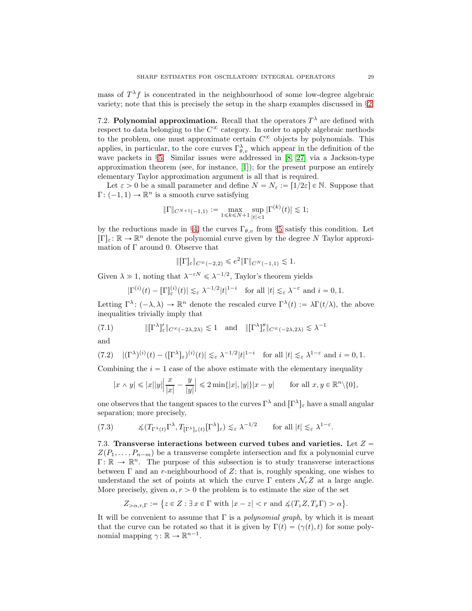mass of  $T^{\lambda}f$  is concentrated in the neighbourhood of some low-degree algebraic variety; note that this is precisely the setup in the sharp examples discussed in §2.

7.2. Polynomial approximation. Recall that the operators  $T^{\lambda}$  are defined with respect to data belonging to the  $C^{\infty}$  category. In order to apply algebraic methods to the problem, one must approximate certain  $C^{\infty}$  objects by polynomials. This applies, in particular, to the core curves  $\Gamma^{\lambda}_{\theta,\nu}$  which appear in the definition of the wave packets in §5. Similar issues were addressed in [8, 27] via a Jackson-type approximation theorem (see, for instance, [1]); for the present purpose an entirely elementary Taylor approximation argument is all that is required.

Let  $\varepsilon > 0$  be a small parameter and define  $N = N_{\varepsilon} := [1/2\varepsilon] \in \mathbb{N}$ . Suppose that  $\Gamma: (-1, 1) \to \mathbb{R}^n$  is a smooth curve satisfying

$$
\|\Gamma\|_{C^{N+1}(-1,1)} := \max_{1 \le k \le N+1} \sup_{|t| < 1} |\Gamma^{(k)}(t)| \lesssim 1;
$$

by the reductions made in §4, the curves  $\Gamma_{\theta,v}$  from §5 satisfy this condition. Let  $[\Gamma]_{\varepsilon} \colon \mathbb{R} \to \mathbb{R}^n$  denote the polynomial curve given by the degree N Taylor approximation of  $\Gamma$  around 0. Observe that

$$
\|\Gamma\_{varepsilon}\|_{C^{\infty}(-2,2)} \leqslant e^2 \|\Gamma\|_{C^N(-1,1)} \lesssim 1.
$$

Given  $\lambda \gg 1$ , noting that  $\lambda^{-\varepsilon N} \leq \lambda^{-1/2}$ , Taylor's theorem yields

$$
|\Gamma^{(i)}(t) - [\Gamma]_{\varepsilon}^{(i)}(t)| \lesssim_{\varepsilon} \lambda^{-1/2} |t|^{1-i} \quad \text{for all } |t| \lesssim_{\varepsilon} \lambda^{-\varepsilon} \text{ and } i = 0, 1.
$$

Letting  $\Gamma^{\lambda}$ :  $(-\lambda, \lambda) \to \mathbb{R}^{n}$  denote the rescaled curve  $\Gamma^{\lambda}(t) := \lambda \Gamma(t/\lambda)$ , the above inequalities trivially imply that

(7.1) 
$$
\|[\Gamma^{\lambda}]_{\varepsilon}'\|_{C^{\infty}(-2\lambda,2\lambda)} \lesssim 1 \quad \text{and} \quad \|[\Gamma^{\lambda}]_{\varepsilon}''\|_{C^{\infty}(-2\lambda,2\lambda)} \lesssim \lambda^{-1}
$$

and

$$
(7.2) \quad |(\Gamma^{\lambda})^{(i)}(t) - ([\Gamma^{\lambda}]_{\varepsilon})^{(i)}(t)| \lesssim_{\varepsilon} \lambda^{-1/2} |t|^{1-i} \quad \text{for all } |t| \lesssim_{\varepsilon} \lambda^{1-\varepsilon} \text{ and } i = 0, 1.
$$

Combining the  $i = 1$  case of the above estimate with the elementary inequality

$$
|x \wedge y| \leqslant |x||y|\left|\frac{x}{|x|} - \frac{y}{|y|}\right| \leqslant 2\min\{|x|, |y|\}|x - y| \quad \text{for all } x, y \in \mathbb{R}^n \setminus \{0\},
$$

one observes that the tangent spaces to the curves  $\Gamma^{\lambda}$  and  $[\Gamma^{\lambda}]_{\varepsilon}$  have a small angular separation; more precisely,

(7.3) 
$$
\measuredangle (T_{\Gamma^\lambda(t)} \Gamma^\lambda, T_{[\Gamma^\lambda]_\varepsilon(t)} [\Gamma^\lambda]_\varepsilon) \lesssim_{\varepsilon} \lambda^{-1/2} \quad \text{for all } |t| \lesssim_{\varepsilon} \lambda^{1-\varepsilon}.
$$

7.3. Transverse interactions between curved tubes and varieties. Let  $Z =$  $Z(P_1, \ldots, P_{n-m})$  be a transverse complete intersection and fix a polynomial curve  $\Gamma: \mathbb{R} \to \mathbb{R}^n$ . The purpose of this subsection is to study transverse interactions between  $\Gamma$  and an r-neighbourhood of  $Z$ ; that is, roughly speaking, one wishes to understand the set of points at which the curve  $\Gamma$  enters  $\mathcal{N}_r Z$  at a large angle. More precisely, given  $\alpha$ ,  $r > 0$  the problem is to estimate the size of the set

$$
Z_{>\alpha,r,\Gamma} := \{ z \in Z : \exists x \in \Gamma \text{ with } |x - z| < r \text{ and } \measuredangle(T_z Z, T_x \Gamma) > \alpha \}.
$$

It will be convenient to assume that  $\Gamma$  is a *polynomial graph*, by which it is meant that the curve can be rotated so that it is given by  $\Gamma(t) = (\gamma(t), t)$  for some polynomial mapping  $\gamma: \mathbb{R} \to \mathbb{R}^{n-1}$ .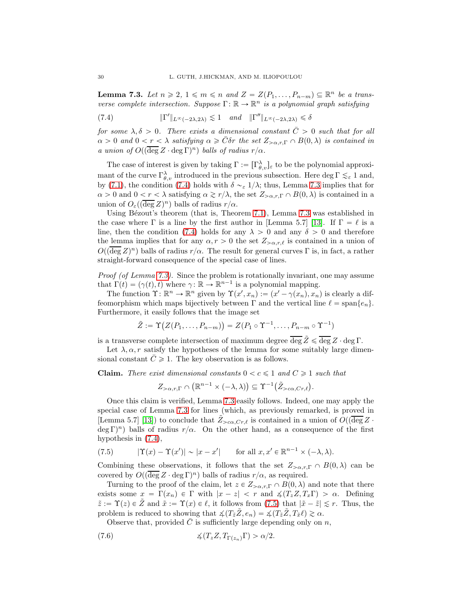**Lemma 7.3.** Let  $n \ge 2$ ,  $1 \le m \le n$  and  $Z = Z(P_1, \ldots, P_{n-m}) \subseteq \mathbb{R}^n$  be a transverse complete intersection. Suppose  $\Gamma: \mathbb{R} \to \mathbb{R}^n$  is a polynomial graph satisfying

(7.4) 
$$
\|\Gamma'\|_{L^{\infty}(-2\lambda,2\lambda)} \lesssim 1 \quad \text{and} \quad \|\Gamma''\|_{L^{\infty}(-2\lambda,2\lambda)} \leq \delta
$$

for some  $\lambda, \delta > 0$ . There exists a dimensional constant  $\overline{C} > 0$  such that for all  $\alpha > 0$  and  $0 < r < \lambda$  satisfying  $\alpha \geq \bar{C}$  or the set  $Z_{\alpha,r,\Gamma} \cap B(0,\lambda)$  is contained in a union of  $O((\overline{\deg} Z \cdot \deg \Gamma)^n)$  balls of radius  $r/\alpha$ .

The case of interest is given by taking  $\Gamma := [\Gamma_{\theta,v}^{\lambda}]_{\varepsilon}$  to be the polynomial approximant of the curve  $\Gamma_{\theta,v}^{\lambda}$  introduced in the previous subsection. Here  $\deg \Gamma \lesssim_{\varepsilon} 1$  and, by (7.1), the condition (7.4) holds with  $\delta \sim_{\varepsilon} 1/\lambda$ ; thus, Lemma 7.3 implies that for  $\alpha > 0$  and  $0 < r < \lambda$  satisfying  $\alpha \gtrsim r/\lambda$ , the set  $Z_{>\alpha,r,\Gamma} \cap B(0,\lambda)$  is contained in a union of  $O_{\varepsilon}((\overline{\deg} Z)^n)$  balls of radius  $r/\alpha$ .

Using Bézout's theorem (that is, Theorem 7.1), Lemma 7.3 was established in the case where  $\Gamma$  is a line by the first author in [Lemma 5.7] [13]. If  $\Gamma = \ell$  is a line, then the condition (7.4) holds for any  $\lambda > 0$  and any  $\delta > 0$  and therefore the lemma implies that for any  $\alpha, r > 0$  the set  $Z_{\alpha,r,\ell}$  is contained in a union of  $O((\overline{\deg} Z)^n)$  balls of radius  $r/\alpha$ . The result for general curves  $\Gamma$  is, in fact, a rather straight-forward consequence of the special case of lines.

Proof (of Lemma 7.3). Since the problem is rotationally invariant, one may assume that  $\Gamma(t) = (\gamma(t), t)$  where  $\gamma: \mathbb{R} \to \mathbb{R}^{n-1}$  is a polynomial mapping.

The function  $\Upsilon \colon \mathbb{R}^n \to \mathbb{R}^n$  given by  $\Upsilon(x', x_n) := (x' - \gamma(x_n), x_n)$  is clearly a diffeomorphism which maps bijectively between  $\Gamma$  and the vertical line  $\ell = \text{span}\{e_n\}$ . Furthermore, it easily follows that the image set

$$
\tilde{Z} := \Upsilon(Z(P_1, \ldots, P_{n-m})) = Z(P_1 \circ \Upsilon^{-1}, \ldots, P_{n-m} \circ \Upsilon^{-1})
$$

is a transverse complete intersection of maximum degree  $\overline{\deg \mathcal{Z}} \leq \overline{\deg \mathcal{Z}} \cdot \deg \Gamma$ .

Let  $\lambda, \alpha, r$  satisfy the hypotheses of the lemma for some suitably large dimensional constant  $\overline{C}\geqslant 1$ . The key observation is as follows.

**Claim.** There exist dimensional constants  $0 < c \leq 1$  and  $C \geq 1$  such that

$$
Z_{>\alpha,r,\Gamma}\cap\left(\mathbb{R}^{n-1}\times(-\lambda,\lambda)\right)\subseteq\Upsilon^{-1}\big(\tilde{Z}_{>\alpha,Cr,\ell}\big).
$$

Once this claim is verified, Lemma 7.3 easily follows. Indeed, one may apply the special case of Lemma 7.3 for lines (which, as previously remarked, is proved in [Lemma 5.7] [13]) to conclude that  $\tilde{Z}_{>ca,Cr,\ell}$  is contained in a union of  $O((\overline{\deg} Z \cdot$  $(\deg \Gamma)^n$  balls of radius  $r/\alpha$ . On the other hand, as a consequence of the first hypothesis in (7.4),

(7.5) 
$$
|\Upsilon(x) - \Upsilon(x')| \sim |x - x'| \quad \text{for all } x, x' \in \mathbb{R}^{n-1} \times (-\lambda, \lambda).
$$

Combining these observations, it follows that the set  $Z_{\geq \alpha,r,\Gamma} \cap B(0,\lambda)$  can be covered by  $O((\overline{\deg} Z \cdot \deg \Gamma)^n)$  balls of radius  $r/\alpha$ , as required.

Turning to the proof of the claim, let  $z \in Z_{\geq \alpha,r,\Gamma} \cap B(0,\lambda)$  and note that there exists some  $x = \Gamma(x_n) \in \Gamma$  with  $|x - z| < r$  and  $\angle(T_z Z, T_x \Gamma) > \alpha$ . Defining  $\tilde{z} := \Upsilon(z) \in Z$  and  $\tilde{x} := \Upsilon(x) \in \ell$ , it follows from (7.5) that  $|\tilde{x} - \tilde{z}| \leq r$ . Thus, the problem is reduced to showing that  $\measuredangle(T_{\tilde{z}}\tilde{Z}, e_n) = \measuredangle(T_{\tilde{z}}\tilde{Z}, T_{\tilde{x}}\ell) \gtrsim \alpha$ .

Observe that, provided  $\overline{C}$  is sufficiently large depending only on n,

(7.6) 
$$
\measuredangle(T_z Z, T_{\Gamma(z_n)} \Gamma) > \alpha/2.
$$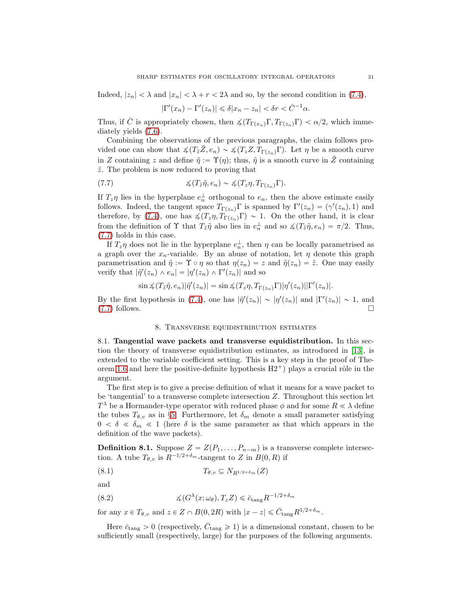Indeed,  $|z_n| < \lambda$  and  $|x_n| < \lambda + r < 2\lambda$  and so, by the second condition in (7.4),

$$
|\Gamma'(x_n) - \Gamma'(z_n)| \le \delta |x_n - z_n| < \delta r < \bar{C}^{-1} \alpha.
$$

Thus, if C is appropriately chosen, then  $\measuredangle(T_{\Gamma(x_n)}\Gamma, T_{\Gamma(z_n)}\Gamma) < \alpha/2$ , which immediately yields (7.6).

Combining the observations of the previous paragraphs, the claim follows provided one can show that  $\measuredangle(T_z\tilde{Z}, e_n) \sim \measuredangle(T_zZ, T_{\Gamma(z_n)}\Gamma)$ . Let  $\eta$  be a smooth curve in Z containing z and define  $\tilde{\eta} := \Upsilon(\eta)$ ; thus,  $\tilde{\eta}$  is a smooth curve in  $\tilde{Z}$  containing  $\tilde{z}$ . The problem is now reduced to proving that

(7.7) 
$$
\measuredangle(Tz\tilde{\eta},e_n) \sim \measuredangle(Tz\eta,T_{\Gamma(z_n)}\Gamma).
$$

If  $T_z \eta$  lies in the hyperplane  $e_n^{\perp}$  orthogonal to  $e_n$ , then the above estimate easily follows. Indeed, the tangent space  $T_{\Gamma(z_n)}\Gamma$  is spanned by  $\Gamma'(z_n) = (\gamma'(z_n), 1)$  and therefore, by (7.4), one has  $\measuredangle(T_z\eta, T_{\Gamma(z_n)}\Gamma) \sim 1$ . On the other hand, it is clear from the definition of  $\Upsilon$  that  $T_{\tilde{z}}\tilde{\eta}$  also lies in  $e_n^{\perp}$  and so  $\measuredangle(T_{\tilde{z}}\tilde{\eta}, e_n) = \pi/2$ . Thus, (7.7) holds in this case.

If  $T_z \eta$  does not lie in the hyperplane  $e_n^{\perp}$ , then  $\eta$  can be locally parametrised as a graph over the  $x_n$ -variable. By an abuse of notation, let  $\eta$  denote this graph parametrisation and  $\tilde{\eta} := \Upsilon \circ \eta$  so that  $\eta(z_n) = z$  and  $\tilde{\eta}(z_n) = \tilde{z}$ . One may easily verify that  $|\tilde{\eta}'(z_n) \wedge e_n| = |\eta'(z_n) \wedge \Gamma'(z_n)|$  and so

$$
\sin \angle (T_{\tilde{z}}\tilde{\eta},e_n)|\tilde{\eta}'(z_n)| = \sin \angle (T_z\eta,T_{\Gamma(z_n)}\Gamma)|\eta'(z_n)||\Gamma'(z_n)|.
$$

By the first hypothesis in (7.4), one has  $|\tilde{\eta}'(z_n)| \sim |\eta'(z_n)|$  and  $|\Gamma'(z_n)| \sim 1$ , and  $(7.7)$  follows.

#### 8. Transverse equidistribution estimates

8.1. Tangential wave packets and transverse equidistribution. In this section the theory of transverse equidistribution estimates, as introduced in [13], is extended to the variable coefficient setting. This is a key step in the proof of Theorem 1.6 and here the positive-definite hypothesis  $H2^+$ ) plays a crucial rôle in the argument.

The first step is to give a precise definition of what it means for a wave packet to be 'tangential' to a transverse complete intersection Z. Throughout this section let  $T^{\lambda}$  be a Hormander-type operator with reduced phase  $\phi$  and for some  $R \ll \lambda$  define the tubes  $T_{\theta,v}$  as in §5. Furthermore, let  $\delta_m$  denote a small parameter satisfying  $0 < \delta \ll \delta_m \ll 1$  (here  $\delta$  is the same parameter as that which appears in the definition of the wave packets).

**Definition 8.1.** Suppose  $Z = Z(P_1, \ldots, P_{n-m})$  is a transverse complete intersection. A tube  $T_{\theta, v}$  is  $R^{-1/2+\delta_m}$ -tangent to Z in  $B(0, R)$  if

$$
(8.1) \t\t T_{\theta,v} \subseteq N_{R^{1/2+\delta_m}}(Z)
$$

and

(8.2) 
$$
\measuredangle(G^{\lambda}(x;\omega_{\theta}),T_z Z) \leq \bar{c}_{\text{tang}} R^{-1/2+\delta_m}
$$

for any  $x \in T_{\theta, v}$  and  $z \in Z \cap B(0, 2R)$  with  $|x - z| \leq \bar{C}_{\text{tang}} R^{1/2 + \delta_m}$ .

Here  $\bar{c}_{\text{tang}} > 0$  (respectively,  $\bar{C}_{\text{tang}} \geq 1$ ) is a dimensional constant, chosen to be sufficiently small (respectively, large) for the purposes of the following arguments.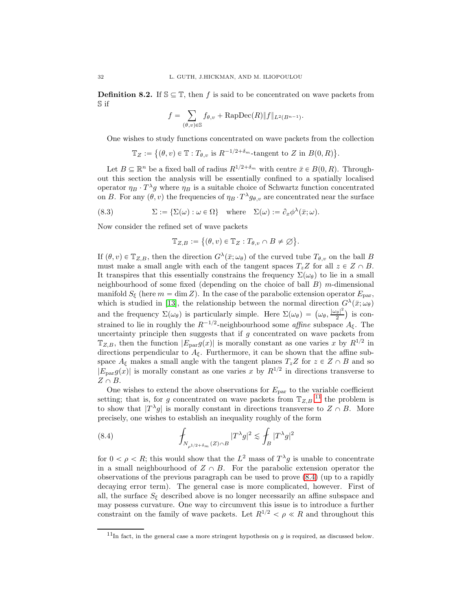**Definition 8.2.** If  $\mathbb{S} \subseteq \mathbb{T}$ , then f is said to be concentrated on wave packets from S if

$$
f = \sum_{(\theta,v)\in \mathbb{S}} f_{\theta,v} + \text{RapDec}(R) ||f||_{L^2(B^{n-1})}.
$$

One wishes to study functions concentrated on wave packets from the collection

 $\mathbb{T}_Z := \{(\theta, v) \in \mathbb{T} : T_{\theta, v} \text{ is } R^{-1/2 + \delta_m} \text{-tangent to } Z \text{ in } B(0, R)\}.$ 

Let  $B \subseteq \mathbb{R}^n$  be a fixed ball of radius  $R^{1/2+\delta_m}$  with centre  $\bar{x} \in B(0, R)$ . Throughout this section the analysis will be essentially confined to a spatially localised operator  $\eta_B \cdot T^{\lambda}g$  where  $\eta_B$  is a suitable choice of Schwartz function concentrated on B. For any  $(\theta, v)$  the frequencies of  $\eta_B \cdot T^{\lambda} g_{\theta, v}$  are concentrated near the surface

(8.3) 
$$
\Sigma := \{ \Sigma(\omega) : \omega \in \Omega \} \text{ where } \Sigma(\omega) := \partial_x \phi^{\lambda}(\bar{x}; \omega).
$$

Now consider the refined set of wave packets

$$
\mathbb{T}_{Z,B} := \big\{(\theta, v) \in \mathbb{T}_Z : T_{\theta, v} \cap B \neq \varnothing \big\}.
$$

If  $(\theta, v) \in \mathbb{T}_{Z,B}$ , then the direction  $G^{\lambda}(\bar{x}; \omega_{\theta})$  of the curved tube  $T_{\theta,v}$  on the ball B must make a small angle with each of the tangent spaces  $T_zZ$  for all  $z \in Z \cap B$ . It transpires that this essentially constrains the frequency  $\Sigma(\omega_{\theta})$  to lie in a small neighbourhood of some fixed (depending on the choice of ball  $B$ ) m-dimensional manifold  $S_{\xi}$  (here  $m = \dim Z$ ). In the case of the parabolic extension operator  $E_{\text{par}}$ , which is studied in [13], the relationship between the normal direction  $G^{\lambda}(\bar{x}; \omega_{\theta})$ and the frequency  $\Sigma(\omega_{\theta})$  is particularly simple. Here  $\Sigma(\omega_{\theta}) = (\omega_{\theta}, \frac{|\omega_{\theta}|^2}{2})$  $\frac{2}{2}$  is constrained to lie in roughly the  $R^{-1/2}$ -neighbourhood some *affine* subspace  $A_{\xi}$ . The uncertainty principle then suggests that if  $g$  concentrated on wave packets from  $\mathbb{T}_{Z,B}$ , then the function  $|E_{\text{par}}g(x)|$  is morally constant as one varies x by  $R^{1/2}$  in directions perpendicular to  $A_{\xi}$ . Furthermore, it can be shown that the affine subspace  $A_{\xi}$  makes a small angle with the tangent planes  $T_zZ$  for  $z \in Z \cap B$  and so  $|E_{\text{par}}g(x)|$  is morally constant as one varies x by  $R^{1/2}$  in directions transverse to  $Z \cap B$ .

One wishes to extend the above observations for  $E_{\text{par}}$  to the variable coefficient setting; that is, for g concentrated on wave packets from  $T_{Z,B}$ ,<sup>11</sup>, the problem is to show that  $|T^{\lambda}g|$  is morally constant in directions transverse to  $Z \cap B$ . More precisely, one wishes to establish an inequality roughly of the form

(8.4) 
$$
\int_{N_{\rho^{1/2+\delta_m}}(Z)\cap B} |T^{\lambda}g|^2 \lesssim \int_B |T^{\lambda}g|^2
$$

for  $0 < \rho < R$ ; this would show that the  $L^2$  mass of  $T^{\lambda}g$  is unable to concentrate in a small neighbourhood of  $Z \cap B$ . For the parabolic extension operator the observations of the previous paragraph can be used to prove (8.4) (up to a rapidly decaying error term). The general case is more complicated, however. First of all, the surface  $S_{\xi}$  described above is no longer necessarily an affine subspace and may possess curvature. One way to circumvent this issue is to introduce a further constraint on the family of wave packets. Let  $R^{1/2} < \rho \ll R$  and throughout this

 $11$ In fact, in the general case a more stringent hypothesis on g is required, as discussed below.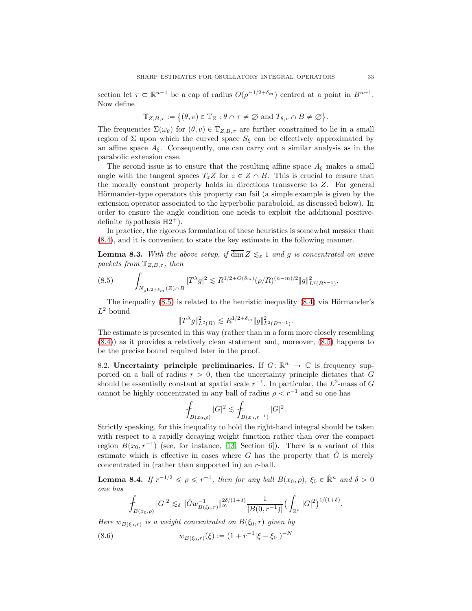section let  $\tau \subset \mathbb{R}^{n-1}$  be a cap of radius  $O(\rho^{-1/2+\delta_m})$  centred at a point in  $B^{n-1}$ . Now define

$$
\mathbb{T}_{Z,B,\tau} := \{(\theta, v) \in \mathbb{T}_Z : \theta \cap \tau \neq \emptyset \text{ and } T_{\theta, v} \cap B \neq \emptyset \}.
$$

The frequencies  $\Sigma(\omega_{\theta})$  for  $(\theta, v) \in \mathbb{T}_{Z, B, \tau}$  are further constrained to lie in a small region of  $\Sigma$  upon which the curved space  $S_{\xi}$  can be effectively approximated by an affine space  $A_{\xi}$ . Consequently, one can carry out a similar analysis as in the parabolic extension case.

The second issue is to ensure that the resulting affine space  $A_{\xi}$  makes a small angle with the tangent spaces  $T_zZ$  for  $z \in Z \cap B$ . This is crucial to ensure that the morally constant property holds in directions transverse to Z. For general Hörmander-type operators this property can fail (a simple example is given by the extension operator associated to the hyperbolic paraboloid, as discussed below). In order to ensure the angle condition one needs to exploit the additional positivedefinite hypothesis  $H2^+$ ).

In practice, the rigorous formulation of these heuristics is somewhat messier than (8.4), and it is convenient to state the key estimate in the following manner.

**Lemma 8.3.** With the above setup, if  $\overline{\dim} Z \leq_{\varepsilon} 1$  and g is concentrated on wave packets from  $\mathbb{T}_{Z,B,\tau}$ , then

$$
(8.5) \qquad \int_{N_{\rho^{1/2+\delta_m}}(Z)\cap B} |T^{\lambda}g|^2 \lesssim R^{1/2+O(\delta_m)}(\rho/R)^{(n-m)/2} \|g\|_{L^2(B^{n-1})}^2.
$$

The inequality  $(8.5)$  is related to the heuristic inequality  $(8.4)$  via Hörmander's  $L^2$  bound

$$
||T^{\lambda}g||_{L^{2}(B)}^{2} \lesssim R^{1/2+\delta_{m}}||g||_{L^{2}(B^{n-1})}^{2}.
$$

The estimate is presented in this way (rather than in a form more closely resembling (8.4)) as it provides a relatively clean statement and, moreover, (8.5) happens to be the precise bound required later in the proof.

8.2. Uncertainty principle preliminaries. If  $G: \mathbb{R}^n \to \mathbb{C}$  is frequency supported on a ball of radius  $r > 0$ , then the uncertainty principle dictates that G should be essentially constant at spatial scale  $r^{-1}$ . In particular, the  $L^2$ -mass of G cannot be highly concentrated in any ball of radius  $\rho < r^{-1}$  and so one has

$$
\int_{B(x_0,\rho)} |G|^2 \lesssim \int_{B(x_0,r^{-1})} |G|^2.
$$

Strictly speaking, for this inequality to hold the right-hand integral should be taken with respect to a rapidly decaying weight function rather than over the compact region  $B(x_0, r^{-1})$  (see, for instance, [13, Section 6]). There is a variant of this estimate which is effective in cases where G has the property that  $\hat{G}$  is merely concentrated in (rather than supported in) an r-ball.

**Lemma 8.4.** If  $r^{-1/2} \leq \rho \leq r^{-1}$ , then for any ball  $B(x_0, \rho)$ ,  $\xi_0 \in \mathbb{R}^n$  and  $\delta > 0$ one has

$$
\int_{B(x_0,\rho)} |G|^2 \lesssim_{\delta} \|\hat{G}w_{B(\xi_0,r)}^{-1}\|_{\infty}^{2\delta/(1+\delta)} \frac{1}{|B(0,r^{-1})|} \big(\int_{\mathbb{R}^n} |G|^2\big)^{1/(1+\delta)}.
$$

Here  $w_{B(\xi_0,r)}$  is a weight concentrated on  $B(\xi_0, r)$  given by

(8.6) 
$$
w_{B(\xi_0,r)}(\xi) := (1 + r^{-1}|\xi - \xi_0|)^{-N}
$$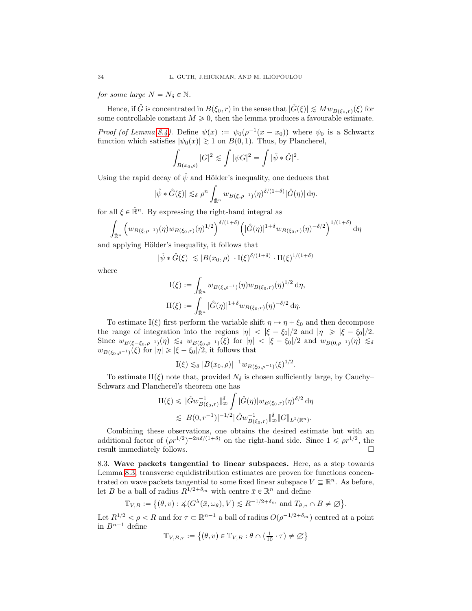for some large  $N = N_{\delta} \in \mathbb{N}$ .

Hence, if  $\hat{G}$  is concentrated in  $B(\xi_0, r)$  in the sense that  $|\hat{G}(\xi)| \lesssim Mw_{B(\xi_0, r)}(\xi)$  for some controllable constant  $M \geq 0$ , then the lemma produces a favourable estimate.

*Proof (of Lemma 8.4)*. Define  $\psi(x) := \psi_0(\rho^{-1}(x - x_0))$  where  $\psi_0$  is a Schwartz function which satisfies  $|\psi_0(x)| \geq 1$  on  $B(0, 1)$ . Thus, by Plancherel,

$$
\int_{B(x_0,\rho)} |G|^2 \lesssim \int |\psi G|^2 = \int |\hat{\psi} * \hat{G}|^2.
$$

Using the rapid decay of  $\hat{\psi}$  and Hölder's inequality, one deduces that

$$
|\hat{\psi} * \hat{G}(\xi)| \lesssim_{\delta} \rho^n \int_{\hat{\mathbb{R}}^n} w_{B(\xi,\rho^{-1})}(\eta)^{\delta/(1+\delta)} |\hat{G}(\eta)| d\eta.
$$

for all  $\xi \in \mathbb{R}^n$ . By expressing the right-hand integral as

$$
\int_{\hat{\mathbb{R}}^n} \left( w_{B(\xi,\rho^{-1})}(\eta) w_{B(\xi_0,r)}(\eta)^{1/2} \right)^{\delta/(1+\delta)} \left( |\hat{G}(\eta)|^{1+\delta} w_{B(\xi_0,r)}(\eta)^{-\delta/2} \right)^{1/(1+\delta)} d\eta
$$

and applying Hölder's inequality, it follows that

$$
|\hat{\psi} * \hat{G}(\xi)| \lesssim |B(x_0, \rho)| \cdot \mathbf{I}(\xi)^{\delta/(1+\delta)} \cdot \mathbf{II}(\xi)^{1/(1+\delta)}
$$

where

$$
I(\xi) := \int_{\hat{\mathbb{R}}^n} w_{B(\xi,\rho^{-1})}(\eta) w_{B(\xi_0,r)}(\eta)^{1/2} d\eta,
$$
  
\n
$$
II(\xi) := \int_{\hat{\mathbb{R}}^n} |\hat{G}(\eta)|^{1+\delta} w_{B(\xi_0,r)}(\eta)^{-\delta/2} d\eta.
$$

To estimate I( $\xi$ ) first perform the variable shift  $\eta \mapsto \eta + \xi_0$  and then decompose the range of integration into the regions  $|\eta| < |\xi - \xi_0|/2$  and  $|\eta| \geq |\xi - \xi_0|/2$ . Since  $w_{B(\xi-\xi_0,\rho^{-1})}(\eta) \precsim_{\delta} w_{B(\xi_0,\rho^{-1})}(\xi)$  for  $|\eta| < |\xi - \xi_0|/2$  and  $w_{B(0,\rho^{-1})}(\eta) \precsim_{\delta} w$  $w_{B(\xi_0,\rho^{-1})}(\xi)$  for  $|\eta| \geqslant |\xi - \xi_0|/2$ , it follows that

$$
I(\xi) \lesssim_{\delta} |B(x_0,\rho)|^{-1} w_{B(\xi_0,\rho^{-1})}(\xi)^{1/2}.
$$

To estimate II( $\xi$ ) note that, provided  $N_{\delta}$  is chosen sufficiently large, by Cauchy– Schwarz and Plancherel's theorem one has

$$
\Pi(\xi) \leq \|\hat{G}w_{B(\xi_0,r)}^{-1}\|_{\infty}^{\delta} \int |\hat{G}(\eta)|w_{B(\xi_0,r)}(\eta)^{\delta/2} d\eta
$$
  

$$
\lesssim |B(0,r^{-1})|^{-1/2} \|\hat{G}w_{B(\xi_0,r)}^{-1}\|_{\infty}^{\delta} \|G\|_{L^2(\mathbb{R}^n)}.
$$

Combining these observations, one obtains the desired estimate but with an additional factor of  $(\rho r^{1/2})^{-2n\delta/(1+\delta)}$  on the right-hand side. Since  $1 \le \rho r^{1/2}$ , the result immediately follows.  $\hfill \square$ 

8.3. Wave packets tangential to linear subspaces. Here, as a step towards Lemma 8.3, transverse equidistribution estimates are proven for functions concentrated on wave packets tangential to some fixed linear subspace  $V \subseteq \mathbb{R}^n$ . As before, let B be a ball of radius  $R^{1/2 + \delta_m}$  with centre  $\bar{x} \in \mathbb{R}^n$  and define

$$
\mathbb{T}_{V,B} := \{ (\theta, v) : \measuredangle(G^{\lambda}(\bar{x}, \omega_{\theta}), V) \lesssim R^{-1/2 + \delta_m} \text{ and } T_{\theta, v} \cap B \neq \emptyset \}.
$$

Let  $R^{1/2} < \rho < R$  and for  $\tau \subset \mathbb{R}^{n-1}$  a ball of radius  $O(\rho^{-1/2+\delta_m})$  centred at a point in  $B^{n-1}$  define

$$
\mathbb{T}_{V,B,\tau}:=\left\{(\theta,v)\in\mathbb{T}_{V,B}:\theta\cap\bigl(\tfrac{1}{10}\cdot\tau\bigr)\neq\varnothing\bigr\}
$$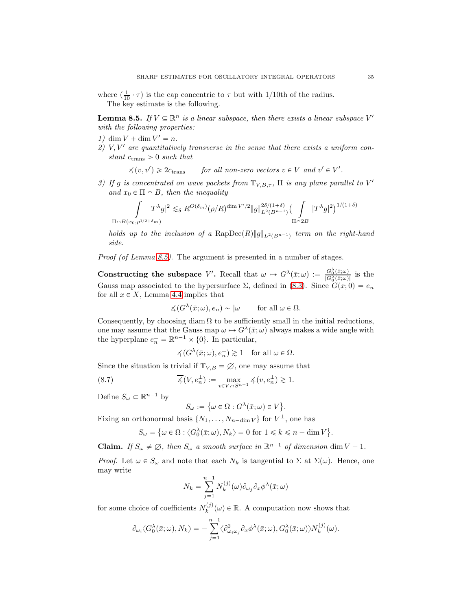where  $(\frac{1}{10} \cdot \tau)$  is the cap concentric to  $\tau$  but with 1/10th of the radius. The key estimate is the following.

**Lemma 8.5.** If  $V \subseteq \mathbb{R}^n$  is a linear subspace, then there exists a linear subspace V' with the following properties:

- 1)  $\dim V + \dim V' = n$ .
- 2)  $V, V'$  are quantitatively transverse in the sense that there exists a uniform constant  $c_{trans} > 0$  such that

 $\measuredangle(v, v') \geq 2c_{\text{trans}}$  $\rangle \geq 2c_{trans}$  for all non-zero vectors  $v \in V$  and  $v' \in V'.$ 

3) If g is concentrated on wave packets from  $\mathbb{T}_{V,B,\tau}$ ,  $\Pi$  is any plane parallel to V' and  $x_0 \in \Pi \cap B$ , then the inequality

$$
\int_{\Pi \cap B(x_0, \rho^{1/2+\delta_m})} |T^{\lambda}g|^2 \lesssim_{\delta} R^{O(\delta_m)}(\rho/R)^{\dim V'/2} \|g\|_{L^2(B^{n-1})}^{2\delta/(1+\delta)} \Big(\int_{\Pi \cap 2B} |T^{\lambda}g|^2\Big)^{1/(1+\delta)}
$$

holds up to the inclusion of a  $\mathrm{RapDec}(R)\|g\|_{L^2(B^{n-1})}$  term on the right-hand side.

Proof (of Lemma 8.5). The argument is presented in a number of stages.

Constructing the subspace V'. Recall that  $\omega \mapsto G^{\lambda}(\bar{x}; \omega) := \frac{G_0^{\lambda}(\bar{x}; \omega)}{|G^{\lambda}(\bar{x}; \omega)|}$  $\frac{G_0(x;\omega)}{|G_0(\bar{x};\omega)|}$  is the Gauss map associated to the hypersurface  $\Sigma$ , defined in (8.3). Since  $G(x; 0) = e_n$ for all  $x \in X$ , Lemma 4.4 implies that

$$
\measuredangle(G^\lambda(\bar{x};\omega), e_n) \sim |\omega| \quad \text{for all } \omega \in \Omega.
$$

Consequently, by choosing diam  $\Omega$  to be sufficiently small in the initial reductions, one may assume that the Gauss map  $\omega \mapsto G^{\lambda}(\bar{x}; \omega)$  always makes a wide angle with the hyperplane  $e_n^{\perp} = \mathbb{R}^{n-1} \times \{0\}$ . In particular,

$$
\measuredangle(G^\lambda(\bar{x};\omega), e_n^\perp) \gtrsim 1 \quad \text{for all } \omega \in \Omega.
$$

Since the situation is trivial if  $\mathbb{T}_{V,B} = \emptyset$ , one may assume that

(8.7) 
$$
\overline{\mathcal{A}}(V, e_n^{\perp}) := \max_{v \in V \cap S^{n-1}} \mathcal{A}(v, e_n^{\perp}) \gtrsim 1.
$$

Define  $S_{\omega} \subset \mathbb{R}^{n-1}$  by

$$
S_{\omega} := \{ \omega \in \Omega : G^{\lambda}(\bar{x}; \omega) \in V \}.
$$

Fixing an orthonormal basis  $\{N_1, \ldots, N_{n-\dim V}\}\$  for  $V^{\perp}$ , one has

$$
S_{\omega} = \{ \omega \in \Omega : \langle G_0^{\lambda}(\bar{x}; \omega), N_k \rangle = 0 \text{ for } 1 \leq k \leq n - \dim V \}.
$$

**Claim.** If  $S_{\omega} \neq \emptyset$ , then  $S_{\omega}$  a smooth surface in  $\mathbb{R}^{n-1}$  of dimension dim  $V - 1$ .

*Proof.* Let  $\omega \in S_{\omega}$  and note that each  $N_k$  is tangential to  $\Sigma$  at  $\Sigma(\omega)$ . Hence, one may write

$$
N_k = \sum_{j=1}^{n-1} N_k^{(j)}(\omega) \partial_{\omega_j} \partial_x \phi^{\lambda}(\bar{x}; \omega)
$$

for some choice of coefficients  $N_k^{(j)}$  $\psi_k^{(j)}(\omega) \in \mathbb{R}$ . A computation now shows that

$$
\partial_{\omega_i} \langle G_0^{\lambda}(\bar{x}; \omega), N_k \rangle = - \sum_{j=1}^{n-1} \langle \partial_{\omega_i \omega_j}^2 \partial_x \phi^{\lambda}(\bar{x}; \omega), G_0^{\lambda}(\bar{x}; \omega) \rangle N_k^{(j)}(\omega).
$$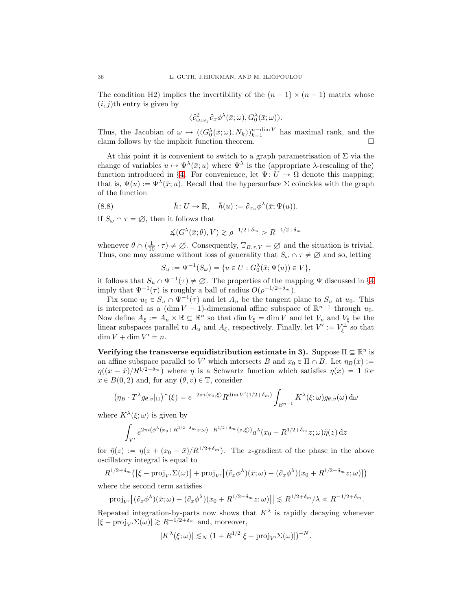The condition H2) implies the invertibility of the  $(n - 1) \times (n - 1)$  matrix whose  $(i, j)$ th entry is given by

$$
\langle \partial^2_{\omega_i\omega_j}\partial_x\phi^\lambda(\bar x;\omega), G_0^\lambda(\bar x;\omega)\rangle.
$$

Thus, the Jacobian of  $\omega \mapsto (\langle G_0^{\lambda}(\bar{x}; \omega), N_k \rangle)_{k=1}^{n-\dim V}$  has maximal rank, and the claim follows by the implicit function theorem.  $\Box$ 

At this point it is convenient to switch to a graph parametrisation of  $\Sigma$  via the change of variables  $u \mapsto \Psi^{\lambda}(\bar{x}; u)$  where  $\Psi^{\lambda}$  is the (appropriate  $\lambda$ -rescaling of the) function introduced in §4. For convenience, let  $\Psi: U \to \Omega$  denote this mapping; that is,  $\Psi(u) := \Psi^{\lambda}(\bar{x}; u)$ . Recall that the hypersurface  $\Sigma$  coincides with the graph of the function

(8.8) 
$$
\bar{h}: U \to \mathbb{R}, \quad \bar{h}(u) := \partial_{x_n} \phi^{\lambda}(\bar{x}; \Psi(u)).
$$

If  $S_\omega \cap \tau = \emptyset$ , then it follows that

 $\measuredangle(G^\lambda(\bar{x};\theta),V) \gtrsim \rho^{-1/2+\delta_m} > R^{-1/2+\delta_m}$ 

whenever  $\theta \cap (\frac{1}{10} \cdot \tau) \neq \emptyset$ . Consequently,  $\mathbb{T}_{B,\tau,V} = \emptyset$  and the situation is trivial. Thus, one may assume without loss of generality that  $S_{\omega} \cap \tau \neq \emptyset$  and so, letting

$$
S_u := \Psi^{-1}(S_{\omega}) = \{ u \in U : G_0^{\lambda}(\bar{x}; \Psi(u)) \in V \},
$$

it follows that  $S_u \cap \Psi^{-1}(\tau) \neq \emptyset$ . The properties of the mapping  $\Psi$  discussed in §4 imply that  $\Psi^{-1}(\tau)$  is roughly a ball of radius  $O(\rho^{-1/2+\delta_m})$ .

Fix some  $u_0 \in S_u \cap \Psi^{-1}(\tau)$  and let  $A_u$  be the tangent plane to  $S_u$  at  $u_0$ . This is interpreted as a  $(\dim V - 1)$ -dimensional affine subspace of  $\mathbb{R}^{n-1}$  through  $u_0$ . Now define  $A_{\xi} := A_u \times \mathbb{R} \subseteq \mathbb{R}^n$  so that  $\dim V_{\xi} = \dim V$  and let  $V_u$  and  $V_{\xi}$  be the linear subspaces parallel to  $A_u$  and  $A_\xi$ , respectively. Finally, let  $V' := V_\xi^{\perp}$  so that  $\dim V + \dim V' = n.$ 

Verifying the transverse equidistribution estimate in 3). Suppose  $\Pi \subseteq \mathbb{R}^n$  is an affine subspace parallel to V' which intersects B and  $x_0 \in \Pi \cap B$ . Let  $\eta_B(x) :=$  $\eta((x-\bar{x})/R^{1/2+\delta_m})$  where  $\eta$  is a Schwartz function which satisfies  $\eta(x) = 1$  for  $x \in B(0, 2)$  and, for any  $(\theta, v) \in \mathbb{T}$ , consider

$$
\left(\eta_B \cdot T^{\lambda} g_{\theta,v}\vert_{\Pi}\right)^{(1)}(\xi) = e^{-2\pi i \langle x_0, \xi \rangle} R^{\dim V'(1/2 + \delta_m)} \int_{B^{n-1}} K^{\lambda}(\xi; \omega) g_{\theta,v}(\omega) d\omega
$$

where  $K^{\lambda}(\xi;\omega)$  is given by

$$
\int_{V'} e^{2\pi i(\phi^{\lambda}(x_0 + R^{1/2 + \delta_m}z;\omega) - R^{1/2 + \delta_m}\langle z,\xi\rangle)} a^{\lambda}(x_0 + R^{1/2 + \delta_m}z;\omega)\tilde{\eta}(z) dz
$$

for  $\tilde{\eta}(z) := \eta(z + (x_0 - \bar{x})/R^{1/2+\delta_m})$ . The z-gradient of the phase in the above oscillatory integral is equal to

 $R^{1/2+\delta_m}\big([\xi-\text{proj}_{V'}\Sigma(\omega)]+\text{proj}_{V'}\big[(\partial_x\phi^\lambda)(\bar{x};\omega)-(\partial_x\phi^\lambda)(x_0+R^{1/2+\delta_m}z;\omega)\big]\big)$ 

where the second term satisfies

$$
|\text{proj}_{V'}[(\partial_x \phi^{\lambda})(\bar{x}; \omega) - (\partial_x \phi^{\lambda})(x_0 + R^{1/2+\delta_m}z; \omega)]| \lesssim R^{1/2+\delta_m}/\lambda \ll R^{-1/2+\delta_m}.
$$

Repeated integration-by-parts now shows that  $K^{\lambda}$  is rapidly decaying whenever  $|\xi - \text{proj}_{V'}\Sigma(\omega)| \gtrsim R^{-1/2+\delta_m}$  and, moreover,

$$
|K^{\lambda}(\xi;\omega)| \lesssim_{N} (1 + R^{1/2}|\xi - \text{proj}_{V'}\Sigma(\omega)|)^{-N}.
$$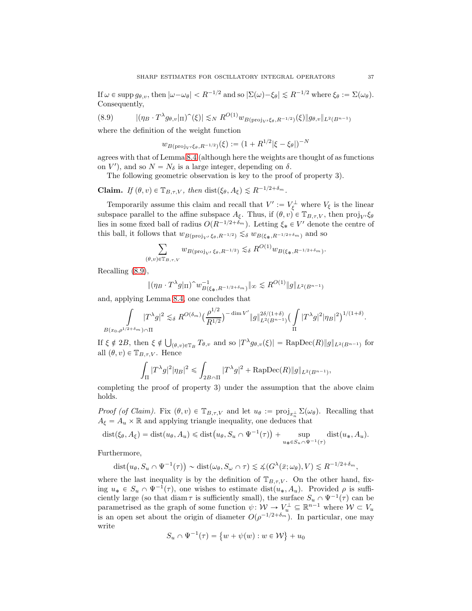If  $\omega \in \text{supp } g_{\theta,v}$ , then  $|\omega - \omega_{\theta}| < R^{-1/2}$  and so  $|\Sigma(\omega) - \xi_{\theta}| \leq R^{-1/2}$  where  $\xi_{\theta} := \Sigma(\omega_{\theta}).$ Consequently,

$$
(8.9) \qquad |(\eta_B \cdot T^{\lambda} g_{\theta,v}|_{\Pi})^{\hat{}}(\xi)| \lesssim_N R^{O(1)} w_{B(\text{proj}_{V'}\xi_{\theta}, R^{-1/2})}(\xi) \| g_{\theta,v} \|_{L^2(B^{n-1})}
$$

where the definition of the weight function

$$
w_{B(\text{proj}_V/\xi_\theta, R^{-1/2})}(\xi) := (1 + R^{1/2}|\xi - \xi_\theta|)^{-N}
$$

agrees with that of Lemma 8.4 (although here the weights are thought of as functions on  $V'$ ), and so  $N = N_{\delta}$  is a large integer, depending on  $\delta$ .

The following geometric observation is key to the proof of property 3).

**Claim.** If  $(\theta, v) \in \mathbb{T}_{B,\tau,V}$ , then  $dist(\xi_{\theta}, A_{\xi}) \leq R^{-1/2+\delta_m}$ .

Temporarily assume this claim and recall that  $V' := V_{\xi}^{\perp}$  where  $V_{\xi}$  is the linear subspace parallel to the affine subspace  $A_{\xi}$ . Thus, if  $(\theta, v) \in \mathbb{T}_{B,\tau,V}$ , then  $\text{proj}_{V'} \xi_{\theta}$ lies in some fixed ball of radius  $O(R^{-1/2+\delta_m})$ . Letting  $\xi_* \in V'$  denote the centre of this ball, it follows that  $w_{B(\text{proj}_{V'} \xi_{\theta}, R^{-1/2})} \lesssim_{\delta} w_{B(\xi_{\ast}, R^{-1/2+\delta_m})}$  and so

$$
\sum_{(\theta,v)\in \mathbb{T}_{B,\tau,V}} w_{B(\operatorname{proj}_{V'}\xi_\theta,R^{-1/2})} \lesssim_\delta R^{O(1)} w_{B(\xi_*,R^{-1/2+\delta_m})}.
$$

Recalling (8.9),

$$
\|(\eta_B \cdot T^{\lambda} g|_{\Pi})^{\hat{}} w^{-1}_{B(\xi_*, R^{-1/2+\delta_m})} \|_{\infty} \lesssim R^{O(1)} \|g\|_{L^2(B^{n-1})}
$$

and, applying Lemma 8.4, one concludes that

$$
\int_{B(x_0,\rho^{1/2+\delta_m})\cap\Pi} |T^{\lambda}g|^2 \lesssim_{\delta} R^{O(\delta_m)} \left(\frac{\rho^{1/2}}{R^{1/2}}\right)^{-\dim V'} \|g\|_{L^2(B^{n-1})}^{2\delta/(1+\delta)} \left(\int_{\Pi} |T^{\lambda}g|^2 |\eta_B|^2\right)^{1/(1+\delta)}.
$$

If  $\xi \notin 2B$ , then  $\xi \notin \bigcup_{(\theta,v)\in\mathbb{T}_B} T_{\theta,v}$  and so  $|T^{\lambda} g_{\theta,v}(\xi)| = \text{RapDec}(R) \|g\|_{L^2(B^{n-1})}$  for all  $(\theta, v) \in \mathbb{T}_{B,\tau,V}$ . Hence

$$
\int_{\Pi} |T^{\lambda}g|^2 |\eta_B|^2 \leq \int_{2B \cap \Pi} |T^{\lambda}g|^2 + \text{RapDec}(R) \|g\|_{L^2(B^{n-1})},
$$

completing the proof of property 3) under the assumption that the above claim holds.

Proof (of Claim). Fix  $(\theta, v) \in \mathbb{T}_{B,\tau,V}$  and let  $u_{\theta} := \text{proj}_{x_{n}^{\perp}} \Sigma(\omega_{\theta})$ . Recalling that  $A_{\xi} = A_u \times \mathbb{R}$  and applying triangle inequality, one deduces that

$$
dist(\xi_{\theta}, A_{\xi}) = dist(u_{\theta}, A_{u}) \leq \text{dist}(u_{\theta}, S_{u} \cap \Psi^{-1}(\tau)) + \sup_{u_{*} \in S_{u} \cap \Psi^{-1}(\tau)} dist(u_{*}, A_{u}).
$$

Furthermore,

$$
\text{dist}\big(u_{\theta}, S_u \cap \Psi^{-1}(\tau)\big) \sim \text{dist}(\omega_{\theta}, S_{\omega} \cap \tau) \lesssim \measuredangle(G^{\lambda}(\bar{x}; \omega_{\theta}), V) \lesssim R^{-1/2 + \delta_m},
$$

where the last inequality is by the definition of  $\mathbb{T}_{B,\tau,V}$ . On the other hand, fixing  $u_* \in S_u \cap \Psi^{-1}(\tau)$ , one wishes to estimate dist $(u_*, A_u)$ . Provided  $\rho$  is sufficiently large (so that diam  $\tau$  is sufficiently small), the surface  $S_u \cap \Psi^{-1}(\tau)$  can be parametrised as the graph of some function  $\psi \colon \mathcal{W} \to V_u^{\perp} \subseteq \mathbb{R}^{n-1}$  where  $\mathcal{W} \subset V_u$ is an open set about the origin of diameter  $O(\rho^{-1/2+\delta_m})$ . In particular, one may write

$$
S_u \cap \Psi^{-1}(\tau) = \{w + \psi(w) : w \in \mathcal{W}\} + u_0
$$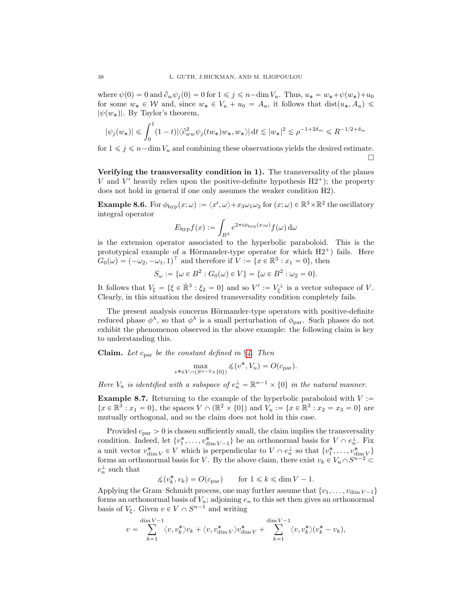where  $\psi(0) = 0$  and  $\partial_w \psi_i(0) = 0$  for  $1 \leq j \leq n-\dim V_u$ . Thus,  $u_* = w_*+\psi(w_*)+u_0$ for some  $w_* \in W$  and, since  $w_* \in V_u + u_0 = A_u$ , it follows that  $dist(u_*, A_u) \leq$  $|\psi(w_*)|$ . By Taylor's theorem,

$$
|\psi_j(w_*)| \leq \int_0^1 (1-t) |\langle \partial^2_{ww} \psi_j(tw_*) w_*, w_* \rangle| dt \lesssim |w_*|^2 \lesssim \rho^{-1+2\delta_m} \leq R^{-1/2+\delta_m}
$$

for  $1 \leq j \leq n-\dim V_u$  and combining these observations yields the desired estimate. П

Verifying the transversality condition in 1). The transversality of the planes V and V' heavily relies upon the positive-definite hypothesis  $H2^+$ ; the property does not hold in general if one only assumes the weaker condition H2).

**Example 8.6.** For  $\phi_{hyp}(x; \omega) := \langle x', \omega \rangle + x_3 \omega_1 \omega_2$  for  $(x; \omega) \in \mathbb{R}^3 \times \mathbb{R}^2$  the oscillatory integral operator

$$
E_{\rm hyp}f(x) := \int_{B^2} e^{2\pi i \phi_{\rm hyp}(x;\omega)} f(\omega) d\omega
$$

is the extension operator associated to the hyperbolic paraboloid. This is the prototypical example of a Hörmander-type operator for which  $H2^+$ ) fails. Here  $G_0(\omega) = (-\omega_2, -\omega_1, 1)^\top$  and therefore if  $V := \{x \in \mathbb{R}^3 : x_1 = 0\}$ , then

$$
S_{\omega} := \{ \omega \in B^2 : G_0(\omega) \in V \} = \{ \omega \in B^2 : \omega_2 = 0 \}.
$$

It follows that  $V_{\xi} = {\xi \in \mathbb{R}^3 : \xi_2 = 0}$  and so  $V' := V_{\xi}^{\perp}$  is a vector subspace of V. Clearly, in this situation the desired transversality condition completely fails.

The present analysis concerns Hörmander-type operators with positive-definite reduced phase  $\phi^{\lambda}$ , so that  $\phi^{\lambda}$  is a small perturbation of  $\phi_{\text{par}}$ . Such phases do not exhibit the phenomenon observed in the above example: the following claim is key to understanding this.

**Claim.** Let  $c_{\text{par}}$  be the constant defined in  $\S 4$ . Then

$$
\max_{v^* \in V \cap (S^{n-2} \times \{0\})} \measuredangle(v^*, V_u) = O(c_{\text{par}}).
$$

Here  $V_u$  is identified with a subspace of  $e_n^{\perp} = \mathbb{R}^{n-1} \times \{0\}$  in the natural manner.

**Example 8.7.** Returning to the example of the hyperbolic paraboloid with  $V :=$  $\{x \in \mathbb{R}^3 : x_1 = 0\}$ , the spaces  $V \cap (\mathbb{R}^2 \times \{0\})$  and  $V_u := \{x \in \mathbb{R}^3 : x_2 = x_3 = 0\}$  are mutually orthogonal, and so the claim does not hold in this case.

Provided  $c_{\text{par}} > 0$  is chosen sufficiently small, the claim implies the transversality condition. Indeed, let  $\{v_1^*, \ldots, v_{\dim V-1}^*\}$  be an orthonormal basis for  $V \cap e_n^{\perp}$ . Fix a unit vector  $v_{\dim V}^* \in V$  which is perpendicular to  $V \cap e_n^{\perp}$  so that  $\{v_1^*, \ldots, v_{\dim V}^*\}$ forms an orthonormal basis for V. By the above claim, there exist  $v_k \in V_u \cap S^{n-2} \subset$  $e_n^{\perp}$  such that

 $\measuredangle(v_k^*, v_k) = O(c_{\text{par}})$  for  $1 \le k \le \dim V - 1$ .

Applying the Gram–Schmidt process, one may further assume that  $\{v_1, \ldots, v_{\dim V-1}\}\$ forms an orthonormal basis of  $V_u$ ; adjoining  $e_n$  to this set then gives an orthonormal basis of  $V_{\xi}$ . Given  $v \in V \cap S^{n-1}$  and writing

$$
v = \sum_{k=1}^{\dim V -1} \langle v, v_k^* \rangle v_k + \langle v, v_{\dim V}^* \rangle v_{\dim V}^* + \sum_{k=1}^{\dim V -1} \langle v, v_k^* \rangle (v_k^* - v_k),
$$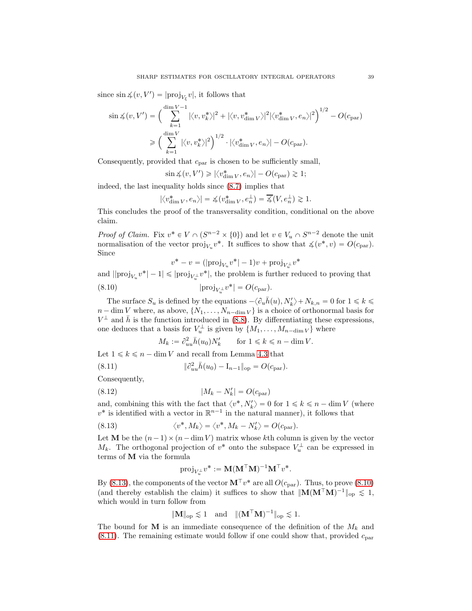since  $\sin \measuredangle(v, V') = |\text{proj}_{V_{\xi}} v|$ , it follows that

$$
\sin \measuredangle(v, V') = \left(\sum_{k=1}^{\dim V - 1} |\langle v, v_k^* \rangle|^2 + |\langle v, v_{\dim V}^* \rangle|^2 |\langle v_{\dim V}^*, e_n \rangle|^2\right)^{1/2} - O(c_{\text{par}})
$$

$$
\geq \left(\sum_{k=1}^{\dim V} |\langle v, v_k^* \rangle|^2\right)^{1/2} \cdot |\langle v_{\dim V}^*, e_n \rangle| - O(c_{\text{par}}).
$$

Consequently, provided that  $c_{\text{par}}$  is chosen to be sufficiently small,

$$
\sin \measuredangle(v, V') \ge |\langle v_{\dim V}^*, e_n \rangle| - O(c_{\text{par}}) \gtrsim 1;
$$

indeed, the last inequality holds since (8.7) implies that

$$
|\langle v_{\dim V}^*, e_n \rangle| = \measuredangle(v_{\dim V}^*, e_n^{\perp}) = \overline{\measuredangle}(V, e_n^{\perp}) \gtrsim 1.
$$

This concludes the proof of the transversality condition, conditional on the above claim.

*Proof of Claim.* Fix  $v^* \in V \cap (S^{n-2} \times \{0\})$  and let  $v \in V_u \cap S^{n-2}$  denote the unit normalisation of the vector  $proj_{V_u} v^*$ . It suffices to show that  $\measuredangle(v^*, v) = O(c_{\text{par}})$ . Since

$$
v^* - v = (|\text{proj}_{V_u} v^*| - 1)v + \text{proj}_{V_u^{\perp}} v^*
$$

and  $||proj_{V_u} v^*| - 1| \leqslant |proj_{V_u^{\perp}} v^*|$ , the problem is further reduced to proving that

(8.10) 
$$
|\text{proj}_{V_u^{\perp}} v^*| = O(c_{\text{par}}).
$$

The surface  $S_u$  is defined by the equations  $-\langle \partial_u \bar{h}(u), N_k'\rangle + N_{k,n} = 0$  for  $1 \leq k \leq \infty$  $n - \dim V$  where, as above,  $\{N_1, \ldots, N_{n-\dim V}\}\$ is a choice of orthonormal basis for  $V^{\perp}$  and  $\bar{h}$  is the function introduced in (8.8). By differentiating these expressions, one deduces that a basis for  $V_u^{\perp}$  is given by  $\{M_1, \ldots, M_{n-\dim V}\}\$  where

$$
M_k:=\partial^2_{uu}\bar h(u_0)N_k'\qquad\text{for $1\leqslant k\leqslant n-\dim V$.}
$$

Let  $1 \leq k \leq n - \dim V$  and recall from Lemma 4.3 that

(8.11) 
$$
\|\partial_{uu}^2 \bar{h}(u_0) - I_{n-1}\|_{\text{op}} = O(c_{\text{par}}).
$$

Consequently,

 $(8.12)$ 

$$
|M_k - N'_k| = O(c_{\text{par}})
$$

and, combining this with the fact that  $\langle v^*, N'_k \rangle = 0$  for  $1 \le k \le n - \dim V$  (where  $v^*$  is identified with a vector in  $\mathbb{R}^{n-1}$  in the natural manner), it follows that

(8.13) 
$$
\langle v^*, M_k \rangle = \langle v^*, M_k - N'_k \rangle = O(c_{\text{par}}).
$$

Let **M** be the  $(n-1) \times (n - \dim V)$  matrix whose kth column is given by the vector  $M_k$ . The orthogonal projection of  $v^*$  onto the subspace  $V_u^{\perp}$  can be expressed in terms of M via the formula

$$
\text{proj}_{V_u^\perp} v^* := \mathbf{M} (\mathbf{M}^\top \mathbf{M})^{-1} \mathbf{M}^\top v^*.
$$

By (8.13), the components of the vector  $\mathbf{M}^{\top} v^*$  are all  $O(c_{\text{par}})$ . Thus, to prove (8.10) (and thereby establish the claim) it suffices to show that  $\|\mathbf{M}(\mathbf{M}^{\top}\mathbf{M})^{-1}\|_{op} \leq 1$ , which would in turn follow from

$$
\|\mathbf{M}\|_{\text{op}} \lesssim 1 \quad \text{and} \quad \|(\mathbf{M}^{\top}\mathbf{M})^{-1}\|_{\text{op}} \lesssim 1.
$$

The bound for M is an immediate consequence of the definition of the  $M_k$  and  $(8.11)$ . The remaining estimate would follow if one could show that, provided  $c_{\text{par}}$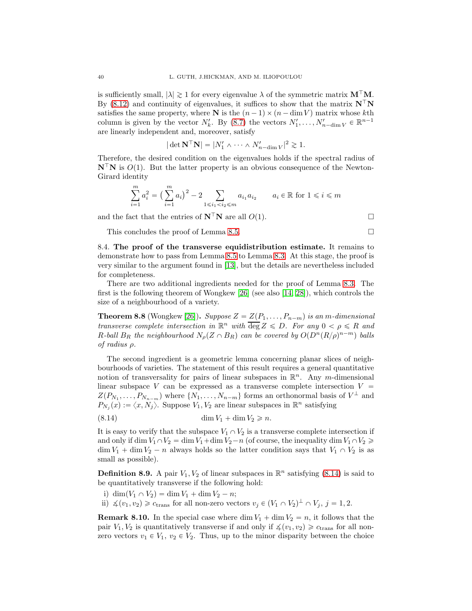is sufficiently small,  $|\lambda| \geq 1$  for every eigenvalue  $\lambda$  of the symmetric matrix  $M^{\top}M$ . By (8.12) and continuity of eigenvalues, it suffices to show that the matrix  $N^{\dagger}N$ satisfies the same property, where N is the  $(n - 1) \times (n - \dim V)$  matrix whose kth column is given by the vector  $N'_k$ . By  $(8.7)$  the vectors  $N'_1, \ldots, N'_{n-\dim V} \in \mathbb{R}^{n-1}$ are linearly independent and, moreover, satisfy

$$
|\det \mathbf{N}^{\top} \mathbf{N}| = |N'_1 \wedge \cdots \wedge N'_{n-\dim V}|^2 \gtrsim 1.
$$

Therefore, the desired condition on the eigenvalues holds if the spectral radius of  $N^{\dagger}N$  is  $O(1)$ . But the latter property is an obvious consequence of the Newton-Girard identity

$$
\sum_{i=1}^{m} a_i^2 = \left(\sum_{i=1}^{m} a_i\right)^2 - 2 \sum_{1 \le i_1 < i_2 \le m} a_{i_1} a_{i_2} \qquad a_i \in \mathbb{R} \text{ for } 1 \le i \le m
$$

and the fact that the entries of  $N^{\top}N$  are all  $O(1)$ .

This concludes the proof of Lemma 8.5.

8.4. The proof of the transverse equidistribution estimate. It remains to demonstrate how to pass from Lemma 8.5 to Lemma 8.3. At this stage, the proof is very similar to the argument found in [13], but the details are nevertheless included for completeness.

There are two additional ingredients needed for the proof of Lemma 8.3. The first is the following theorem of Wongkew [26] (see also [14, 28]), which controls the size of a neighbourhood of a variety.

**Theorem 8.8** (Wongkew [26]). Suppose  $Z = Z(P_1, \ldots, P_{n-m})$  is an m-dimensional transverse complete intersection in  $\mathbb{R}^n$  with  $\overline{\deg} Z \leqslant D$ . For any  $0 < \rho \leqslant R$  and R-ball  $B_R$  the neighbourhood  $N_\rho(Z \cap B_R)$  can be covered by  $O(D^n(R/\rho)^{n-m})$  balls of radius ρ.

The second ingredient is a geometric lemma concerning planar slices of neighbourhoods of varieties. The statement of this result requires a general quantitative notion of transversality for pairs of linear subspaces in  $\mathbb{R}^n$ . Any m-dimensional linear subspace V can be expressed as a transverse complete intersection  $V =$  $Z(P_{N_1}, \ldots, P_{N_{n-m}})$  where  $\{N_1, \ldots, N_{n-m}\}$  forms an orthonormal basis of  $V^{\perp}$  and  $P_{N_j}(x) := \langle x, N_j \rangle$ . Suppose  $V_1, V_2$  are linear subspaces in  $\mathbb{R}^n$  satisfying

$$
(8.14) \qquad \qquad \dim V_1 + \dim V_2 \geqslant n.
$$

It is easy to verify that the subspace  $V_1 \cap V_2$  is a transverse complete intersection if and only if dim  $V_1 \cap V_2 = \dim V_1 + \dim V_2 - n$  (of course, the inequality dim  $V_1 \cap V_2 \geq$  $\dim V_1 + \dim V_2 - n$  always holds so the latter condition says that  $V_1 \cap V_2$  is as small as possible).

**Definition 8.9.** A pair  $V_1, V_2$  of linear subspaces in  $\mathbb{R}^n$  satisfying (8.14) is said to be quantitatively transverse if the following hold:

- i) dim $(V_1 \cap V_2) = \dim V_1 + \dim V_2 n;$
- ii)  $\measuredangle(v_1, v_2) \geq c_{\text{trans}}$  for all non-zero vectors  $v_j \in (V_1 \cap V_2)^\perp \cap V_j$ ,  $j = 1, 2$ .

**Remark 8.10.** In the special case where dim  $V_1 + \dim V_2 = n$ , it follows that the pair  $V_1, V_2$  is quantitatively transverse if and only if  $\measuredangle(v_1, v_2) \geq c_{\text{trans}}$  for all nonzero vectors  $v_1 \in V_1$ ,  $v_2 \in V_2$ . Thus, up to the minor disparity between the choice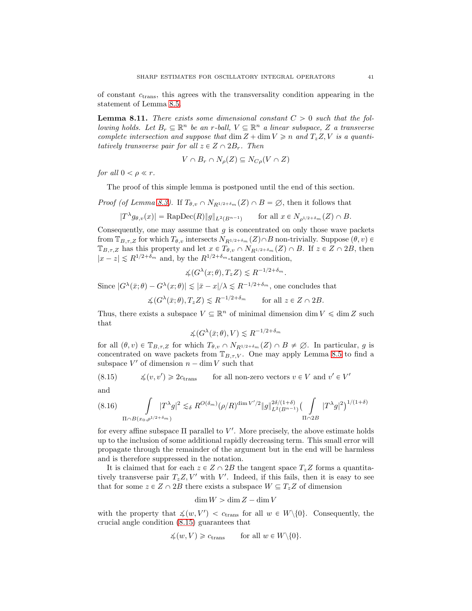of constant  $c_{trans}$ , this agrees with the transversality condition appearing in the statement of Lemma 8.5.

**Lemma 8.11.** There exists some dimensional constant  $C > 0$  such that the following holds. Let  $B_r \subseteq \mathbb{R}^n$  be an r-ball,  $V \subseteq \mathbb{R}^n$  a linear subspace, Z a transverse complete intersection and suppose that dim  $Z + \dim V \geq n$  and  $T_z Z, V$  is a quantitatively transverse pair for all  $z \in Z \cap 2B_r$ . Then

$$
V \cap B_r \cap N_{\rho}(Z) \subseteq N_{C\rho}(V \cap Z)
$$

for all  $0 < \rho \ll r$ .

The proof of this simple lemma is postponed until the end of this section.

*Proof (of Lemma 8.3).* If  $T_{\theta,\nu} \cap N_{R^{1/2+\delta_m}}(Z) \cap B = \emptyset$ , then it follows that

$$
|T^{\lambda}g_{\theta,v}(x)| = \text{RapDec}(R) \|g\|_{L^2(B^{n-1})} \qquad \text{for all } x \in N_{\rho^{1/2+\delta_m}}(Z) \cap B.
$$

Consequently, one may assume that  $g$  is concentrated on only those wave packets from  $\mathbb{T}_{B,\tau,Z}$  for which  $T_{\theta,v}$  intersects  $N_{R^{1/2+\delta_m}}(Z)\cap B$  non-trivially. Suppose  $(\theta, v)\in$  $\mathbb{T}_{B,\tau,Z}$  has this property and let  $x \in T_{\theta,v} \cap N_{R^{1/2+\delta_m}}(Z) \cap B$ . If  $z \in Z \cap 2B$ , then  $|x - z| \le R^{1/2 + \delta_m}$  and, by the  $R^{1/2 + \delta_m}$ -tangent condition,

$$
\measuredangle(G^{\lambda}(x;\theta),T_zZ) \lesssim R^{-1/2+\delta_m}.
$$

Since  $|G^{\lambda}(\bar{x};\theta) - G^{\lambda}(x;\theta)| \lesssim |\bar{x} - x|/\lambda \lesssim R^{-1/2+\delta_m}$ , one concludes that

$$
\measuredangle(G^\lambda(\bar{x}; \theta), T_z Z) \lesssim R^{-1/2 + \delta_m} \quad \text{for all } z \in Z \cap 2B.
$$

Thus, there exists a subspace  $V \subseteq \mathbb{R}^n$  of minimal dimension  $\dim V \leq \dim Z$  such that

$$
\measuredangle(G^\lambda(\bar{x};\theta), V) \lesssim R^{-1/2 + \delta_m}
$$

for all  $(\theta, v) \in \mathbb{T}_{B,\tau,Z}$  for which  $T_{\theta, v} \cap N_{R^{1/2+\delta_m}}(Z) \cap B \neq \emptyset$ . In particular, g is concentrated on wave packets from  $\mathbb{T}_{B,\tau,V}$ . One may apply Lemma 8.5 to find a subspace  $V'$  of dimension  $n - \dim V$  such that

(8.15) 
$$
\leq (v, v') \geq 2c_{\text{trans}}
$$
 for all non-zero vectors  $v \in V$  and  $v' \in V'$ 

and

$$
(8.16)\int_{\Pi \cap B(x_0, \rho^{1/2+\delta_m})} |T^{\lambda}g|^2 \lesssim_{\delta} R^{O(\delta_m)}(\rho/R)^{\dim V'/2} \|g\|_{L^2(B^{n-1})}^{2\delta/(1+\delta)} \Big(\int_{\Pi \cap 2B} |T^{\lambda}g|^2\Big)^{1/(1+\delta)}
$$

for every affine subspace  $\Pi$  parallel to  $V'$ . More precisely, the above estimate holds up to the inclusion of some additional rapidly decreasing term. This small error will propagate through the remainder of the argument but in the end will be harmless and is therefore suppressed in the notation.

It is claimed that for each  $z \in Z \cap 2B$  the tangent space  $T_z Z$  forms a quantitatively transverse pair  $T_z Z, V'$  with V'. Indeed, if this fails, then it is easy to see that for some  $z \in Z \cap 2B$  there exists a subspace  $W \subseteq T_zZ$  of dimension

$$
\dim W > \dim Z - \dim V
$$

with the property that  $\measuredangle(w, V') < c_{trans}$  for all  $w \in W \setminus \{0\}$ . Consequently, the crucial angle condition (8.15) guarantees that

$$
\measuredangle(w, V) \geq c_{\text{trans}} \quad \text{for all } w \in W \setminus \{0\}.
$$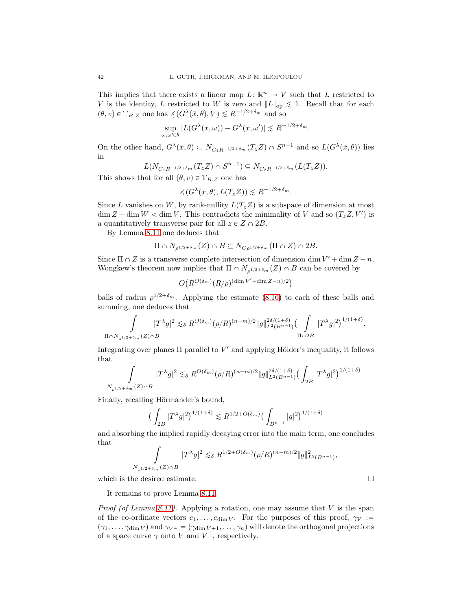This implies that there exists a linear map  $L: \mathbb{R}^n \to V$  such that L restricted to V is the identity, L restricted to W is zero and  $||L||_{op} \leq 1$ . Recall that for each  $(\theta, v) \in \mathbb{T}_{B,Z}$  one has  $\measuredangle(G^{\lambda}(\bar{x}, \theta), V) \lesssim R^{-1/2 + \delta_m}$  and so

$$
\sup_{\omega,\omega'\in\theta}|L(G^{\lambda}(\bar{x},\omega))-G^{\lambda}(\bar{x},\omega')|\lesssim R^{-1/2+\delta_m}.
$$

On the other hand,  $G^{\lambda}(\bar{x}, \theta) \subset N_{C_1R^{-1/2+\delta_m}}(T_zZ) \cap S^{n-1}$  and so  $L(G^{\lambda}(\bar{x}, \theta))$  lies in

$$
L(N_{C_1R^{-1/2+\delta_m}}(T_zZ)\cap S^{n-1})\subseteq N_{C_2R^{-1/2+\delta_m}}(L(T_zZ)).
$$

This shows that for all  $(\theta, v) \in \mathbb{T}_{B,Z}$  one has

$$
\measuredangle(G^{\lambda}(\bar{x},\theta), L(T_z Z)) \lesssim R^{-1/2 + \delta_m}.
$$

Since L vanishes on W, by rank-nullity  $L(T_zZ)$  is a subspace of dimension at most  $\dim Z - \dim W < \dim V$ . This contradicts the minimality of V and so  $(T_z Z, V')$  is a quantitatively transverse pair for all  $z \in Z \cap 2B$ .

By Lemma 8.11 one deduces that

$$
\Pi \cap N_{\rho^{1/2+\delta_m}}(Z) \cap B \subseteq N_{C\rho^{1/2+\delta_m}}(\Pi \cap Z) \cap 2B.
$$

Since  $\Pi \cap Z$  is a transverse complete intersection of dimension dim  $V' + \dim Z - n$ , Wongkew's theorem now implies that  $\Pi \cap N_{\rho^{1/2+\delta_m}}(Z) \cap B$  can be covered by

$$
O(R^{O(\delta_m)}(R/\rho)^{(\dim V' + \dim Z - n)/2})
$$

balls of radius  $\rho^{1/2+\delta_m}$ . Applying the estimate (8.16) to each of these balls and summing, one deduces that

$$
\int\limits_{\Pi\cap N_\rho\textbf{1/2}+\delta_m(Z)\cap B} |T^\lambda g|^2\lesssim_\delta R^{O(\delta_m)}(\rho/R)^{(n-m)/2}\|g\|_{L^2(B^{n-1})}^{2\delta/(1+\delta)}\big(\int\limits_{\Pi\cap 2B} |T^\lambda g|^2\big)^{1/(1+\delta)}.
$$

Integrating over planes  $\Pi$  parallel to  $V'$  and applying Hölder's inequality, it follows that

$$
\int\limits_{N_\rho 1/2 + \delta_m(Z)\cap B} |T^\lambda g|^2 \lesssim_\delta R^{O(\delta_m)}(\rho/R)^{(n-m)/2} \|g\|_{L^2(B^{n-1})}^{2\delta/(1+\delta)} \big(\int_{2B} |T^\lambda g|^2\big)^{1/(1+\delta)}.
$$

Finally, recalling Hörmander's bound,

$$
\big(\int_{2B}|T^{\lambda}g|^{2}\big)^{1/(1+\delta)}\lesssim R^{1/2+O(\delta_{m})}\big(\int_{B^{n-1}}|g|^{2}\big)^{1/(1+\delta)}
$$

and absorbing the implied rapidly decaying error into the main term, one concludes that

$$
\int_{N_{\rho^{1/2+\delta_m}}(Z)\cap B} |T^{\lambda}g|^2 \lesssim_{\delta} R^{1/2+O(\delta_m)}(\rho/R)^{(n-m)/2} \|g\|_{L^2(B^{n-1})}^2,
$$

which is the desired estimate.  $\hfill \square$ 

It remains to prove Lemma 8.11.

*Proof (of Lemma 8.11).* Applying a rotation, one may assume that  $V$  is the span of the co-ordinate vectors  $e_1, \ldots, e_{\dim V}$ . For the purposes of this proof,  $\gamma_V :=$  $(\gamma_1, \ldots, \gamma_{\dim V})$  and  $\gamma_{V^{\perp}} = (\gamma_{\dim V +1}, \ldots, \gamma_n)$  will denote the orthogonal projections of a space curve  $\gamma$  onto V and  $V^{\perp}$ , respectively.

$$
\sqcup
$$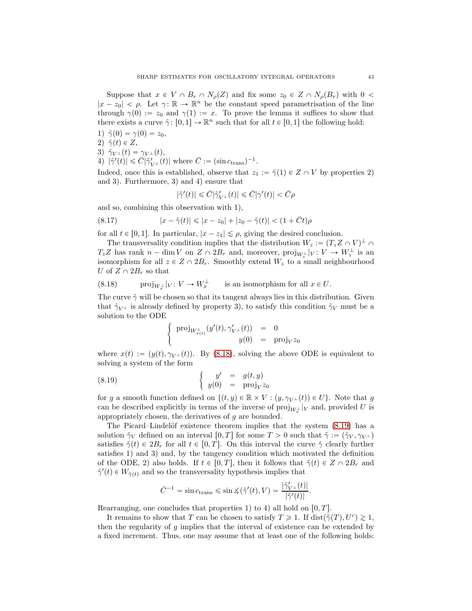Suppose that  $x \in V \cap B_r \cap N_\rho(Z)$  and fix some  $z_0 \in Z \cap N_\rho(B_r)$  with  $0 <$  $|x - z_0| < \rho$ . Let  $\gamma: \mathbb{R} \to \mathbb{R}^n$  be the constant speed parametrisation of the line through  $\gamma(0) := z_0$  and  $\gamma(1) := x$ . To prove the lemma it suffices to show that there exists a curve  $\tilde{\gamma}$ :  $[0,1] \to \mathbb{R}^n$  such that for all  $t \in [0,1]$  the following hold:

- 1)  $\tilde{\gamma}(0) = \gamma(0) = z_0$ ,
- 2)  $\tilde{\gamma}(t) \in Z$ ,
- 3)  $\tilde{\gamma}_{V^{\perp}}(t) = \gamma_{V^{\perp}}(t),$
- 4)  $|\tilde{\gamma}'(t)| \leq \bar{C} |\tilde{\gamma}'_{V^{\perp}}(t)|$  where  $\bar{C} := (\sin c_{trans})^{-1}$ .

Indeed, once this is established, observe that  $z_1 := \tilde{\gamma}(1) \in Z \cap V$  by properties 2) and 3). Furthermore, 3) and 4) ensure that

$$
|\tilde{\gamma}'(t)|\leqslant \bar{C}|\tilde{\gamma}'_{V^{\perp}}(t)|\leqslant \bar{C}|\gamma'(t)|<\bar{C}\rho
$$

and so, combining this observation with 1),

(8.17) 
$$
|x - \tilde{\gamma}(t)| \le |x - z_0| + |z_0 - \tilde{\gamma}(t)| < (1 + \bar{C}t)\rho
$$

for all  $t \in [0, 1]$ . In particular,  $|x - z_1| \leq \rho$ , giving the desired conclusion.

The transversality condition implies that the distribution  $W_z := (T_z Z \cap V)^{\perp} \cap$  $T_z Z$  has rank  $n - \dim V$  on  $Z \cap 2B_r$  and, moreover,  $\text{proj}_{W_z^{\perp}}|_V : V \to W_z^{\perp}$  is an isomorphism for all  $z \in Z \cap 2B_r$ . Smoothly extend  $W_z$  to a small neighbourhood U of  $Z \cap 2B_r$  so that

(8.18) 
$$
\operatorname{proj}_{W_x^{\perp}}|_V \colon V \to W_x^{\perp}
$$
 is an isomorphism for all  $x \in U$ .

The curve  $\tilde{\gamma}$  will be chosen so that its tangent always lies in this distribution. Given that  $\tilde{\gamma}_{V^{\perp}}$  is already defined by property 3), to satisfy this condition  $\tilde{\gamma}_V$  must be a solution to the ODE

$$
\left\{ \begin{array}{rcl} \mathrm{proj}_{W_{x(t)}^\perp} (y'(t), \gamma'_{V^\perp}(t)) & = & 0 \\ y(0) & = & \mathrm{proj}_V z_0 \end{array} \right.
$$

where  $x(t) := (y(t), \gamma_{V^{\perp}}(t))$ . By (8.18), solving the above ODE is equivalent to solving a system of the form

(8.19) 
$$
\begin{cases} y' = g(t, y) \\ y(0) = \text{proj}_V z_0 \end{cases}
$$

for g a smooth function defined on  $\{(t, y) \in \mathbb{R} \times V : (y, \gamma_{V^{\perp}}(t)) \in U\}$ . Note that g can be described explicitly in terms of the inverse of  $\text{proj}_{W_x^{\perp}}|_V$  and, provided U is appropriately chosen, the derivatives of g are bounded.

The Picard–Lindelöf existence theorem implies that the system  $(8.19)$  has a solution  $\tilde{\gamma}_V$  defined on an interval  $[0, T]$  for some  $T > 0$  such that  $\tilde{\gamma} := (\tilde{\gamma}_V, \gamma_{V^{\perp}})$ satisfies  $\tilde{\gamma}(t) \in 2B_r$  for all  $t \in [0, T]$ . On this interval the curve  $\tilde{\gamma}$  clearly further satisfies 1) and 3) and, by the tangency condition which motivated the definition of the ODE, 2) also holds. If  $t \in [0, T]$ , then it follows that  $\tilde{\gamma}(t) \in Z \cap 2B_r$  and  $\tilde{\gamma}'(t) \in W_{\tilde{\gamma}(t)}$  and so the transversality hypothesis implies that

$$
\bar{C}^{-1} = \sin c_{\text{trans}} \leqslant \sin \measuredangle(\tilde{\gamma}'(t), V) = \frac{|\tilde{\gamma}'_{V^{\perp}}(t)|}{|\tilde{\gamma}'(t)|}.
$$

Rearranging, one concludes that properties 1) to 4) all hold on  $[0, T]$ .

It remains to show that T can be chosen to satisfy  $T \geq 1$ . If  $dist(\tilde{\gamma}(T), U^c) \geq 1$ , then the regularity of  $g$  implies that the interval of existence can be extended by a fixed increment. Thus, one may assume that at least one of the following holds: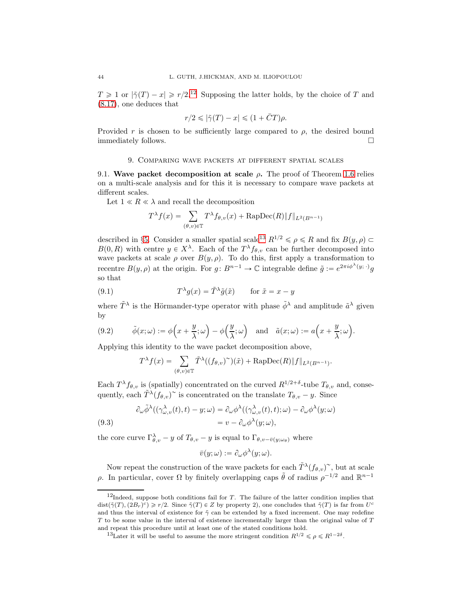$T \geq 1$  or  $|\tilde{\gamma}(T) - x| \geq r/2^{12}$  Supposing the latter holds, by the choice of T and (8.17), one deduces that

$$
r/2 \leqslant |\tilde{\gamma}(T) - x| \leqslant (1 + \bar{C}T)\rho.
$$

Provided r is chosen to be sufficiently large compared to  $\rho$ , the desired bound immediately follows.

## 9. Comparing wave packets at different spatial scales

9.1. Wave packet decomposition at scale  $\rho$ . The proof of Theorem 1.6 relies on a multi-scale analysis and for this it is necessary to compare wave packets at different scales.

Let  $1 \ll R \ll \lambda$  and recall the decomposition

$$
T^{\lambda}f(x) = \sum_{(\theta,v)\in\mathbb{T}} T^{\lambda}f_{\theta,v}(x) + \text{RapDec}(R)\|f\|_{L^{2}(B^{n-1})}
$$

described in §5. Consider a smaller spatial scale<sup>13</sup>  $R^{1/2} \leq \rho \leq R$  and fix  $B(y, \rho) \subset$  $B(0,R)$  with centre  $y \in X^{\lambda}$ . Each of the  $T^{\lambda}f_{\theta,v}$  can be further decomposed into wave packets at scale  $\rho$  over  $B(y, \rho)$ . To do this, first apply a transformation to recentre  $B(y, \rho)$  at the origin. For  $g : B^{n-1} \to \mathbb{C}$  integrable define  $\tilde{g} := e^{2\pi i \phi^{\lambda}(y; \cdot)} g$ so that

(9.1) 
$$
T^{\lambda}g(x) = \tilde{T}^{\lambda}\tilde{g}(\tilde{x}) \quad \text{for } \tilde{x} = x - y
$$

where  $\tilde{T}^{\lambda}$  is the Hörmander-type operator with phase  $\tilde{\phi}^{\lambda}$  and amplitude  $\tilde{a}^{\lambda}$  given by

(9.2) 
$$
\tilde{\phi}(x;\omega) := \phi\left(x + \frac{y}{\lambda};\omega\right) - \phi\left(\frac{y}{\lambda};\omega\right)
$$
 and  $\tilde{a}(x;\omega) := a\left(x + \frac{y}{\lambda};\omega\right).$ 

Applying this identity to the wave packet decomposition above,

$$
T^{\lambda} f(x) = \sum_{(\theta,v)\in\mathbb{T}} \tilde{T}^{\lambda}((f_{\theta,v})^{\sim})(\tilde{x}) + \text{RapDec}(R) \|f\|_{L^{2}(B^{n-1})}.
$$

Each  $T^{\lambda} f_{\theta, v}$  is (spatially) concentrated on the curved  $R^{1/2+\delta}$ -tube  $T_{\theta, v}$  and, consequently, each  $\tilde{T}^{\lambda}(f_{\theta,v})^{\sim}$  is concentrated on the translate  $T_{\theta,v} - y$ . Since

(9.3)  
\n
$$
\partial_{\omega} \tilde{\phi}^{\lambda}((\gamma_{{\omega},v}^{\lambda}(t),t) - y; \omega) = \partial_{\omega} \phi^{\lambda}((\gamma_{{\omega},v}^{\lambda}(t),t); \omega) - \partial_{\omega} \phi^{\lambda}(y; \omega)
$$
\n
$$
= v - \partial_{\omega} \phi^{\lambda}(y; \omega),
$$

the core curve  $\Gamma_{\theta,v}^{\lambda} - y$  of  $T_{\theta,v} - y$  is equal to  $\Gamma_{\theta,v-\bar{v}(y;\omega_{\theta})}$  where

$$
\bar{v}(y; \omega) := \partial_{\omega} \phi^{\lambda}(y; \omega).
$$

Now repeat the construction of the wave packets for each  $\tilde{T}^{\lambda}(f_{\theta,v})^{\sim}$ , but at scale ρ. In particular, cover Ω by finitely overlapping caps  $\tilde{\theta}$  of radius  $\rho^{-1/2}$  and  $\mathbb{R}^{n-1}$ 

 $12$ Indeed, suppose both conditions fail for T. The failure of the latter condition implies that  $dist(\tilde{\gamma}(T), (2B_r)^c) \geq r/2$ . Since  $\tilde{\gamma}(T) \in Z$  by property 2), one concludes that  $\tilde{\gamma}(T)$  is far from  $U^c$ and thus the interval of existence for  $\tilde{\gamma}$  can be extended by a fixed increment. One may redefine T to be some value in the interval of existence incrementally larger than the original value of T and repeat this procedure until at least one of the stated conditions hold.

<sup>&</sup>lt;sup>13</sup>Later it will be useful to assume the more stringent condition  $R^{1/2} \leq \rho \leq R^{1-2\delta}$ .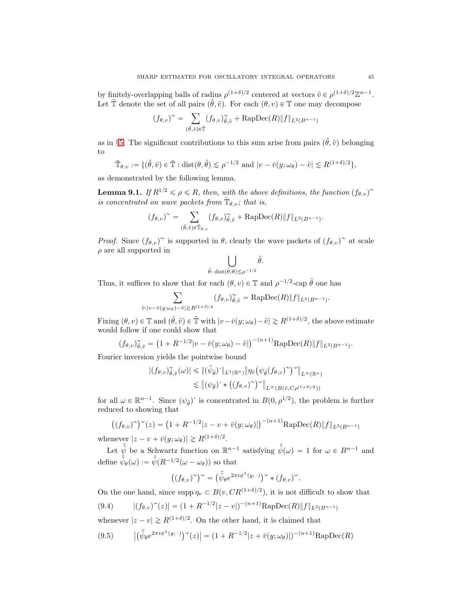by finitely-overlapping balls of radius  $\rho^{(1+\delta)/2}$  centered at vectors  $\tilde{v} \in \rho^{(1+\delta)/2}\mathbb{Z}^{n-1}$ . Let  $\tilde{\mathbb{T}}$  denote the set of all pairs  $(\tilde{\theta}, \tilde{v})$ . For each  $(\theta, v) \in \mathbb{T}$  one may decompose

$$
(f_{\theta,v})^{\sim} = \sum_{(\tilde{\theta},\tilde{v}) \in \tilde{\mathbb{T}}} (f_{\theta,v})_{\tilde{\theta},\tilde{v}}^{\sim} + \text{RapDec}(R) \|f\|_{L^2(B^{n-1})}
$$

as in §5. The significant contributions to this sum arise from pairs  $(\tilde{\theta}, \tilde{v})$  belonging to

$$
\tilde{\mathbb{T}}_{\theta,v} := \{(\tilde{\theta},\tilde{v}) \in \tilde{\mathbb{T}} : \text{dist}(\theta,\tilde{\theta}) \lesssim \rho^{-1/2} \text{ and } |v - \bar{v}(y;\omega_{\theta}) - \tilde{v}| \lesssim R^{(1+\delta)/2}\},
$$

as demonstrated by the following lemma.

**Lemma 9.1.** If  $R^{1/2} \le \rho \le R$ , then, with the above definitions, the function  $(f_{\theta,v})^{\sim}$ is concentrated on wave packets from  $\tilde{\mathbb{T}}_{\theta,v}$ ; that is,

$$
(f_{\theta,v})^{\sim} = \sum_{(\tilde{\theta},\tilde{v}) \in \tilde{\mathbb{T}}_{\theta,v}} (f_{\theta,v})_{\tilde{\theta},\tilde{v}}^{\sim} + \text{RapDec}(R) \|f\|_{L^2(B^{n-1})}.
$$

*Proof.* Since  $(f_{\theta,v})^{\sim}$  is supported in  $\theta$ , clearly the wave packets of  $(f_{\theta,v})^{\sim}$  at scale  $\rho$  are all supported in

$$
\bigcup_{\tilde{\theta}: \; \text{dist}(\tilde{\theta}, \theta) \lesssim \rho^{-1/2}} \tilde{\theta}.
$$

Thus, it suffices to show that for each  $(\theta, v) \in \mathbb{T}$  and  $\rho^{-1/2}$ -cap  $\tilde{\theta}$  one has

$$
\sum_{\tilde{v}:|v-\tilde{v}(y;\omega_{\theta})-\tilde{v}|\gtrsim R^{(1+\delta)/2}}(f_{\theta,v})_{\tilde{\theta},\tilde{v}}^{\sim}=\mathrm{RapDec}(R)\|f\|_{L^{2}(B^{n-1})}.
$$

Fixing  $(\theta, v) \in \mathbb{T}$  and  $(\tilde{\theta}, \tilde{v}) \in \tilde{\mathbb{T}}$  with  $|v - \bar{v}(y; \omega_{\theta}) - \tilde{v}| \ge R^{(1+\delta)/2}$ , the above estimate would follow if one could show that

$$
(f_{\theta,\upsilon})_{\tilde{\theta},\tilde{\upsilon}}^{\sim} = \left(1 + R^{-1/2} |v - \bar{v}(y;\omega_{\theta}) - \tilde{v}|\right)^{-(n+1)} \mathrm{RapDec}(R) \|f\|_{L^{2}(B^{n-1})}.
$$

Fourier inversion yields the pointwise bound

$$
|(f_{\theta,v})\tilde{\theta}_{,\tilde{v}}(\omega)| \leq \|(\tilde{\psi}_{\tilde{\theta}})^{\check{}}\|_{L^{1}(\mathbb{R}^{n})} \|\eta_{\tilde{v}}(\psi_{\tilde{\theta}}(f_{\theta,v})^{\check{}})\check{ }\|_{L^{\infty}(\mathbb{R}^{n})}
$$
  

$$
\lesssim \|(\psi_{\tilde{\theta}})^{\check{}} * ((f_{\theta,v})^{\check{}})\check{ }\|_{L^{\infty}(B(\tilde{v},C\rho^{(1+\delta)/2}))}
$$

for all  $\omega \in \mathbb{R}^{n-1}$ . Since  $(\psi_{\tilde{\theta}})^{\tilde{}}$  is concentrated in  $B(0, \rho^{1/2})$ , the problem is further reduced to showing that

$$
((f_{\theta,v})^{\sim})^{\sim}(z) = (1 + R^{-1/2} |z - v + \bar{v}(y; \omega_{\theta})|)^{-(n+1)} \text{RapDec}(R) \|f\|_{L^{2}(B^{n-1})}
$$

whenever  $|z - v + \bar{v}(y; \omega_{\theta})| \ge R^{(1+\delta)/2}$ .

Let  $\tilde{\psi}$  be a Schwartz function on  $\mathbb{R}^{n-1}$  satisfying  $\tilde{\tilde{\psi}}(\omega) = 1$  for  $\omega \in B^{n-1}$  and define  $\tilde{\tilde{\psi}}_{\theta}(\omega) := \tilde{\tilde{\psi}}(R^{-1/2}(\omega - \omega_{\theta}))$  so that

$$
((f_{\theta,v})^{\sim})^{\sim} = (\tilde{\tilde{\psi}}_{\theta}e^{2\pi i\phi^{\lambda}(y;\,\cdot)})^{\sim} * (f_{\theta,v})^{\sim}.
$$

On the one hand, since  $\text{supp }\eta_v \subset B(v, CR^{(1+\delta)/2})$ , it is not difficult to show that

$$
(9.4) \qquad |(f_{\theta,v})^{\sim}(z)| = (1 + R^{-1/2}|z-v|)^{-(n+1)} \text{RapDec}(R) \|f\|_{L^2(B^{n-1})}
$$

whenever  $|z - v| \ge R^{(1 + \delta)/2}$ . On the other hand, it is claimed that

$$
(9.5) \qquad \left| \left( \tilde{\tilde{\psi}}_{\theta} e^{2\pi i \phi^{\lambda}(y; \cdot)} \right)^{\sim}(z) \right| = (1 + R^{-1/2} |z + \bar{v}(y; \omega_{\theta})|)^{-(n+1)} \text{RapDec}(R)
$$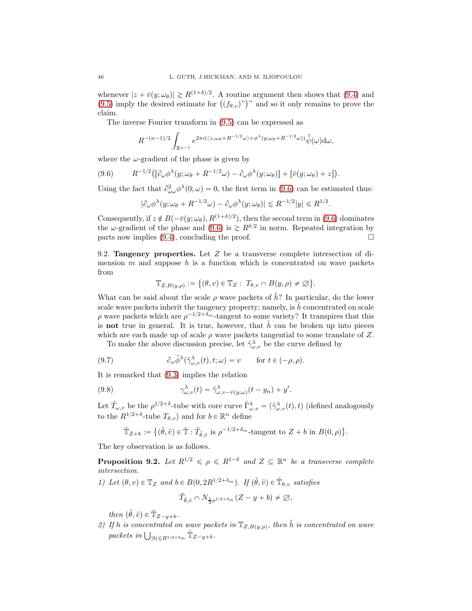whenever  $|z + \bar{v}(y; \omega_\theta)| \gtrsim R^{(1+\delta)/2}$ . A routine argument then shows that (9.4) and  $(9.5)$  imply the desired estimate for  $((f_{\theta,v})^{\sim})^{\sim}$  and so it only remains to prove the claim.

The inverse Fourier transform in (9.5) can be expressed as

$$
R^{-(n-1)/2}\int_{\mathbb{R}^{n-1}}e^{2\pi i(\langle z,\omega_{\theta}+R^{-1/2}\omega\rangle+\phi^{\lambda}(y;\omega_{\theta}+R^{-1/2}\omega))}\tilde{\tilde{\psi}}(\omega)\mathrm{d}\omega,
$$

where the  $\omega$ -gradient of the phase is given by

$$
(9.6) \qquad R^{-1/2} \big( [\partial_{\omega} \phi^{\lambda}(y; \omega_{\theta} + R^{-1/2} \omega) - \partial_{\omega} \phi^{\lambda}(y; \omega_{\theta})] + [\overline{v}(y; \omega_{\theta}) + z] \big).
$$

Using the fact that  $\partial_{\omega\omega}^2 \phi^{\lambda}(0;\omega) = 0$ , the first term in (9.6) can be estimated thus:

$$
|\partial_{\omega}\phi^{\lambda}(y;\omega_{\theta} + R^{-1/2}\omega) - \partial_{\omega}\phi^{\lambda}(y;\omega_{\theta})| \lesssim R^{-1/2}|y| \le R^{1/2}.
$$

Consequently, if  $z \notin B(-\bar{v}(y; \omega_\theta), R^{(1+\delta)/2})$ , then the second term in (9.6) dominates the  $\omega$ -gradient of the phase and (9.6) is  $\gtrsim R^{\delta/2}$  in norm. Repeated integration by parts now implies  $(9.4)$ , concluding the proof.

9.2. **Tangency properties.** Let  $Z$  be a transverse complete intersection of dimension  $m$  and suppose  $h$  is a function which is concentrated on wave packets from

$$
\mathbb{T}_{Z,B(y,\rho)} := \big\{(\theta,v) \in \mathbb{T}_Z : T_{\theta,v} \cap B(y,\rho) \neq \varnothing \big\}.
$$

What can be said about the scale  $\rho$  wave packets of  $\tilde{h}$ ? In particular, do the lower scale wave packets inherit the tangency property; namely, is  $\tilde{h}$  concentrated on scale  $\rho$  wave packets which are  $\rho^{-1/2+\delta_m}$ -tangent to some variety? It transpires that this is not true in general. It is true, however, that  $\hat{h}$  can be broken up into pieces which are each made up of scale  $\rho$  wave packets tangential to some translate of Z.

To make the above discussion precise, let  $\tilde{\gamma}^{\lambda}_{\omega,v}$  be the curve defined by

(9.7) 
$$
\partial_{\omega} \tilde{\phi}^{\lambda}(\tilde{\gamma}^{\lambda}_{\omega,v}(t), t; \omega) = v \quad \text{for } t \in (-\rho, \rho).
$$

It is remarked that (9.3) implies the relation

(9.8) 
$$
\gamma_{\omega,v}^{\lambda}(t) = \tilde{\gamma}_{\omega,v-\bar{v}(y;\omega)}^{\lambda}(t-y_n) + y'.
$$

Let  $\tilde{T}_{\omega,v}$  be the  $\rho^{1/2+\delta}$ -tube with core curve  $\tilde{\Gamma}^{\lambda}_{\omega,v} = (\tilde{\gamma}^{\lambda}_{\omega,v}(t), t)$  (defined analogously to the  $R^{1/2+\delta}$ -tube  $T_{\theta,v}$ ) and for  $b \in \mathbb{R}^n$  define

$$
\tilde{\mathbb{T}}_{Z+b} := \{ (\tilde{\theta}, \tilde{v}) \in \tilde{\mathbb{T}} : \tilde{T}_{\tilde{\theta}, \tilde{v}} \text{ is } \rho^{-1/2 + \delta_m} \text{-tangent to } Z + b \text{ in } B(0, \rho) \}.
$$

The key observation is as follows.

**Proposition 9.2.** Let  $R^{1/2} \leq \rho \leq R^{1-\delta}$  and  $Z \subseteq \mathbb{R}^n$  be a transverse complete intersection.

1) Let  $(\theta, v) \in \mathbb{T}_Z$  and  $b \in B(0, 2R^{1/2+\delta_m})$ . If  $(\tilde{\theta}, \tilde{v}) \in \tilde{\mathbb{T}}_{\theta, v}$  satisfies

$$
\tilde{T}_{\tilde{\theta},\tilde{v}} \cap N_{\frac{1}{2}\rho^{1/2+\delta_m}}(Z-y+b) \neq \varnothing,
$$

then  $(\tilde{\theta}, \tilde{v}) \in \tilde{\mathbb{T}}_{Z-y+b}$ .

2) If h is concentrated on wave packets in  $\mathbb{T}_{Z,B(y,\rho)}$ , then  $\tilde{h}$  is concentrated on wave packets in  $\bigcup_{|b| \leq R^{1/2+\delta_m}} \tilde{\mathbb{T}}_{Z-y+b}.$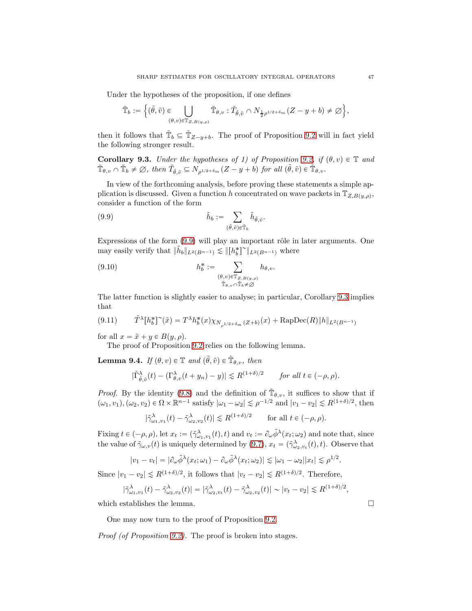Under the hypotheses of the proposition, if one defines

$$
\tilde{\mathbb{T}}_b:=\Big\{(\tilde{\theta},\tilde{v})\in\bigcup_{(\theta,v)\in\mathbb{T}_{Z,B(y,\rho)}}\tilde{\mathbb{T}}_{\theta,v}:\tilde{T}_{\tilde{\theta},\tilde{v}}\cap N_{\frac{1}{2}\rho^{1/2+\delta_m}}(Z-y+b)\neq\varnothing\Big\},
$$

then it follows that  $\tilde{\mathbb{T}}_b \subseteq \tilde{\mathbb{T}}_{Z-y+b}$ . The proof of Proposition 9.2 will in fact yield the following stronger result.

**Corollary 9.3.** Under the hypotheses of 1) of Proposition 9.2, if  $(\theta, v) \in \mathbb{T}$  and  $\tilde{\mathbb{T}}_{\theta,v} \cap \tilde{\mathbb{T}}_b \neq \emptyset$ , then  $\tilde{T}_{\tilde{\theta},\tilde{v}} \subseteq N_{\rho^{1/2+\delta_m}}(Z-y+b)$  for all  $(\tilde{\theta},\tilde{v}) \in \tilde{\mathbb{T}}_{\theta,v}$ .

In view of the forthcoming analysis, before proving these statements a simple application is discussed. Given a function h concentrated on wave packets in  $\mathbb{T}_{Z,B(y,\rho)}$ , consider a function of the form

(9.9) 
$$
\tilde{h}_b := \sum_{(\tilde{\theta}, \tilde{v}) \in \tilde{\mathbb{T}}_b} \tilde{h}_{\tilde{\theta}, \tilde{v}}.
$$

Expressions of the form  $(9.9)$  will play an important rôle in later arguments. One may easily verify that  $\|\tilde{h}_b\|_{L^2(B^{n-1})} \lesssim \|h_b^*\|_{L^2(B^{n-1})}$  where

(9.10) 
$$
h_b^* := \sum_{\substack{(\theta,v)\in \mathbb{T}_{Z,B(y,\rho)}\\ \tilde{\mathbb{T}}_{\theta,v} \cap \tilde{\mathbb{T}}_b \neq \emptyset}} h_{\theta,v}.
$$

The latter function is slightly easier to analyse; in particular, Corollary 9.3 implies that

$$
(9.11) \t\t \tilde{T}^{\lambda}[h_b^*]^{\sim}(\tilde{x}) = T^{\lambda}h_b^*(x)\chi_{N_{\rho^{1/2+\delta_m}}(Z+b)}(x) + \text{RapDec}(R)\|h\|_{L^2(B^{n-1})}
$$

for all  $x = \tilde{x} + y \in B(y, \rho)$ .

The proof of Proposition 9.2 relies on the following lemma.

**Lemma 9.4.** If  $(\theta, v) \in \mathbb{T}$  and  $(\tilde{\theta}, \tilde{v}) \in \tilde{\mathbb{T}}_{\theta, v}$ , then

$$
|\tilde{\Gamma}_{\theta,\tilde{v}}^{\lambda}(t)-(\Gamma_{\theta,v}^{\lambda}(t+y_n)-y)|\lesssim R^{(1+\delta)/2} \quad \text{for all } t\in (-\rho,\rho).
$$

*Proof.* By the identity (9.8) and the definition of  $\tilde{\mathbb{T}}_{\theta,v}$ , it suffices to show that if  $(\omega_1, v_1), (\omega_2, v_2) \in \Omega \times \mathbb{R}^{n-1}$  satisfy  $|\omega_1 - \omega_2| \lesssim \rho^{-1/2}$  and  $|v_1 - v_2| \lesssim R^{(1+\delta)/2}$ , then

$$
|\tilde{\gamma}_{\omega_1,v_1}^\lambda(t)-\tilde{\gamma}_{\omega_2,v_2}^\lambda(t)|\lesssim R^{(1+\delta)/2}\qquad\text{for all }t\in(-\rho,\rho).
$$

Fixing  $t \in (-\rho, \rho)$ , let  $x_t := (\tilde{\gamma}_{\omega_1, v_1}^{\lambda}(t), t)$  and  $v_t := \partial_{\omega} \tilde{\phi}^{\lambda}(x_t; \omega_2)$  and note that, since the value of  $\tilde{\gamma}_{\omega,v}(t)$  is uniquely determined by (9.7),  $x_t = (\tilde{\gamma}_{\omega_2,v_t}^{\lambda}(t), t)$ . Observe that

$$
|v_1 - v_t| = |\partial_{\omega} \tilde{\phi}^{\lambda}(x_t; \omega_1) - \partial_{\omega} \tilde{\phi}^{\lambda}(x_t; \omega_2)| \lesssim |\omega_1 - \omega_2| |x_t| \lesssim \rho^{1/2}.
$$

Since  $|v_1 - v_2| \le R^{(1+\delta)/2}$ , it follows that  $|v_t - v_2| \le R^{(1+\delta)/2}$ . Therefore,

$$
|\tilde{\gamma}_{\omega_1,v_1}^{\lambda}(t)-\tilde{\gamma}_{\omega_2,v_2}^{\lambda}(t)|=|\tilde{\gamma}_{\omega_2,v_t}^{\lambda}(t)-\tilde{\gamma}_{\omega_2,v_2}^{\lambda}(t)|\sim |v_t-v_2|\lesssim R^{(1+\delta)/2},
$$

which establishes the lemma.  $\Box$ 

One may now turn to the proof of Proposition 9.2.

Proof (of Proposition 9.2). The proof is broken into stages.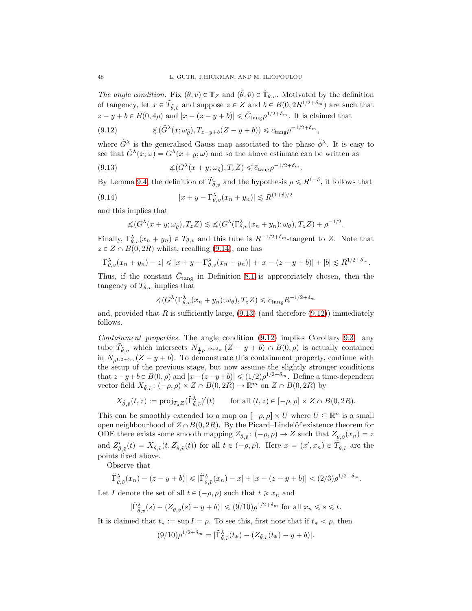The angle condition. Fix  $(\theta, v) \in \mathbb{T}_Z$  and  $(\tilde{\theta}, \tilde{v}) \in \tilde{\mathbb{T}}_{\theta, v}$ . Motivated by the definition of tangency, let  $x \in \tilde{T}_{\tilde{\theta}, \tilde{v}}$  and suppose  $z \in Z$  and  $b \in B(0, 2R^{1/2+\delta_m})$  are such that  $|z - y + b \in B(0, 4\rho)$  and  $|x - (z - y + b)| \leq \bar{C}_{\text{tang}} \rho^{1/2 + \delta_m}$ . It is claimed that

$$
(9.12) \qquad \qquad \measuredangle(\tilde{G}^{\lambda}(x;\omega_{\tilde{\theta}}),T_{z-y+b}(Z-y+b)) \leq \bar{c}_{\text{tang}}\rho^{-1/2+\delta_m},
$$

where  $\tilde{G}^{\lambda}$  is the generalised Gauss map associated to the phase  $\tilde{\phi}^{\lambda}$ . It is easy to see that  $\tilde{G}^{\lambda}(x;\omega) = G^{\lambda}(x+y;\omega)$  and so the above estimate can be written as

(9.13) 
$$
\measuredangle(G^{\lambda}(x+y;\omega_{\tilde{\theta}}),T_zZ) \leq \bar{c}_{\text{tang}}\rho^{-1/2+\delta_m}.
$$

By Lemma 9.4, the definition of  $\tilde{T}_{\tilde{\theta}, \tilde{v}}$  and the hypothesis  $\rho \le R^{1-\delta}$ , it follows that

$$
(9.14) \t\t |x + y - \Gamma_{\theta,v}^{\lambda}(x_n + y_n)| \lesssim R^{(1+\delta)/2}
$$

and this implies that

$$
\measuredangle(G^{\lambda}(x+y;\omega_{\tilde{\theta}}),T_zZ)\lesssim \measuredangle(G^{\lambda}(\Gamma^{\lambda}_{\theta,v}(x_n+y_n);\omega_{\theta}),T_zZ)+\rho^{-1/2}.
$$

Finally,  $\Gamma_{\theta,v}^{\lambda}(x_n+y_n) \in T_{\theta,v}$  and this tube is  $R^{-1/2+\delta_m}$ -tangent to Z. Note that  $z \in Z \cap B(0, 2R)$  whilst, recalling (9.14), one has

$$
|\Gamma_{\theta,v}^{\lambda}(x_n + y_n) - z| \le |x + y - \Gamma_{\theta,v}^{\lambda}(x_n + y_n)| + |x - (z - y + b)| + |b| \le R^{1/2 + \delta_m}.
$$

Thus, if the constant  $\bar{C}_{\text{tang}}$  in Definition 8.1 is appropriately chosen, then the tangency of  $T_{\theta,v}$  implies that

$$
\measuredangle(G^{\lambda}(\Gamma^{\lambda}_{\theta,v}(x_n+y_n);\omega_{\theta}),T_zZ)\leq \bar{c}_{\rm tang}R^{-1/2+\delta_m}
$$

and, provided that R is sufficiently large,  $(9.13)$  (and therefore  $(9.12)$ ) immediately follows.

Containment properties. The angle condition (9.12) implies Corollary 9.3: any tube  $\tilde{T}_{\tilde{\theta},\tilde{v}}$  which intersects  $N_{\frac{1}{2}\rho^{1/2+\delta_m}}(Z-y+b)\cap B(0,\rho)$  is actually contained in  $N_{a^{1/2+\delta_m}}(Z - y + b)$ . To demonstrate this containment property, continue with the setup of the previous stage, but now assume the slightly stronger conditions that  $z-y+b \in B(0, \rho)$  and  $|x-(z-y+b)| \leq (1/2)\rho^{1/2+\delta_m}$ . Define a time-dependent vector field  $X_{\tilde{\theta}, \tilde{v}}$ :  $(-\rho, \rho) \times Z \cap B(0, 2R) \to \mathbb{R}^m$  on  $Z \cap B(0, 2R)$  by

$$
X_{\tilde{\theta},\tilde{v}}(t,z) := \text{proj}_{T_z Z}(\tilde{\Gamma}_{\tilde{\theta},\tilde{v}}^{\lambda})'(t) \quad \text{for all } (t,z) \in [-\rho, \rho] \times Z \cap B(0, 2R).
$$

This can be smoothly extended to a map on  $[-\rho, \rho] \times U$  where  $U \subseteq \mathbb{R}^n$  is a small open neighbourhood of  $Z \cap B(0, 2R)$ . By the Picard–Lindelöf existence theorem for ODE there exists some smooth mapping  $Z_{\tilde{\theta}, \tilde{v}}$ :  $(-\rho, \rho) \to Z$  such that  $Z_{\tilde{\theta}, \tilde{v}}(x_n) = z$ and  $Z'_{\tilde{\theta}, \tilde{v}}(t) = X_{\tilde{\theta}, \tilde{v}}(t, Z_{\tilde{\theta}, \tilde{v}}(t))$  for all  $t \in (-\rho, \rho)$ . Here  $x = (x', x_n) \in \tilde{T}_{\tilde{\theta}, \tilde{v}}$  are the points fixed above.

Observe that

$$
|\tilde{\Gamma}_{\tilde{\theta},\tilde{v}}^{\lambda}(x_n)-(z-y+b)| \leq |\tilde{\Gamma}_{\tilde{\theta},\tilde{v}}^{\lambda}(x_n)-x|+|x-(z-y+b)| < (2/3)\rho^{1/2+\delta_m}.
$$

Let I denote the set of all  $t \in (-\rho, \rho)$  such that  $t \geq x_n$  and

$$
|\tilde{\Gamma}_{\tilde{\theta},\tilde{v}}^{\lambda}(s)-(Z_{\tilde{\theta},\tilde{v}}(s)-y+b)|\leqslant (9/10)\rho^{1/2+\delta_m} \text{ for all } x_n\leqslant s\leqslant t.
$$

It is claimed that  $t_* := \sup I = \rho$ . To see this, first note that if  $t_* < \rho$ , then

$$
(9/10)\rho^{1/2+\delta_m} = |\tilde{\Gamma}_{\tilde{\theta},\tilde{v}}^{\lambda}(t_*) - (Z_{\tilde{\theta},\tilde{v}}(t_*) - y + b)|.
$$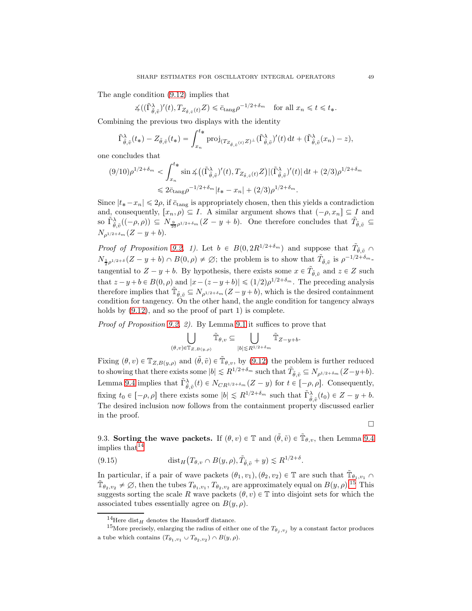The angle condition (9.12) implies that

$$
\measuredangle((\tilde{\Gamma}_{\hat{\theta},\tilde{v}}^{\lambda})'(t),T_{Z_{\tilde{\theta},\tilde{v}}(t)}Z) \leq \bar{c}_{\tan\beta}\rho^{-1/2+\delta_m} \quad \text{for all } x_n \leq t \leq t_*.
$$

Combining the previous two displays with the identity

$$
\tilde{\Gamma}_{\tilde{\theta},\tilde{v}}^{\lambda}(t_{*}) - Z_{\tilde{\theta},\tilde{v}}(t_{*}) = \int_{x_{n}}^{t_{*}} \mathrm{proj}_{(T_{Z_{\tilde{\theta},\tilde{v}}(t)}Z)^{\perp}}(\tilde{\Gamma}_{\tilde{\theta},\tilde{v}}^{\lambda})'(t) dt + (\tilde{\Gamma}_{\tilde{\theta},\tilde{v}}^{\lambda}(x_{n}) - z),
$$

one concludes that

$$
(9/10)\rho^{1/2+\delta_m} < \int_{x_n}^{t_*} \sin \measuredangle ((\tilde{\Gamma}_{\tilde{\theta},\tilde{v}}^{\lambda})'(t), T_{Z_{\tilde{\theta},\tilde{v}}(t)}Z) |(\tilde{\Gamma}_{\tilde{\theta},\tilde{v}}^{\lambda})'(t)| dt + (2/3)\rho^{1/2+\delta_m} \n\leq 2\bar{c}_{\tan\beta}\rho^{-1/2+\delta_m}|t_* - x_n| + (2/3)\rho^{1/2+\delta_m}.
$$

Since  $|t_* - x_n| \leq 2\rho$ , if  $\bar{c}_{\text{tang}}$  is appropriately chosen, then this yields a contradiction and, consequently,  $[x_n, \rho) \subseteq I$ . A similar argument shows that  $(-\rho, x_n] \subseteq I$  and so  $\tilde{\Gamma}_{\tilde{\theta},\tilde{v}}^{\lambda}((-\rho,\rho)) \subseteq N_{\frac{9}{10}\rho^{1/2+\delta_m}}(Z-y+b)$ . One therefore concludes that  $\tilde{T}_{\tilde{\theta},\tilde{v}} \subseteq$  $N_{\rho^{1/2+\delta_m}} (Z - y + b).$ 

*Proof of Proposition 9.2, 1).* Let  $b \in B(0, 2R^{1/2+\delta_m})$  and suppose that  $\tilde{T}_{\tilde{\theta}, \tilde{v}}$  $N_{\frac{1}{2}\rho^{1/2+\delta}}(Z-y+b)\cap B(0,\rho)\neq\emptyset;$  the problem is to show that  $\tilde{T}_{\tilde{\theta},\tilde{v}}$  is  $\rho^{-1/2+\delta_m}$ . tangential to  $Z - y + b$ . By hypothesis, there exists some  $x \in \tilde{T}_{\tilde{\theta}, \tilde{v}}$  and  $z \in Z$  such that  $z - y + b \in B(0, \rho)$  and  $|x - (z - y + b)| \leq (1/2)\rho^{1/2+\delta_m}$ . The preceding analysis therefore implies that  $\tilde{\mathbb{T}}_{\tilde{\theta},\tilde{v}} \subseteq N_{\rho^{1/2+\delta_m}}(Z-y+b)$ , which is the desired containment condition for tangency. On the other hand, the angle condition for tangency always holds by  $(9.12)$ , and so the proof of part 1) is complete.

Proof of Proposition 9.2, 2). By Lemma 9.1 it suffices to prove that

$$
\bigcup_{(\theta,v)\in\mathbb{T}_{Z,B(y,\rho)}}\tilde{\mathbb{T}}_{\theta,v}\subseteq\bigcup_{|b|\lesssim R^{1/2+\delta_m}}\tilde{\mathbb{T}}_{Z-y+b}.
$$

Fixing  $(\theta, v) \in \mathbb{T}_{Z, B(y, \rho)}$  and  $(\tilde{\theta}, \tilde{v}) \in \tilde{\mathbb{T}}_{\theta, v}$ , by (9.12) the problem is further reduced to showing that there exists some  $|b| \le R^{1/2+\delta_m}$  such that  $\tilde{T}_{\tilde{\theta},\tilde{v}} \subseteq N_{\rho^{1/2+\delta_m}}(Z-y+b)$ . Lemma 9.4 implies that  $\tilde{\Gamma}_{\tilde{\theta},\tilde{v}}^{\lambda}(t) \in N_{CR^{1/2+\delta_m}}(Z-y)$  for  $t \in [-\rho, \rho]$ . Consequently, fixing  $t_0 \in [-\rho, \rho]$  there exists some  $|b| \le R^{1/2+\delta_m}$  such that  $\tilde{\Gamma}_{\tilde{\theta},\tilde{v}}^{\lambda}(t_0) \in Z - y + b$ . The desired inclusion now follows from the containment property discussed earlier in the proof.

 $\Box$ 

9.3. Sorting the wave packets. If  $(\theta, v) \in \mathbb{T}$  and  $(\tilde{\theta}, \tilde{v}) \in \tilde{\mathbb{T}}_{\theta, v}$ , then Lemma 9.4 implies that  $14$ 

(9.15) 
$$
\text{dist}_H(T_{\theta,v} \cap B(y,\rho), \tilde{T}_{\tilde{\theta},\tilde{v}} + y) \lesssim R^{1/2+\delta}.
$$

In particular, if a pair of wave packets  $(\theta_1, v_1), (\theta_2, v_2) \in \mathbb{T}$  are such that  $\tilde{\mathbb{T}}_{\theta_1, v_1} \cap$  $\tilde{\mathbb{T}}_{\theta_2,v_2} \neq \emptyset$ , then the tubes  $T_{\theta_1,v_1}, T_{\theta_2,v_2}$  are approximately equal on  $B(y,\rho)$ .<sup>15</sup> This suggests sorting the scale R wave packets  $(\theta, v) \in \mathbb{T}$  into disjoint sets for which the associated tubes essentially agree on  $B(y, \rho)$ .

<sup>&</sup>lt;sup>14</sup>Here dist<sub>H</sub> denotes the Hausdorff distance.

<sup>&</sup>lt;sup>15</sup>More precisely, enlarging the radius of either one of the  $T_{\theta_j, v_j}$  by a constant factor produces a tube which contains  $(T_{\theta_1,v_1} \cup T_{\theta_2,v_2}) \cap B(y,\rho)$ .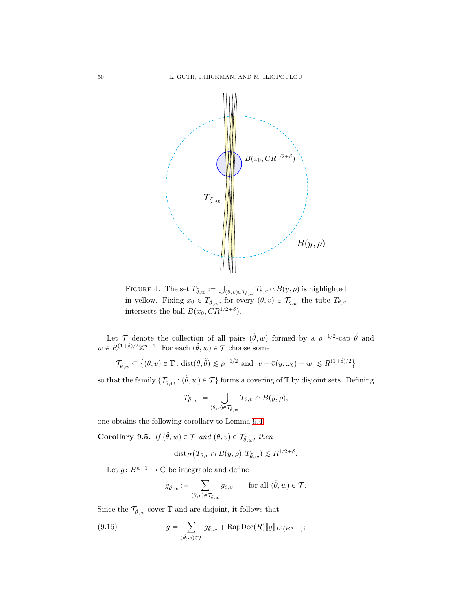

FIGURE 4. The set  $T_{\tilde{\theta},w} := \bigcup_{(\theta,v)\in\mathcal{T}_{\tilde{\theta},w}} T_{\theta,v} \cap B(y,\rho)$  is highlighted in yellow. Fixing  $x_0 \in T_{\tilde{\theta},w}$ , for every  $(\theta, v) \in \mathcal{T}_{\tilde{\theta},w}$  the tube  $T_{\theta,v}$ intersects the ball  $B(x_0, CR^{1/2+\delta}).$ 

Let  $\mathcal T$  denote the collection of all pairs  $(\tilde{\theta}, w)$  formed by a  $\rho^{-1/2}$ -cap  $\tilde{\theta}$  and  $w \in R^{(1+\delta)/2}\mathbb{Z}^{n-1}$ . For each  $(\tilde{\theta}, w) \in \mathcal{T}$  choose some

$$
\mathcal{T}_{\tilde{\theta},w} \subseteq \{(\theta, v) \in \mathbb{T} : \text{dist}(\theta, \tilde{\theta}) \le \rho^{-1/2} \text{ and } |v - \bar{v}(y; \omega_{\theta}) - w| \le R^{(1+\delta)/2} \}
$$

so that the family  $\{\mathcal{T}_{\tilde{\theta},w} : (\tilde{\theta},w) \in \mathcal{T}\}\)$  forms a covering of  $\mathbb{T}$  by disjoint sets. Defining

$$
T_{\tilde{\theta},w}:=\bigcup_{(\theta,v)\in\mathcal{T}_{\tilde{\theta},w}}T_{\theta,v}\cap B(y,\rho),
$$

one obtains the following corollary to Lemma 9.4.

Corollary 9.5. If  $(\tilde{\theta}, w) \in \mathcal{T}$  and  $(\theta, v) \in \mathcal{T}_{\tilde{\theta}, w}$ , then

$$
dist_H(T_{\theta,v} \cap B(y,\rho), T_{\tilde{\theta},w}) \lesssim R^{1/2+\delta}.
$$

Let  $g\colon B^{n-1}\to\mathbb{C}$  be integrable and define

$$
g_{\tilde{\theta},w} := \sum_{(\theta,v) \in \mathcal{T}_{\tilde{\theta},w}} g_{\theta,v} \quad \text{for all } (\tilde{\theta},w) \in \mathcal{T}.
$$

Since the  $\mathcal{T}_{\tilde{\theta},w}$  cover  $\mathbb T$  and are disjoint, it follows that

(9.16) 
$$
g = \sum_{(\tilde{\theta},w)\in\mathcal{T}} g_{\tilde{\theta},w} + \text{RapDec}(R) \|g\|_{L^2(B^{n-1})};
$$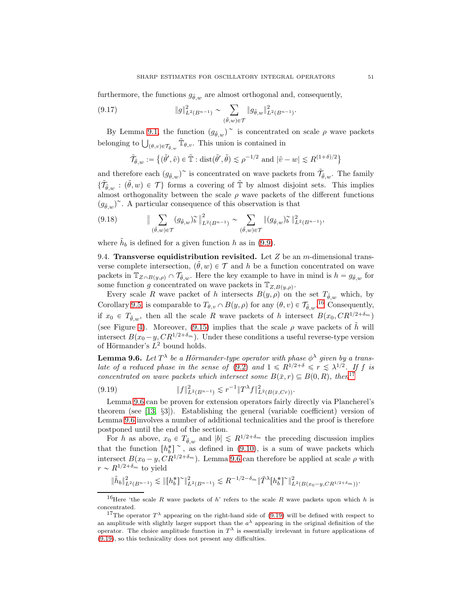furthermore, the functions  $g_{\tilde{\theta},w}$  are almost orthogonal and, consequently,

(9.17) 
$$
\|g\|_{L^2(B^{n-1})}^2 \sim \sum_{(\tilde{\theta},w)\in\mathcal{T}} \|g_{\tilde{\theta},w}\|_{L^2(B^{n-1})}^2.
$$

By Lemma 9.1, the function  $(g_{\tilde{\theta},w})^{\sim}$  is concentrated on scale  $\rho$  wave packets belonging to  $\bigcup_{(\theta, v)\in \mathcal{T}_{\tilde{\theta},w}} \tilde{\mathbb{T}}_{\theta,v}$ . This union is contained in

$$
\tilde{\mathcal{T}}_{\tilde{\theta},w} := \{ (\tilde{\theta}', \tilde{v}) \in \tilde{\mathbb{T}} : \text{dist}(\tilde{\theta}', \tilde{\theta}) \leq \rho^{-1/2} \text{ and } |\tilde{v} - w| \leq R^{(1+\delta)/2} \}
$$

and therefore each  $(g_{\tilde{\theta},w})^{\sim}$  is concentrated on wave packets from  $\tilde{\mathcal{T}}_{\tilde{\theta},w}$ . The family  $\{\tilde{\mathcal{T}}_{\tilde{\theta},w} : (\tilde{\theta},w) \in \mathcal{T}\}\)$  forms a covering of  $\tilde{\mathbb{T}}$  by almost disjoint sets. This implies almost orthogonality between the scale  $\rho$  wave packets of the different functions  $(g_{\tilde{\theta},w})^{\sim}$ . A particular consequence of this observation is that

$$
(9.18) \qquad \|\sum_{(\tilde{\theta},w)\in\mathcal{T}} (g_{\tilde{\theta},w})\tilde{\omega}\|_{L^2(B^{n-1})}^2 \sim \sum_{(\tilde{\theta},w)\in\mathcal{T}} \|(g_{\tilde{\theta},w})\tilde{\omega}\|_{L^2(B^{n-1})}^2,
$$

where  $\tilde{h}_b$  is defined for a given function h as in (9.9).

9.4. Transverse equidistribution revisited. Let Z be an m-dimensional transverse complete intersection,  $(\tilde{\theta}, w) \in \mathcal{T}$  and h be a function concentrated on wave packets in  $\mathbb{T}_{Z\cap B(y,\rho)}\cap \mathcal{T}_{\tilde{\theta},w}$ . Here the key example to have in mind is  $h = g_{\tilde{\theta},w}$  for some function g concentrated on wave packets in  $\mathbb{T}_{Z,B(y,\rho)}$ .

Every scale R wave packet of h intersects  $B(y, \rho)$  on the set  $T_{\tilde{\theta},w}$  which, by Corollary 9.5, is comparable to  $T_{\theta,v} \cap B(y,\rho)$  for any  $(\theta, v) \in \mathcal{T}_{\tilde{\theta},w}$ .<sup>16</sup> Consequently, if  $x_0 \in T_{\tilde{\theta},w}$ , then all the scale R wave packets of h intersect  $B(x_0, CR^{1/2+\delta_m})$ (see Figure 4). Moreover, (9.15) implies that the scale  $\rho$  wave packets of  $\tilde{h}$  will intersect  $B(x_0 - y, CR^{1/2+\delta_m})$ . Under these conditions a useful reverse-type version of Hörmander's  $L^2$  bound holds.

**Lemma 9.6.** Let  $T^{\lambda}$  be a Hörmander-type operator with phase  $\phi^{\lambda}$  given by a translate of a reduced phase in the sense of (9.2) and  $1 \le R^{1/2+\delta} \le r \le \lambda^{1/2}$ . If f is concentrated on wave packets which intersect some  $B(\bar{x}, r) \subseteq B(0, R)$ , then<sup>17</sup>

$$
(9.19) \t\t\t\t||f||_{L^2(B^{n-1})}^2 \lesssim r^{-1}||T^{\lambda}f||_{L^2(B(\bar{x},Cr))}^2.
$$

Lemma 9.6 can be proven for extension operators fairly directly via Plancherel's theorem (see [13, §3]). Establishing the general (variable coefficient) version of Lemma 9.6 involves a number of additional technicalities and the proof is therefore postponed until the end of the section.

For h as above,  $x_0 \in T_{\tilde{\theta},w}$  and  $|b| \le R^{1/2+\delta_m}$  the preceding discussion implies that the function  $[h_b^*]^{\sim}$ , as defined in (9.10), is a sum of wave packets which intersect  $B(x_0 - y, C R^{1/2+\delta_m})$ . Lemma 9.6 can therefore be applied at scale  $\rho$  with  $r \sim R^{1/2+\delta_m}$  to yield

$$
\|\tilde h_b\|_{L^2(B^{n-1})}^2\lesssim \|[h_b^*]^\sim\|_{L^2(B^{n-1})}^2\lesssim R^{-1/2-\delta_m}\|\tilde T^\lambda[h_b^*]^\sim\|_{L^2(B(x_0-y, CR^{1/2+\delta_m}))}^2.
$$

<sup>&</sup>lt;sup>16</sup>Here 'the scale R wave packets of h' refers to the scale R wave packets upon which h is concentrated.

<sup>&</sup>lt;sup>17</sup>The operator  $T^{\lambda}$  appearing on the right-hand side of (9.19) will be defined with respect to an amplitude with slightly larger support than the  $a^{\lambda}$  appearing in the original definition of the operator. The choice amplitude function in  $T^{\lambda}$  is essentially irrelevant in future applications of (9.19), so this technicality does not present any difficulties.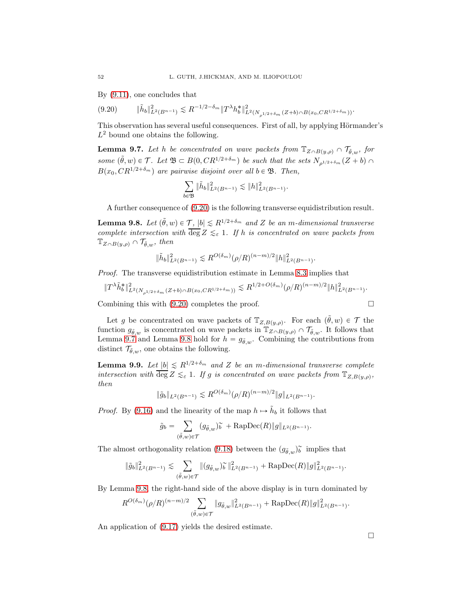By (9.11), one concludes that

$$
(9.20) \t\t\t ||\tilde{h}_b||^2_{L^2(B^{n-1})} \lesssim R^{-1/2-\delta_m} \|T^\lambda h_b^*\|^2_{L^2(N_{\rho^{1/2+\delta_m}}(Z+b)\cap B(x_0,CR^{1/2+\delta_m}))}.
$$

This observation has several useful consequences. First of all, by applying Hörmander's  $L^2$  bound one obtains the following.

**Lemma 9.7.** Let h be concentrated on wave packets from  $\mathbb{T}_{Z\cap B(y,\rho)} \cap \mathcal{T}_{\tilde{\theta},w}$ , for some  $(\tilde{\theta}, w) \in \mathcal{T}$ . Let  $\mathfrak{B} \subset B(0, CR^{1/2+\delta_m})$  be such that the sets  $N_{\rho^{1/2+\delta_m}}(Z+b) \cap$  $B(x_0, CR^{1/2+\delta_m})$  are pairwise disjoint over all  $b \in \mathfrak{B}$ . Then,

$$
\sum_{b \in \mathfrak{B}} \|\tilde{h}_b\|_{L^2(B^{n-1})}^2 \lesssim \|h\|_{L^2(B^{n-1})}^2.
$$

A further consequence of (9.20) is the following transverse equidistribution result.

**Lemma 9.8.** Let  $(\tilde{\theta}, w) \in \mathcal{T}$ ,  $|b| \le R^{1/2+\delta_m}$  and Z be an m-dimensional transverse complete intersection with  $\overline{\deg} Z \leq_{\varepsilon} 1$ . If h is concentrated on wave packets from  $\mathbb{T}_{Z\cap B(y,\rho)}\cap \mathcal{T}_{\tilde{\theta},w}$ , then

$$
\|\tilde{h}_b\|_{L^2(B^{n-1})}^2 \lesssim R^{O(\delta_m)}(\rho/R)^{(n-m)/2} \|h\|_{L^2(B^{n-1})}^2.
$$

Proof. The transverse equidistribution estimate in Lemma 8.3 implies that

$$
||T^{\lambda}\tilde{h}_b^*||_{L^2(N_{\rho^{1/2+\delta_m}}(Z+b)\cap B(x_0,CR^{1/2+\delta_m}))}^2 \lesssim R^{1/2+O(\delta_m)}(\rho/R)^{(n-m)/2}||h||_{L^2(B^{n-1})}^2.
$$

Combining this with (9.20) completes the proof.

Let g be concentrated on wave packets of  $\mathbb{T}_{Z,B(y,\rho)}$ . For each  $(\tilde{\theta}, w) \in \mathcal{T}$  the function  $g_{\tilde{\theta},w}$  is concentrated on wave packets in  $\mathbb{T}_{Z\cap B(y,\rho)} \cap \mathcal{T}_{\tilde{\theta},w}$ . It follows that Lemma 9.7 and Lemma 9.8 hold for  $h = g_{\tilde{\theta},w}$ . Combining the contributions from distinct  $\mathcal{T}_{\tilde{\theta},w}$ , one obtains the following.

**Lemma 9.9.** Let  $|b| \le R^{1/2+\delta_m}$  and Z be an m-dimensional transverse complete intersection with  $\overline{\deg} Z \leq_{\varepsilon} 1$ . If g is concentrated on wave packets from  $\mathbb{T}_{Z,B(y,\rho)}$ , then

$$
\|\tilde{g}_b\|_{L^2(B^{n-1})} \lesssim R^{O(\delta_m)}(\rho/R)^{(n-m)/2} \|g\|_{L^2(B^{n-1})}.
$$

*Proof.* By (9.16) and the linearity of the map  $h \mapsto \tilde{h}_b$  it follows that

$$
\tilde{g}_b = \sum_{(\tilde{\theta},w)\in\mathcal{T}} (g_{\tilde{\theta},w})\tilde{b} + \text{RapDec}(R) \|g\|_{L^2(B^{n-1})}.
$$

The almost orthogonality relation (9.18) between the  $(g_{\tilde{\theta},w})^{\sim}$  implies that

$$
\|\tilde{g}_b\|_{L^2(B^{n-1})}^2 \lesssim \sum_{(\tilde{\theta},w)\in\mathcal{T}} \|(g_{\tilde{\theta},w})\tilde{b}\|_{L^2(B^{n-1})}^2 + \text{RapDec}(R)\|g\|_{L^2(B^{n-1})}^2.
$$

By Lemma 9.8, the right-hand side of the above display is in turn dominated by

$$
R^{O(\delta_{m})}(\rho/R)^{(n-m)/2}\sum_{(\tilde{\theta},w)\in\mathcal{T}}\|g_{\tilde{\theta},w}\|_{L^2(B^{n-1})}^2+\text{RapDec}(R)\|g\|_{L^2(B^{n-1})}^2.
$$

An application of (9.17) yields the desired estimate.

$$
\overline{a}
$$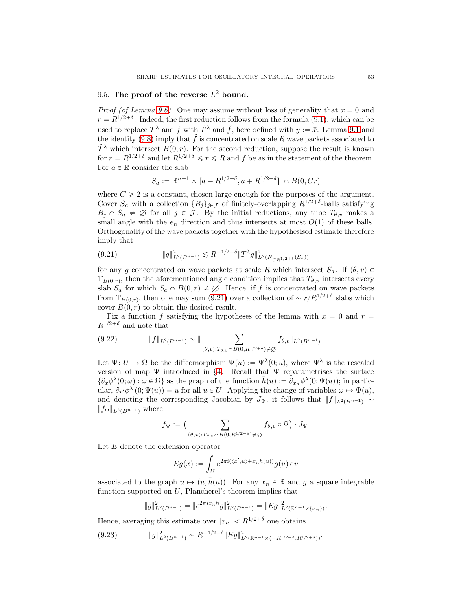# 9.5. The proof of the reverse  $L^2$  bound.

*Proof (of Lemma 9.6).* One may assume without loss of generality that  $\bar{x} = 0$  and  $r = R^{1/2+\delta}$ . Indeed, the first reduction follows from the formula (9.1), which can be used to replace  $T^{\lambda}$  and f with  $\tilde{T}^{\lambda}$  and  $\tilde{f}$ , here defined with  $y := \bar{x}$ . Lemma 9.1 and the identity (9.8) imply that  $\tilde{f}$  is concentrated on scale R wave packets associated to  $\tilde{T}^{\lambda}$  which intersect  $B(0, r)$ . For the second reduction, suppose the result is known for  $r = R^{1/2+\delta}$  and let  $R^{1/2+\delta} \leq r \leq R$  and f be as in the statement of the theorem. For  $a \in \mathbb{R}$  consider the slab

$$
S_a := \mathbb{R}^{n-1} \times [a - R^{1/2 + \delta}, a + R^{1/2 + \delta}] \cap B(0, Cr)
$$

where  $C \geqslant 2$  is a constant, chosen large enough for the purposes of the argument. Cover  $S_a$  with a collection  $\{B_j\}_{j\in\mathcal{J}}$  of finitely-overlapping  $R^{1/2+\delta}$ -balls satisfying  $B_j \cap S_a \neq \emptyset$  for all  $j \in \mathcal{J}$ . By the initial reductions, any tube  $T_{\theta,v}$  makes a small angle with the  $e_n$  direction and thus intersects at most  $O(1)$  of these balls. Orthogonality of the wave packets together with the hypothesised estimate therefore imply that

$$
(9.21) \t\t\t \|g\|_{L^2(B^{n-1})}^2 \lesssim R^{-1/2-\delta} \|T^{\lambda}g\|_{L^2(N_{CR^{1/2+\delta}}(S_a))}^2
$$

for any g concentrated on wave packets at scale R which intersect  $S_a$ . If  $(\theta, v) \in$  $\mathbb{T}_{B(0,r)}$ , then the aforementioned angle condition implies that  $T_{\theta,v}$  intersects every slab  $S_a$  for which  $S_a \cap B(0, r) \neq \emptyset$ . Hence, if f is concentrated on wave packets from  $\mathbb{T}_{B(0,r)}$ , then one may sum (9.21) over a collection of  $\sim r/R^{1/2+\delta}$  slabs which cover  $B(0, r)$  to obtain the desired result.

Fix a function f satisfying the hypotheses of the lemma with  $\bar{x} = 0$  and  $r =$  $R^{1/2+\delta}$  and note that

$$
(9.22) \t\t\t ||f||_{L^{2}(B^{n-1})} \sim ||\sum_{(\theta,v):T_{\theta,v}\cap B(0,R^{1/2+\delta})\neq \varnothing} f_{\theta,v}||_{L^{2}(B^{n-1})}.
$$

Let  $\Psi: U \to \Omega$  be the diffeomorphism  $\Psi(u) := \Psi^{\lambda}(0; u)$ , where  $\Psi^{\lambda}$  is the rescaled version of map  $\Psi$  introduced in §4. Recall that  $\Psi$  reparametrises the surface  $\{\partial_x \phi^{\lambda}(0; \omega) : \omega \in \Omega\}$  as the graph of the function  $\bar{h}(u) := \partial_{x_n} \phi^{\lambda}(0; \Psi(u))$ ; in particular,  $\partial_{x'} \phi^{\lambda}(0; \Psi(u)) = u$  for all  $u \in U$ . Applying the change of variables  $\omega \mapsto \Psi(u)$ , and denoting the corresponding Jacobian by  $J_{\Psi}$ , it follows that  $||f||_{L^2(B^{n-1})} \sim$  $||f_{\Psi}||_{L^2(B^{n-1})}$  where

$$
f_{\Psi} := \Big( \sum_{(\theta, v) : T_{\theta, v} \cap B(0, R^{1/2 + \delta}) \neq \varnothing} f_{\theta, v} \circ \Psi \Big) \cdot J_{\Psi}.
$$

Let  $E$  denote the extension operator

$$
Eg(x) := \int_U e^{2\pi i (\langle x', u \rangle + x_n \bar{h}(u))} g(u) \, \mathrm{d}u
$$

associated to the graph  $u \mapsto (u, \bar{h}(u))$ . For any  $x_n \in \mathbb{R}$  and g a square integrable function supported on  $U$ , Plancherel's theorem implies that

$$
||g||_{L^{2}(B^{n-1})}^{2} = ||e^{2\pi ix_{n}\bar{h}}g||_{L^{2}(B^{n-1})}^{2} = ||Eg||_{L^{2}(\mathbb{R}^{n-1}\times\{x_{n}\})}^{2}.
$$

Hence, averaging this estimate over  $|x_n| < R^{1/2+\delta}$  one obtains

$$
(9.23) \t\t ||g||_{L^{2}(B^{n-1})}^{2} \sim R^{-1/2-\delta} ||Eg||_{L^{2}(\mathbb{R}^{n-1}\times(-R^{1/2+\delta},R^{1/2+\delta}))}^{2}.
$$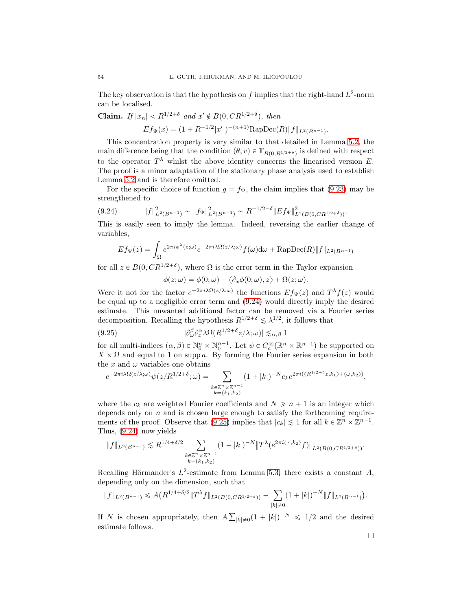The key observation is that the hypothesis on f implies that the right-hand  $L^2$ -norm can be localised.

**Claim.** If  $|x_n| < R^{1/2+\delta}$  and  $x' \notin B(0, CR^{1/2+\delta})$ , then  $Ef_{\Psi}(x) = (1 + R^{-1/2} |x'|)^{-(n+1)} \text{RapDec}(R) ||f||_{L^2(B^{n-1})}.$ 

This concentration property is very similar to that detailed in Lemma 5.2, the main difference being that the condition  $(\theta, v) \in \mathbb{T}_{B(0,R^{1/2+\delta})}$  is defined with respect to the operator  $T^{\lambda}$  whilst the above identity concerns the linearised version E. The proof is a minor adaptation of the stationary phase analysis used to establish Lemma 5.2 and is therefore omitted.

For the specific choice of function  $g = f_{\Psi}$ , the claim implies that (9.23) may be strengthened to

$$
(9.24) \t\t\t ||f||_{L^{2}(B^{n-1})}^{2} \sim ||f_{\Psi}||_{L^{2}(B^{n-1})}^{2} \sim R^{-1/2-\delta}||Ef_{\Psi}||_{L^{2}(B(0,CR^{1/2+\delta}))}^{2}.
$$

This is easily seen to imply the lemma. Indeed, reversing the earlier change of variables,

$$
Ef_{\Psi}(z) = \int_{\Omega} e^{2\pi i \phi^{\lambda}(z;\omega)} e^{-2\pi i \lambda \Omega(z/\lambda;\omega)} f(\omega) d\omega + \text{RapDec}(R) \|f\|_{L^{2}(B^{n-1})}
$$

for all  $z \in B(0, CR^{1/2+\delta})$ , where  $\Omega$  is the error term in the Taylor expansion

 $\phi(z; \omega) = \phi(0; \omega) + \langle \partial_x \phi(0; \omega), z \rangle + \Omega(z; \omega).$ 

Were it not for the factor  $e^{-2\pi i \lambda \Omega(z/\lambda;\omega)}$  the functions  $Ef_{\Psi}(z)$  and  $T^{\lambda}f(z)$  would be equal up to a negligible error term and (9.24) would directly imply the desired estimate. This unwanted additional factor can be removed via a Fourier series decomposition. Recalling the hypothesis  $R^{1/2+\delta} \lesssim \lambda^{1/2}$ , it follows that

(9.25) 
$$
|\partial_{\omega}^{\beta} \partial_{x}^{\alpha} \lambda \Omega(R^{1/2+\delta} z/\lambda; \omega)| \lesssim_{\alpha, \beta} 1
$$

for all multi-indices  $(\alpha, \beta) \in \mathbb{N}_0^n \times \mathbb{N}_0^{n-1}$ . Let  $\psi \in C_c^{\infty}(\mathbb{R}^n \times \mathbb{R}^{n-1})$  be supported on  $X \times \Omega$  and equal to 1 on supp a. By forming the Fourier series expansion in both the x and  $\omega$  variables one obtains

$$
e^{-2\pi i \lambda \Omega(z/\lambda;\omega)} \psi(z/R^{1/2+\delta};\omega) = \sum_{\substack{k \in \mathbb{Z}^n \times \mathbb{Z}^{n-1} \\ k=(k_1,k_2)}} (1+|k|)^{-N} c_k e^{2\pi i \langle \langle R^{1/2+\delta} z, k_1 \rangle + \langle \omega, k_2 \rangle \rangle},
$$

where the  $c_k$  are weighted Fourier coefficients and  $N \geq n + 1$  is an integer which depends only on  $n$  and is chosen large enough to satisfy the forthcoming requirements of the proof. Observe that  $(9.25)$  implies that  $|c_k| \lesssim 1$  for all  $k \in \mathbb{Z}^n \times \mathbb{Z}^{n-1}$ . Thus, (9.24) now yields

$$
\|f\|_{L^2(B^{n-1})} \lesssim R^{1/4+\delta/2} \sum_{\substack{k \in \mathbb{Z}^n \times \mathbb{Z}^{n-1} \\ k=(k_1,k_2)}} (1+|k|)^{-N} \|T^{\lambda}(e^{2\pi i \langle \cdot \cdot, k_2 \rangle} f)\|_{L^2(B(0, CR^{1/2+\delta}))}.
$$

Recalling Hörmander's  $L^2$ -estimate from Lemma 5.3, there exists a constant A, depending only on the dimension, such that

$$
||f||_{L^{2}(B^{n-1})} \leq A\big(R^{1/4+\delta/2}||T^{\lambda}f||_{L^{2}(B(0,CR^{1/2+\delta}))}+\sum_{|k|\neq 0}(1+|k|)^{-N}||f||_{L^{2}(B^{n-1})}\big).
$$

If N is chosen appropriately, then  $A\sum_{|k|\neq 0}(1+|k|)^{-N} \leq 1/2$  and the desired estimate follows.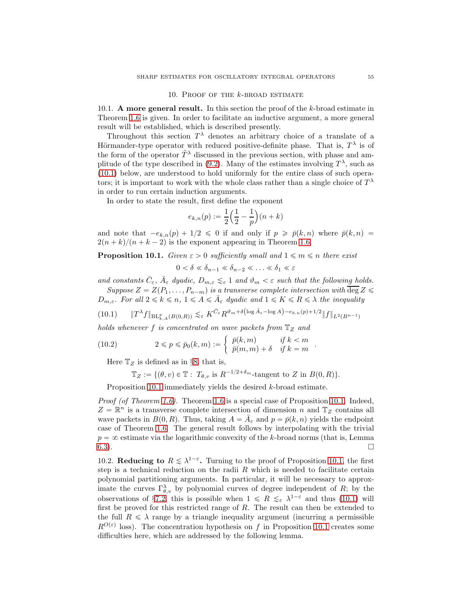#### 10. PROOF OF THE  $k$ -BROAD ESTIMATE

10.1. **A** more general result. In this section the proof of the  $k$ -broad estimate in Theorem 1.6 is given. In order to facilitate an inductive argument, a more general result will be established, which is described presently.

Throughout this section  $T^{\lambda}$  denotes an arbitrary choice of a translate of a Hörmander-type operator with reduced positive-definite phase. That is,  $T^{\lambda}$  is of the form of the operator  $\tilde{T}^{\lambda}$  discussed in the previous section, with phase and amplitude of the type described in (9.2). Many of the estimates involving  $T^{\lambda}$ , such as (10.1) below, are understood to hold uniformly for the entire class of such operators; it is important to work with the whole class rather than a single choice of  $T^{\lambda}$ in order to run certain induction arguments.

In order to state the result, first define the exponent

$$
e_{k,n}(p) := \frac{1}{2} \left( \frac{1}{2} - \frac{1}{p} \right) (n+k)
$$

and note that  $-e_{k,n}(p) + 1/2 \leq 0$  if and only if  $p \geq \bar{p}(k, n)$  where  $\bar{p}(k, n) =$  $2(n + k)/(n + k - 2)$  is the exponent appearing in Theorem 1.6.

**Proposition 10.1.** Given  $\varepsilon > 0$  sufficiently small and  $1 \leq m \leq n$  there exist

 $0 < \delta \ll \delta_{n-1} \ll \delta_{n-2} \ll \ldots \ll \delta_1 \ll \varepsilon$ 

and constants  $\bar{C}_{\varepsilon}$ ,  $\bar{A}_{\varepsilon}$  dyadic,  $D_{m,\varepsilon} \lesssim_{\varepsilon} 1$  and  $\vartheta_m < \varepsilon$  such that the following holds. Suppose  $Z = Z(P_1, \ldots, P_{n-m})$  is a transverse complete intersection with  $\overline{\deg} Z \leq$  $D_{m,\varepsilon}$ . For all  $2 \leq k \leq n, 1 \leq A \leq \overline{A}_{\varepsilon}$  dyadic and  $1 \leq K \leq R \leq \lambda$  the inequality

$$
(10.1) \qquad \|T^{\lambda}f\|_{\mathrm{BL}_{k,A}^p(B(0,R))} \lesssim_{\varepsilon} K^{\bar{C}_{\varepsilon}} R^{\vartheta_m + \delta\left(\log \bar{A}_{\varepsilon} - \log A\right) - e_{k,n}(p) + 1/2} \|f\|_{L^2(B^{n-1})}
$$

holds whenever f is concentrated on wave packets from  $\mathbb{T}_Z$  and

(10.2) 
$$
2 \leq p \leq \bar{p}_0(k,m) := \begin{cases} \bar{p}(k,m) & \text{if } k < m \\ \bar{p}(m,m) + \delta & \text{if } k = m \end{cases}
$$

Here  $\mathbb{T}_Z$  is defined as in §8; that is,

 $\mathbb{T}_Z := \{(\theta, v) \in \mathbb{T} : T_{\theta, v} \text{ is } R^{-1/2 + \delta_m} \text{-tangent to } Z \text{ in } B(0, R)\}.$ 

.

Proposition 10.1 immediately yields the desired k-broad estimate.

Proof (of Theorem 1.6). Theorem 1.6 is a special case of Proposition 10.1. Indeed,  $Z = \mathbb{R}^n$  is a transverse complete intersection of dimension n and  $\mathbb{T}_Z$  contains all wave packets in  $B(0, R)$ . Thus, taking  $A = \overline{A}_{\varepsilon}$  and  $p = \overline{p}(k, n)$  yields the endpoint case of Theorem 1.6. The general result follows by interpolating with the trivial  $p = \infty$  estimate via the logarithmic convexity of the k-broad norms (that is, Lemma  $\overline{6.3}$ ).

10.2. Reducing to  $R \leq \lambda^{1-\epsilon}$ . Turning to the proof of Proposition 10.1, the first step is a technical reduction on the radii  $R$  which is needed to facilitate certain polynomial partitioning arguments. In particular, it will be necessary to approximate the curves  $\Gamma_{\theta,\upsilon}^{\lambda}$  by polynomial curves of degree independent of R; by the observations of §7.2, this is possible when  $1 \le R \le \varepsilon \lambda^{1-\varepsilon}$  and thus (10.1) will first be proved for this restricted range of  $R$ . The result can then be extended to the full  $R \leq \lambda$  range by a triangle inequality argument (incurring a permissible  $R^{O(\varepsilon)}$  loss). The concentration hypothesis on f in Proposition 10.1 creates some difficulties here, which are addressed by the following lemma.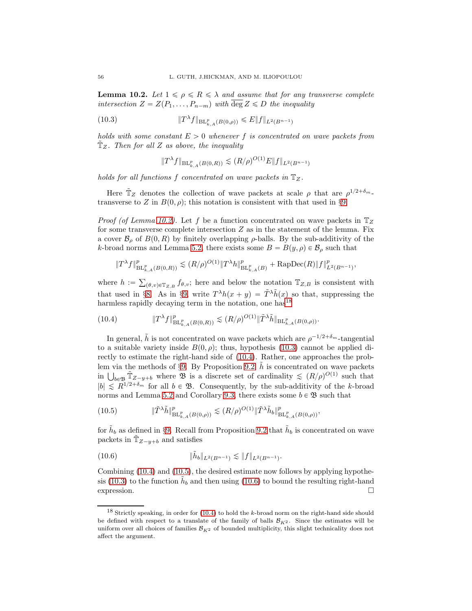**Lemma 10.2.** Let  $1 \leq \rho \leq R \leq \lambda$  and assume that for any transverse complete intersection  $Z = Z(P_1, \ldots, P_{n-m})$  with  $\overline{\deg} Z \leq D$  the inequality

(10.3) 
$$
\|T^{\lambda}f\|_{\text{BL}_{k,A}^p(B(0,\rho))} \leq E\|f\|_{L^2(B^{n-1})}
$$

holds with some constant  $E > 0$  whenever f is concentrated on wave packets from  $\mathbb{T}_Z$ . Then for all Z as above, the inequality

$$
||T^{\lambda}f||_{\mathrm{BL}_{k,A}^p(B(0,R))} \lesssim (R/\rho)^{O(1)}E||f||_{L^2(B^{n-1})}
$$

holds for all functions f concentrated on wave packets in  $\mathbb{T}_Z$ .

Here  $\tilde{T}_Z$  denotes the collection of wave packets at scale  $\rho$  that are  $\rho^{1/2+\delta_m}$ . transverse to Z in  $B(0, \rho)$ ; this notation is consistent with that used in §9.

*Proof (of Lemma 10.2).* Let f be a function concentrated on wave packets in  $\mathbb{T}_Z$ for some transverse complete intersection  $Z$  as in the statement of the lemma. Fix a cover  $\mathcal{B}_{\rho}$  of  $B(0, R)$  by finitely overlapping  $\rho$ -balls. By the sub-additivity of the k-broad norms and Lemma 5.2, there exists some  $B = B(y, \rho) \in \mathcal{B}_{\rho}$  such that

$$
\|T^{\lambda}f\|_{\mathrm{BL}_{k,A}^p(B(0,R))}^p \lesssim (R/\rho)^{O(1)} \|T^{\lambda}h\|_{\mathrm{BL}_{k,A}^p(B)}^p + \mathrm{RapDec}(R)\|f\|_{L^2(B^{n-1})}^p,
$$

where  $h := \sum_{(\theta,v)\in\mathbb{T}_{Z,B}} f_{\theta,v}$ ; here and below the notation  $\mathbb{T}_{Z,B}$  is consistent with that used in §8. As in §9, write  $T^{\lambda}h(x+y) = \tilde{T}^{\lambda}\tilde{h}(x)$  so that, suppressing the harmless rapidly decaying term in the notation, one has  $18$ 

(10.4) 
$$
\|T^{\lambda} f\|_{\mathrm{BL}_{k,A}^p(B(0,R))}^p \lesssim (R/\rho)^{O(1)} \|\tilde{T}^{\lambda}\tilde{h}\|_{\mathrm{BL}_{k,A}^p(B(0,\rho))}.
$$

In general,  $\tilde{h}$  is not concentrated on wave packets which are  $\rho^{-1/2+\delta_m}$ -tangential to a suitable variety inside  $B(0, \rho)$ ; thus, hypothesis (10.3) cannot be applied directly to estimate the right-hand side of (10.4). Rather, one approaches the problem via the methods of §9. By Proposition 9.2, h is concentrated on wave packets in  $\bigcup_{b \in \mathfrak{B}} \tilde{T}_{Z-y+b}$  where  $\mathfrak{B}$  is a discrete set of cardinality  $\leq (R/\rho)^{O(1)}$  such that  $|b| \le R^{1/2+\delta_m}$  for all  $b \in \mathfrak{B}$ . Consequently, by the sub-additivity of the k-broad norms and Lemma 5.2 and Corollary 9.3, there exists some  $b \in \mathfrak{B}$  such that

$$
(10.5) \t\t\t\t\|\tilde{T}^{\lambda}\tilde{h}\|_{\mathrm{BL}_{k,A}^p(B(0,\rho))}^p \lesssim (R/\rho)^{O(1)} \|\tilde{T}^{\lambda}\tilde{h}_b\|_{\mathrm{BL}_{k,A}^p(B(0,\rho))}^p,
$$

for  $\tilde{h}_b$  as defined in §9. Recall from Proposition 9.2 that  $\tilde{h}_b$  is concentrated on wave packets in  $\mathbb{T}_{Z-y+b}$  and satisfies

(10.6) }h˜ <sup>b</sup>}L2pBn´1<sup>q</sup> À }f}L2pBn´1<sup>q</sup> .

Combining (10.4) and (10.5), the desired estimate now follows by applying hypothesis (10.3) to the function  $\hat{h}_b$  and then using (10.6) to bound the resulting right-hand  $\Box$  expression.

 $18$  Strictly speaking, in order for (10.4) to hold the k-broad norm on the right-hand side should be defined with respect to a translate of the family of balls  $\mathcal{B}_{K2}$ . Since the estimates will be uniform over all choices of families  $\mathcal{B}_{K^2}$  of bounded multiplicity, this slight technicality does not affect the argument.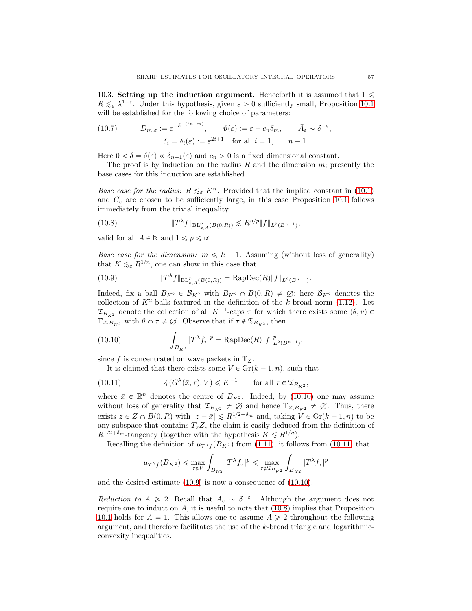10.3. Setting up the induction argument. Henceforth it is assumed that  $1 \leq$  $R \lesssim_{\varepsilon} \lambda^{1-\varepsilon}$ . Under this hypothesis, given  $\varepsilon > 0$  sufficiently small, Proposition 10.1 will be established for the following choice of parameters:

(10.7) 
$$
D_{m,\varepsilon} := \varepsilon^{-\delta^{-(2n-m)}}, \qquad \vartheta(\varepsilon) := \varepsilon - c_n \delta_m, \qquad \bar{A}_{\varepsilon} \sim \delta^{-\varepsilon},
$$

$$
\delta_i = \delta_i(\varepsilon) := \varepsilon^{2i+1} \quad \text{for all } i = 1, ..., n-1.
$$

Here  $0 < \delta = \delta(\varepsilon) \ll \delta_{n-1}(\varepsilon)$  and  $c_n > 0$  is a fixed dimensional constant.

The proof is by induction on the radius R and the dimension  $m$ ; presently the base cases for this induction are established.

Base case for the radius:  $R \leq_{\varepsilon} K^n$ . Provided that the implied constant in (10.1) and  $C_{\varepsilon}$  are chosen to be sufficiently large, in this case Proposition 10.1 follows immediately from the trivial inequality

(10.8) 
$$
||T^{\lambda}f||_{\text{BL}_{k,A}^p(B(0,R))} \lesssim R^{n/p}||f||_{L^2(B^{n-1})},
$$

valid for all  $A \in \mathbb{N}$  and  $1 \leqslant p \leqslant \infty$ .

*Base case for the dimension:*  $m \leq k - 1$ . Assuming (without loss of generality) that  $K \lesssim_{\varepsilon} R^{1/n}$ , one can show in this case that

(10.9) 
$$
\|T^{\lambda} f\|_{\mathrm{BL}_{k,A}^p(B(0,R))} = \mathrm{RapDec}(R) \|f\|_{L^2(B^{n-1})}.
$$

Indeed, fix a ball  $B_{K^2} \in \mathcal{B}_{K^2}$  with  $B_{K^2} \cap B(0, R) \neq \emptyset$ ; here  $\mathcal{B}_{K^2}$  denotes the collection of  $K^2$ -balls featured in the definition of the k-broad norm (1.12). Let  $\mathfrak{T}_{B_{K^2}}$  denote the collection of all  $K^{-1}$ -caps  $\tau$  for which there exists some  $(\theta, v) \in$  $\mathbb{T}_{Z,B_{K^2}}$  with  $\theta \cap \tau \neq \emptyset$ . Observe that if  $\tau \notin \mathfrak{T}_{B_{K^2}}$ , then

(10.10) 
$$
\int_{B_{K^2}} |T^{\lambda} f_{\tau}|^p = \text{RapDec}(R) \|f\|_{L^2(B^{n-1})}^p,
$$

since f is concentrated on wave packets in  $\mathbb{T}_Z$ .

It is claimed that there exists some  $V \in \mathrm{Gr}(k-1, n)$ , such that

(10.11) 
$$
\measuredangle(G^{\lambda}(\bar{x};\tau),V) \leq K^{-1} \quad \text{for all } \tau \in \mathfrak{T}_{B_{K^2}},
$$

where  $\bar{x} \in \mathbb{R}^n$  denotes the centre of  $B_{K^2}$ . Indeed, by (10.10) one may assume without loss of generality that  $\mathfrak{T}_{B_{K^2}} \neq \emptyset$  and hence  $\mathfrak{T}_{Z,B_{K^2}} \neq \emptyset$ . Thus, there exists  $z \in Z \cap B(0, R)$  with  $|z - \bar{x}| \leq R^{1/2+\delta_m}$  and, taking  $V \in \mathrm{Gr}(k - 1, n)$  to be any subspace that contains  $T_z Z$ , the claim is easily deduced from the definition of  $R^{1/2+\delta_m}$ -tangency (together with the hypothesis  $K \leq R^{1/n}$ ).

Recalling the definition of  $\mu_{T^{\lambda}f}(B_{K^2})$  from (1.11), it follows from (10.11) that

$$
\mu_{T^{\lambda}f}(B_{K^2}) \leqslant \max_{\tau \notin V} \int_{B_{K^2}} |T^{\lambda}f_{\tau}|^p \leqslant \max_{\tau \notin \mathfrak{T}_{B_{K^2}}} \int_{B_{K^2}} |T^{\lambda}f_{\tau}|^p
$$

and the desired estimate (10.9) is now a consequence of (10.10).

Reduction to  $A \geq 2$ : Recall that  $\bar{A}_{\varepsilon} \sim \delta^{-\varepsilon}$ . Although the argument does not require one to induct on  $A$ , it is useful to note that  $(10.8)$  implies that Proposition 10.1 holds for  $A = 1$ . This allows one to assume  $A \ge 2$  throughout the following argument, and therefore facilitates the use of the k-broad triangle and logarithmicconvexity inequalities.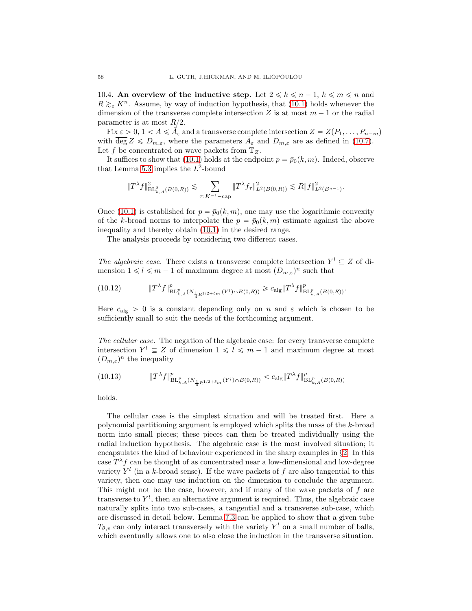10.4. An overview of the inductive step. Let  $2 \leq k \leq n-1, k \leq m \leq n$  and  $R \gtrsim_{\varepsilon} K^n$ . Assume, by way of induction hypothesis, that (10.1) holds whenever the dimension of the transverse complete intersection Z is at most  $m - 1$  or the radial parameter is at most  $R/2$ .

Fix  $\varepsilon > 0, 1 < A \leq \overline{A}_{\varepsilon}$  and a transverse complete intersection  $Z = Z(P_1, \ldots, P_{n-m})$ with  $\overline{\deg} Z \leqslant D_{m,\varepsilon}$ , where the parameters  $\overline{A}_{\varepsilon}$  and  $D_{m,\varepsilon}$  are as defined in (10.7). Let f be concentrated on wave packets from  $\mathbb{T}_Z$ .

It suffices to show that (10.1) holds at the endpoint  $p = \bar{p}_0(k, m)$ . Indeed, observe that Lemma 5.3 implies the  $L^2$ -bound

$$
\|T^{\lambda}f\|_{\mathrm{BL}_{k,A}^2(B(0,R))}^2 \lesssim \sum_{\tau:K^{-1}-\text{cap}} \|T^{\lambda}f_{\tau}\|_{L^2(B(0,R))}^2 \lesssim R\|f\|_{L^2(B^{n-1})}^2.
$$

Once (10.1) is established for  $p = \bar{p}_0(k, m)$ , one may use the logarithmic convexity of the k-broad norms to interpolate the  $p = \bar{p}_0(k, m)$  estimate against the above inequality and thereby obtain (10.1) in the desired range.

The analysis proceeds by considering two different cases.

The algebraic case. There exists a transverse complete intersection  $Y^l \subseteq Z$  of dimension  $1 \leq l \leq m-1$  of maximum degree at most  $(D_{m,\varepsilon})^n$  such that

(10.12) 
$$
\|T^{\lambda} f\|_{\mathrm{BL}_{k,A}^p(N_{\frac{1}{4}R^{1/2+\delta_m}}(Y^l)\cap B(0,R))}^p \geq c_{\mathrm{alg}} \|T^{\lambda} f\|_{\mathrm{BL}_{k,A}^p(B(0,R))}^p.
$$

Here  $c_{\text{alg}} > 0$  is a constant depending only on n and  $\varepsilon$  which is chosen to be sufficiently small to suit the needs of the forthcoming argument.

The cellular case. The negation of the algebraic case: for every transverse complete intersection  $Y^l \subseteq Z$  of dimension  $1 \leq l \leq m-1$  and maximum degree at most  $(D_{m,\varepsilon})^n$  the inequality

(10.13) 
$$
\|T^{\lambda} f\|_{\mathrm{BL}_{k,A}^p(N_{\frac{1}{4}R^{1/2+\delta_m}}(Y^l)\cap B(0,R))}^p < c_{\mathrm{alg}} \|T^{\lambda} f\|_{\mathrm{BL}_{k,A}^p(B(0,R))}^p
$$

holds.

The cellular case is the simplest situation and will be treated first. Here a polynomial partitioning argument is employed which splits the mass of the k-broad norm into small pieces; these pieces can then be treated individually using the radial induction hypothesis. The algebraic case is the most involved situation; it encapsulates the kind of behaviour experienced in the sharp examples in §2. In this case  $T^{\lambda}f$  can be thought of as concentrated near a low-dimensional and low-degree variety  $Y<sup>l</sup>$  (in a k-broad sense). If the wave packets of f are also tangential to this variety, then one may use induction on the dimension to conclude the argument. This might not be the case, however, and if many of the wave packets of  $f$  are transverse to  $Y^l$ , then an alternative argument is required. Thus, the algebraic case naturally splits into two sub-cases, a tangential and a transverse sub-case, which are discussed in detail below. Lemma 7.3 can be applied to show that a given tube  $T_{\theta, v}$  can only interact transversely with the variety  $Y^l$  on a small number of balls, which eventually allows one to also close the induction in the transverse situation.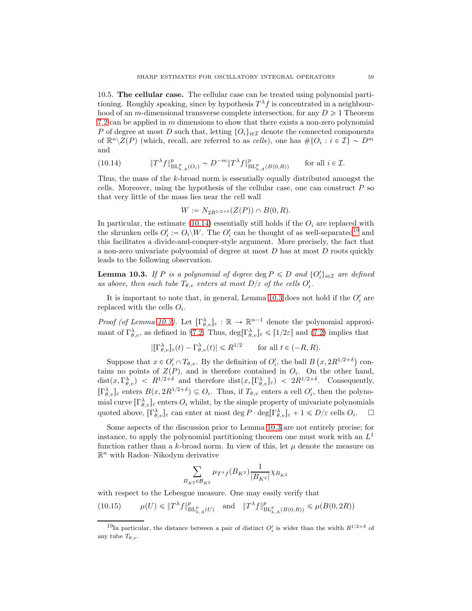10.5. The cellular case. The cellular case can be treated using polynomial partitioning. Roughly speaking, since by hypothesis  $T^{\lambda} f$  is concentrated in a neighbourhood of an m-dimensional transverse complete intersection, for any  $D \ge 1$  Theorem 7.2 can be applied in m dimensions to show that there exists a non-zero polynomial P of degree at most D such that, letting  $\{O_i\}_{i\in\mathcal{I}}$  denote the connected components of  $\mathbb{R}^n \backslash \mathbb{Z}(P)$  (which, recall, are referred to as cells), one has  $\#\{O_i : i \in \mathcal{I}\}\sim D^m$ and

(10.14) 
$$
\|T^{\lambda} f\|_{\mathrm{BL}_{k,A}^p(O_i)}^p \sim D^{-m} \|T^{\lambda} f\|_{\mathrm{BL}_{k,A}^p(B(0,R))}^p \qquad \text{for all } i \in \mathcal{I}.
$$

Thus, the mass of the k-broad norm is essentially equally distributed amongst the cells. Moreover, using the hypothesis of the cellular case, one can construct  $P$  so that very little of the mass lies near the cell wall

$$
W := N_{2R^{1/2+\delta}}(Z(P)) \cap B(0, R).
$$

In particular, the estimate (10.14) essentially still holds if the  $O_i$  are replaced with the shrunken cells  $O_i' := O_i \backslash W$ . The  $O_i'$  can be thought of as well-separated<sup>19</sup> and this facilitates a divide-and-conquer-style argument. More precisely, the fact that a non-zero univariate polynomial of degree at most  $D$  has at most  $D$  roots quickly leads to the following observation.

**Lemma 10.3.** If P is a polynomial of degree  $\deg P \le D$  and  $\{O_i'\}_{i \in \mathcal{I}}$  are defined as above, then each tube  $T_{\theta, v}$  enters at most  $D/\varepsilon$  of the cells  $O_i'.$ 

It is important to note that, in general, Lemma 10.3 does not hold if the  $O_i'$  are replaced with the cells  $O_i$ .

Proof (of Lemma 10.3). Let  $[\Gamma_{\theta,v}^{\lambda}]_{\varepsilon} : \mathbb{R} \to \mathbb{R}^{n-1}$  denote the polynomial approximant of  $\Gamma_{\theta,v}^{\lambda}$ , as defined in §7.2. Thus,  $\deg[\Gamma_{\theta,v}^{\lambda}]_{\varepsilon} \leqslant [1/2\varepsilon]$  and (7.2) implies that

$$
|[\Gamma^{\lambda}_{\theta,v}]_{\varepsilon}(t) - \Gamma^{\lambda}_{\theta,v}(t)| \le R^{1/2} \quad \text{for all } t \in (-R, R).
$$

Suppose that  $x \in O_i' \cap T_{\theta,v}$ . By the definition of  $O_i'$ , the ball  $B(x, 2R^{1/2+\delta})$  contains no points of  $Z(P)$ , and is therefore contained in  $O_i$ . On the other hand,  $dist(x, \Gamma^{\lambda}_{\theta, v}) \leq R^{1/2+\delta}$  and therefore  $dist(x, [\Gamma^{\lambda}_{\theta, v}]_{\epsilon}) \leq 2R^{1/2+\delta}$ . Consequently,  $[\Gamma^{\lambda}_{\theta,v}]_{\epsilon}$  enters  $B(x, 2R^{1/2+\delta}) \subseteq O_i$ . Thus, if  $T_{\theta,v}$  enters a cell  $O'_i$ , then the polynomial curve  $[\Gamma^{\lambda}_{\theta,v}]_{\varepsilon}$  enters  $O_i$  whilst, by the simple property of univariate polynomials quoted above,  $[\Gamma_{\theta,v}^{\lambda}]_{\varepsilon}$  can enter at most deg  $P \cdot \deg[\Gamma_{\theta,v}^{\lambda}]_{\varepsilon} + 1 \leq D/\varepsilon$  cells  $O_i$ .  $\square$ 

Some aspects of the discussion prior to Lemma 10.3 are not entirely precise; for instance, to apply the polynomial partitioning theorem one must work with an  $L^1$ function rather than a k-broad norm. In view of this, let  $\mu$  denote the measure on  $\mathbb{R}^n$  with Radon–Nikodym derivative

$$
\sum_{B_{K^2} \in \mathcal{B}_{K^2}} \mu_{T^{\lambda} f}(B_{K^2}) \frac{1}{|B_{K^2}|} \chi_{B_{K^2}}
$$

with respect to the Lebesgue measure. One may easily verify that

(10.15) 
$$
\mu(U) \leq \|T^{\lambda}f\|_{\mathrm{BL}_{k,A}^p(U)}^p
$$
 and  $\|T^{\lambda}f\|_{\mathrm{BL}_{k,A}^p(B(0,R))}^p \leq \mu(B(0, 2R))$ 

<sup>&</sup>lt;sup>19</sup>In particular, the distance between a pair of distinct  $O_i'$  is wider than the width  $R^{1/2+\delta}$  of any tube  $T_{\theta,v}$ .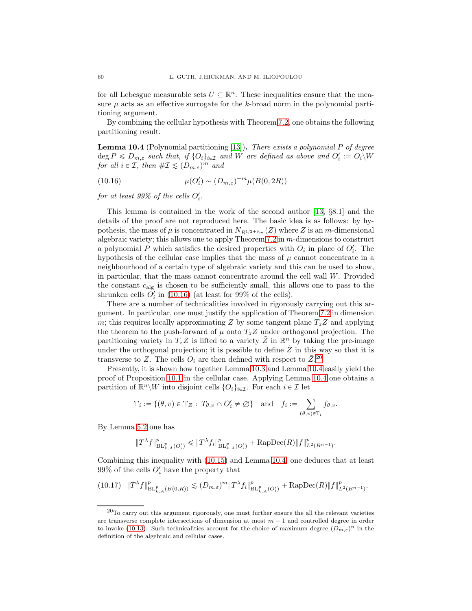for all Lebesgue measurable sets  $U \subseteq \mathbb{R}^n$ . These inequalities ensure that the measure  $\mu$  acts as an effective surrogate for the k-broad norm in the polynomial partitioning argument.

By combining the cellular hypothesis with Theorem 7.2, one obtains the following partitioning result.

**Lemma 10.4** (Polynomial partitioning [13]). There exists a polynomial P of degree  $\deg P \leqslant D_{m,\varepsilon}$  such that, if  $\{O_i\}_{i\in\mathcal{I}}$  and W are defined as above and  $O_i' := O_i\backslash W$ for all  $i \in \mathcal{I}$ , then  $\#\mathcal{I} \leq (D_{m,\varepsilon})^m$  and

(10.16) 
$$
\mu(O_i') \sim (D_{m,\varepsilon})^{-m} \mu(B(0, 2R))
$$

for at least 99% of the cells  $O_i'$ .

This lemma is contained in the work of the second author  $[13, \S 8.1]$  and the details of the proof are not reproduced here. The basic idea is as follows: by hypothesis, the mass of  $\mu$  is concentrated in  $N_{R^{1/2+\delta_m}}(Z)$  where Z is an m-dimensional algebraic variety; this allows one to apply Theorem  $7.2$  in  $m$ -dimensions to construct a polynomial P which satisfies the desired properties with  $O_i$  in place of  $O_i'$ . The hypothesis of the cellular case implies that the mass of  $\mu$  cannot concentrate in a neighbourhood of a certain type of algebraic variety and this can be used to show, in particular, that the mass cannot concentrate around the cell wall  $W$ . Provided the constant  $c_{\text{alg}}$  is chosen to be sufficiently small, this allows one to pass to the shrunken cells  $O_i'$  in (10.16) (at least for 99% of the cells).

There are a number of technicalities involved in rigorously carrying out this argument. In particular, one must justify the application of Theorem 7.2 in dimension m; this requires locally approximating Z by some tangent plane  $T_zZ$  and applying the theorem to the push-forward of  $\mu$  onto  $T_z Z$  under orthogonal projection. The partitioning variety in  $T_z Z$  is lifted to a variety  $\tilde{Z}$  in  $\mathbb{R}^n$  by taking the pre-image under the orthogonal projection; it is possible to define  $\tilde{Z}$  in this way so that it is transverse to Z. The cells  $O_i$  are then defined with respect to  $\tilde{Z}$ <sup>20</sup>

Presently, it is shown how together Lemma 10.3 and Lemma 10.4 easily yield the proof of Proposition 10.1 in the cellular case. Applying Lemma 10.4 one obtains a partition of  $\mathbb{R}^n\backslash W$  into disjoint cells  $\{O_i\}_{i\in\mathcal{I}}$ . For each  $i\in\mathcal{I}$  let

$$
\mathbb{T}_i := \{ (\theta, v) \in \mathbb{T}_Z : T_{\theta, v} \cap O'_i \neq \emptyset \} \text{ and } f_i := \sum_{(\theta, v) \in \mathbb{T}_i} f_{\theta, v}.
$$

By Lemma 5.2 one has

$$
\|T^{\lambda} f\|_{\mathrm{BL}_{k,A}^p(O_i')}^p \leq \|T^{\lambda} f_i\|_{\mathrm{BL}_{k,A}^p(O_i')}^p + \mathrm{RapDec}(R) \|f\|_{L^2(B^{n-1})}^p.
$$

Combining this inequality with (10.15) and Lemma 10.4, one deduces that at least 99% of the cells  $O_i'$  have the property that

$$
(10.17)\quad \|T^{\lambda}f\|_{\mathrm{BL}_{k,A}^p(B(0,R))}^p\lesssim (D_{m,\varepsilon})^m \|T^{\lambda}f_i\|_{\mathrm{BL}_{k,A}^p(O_i')}^p+\mathrm{RapDec}(R)\|f\|_{L^2(B^{n-1})}^p.
$$

 $^{20}$ To carry out this argument rigorously, one must further ensure the all the relevant varieties are transverse complete intersections of dimension at most  $m - 1$  and controlled degree in order to invoke (10.13). Such technicalities account for the choice of maximum degree  $(D_{m,\varepsilon})^n$  in the definition of the algebraic and cellular cases.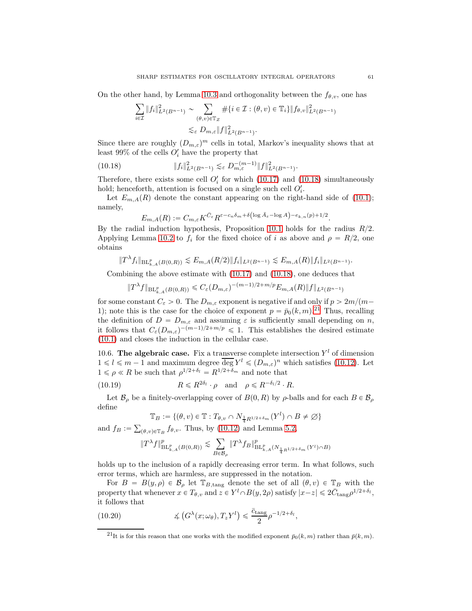On the other hand, by Lemma 10.3 and orthogonality between the  $f_{\theta,v}$ , one has

$$
\sum_{i \in \mathcal{I}} \|f_i\|_{L^2(B^{n-1})}^2 \sim \sum_{(\theta, v) \in \mathbb{T}_Z} \# \{i \in \mathcal{I} : (\theta, v) \in \mathbb{T}_i\} \|f_{\theta, v}\|_{L^2(B^{n-1})}^2
$$
  

$$
\lesssim_{\varepsilon} D_{m, \varepsilon} \|f\|_{L^2(B^{n-1})}^2.
$$

Since there are roughly  $(D_{m,\varepsilon})^m$  cells in total, Markov's inequality shows that at least 99% of the cells  $O_i'$  have the property that

(10.18) 
$$
||f_i||_{L^2(B^{n-1})}^2 \lesssim_{\varepsilon} D_{m,\varepsilon}^{-(m-1)} ||f||_{L^2(B^{n-1})}^2.
$$

Therefore, there exists some cell  $O_i'$  for which (10.17) and (10.18) simultaneously hold; henceforth, attention is focused on a single such cell  $O_i'$ .

Let  $E_{m,A}(R)$  denote the constant appearing on the right-hand side of (10.1); namely,

$$
E_{m,A}(R) := C_{m,\varepsilon} K^{\bar{C}_{\varepsilon}} R^{\varepsilon - c_n \delta_m + \delta \left( \log \bar{A}_{\varepsilon} - \log A \right) - e_{k,n}(p) + 1/2}.
$$

By the radial induction hypothesis, Proposition 10.1 holds for the radius  $R/2$ . Applying Lemma 10.2 to  $f_i$  for the fixed choice of i as above and  $\rho = R/2$ , one obtains

$$
||T^{\lambda} f_i||_{\mathrm{BL}_{k,A}^p(B(0,R))} \lesssim E_{m,A}(R/2) ||f_i||_{L^2(B^{n-1})} \lesssim E_{m,A}(R) ||f_i||_{L^2(B^{n-1})}.
$$

Combining the above estimate with (10.17) and (10.18), one deduces that

$$
||T^{\lambda}f||_{\mathrm{BL}_{k,A}^p(B(0,R))} \leq C_{\varepsilon}(D_{m,\varepsilon})^{-(m-1)/2+m/p} E_{m,A}(R)||f||_{L^2(B^{n-1})}
$$

for some constant  $C_{\varepsilon} > 0$ . The  $D_{m,\varepsilon}$  exponent is negative if and only if  $p > 2m/(m-1)$ 1); note this is the case for the choice of exponent  $p = \bar{p}_0(k, m)$ .<sup>21</sup> Thus, recalling the definition of  $D = D_{m,\varepsilon}$  and assuming  $\varepsilon$  is sufficiently small depending on n, it follows that  $C_{\varepsilon}(D_{m,\varepsilon})^{-(m-1)/2+m/p} \leq 1$ . This establishes the desired estimate (10.1) and closes the induction in the cellular case.

10.6. The algebraic case. Fix a transverse complete intersection  $Y<sup>l</sup>$  of dimension  $1 \leq l \leq m-1$  and maximum degree  $\overline{\deg} Y^l \leq (D_{m,\varepsilon})^n$  which satisfies (10.12). Let  $1 \leq \rho \leq R$  be such that  $\rho^{1/2+\delta_l} = R^{1/2+\delta_m}$  and note that

(10.19) 
$$
R \le R^{2\delta_l} \cdot \rho
$$
 and  $\rho \le R^{-\delta_l/2} \cdot R$ .

Let  $\mathcal{B}_{\rho}$  be a finitely-overlapping cover of  $B(0, R)$  by  $\rho$ -balls and for each  $B \in \mathcal{B}_{\rho}$ define

$$
\mathbb{T}_B := \{(\theta, v) \in \mathbb{T} : T_{\theta, v} \cap N_{\frac{1}{4}R^{1/2 + \delta_m}}(Y^l) \cap B \neq \emptyset\}
$$

and  $f_B := \sum_{(\theta, v) \in \mathbb{T}_B} f_{\theta, v}$ . Thus, by (10.12) and Lemma 5.2,

$$
\|T^{\lambda} f\|_{\mathrm{BL}_{k,A}^p(B(0,R))}^p \lesssim \sum_{B \in \mathcal{B}_{\rho}} \|T^{\lambda} f_B\|_{\mathrm{BL}_{k,A}^p(N_{\frac{1}{4}R^{1/2 + \delta_m}}(Y^l) \cap B)}^p
$$

holds up to the inclusion of a rapidly decreasing error term. In what follows, such error terms, which are harmless, are suppressed in the notation.

For  $B = B(y, \rho) \in \mathcal{B}_{\rho}$  let  $\mathbb{T}_{B,\text{tang}}$  denote the set of all  $(\theta, v) \in \mathbb{T}_B$  with the property that whenever  $x \in T_{\theta, v}$  and  $z \in Y^l \cap B(y, 2\rho)$  satisfy  $|x-z| \leq 2\overline{C}_{\text{tang}} \rho^{1/2+\delta_l}$ , it follows that

(10.20) 
$$
\measuredangle \left( G^{\lambda}(x; \omega_{\theta}), T_z Y^l \right) \leq \frac{\bar{c}_{\text{tang}}}{2} \rho^{-1/2 + \delta_l},
$$

<sup>&</sup>lt;sup>21</sup>It is for this reason that one works with the modified exponent  $\bar{p}_0(k, m)$  rather than  $\bar{p}(k, m)$ .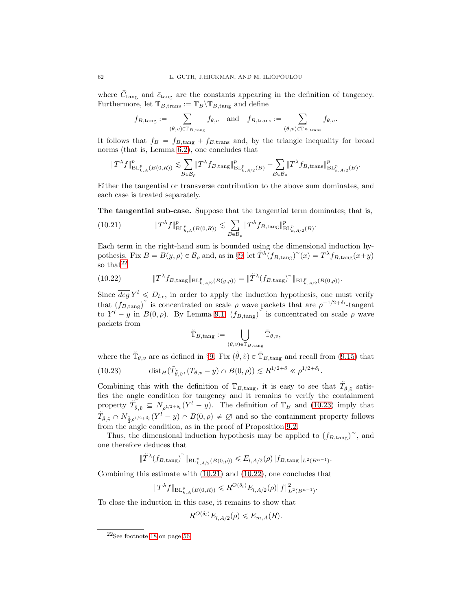where  $\bar{C}_{\text{tang}}$  and  $\bar{c}_{\text{tang}}$  are the constants appearing in the definition of tangency. Furthermore, let  $\mathbb{T}_{B,\text{trans}} := \mathbb{T}_{B}\backslash \mathbb{T}_{B,\text{tang}}$  and define

$$
f_{B,\mathrm{tang}} := \sum_{(\theta,v) \in \mathbb{T}_{B,\mathrm{tang}}} f_{\theta,v} \quad \text{and} \quad f_{B,\mathrm{trans}} := \sum_{(\theta,v) \in \mathbb{T}_{B,\mathrm{trans}}} f_{\theta,v}.
$$

It follows that  $f_B = f_{B,\text{tang}} + f_{B,\text{trans}}$  and, by the triangle inequality for broad norms (that is, Lemma 6.2), one concludes that

$$
\|T^\lambda f\|^p_{{\rm BL}^p_{k,A}(B(0,R))}\lesssim \sum_{B\in\mathcal{B}_\rho} \|T^\lambda f_{B,\mathop{{\rm tang}}}\|^p_{{\rm BL}^p_{k,A/2}(B)}+\sum_{B\in\mathcal{B}_\rho} \|T^\lambda f_{B,\mathop{{\rm trans}}} \|^p_{{\rm BL}^p_{k,A/2}(B)}.
$$

Either the tangential or transverse contribution to the above sum dominates, and each case is treated separately.

The tangential sub-case. Suppose that the tangential term dominates; that is,

(10.21) 
$$
\|T^{\lambda} f\|_{\mathrm{BL}_{k,A}^p(B(0,R))}^p \lesssim \sum_{B \in \mathcal{B}_{\rho}} \|T^{\lambda} f_{B,\mathrm{tang}}\|_{\mathrm{BL}_{k,A/2}^p(B)}^p.
$$

Each term in the right-hand sum is bounded using the dimensional induction hypothesis. Fix  $B = B(y, \rho) \in \mathcal{B}_{\rho}$  and, as in §9, let  $\tilde{T}^{\lambda}(f_{B,\text{tang}})^{\sim}(x) = T^{\lambda}f_{B,\text{tang}}(x+y)$ so that  $2^2$ 

(10.22) 
$$
\|T^{\lambda} f_{B,\tan\beta}\|_{BL^p_{k,A/2}(B(y,\rho))} = \|\tilde{T}^{\lambda} (f_{B,\tan\beta})^{\sim}\|_{BL^p_{k,A/2}(B(0,\rho))}.
$$

Since  $\overline{deg} Y^l \le D_{l,\epsilon}$ , in order to apply the induction hypothesis, one must verify that  $(f_{B,\text{tang}})$ <sup>\*</sup> is concentrated on scale  $\rho$  wave packets that are  $\rho^{-1/2+\delta_l}$ -tangent to  $Y^{l} - y$  in  $B(0, \rho)$ . By Lemma 9.1,  $(f_{B, \text{tang}})^{\tilde{\ }}$  is concentrated on scale  $\rho$  wave packets from

$$
\tilde{\mathbb{T}}_{B,\mathrm{tang}} := \bigcup_{(\theta,v)\in \mathbb{T}_{B,\mathrm{tang}}}\tilde{\mathbb{T}}_{\theta,v},
$$

where the  $\tilde{\mathbb{T}}_{\theta,v}$  are as defined in §9. Fix  $(\tilde{\theta}, \tilde{v}) \in \tilde{\mathbb{T}}_{B,\text{tang}}$  and recall from (9.15) that

(10.23) 
$$
\text{dist}_H(\tilde{T}_{\tilde{\theta},\tilde{v}},(T_{\theta,v}-y)\cap B(0,\rho))\lesssim R^{1/2+\delta}\ll \rho^{1/2+\delta_l}.
$$

Combining this with the definition of  $\mathbb{T}_{B,\text{tang}}$ , it is easy to see that  $\tilde{T}_{\tilde{\theta},\tilde{v}}$  satisfies the angle condition for tangency and it remains to verify the containment property  $\tilde{T}_{\tilde{\theta},\tilde{v}} \subseteq N_{\rho^{1/2+\delta_l}}(Y^l-y)$ . The definition of  $\mathbb{T}_B$  and (10.23) imply that  $\tilde{T}_{\tilde{\theta}, \tilde{v}} \cap N_{\frac{1}{2}\rho^{1/2+\delta_l}}(Y^l - y) \cap B(0, \rho) \neq \emptyset$  and so the containment property follows from the angle condition, as in the proof of Proposition 9.2.

Thus, the dimensional induction hypothesis may be applied to  $(f_{B,\text{tang}})$ <sup> $\sim$ </sup>, and one therefore deduces that

$$
||T^{\lambda}(f_{B,\mathrm{tang}})||_{\mathrm{BL}_{k,A/2}^p(B(0,\rho))} \leq E_{l,A/2}(\rho)||f_{B,\mathrm{tang}}||_{L^2(B^{n-1})}.
$$

Combining this estimate with (10.21) and (10.22), one concludes that

$$
||T^{\lambda}f||_{\mathrm{BL}_{k,A}^p(B(0,R))} \leq R^{O(\delta_l)} E_{l,A/2}(\rho) ||f||^2_{L^2(B^{n-1})}.
$$

To close the induction in this case, it remains to show that

$$
R^{O(\delta_l)}E_{l,A/2}(\rho)\leq E_{m,A}(R).
$$

 $\sim$   $\sim$ 

 $^{22}\mathrm{See}$  footnote 18 on page 56.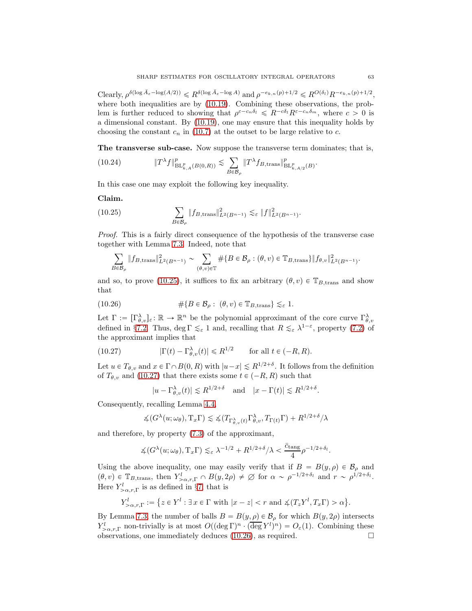$\text{Clearly, } \rho^{\delta(\log \bar{A}_{\varepsilon} - \log(A/2))} \leq R^{\delta(\log \bar{A}_{\varepsilon} - \log A)} \text{ and } \rho^{-e_{k,n}(p) + 1/2} \leq R^{O(\delta_l)} R^{-e_{k,n}(p) + 1/2},$ where both inequalities are by  $(10.19)$ . Combining these observations, the problem is further reduced to showing that  $\rho^{\varepsilon-c_n\delta_l} \leq R^{-c\delta_l}R^{\varepsilon-c_n\delta_m}$ , where  $c > 0$  is a dimensional constant. By (10.19), one may ensure that this inequality holds by choosing the constant  $c_n$  in (10.7) at the outset to be large relative to c.

The transverse sub-case. Now suppose the transverse term dominates; that is,

(10.24) 
$$
\|T^{\lambda} f\|_{\mathrm{BL}_{k,A}^p(B(0,R))}^p \lesssim \sum_{B \in \mathcal{B}_{\rho}} \|T^{\lambda} f_{B,\mathrm{trans}}\|_{\mathrm{BL}_{k,A/2}^p(B)}^p.
$$

In this case one may exploit the following key inequality.

## Claim.

(10.25) 
$$
\sum_{B \in \mathcal{B}_{\rho}} \| f_{B, \text{trans}} \|_{L^2(B^{n-1})}^2 \lesssim_{\varepsilon} \| f \|_{L^2(B^{n-1})}^2.
$$

Proof. This is a fairly direct consequence of the hypothesis of the transverse case together with Lemma 7.3. Indeed, note that

$$
\sum_{B\in\mathcal{B}_{\rho}}\|f_{B,\text{trans}}\|_{L^{2}(B^{n-1})}^{2} \sim \sum_{(\theta,v)\in\mathbb{T}}\# \{B\in\mathcal{B}_{\rho}:(\theta,v)\in\mathbb{T}_{B,\text{trans}}\}\|f_{\theta,v}\|_{L^{2}(B^{n-1})}^{2}.
$$

and so, to prove (10.25), it suffices to fix an arbitrary  $(\theta, v) \in \mathbb{T}_{B,\text{trans}}$  and show that

(10.26) 
$$
\#\{B \in \mathcal{B}_{\rho} : (\theta, v) \in \mathbb{T}_{B, \text{trans}}\} \lesssim_{\varepsilon} 1.
$$

Let  $\Gamma := [\Gamma_{\theta,\upsilon}^{\lambda}]_{\varepsilon} : \mathbb{R} \to \mathbb{R}^n$  be the polynomial approximant of the core curve  $\Gamma_{\theta,\upsilon}^{\lambda}$ defined in §7.2. Thus, deg  $\Gamma \lesssim_{\varepsilon} 1$  and, recalling that  $R \lesssim_{\varepsilon} \lambda^{1-\varepsilon}$ , property (7.2) of the approximant implies that

(10.27) 
$$
|\Gamma(t) - \Gamma_{\theta,v}^{\lambda}(t)| \le R^{1/2} \quad \text{for all } t \in (-R, R).
$$

Let  $u \in T_{\theta,v}$  and  $x \in \Gamma \cap B(0,R)$  with  $|u-x| \le R^{1/2+\delta}$ . It follows from the definition of  $T_{\theta,v}$  and (10.27) that there exists some  $t \in (-R, R)$  such that

$$
|u - \Gamma_{\theta, v}^{\lambda}(t)| \lesssim R^{1/2 + \delta}
$$
 and  $|x - \Gamma(t)| \lesssim R^{1/2 + \delta}$ .

Consequently, recalling Lemma 4.4,

$$
\measuredangle(G^{\lambda}(u; \omega_{\theta}), \mathrm{T}_{x}\Gamma) \lesssim \measuredangle(T_{\Gamma^{\lambda}_{\theta,v}(t)}\Gamma^{\lambda}_{\theta,v}, T_{\Gamma(t)}\Gamma) + R^{1/2+\delta}/\lambda
$$

and therefore, by property (7.3) of the approximant,

$$
\measuredangle(G^{\lambda}(u;\omega_{\theta}),\mathrm{T}_x\Gamma)\lesssim_{\varepsilon} \lambda^{-1/2}+R^{1/2+\delta}/\lambda<\frac{\bar{c}_{\rm tang}}{4}\rho^{-1/2+\delta_l}.
$$

Using the above inequality, one may easily verify that if  $B = B(y, \rho) \in \mathcal{B}_{\rho}$  and  $(\theta, v) \in \mathbb{T}_{B,\text{trans}}$ , then  $Y^l_{>\alpha,r,\Gamma} \cap B(y, 2\rho) \neq \emptyset$  for  $\alpha \sim \rho^{-1/2+\delta_l}$  and  $r \sim \rho^{1/2+\delta_l}$ . Here  $Y^l_{>\alpha,r,\Gamma}$  is as defined in §7; that is

$$
Y^l_{>\alpha,r,\Gamma}:=\big\{z\in Y^l: \exists\ x\in\Gamma\ \text{with}\ |x-z|\alpha\big\}.
$$

By Lemma 7.3, the number of balls  $B = B(y, \rho) \in \mathcal{B}_{\rho}$  for which  $B(y, 2\rho)$  intersects  $Y^l_{\geq \alpha,r,\Gamma}$  non-trivially is at most  $O((\deg \Gamma)^n \cdot (\overline{\deg Y^l})^n) = O_{\varepsilon}(1)$ . Combining these observations, one immediately deduces  $(10.26)$ , as required.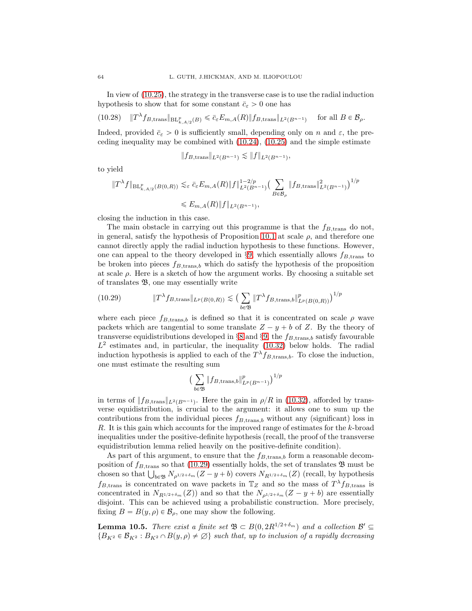In view of (10.25), the strategy in the transverse case is to use the radial induction hypothesis to show that for some constant  $\bar{c}_{\varepsilon} > 0$  one has

$$
(10.28) \quad \|T^{\lambda} f_{B,\text{trans}}\|_{\mathrm{BL}_{k,A/2}^p(B)} \leq \bar{c}_{\varepsilon} E_{m,A}(R) \|f_{B,\text{trans}}\|_{L^2(B^{n-1})} \quad \text{ for all } B \in \mathcal{B}_{\rho}.
$$

Indeed, provided  $\bar{c}_{\varepsilon} > 0$  is sufficiently small, depending only on n and  $\varepsilon$ , the preceding inequality may be combined with  $(10.24)$ ,  $(10.25)$  and the simple estimate

$$
||f_{B,\text{trans}}||_{L^2(B^{n-1})} \lesssim ||f||_{L^2(B^{n-1})},
$$

to yield

$$
\|T^{\lambda}f\|_{\mathrm{BL}_{k,A/2}^p(B(0,R))} \lesssim_{\varepsilon} \bar{c}_{\varepsilon} E_{m,A}(R) \|f\|_{L^2(B^{n-1})}^{1-2/p} \left(\sum_{B \in \mathcal{B}_{\rho}} \|f_{B,\mathrm{trans}}\|_{L^2(B^{n-1})}^2\right)^{1/p}
$$
  
\$\leqslant E\_{m,A}(R) \|f\|\_{L^2(B^{n-1})},

closing the induction in this case.

The main obstacle in carrying out this programme is that the  $f_{\text{B, trans}}$  do not, in general, satisfy the hypothesis of Proposition 10.1 at scale  $\rho$ , and therefore one cannot directly apply the radial induction hypothesis to these functions. However, one can appeal to the theory developed in §9, which essentially allows  $f_{B,\text{trans}}$  to be broken into pieces  $f_{B,\text{trans},b}$  which do satisfy the hypothesis of the proposition at scale  $\rho$ . Here is a sketch of how the argument works. By choosing a suitable set of translates B, one may essentially write

(10.29) 
$$
\|T^{\lambda} f_{B,\text{trans}}\|_{L^{p}(B(0,R))} \lesssim \left(\sum_{b \in \mathfrak{B}} \|T^{\lambda} f_{B,\text{trans},b}\|_{L^{p}(B(0,R))}^{p}\right)^{1/p}
$$

where each piece  $f_{B,\text{trans},b}$  is defined so that it is concentrated on scale  $\rho$  wave packets which are tangential to some translate  $Z - y + b$  of Z. By the theory of transverse equidistributions developed in  $\S 8$  and  $\S 9$ , the  $f_{B,\text{trans},b}$  satisfy favourable  $L^2$  estimates and, in particular, the inequality (10.32) below holds. The radial induction hypothesis is applied to each of the  $T^{\lambda} f_{B,\text{trans},b}$ . To close the induction, one must estimate the resulting sum

$$
\big(\sum_{b\in\mathfrak{B}}\|f_{B,\mathrm{trans},b}\|_{L^p(B^{n-1})}^p\big)^{1/p}
$$

in terms of  $|| f_{B,\text{trans}} ||_{L^2(B^{n-1})}$ . Here the gain in  $\rho/R$  in (10.32), afforded by transverse equidistribution, is crucial to the argument: it allows one to sum up the contributions from the individual pieces  $f_{B,\text{trans},b}$  without any (significant) loss in R. It is this gain which accounts for the improved range of estimates for the k-broad inequalities under the positive-definite hypothesis (recall, the proof of the transverse equidistribution lemma relied heavily on the positive-definite condition).

As part of this argument, to ensure that the  $f_{B,trans,b}$  form a reasonable decomposition of  $f_{B,\text{trans}}$  so that (10.29) essentially holds, the set of translates  $\mathfrak B$  must be chosen so that  $\bigcup_{b \in \mathfrak{B}} N_{\rho^{1/2+\delta_m}}(Z - y + b)$  covers  $N_{R^{1/2+\delta_m}}(Z)$  (recall, by hypothesis  $f_{B,\text{trans}}$  is concentrated on wave packets in  $\mathbb{T}_Z$  and so the mass of  $T^{\lambda} f_{B,\text{trans}}$  is concentrated in  $N_{R^{1/2+\delta_m}}(Z)$  and so that the  $N_{\rho^{1/2+\delta_m}}(Z - y + b)$  are essentially disjoint. This can be achieved using a probabilistic construction. More precisely, fixing  $B = B(y, \rho) \in \mathcal{B}_{\rho}$ , one may show the following.

**Lemma 10.5.** There exist a finite set  $\mathfrak{B} \subset B(0, 2R^{1/2+\delta_m})$  and a collection  $\mathcal{B}' \subseteq$  $\{B_{K^2} \in \mathcal{B}_{K^2} : B_{K^2} \cap B(y, \rho) \neq \emptyset\}$  such that, up to inclusion of a rapidly decreasing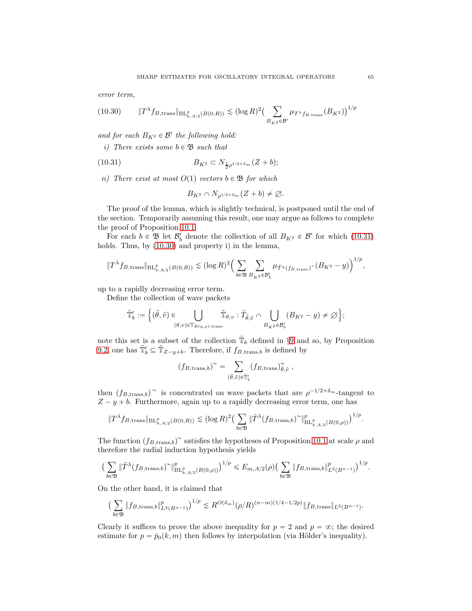error term,

$$
(10.30) \t\t ||T^{\lambda} f_{B, \text{trans}}||_{BL^p_{k, A/2}(B(0,R))} \lesssim (\log R)^2 \left(\sum_{B_{K^2} \in \mathcal{B}'} \mu_{T^{\lambda} f_{B, \text{trans}}}(B_{K^2})\right)^{1/p}
$$

and for each  $B_{K^2} \in \mathcal{B}'$  the following hold:

i) There exists some  $b \in \mathfrak{B}$  such that

(10.31) 
$$
B_{K^2} \subset N_{\frac{1}{2}\rho^{1/2+\delta_m}}(Z+b);
$$

ii) There exist at most  $O(1)$  vectors  $b \in \mathfrak{B}$  for which

$$
B_{K^2} \cap N_{\rho^{1/2+\delta_m}}(Z+b) \neq \emptyset.
$$

The proof of the lemma, which is slightly technical, is postponed until the end of the section. Temporarily assuming this result, one may argue as follows to complete the proof of Proposition 10.1.

For each  $b \in \mathfrak{B}$  let  $\mathcal{B}'_b$  denote the collection of all  $B_{K^2} \in \mathcal{B}'$  for which (10.31) holds. Thus, by (10.30) and property i) in the lemma,

$$
||T^{\lambda}f_{B,\text{trans}}||_{\mathrm{BL}_{k,A/2}^p(B(0,R))} \lesssim (\log R)^2 \Big(\sum_{b \in \mathfrak{B}} \sum_{B_{K^2} \in \mathcal{B}'_b} \mu_{\tilde{T}^{\lambda}(f_{B,\text{trans}})}(B_{K^2} - y)\Big)^{1/p},
$$

up to a rapidly decreasing error term.

Define the collection of wave packets

$$
\tilde{\mathbb{T}}'_b:=\Big\{(\tilde{\theta},\tilde{v})\in\bigcup\limits_{(\theta,v)\in\mathbb{T}_{B(y,\rho),\mathrm{trans}}}\tilde{\mathbb{T}}_{\theta,v}:\tilde{T}_{\tilde{\theta},\tilde{v}}\cap\bigcup\limits_{B_{K^2}\in\mathcal{B}'_b}(B_{K^2}-y)\neq\varnothing\Big\};
$$

note this set is a subset of the collection  $\tilde{T}_b$  defined in §9 and so, by Proposition 9.2, one has  $\tilde{\mathbb{T}}'_b \subseteq \tilde{\mathbb{T}}_{Z-y+b}$ . Therefore, if  $f_{B,\text{trans},b}$  is defined by

$$
(f_{B,\text{trans},b})^{\sim} = \sum_{(\tilde{\theta},\tilde{v}) \in \tilde{\mathbb{T}}'_b} (f_{B,\text{trans}})_{\tilde{\theta},\tilde{v}}^{\sim},
$$

then  $(f_{B,\text{trans},b})^{\sim}$  is concentrated on wave packets that are  $\rho^{-1/2+\delta_m}$ -tangent to  $Z - y + b$ . Furthermore, again up to a rapidly decreasing error term, one has

$$
\|T^{\lambda}f_{B,\text{trans}}\|_{\mathrm{BL}_{k,A/2}^p(B(0,R))} \lesssim (\log R)^2 \Big(\sum_{b \in \mathfrak{B}} \|\tilde{T}^{\lambda}(f_{B,\text{trans},b})^{\sim}\|_{\mathrm{BL}_{k,A/2}^p(B(0,\rho))}^p\Big)^{1/p}.
$$

The function  $(f_{B,\text{trans},b})^{\sim}$  satisfies the hypotheses of Proposition 10.1 at scale  $\rho$  and therefore the radial induction hypothesis yields

$$
\left(\sum_{b\in\mathfrak{B}}\|\tilde{T}^{\lambda}(f_{B,\mathrm{trans},b})^{\sim}\|_{\mathrm{BL}_{k,A/2}^p(B(0,\rho))}^p\right)^{1/p}\leqslant E_{m,A/2}(\rho)\left(\sum_{b\in\mathfrak{B}}\|f_{B,\mathrm{trans},b}\|_{L^2(B^{n-1})}^p\right)^{1/p}.
$$

On the other hand, it is claimed that

$$
\left(\sum_{b\in\mathfrak{B}}\|f_{B,\mathrm{trans},b}\|_{L^2(B^{n-1})}^p\right)^{1/p}\lesssim R^{O(\delta_m)}(\rho/R)^{(n-m)(1/4-1/2p)}\|f_{B,\mathrm{trans}}\|_{L^2(B^{n-1})}.
$$

Clearly it suffices to prove the above inequality for  $p = 2$  and  $p = \infty$ ; the desired estimate for  $p = \bar{p}_0(k, m)$  then follows by interpolation (via Hölder's inequality).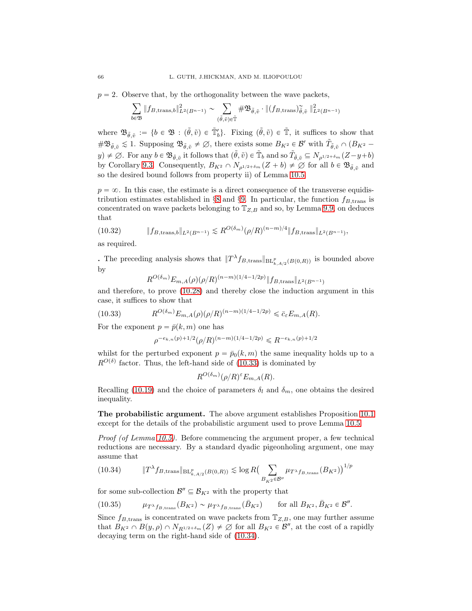$p = 2$ . Observe that, by the orthogonality between the wave packets,

$$
\sum_{b \in \mathfrak{B}} \| f_{B, \text{trans}, b} \|_{L^2(B^{n-1})}^2 \sim \sum_{(\tilde{\theta}, \tilde{v}) \in \tilde{\mathbb{T}}} \# \mathfrak{B}_{\tilde{\theta}, \tilde{v}} \cdot \| (f_{B, \text{trans}})_{\tilde{\theta}, \tilde{v}}^2 \|_{L^2(B^{n-1})}^2
$$

where  $\mathfrak{B}_{\tilde{\theta},\tilde{v}} := \{b \in \mathfrak{B} : (\tilde{\theta},\tilde{v}) \in \tilde{\mathbb{T}}_b\}$ . Fixing  $(\tilde{\theta},\tilde{v}) \in \tilde{\mathbb{T}}$ , it suffices to show that  $\#\mathfrak{B}_{\tilde{\theta},\tilde{v}} \lesssim 1$ . Supposing  $\mathfrak{B}_{\tilde{\theta},\tilde{v}} \neq \emptyset$ , there exists some  $B_{K^2} \in \mathcal{B}'$  with  $\tilde{T}_{\tilde{\theta},\tilde{v}} \cap (B_{K^2} - \mathcal{B}_{K^2})$  $(y) \neq \emptyset$ . For any  $b \in \mathfrak{B}_{\tilde{\theta}, \tilde{v}}$  it follows that  $(\tilde{\theta}, \tilde{v}) \in \tilde{\mathbb{T}}_b$  and so  $\tilde{T}_{\tilde{\theta}, \tilde{v}} \subseteq N_{\rho^{1/2+\delta_m}}(Z-y+b)$ by Corollary 9.3. Consequently,  $B_{K^2} \cap N_{\rho^{1/2+\delta_m}}(Z+b) \neq \emptyset$  for all  $b \in \mathfrak{B}_{\tilde{\theta}, \tilde{v}}$  and so the desired bound follows from property ii) of Lemma 10.5.

 $p = \infty$ . In this case, the estimate is a direct consequence of the transverse equidistribution estimates established in §8 and §9. In particular, the function  $f_{B,\text{trans}}$  is concentrated on wave packets belonging to  $\mathbb{T}_{Z,B}$  and so, by Lemma 9.9, on deduces that

$$
(10.32) \t\t\t\t||f_{B,\text{trans},b}||_{L^2(B^{n-1})} \lesssim R^{O(\delta_m)}(\rho/R)^{(n-m)/4}||f_{B,\text{trans}}||_{L^2(B^{n-1})},
$$

as required.

. The preceding analysis shows that  $||T^{\lambda}f_{B,\text{trans}}||_{\text{BL}_{k,A/2}^p(B(0,R))}$  is bounded above by

$$
R^{O(\delta_m)} E_{m,A}(\rho) (\rho/R)^{(n-m)(1/4-1/2p)} \| f_{B,\text{trans}} \|_{L^2(B^{n-1})}
$$

and therefore, to prove (10.28) and thereby close the induction argument in this case, it suffices to show that

(10.33) 
$$
R^{O(\delta_m)} E_{m,A}(\rho) (\rho/R)^{(n-m)(1/4-1/2p)} \leq \bar{c}_{\varepsilon} E_{m,A}(R).
$$

For the exponent  $p = \bar{p}(k, m)$  one has

$$
\rho^{-e_{k,n}(p)+1/2}(\rho/R)^{(n-m)(1/4-1/2p)} \leqslant R^{-e_{k,n}(p)+1/2}
$$

whilst for the perturbed exponent  $p = \bar{p}_0(k, m)$  the same inequality holds up to a  $R^{O(\delta)}$  factor. Thus, the left-hand side of (10.33) is dominated by

$$
R^{O(\delta_m)}(\rho/R)^{\varepsilon}E_{m,A}(R).
$$

Recalling (10.19) and the choice of parameters  $\delta_l$  and  $\delta_m$ , one obtains the desired inequality.

The probabilistic argument. The above argument establishes Proposition 10.1 except for the details of the probabilistic argument used to prove Lemma 10.5.

Proof (of Lemma 10.5). Before commencing the argument proper, a few technical reductions are necessary. By a standard dyadic pigeonholing argument, one may assume that

$$
(10.34) \t\t\t  $\|T^{\lambda}f_{B,\text{trans}}\|_{\text{BL}_{k,A/2}^p(B(0,R))} \lesssim \log R \left(\sum_{B_{K^2} \in \mathcal{B}''} \mu_{T^{\lambda}f_{B,\text{trans}}}(B_{K^2})\right)^{1/p}$
$$

for some sub-collection  $\mathcal{B}'' \subseteq \mathcal{B}_{K^2}$  with the property that

(10.35) 
$$
\mu_{T^{\lambda}f_{B,\text{trans}}}(B_{K^2}) \sim \mu_{T^{\lambda}f_{B,\text{trans}}}(B_{K^2}) \quad \text{for all } B_{K^2}, \bar{B}_{K^2} \in \mathcal{B}''.
$$

Since  $f_{B,\text{trans}}$  is concentrated on wave packets from  $\mathbb{T}_{Z,B}$ , one may further assume that  $B_{K^2} \cap B(y, \rho) \cap N_{R^{1/2+\delta_m}}(Z) \neq \emptyset$  for all  $B_{K^2} \in \mathcal{B}''$ , at the cost of a rapidly decaying term on the right-hand side of (10.34).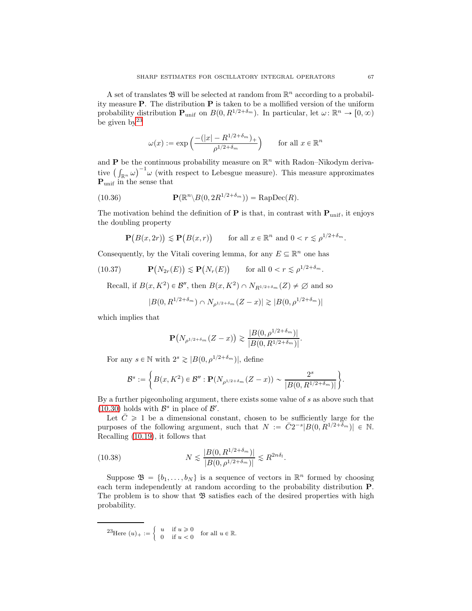A set of translates  $\mathfrak{B}$  will be selected at random from  $\mathbb{R}^n$  according to a probability measure  $P$ . The distribution  $P$  is taken to be a mollified version of the uniform probability distribution  $\mathbf{P}_{\text{unif}}$  on  $B(0, R^{1/2+\delta_m})$ . In particular, let  $\omega \colon \mathbb{R}^n \to [0, \infty)$ be given  $bv^{23}$ 

$$
\omega(x) := \exp\left(\frac{-\left(|x| - R^{1/2 + \delta_m}\right)_+}{\rho^{1/2 + \delta_m}}\right) \qquad \text{for all } x \in \mathbb{R}^n
$$

and **P** be the continuous probability measure on  $\mathbb{R}^n$  with Radon-Nikodym derivative  $\left(\int_{\mathbb{R}^n} \omega\right)^{-1} \omega$  (with respect to Lebesgue measure). This measure approximates P<sub>unif</sub> in the sense that

(10.36) 
$$
\mathbf{P}(\mathbb{R}^n \backslash B(0, 2R^{1/2+\delta_m})) = \text{RapDec}(R).
$$

The motivation behind the definition of  $P$  is that, in contrast with  $P_{unif}$ , it enjoys the doubling property

$$
\mathbf{P}\big(B(x,2r)\big) \lesssim \mathbf{P}\big(B(x,r)\big) \qquad \text{for all } x \in \mathbb{R}^n \text{ and } 0 < r \lesssim \rho^{1/2+\delta_m}.
$$

Consequently, by the Vitali covering lemma, for any  $E \subseteq \mathbb{R}^n$  one has

(10.37) 
$$
\mathbf{P}(N_{2r}(E)) \lesssim \mathbf{P}(N_r(E)) \quad \text{for all } 0 < r \lesssim \rho^{1/2 + \delta_m}.
$$

Recall, if  $B(x, K^2) \in \mathcal{B}''$ , then  $B(x, K^2) \cap N_{R^{1/2+\delta_m}}(Z) \neq \emptyset$  and so

$$
|B(0, R^{1/2 + \delta_m}) \cap N_{\rho^{1/2 + \delta_m}}(Z - x)| \gtrsim |B(0, \rho^{1/2 + \delta_m})|
$$

which implies that

$$
\mathbf{P}(N_{\rho^{1/2+\delta_m}}(Z-x)) \gtrsim \frac{|B(0,\rho^{1/2+\delta_m})|}{|B(0,R^{1/2+\delta_m})|}.
$$

For any  $s \in \mathbb{N}$  with  $2^s \geq |B(0, \rho^{1/2+\delta_m})|$ , define

$$
\mathcal{B}^s:=\bigg\{B(x,K^2)\in\mathcal{B}'': \mathbf{P}(N_{\rho^{1/2+\delta_m}}(Z-x))\sim\frac{2^s}{|B(0,R^{1/2+\delta_m})|}\bigg\}.
$$

By a further pigeonholing argument, there exists some value of s as above such that (10.30) holds with  $\mathcal{B}^s$  in place of  $\mathcal{B}'$ .

Let  $\overline{C} \geq 1$  be a dimensional constant, chosen to be sufficiently large for the purposes of the following argument, such that  $N := \overline{C}2^{-s} |B(0, R^{1/2 + \delta_m})| \in \mathbb{N}$ . Recalling (10.19), it follows that

(10.38) 
$$
N \lesssim \frac{|B(0, R^{1/2+\delta_m})|}{|B(0, \rho^{1/2+\delta_m})|} \lesssim R^{2n\delta_l}.
$$

Suppose  $\mathfrak{B} = \{b_1, \ldots, b_N\}$  is a sequence of vectors in  $\mathbb{R}^n$  formed by choosing each term independently at random according to the probability distribution P. The problem is to show that  $\mathfrak{B}$  satisfies each of the desired properties with high probability.

23Here  $(u)_+ := \begin{cases} u & \text{if } u \geq 0 \\ 0 & \text{if } u \leq 0 \end{cases}$  $\begin{cases}\n u & \text{if } u \geq 0 \\
0 & \text{if } u < 0\n\end{cases}$  for all  $u \in \mathbb{R}$ .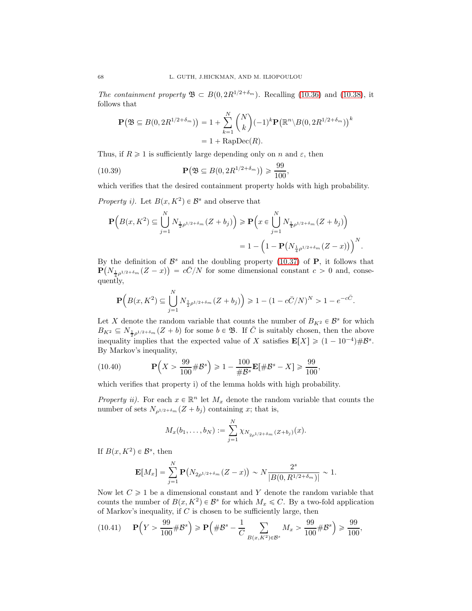The containment property  $\mathfrak{B} \subset B(0, 2R^{1/2+\delta_m})$ . Recalling (10.36) and (10.38), it follows that

$$
\mathbf{P}(\mathfrak{B} \subseteq B(0, 2R^{1/2 + \delta_m})) = 1 + \sum_{k=1}^{N} {N \choose k} (-1)^k \mathbf{P}(\mathbb{R}^n \setminus B(0, 2R^{1/2 + \delta_m}))^k
$$
  
= 1 + RapDec(R).

Thus, if  $R \geq 1$  is sufficiently large depending only on n and  $\varepsilon$ , then

(10.39) 
$$
\mathbf{P}\big(\mathfrak{B} \subseteq B(0, 2R^{1/2 + \delta_m})\big) \geq \frac{99}{100}
$$

which verifies that the desired containment property holds with high probability.

,

Property i). Let  $B(x, K^2) \in \mathcal{B}^s$  and observe that

$$
\begin{split} \mathbf{P}\Big(B(x,K^2)\subseteq \bigcup_{j=1}^N N_{\frac{1}{2}\rho^{1/2+\delta_m}}(Z+b_j)\Big) &\geqslant \mathbf{P}\Big(x\in \bigcup_{j=1}^N N_{\frac{1}{4}\rho^{1/2+\delta_m}}(Z+b_j)\Big)\\ &\qquad = 1-\Big(1-\mathbf{P}\big(N_{\frac{1}{4}\rho^{1/2+\delta_m}}(Z-x)\big)\Big)^N. \end{split}
$$

By the definition of  $\mathcal{B}^s$  and the doubling property (10.37) of **P**, it follows that  $\mathbf{P}(N_{\frac{1}{4}\rho^{1/2+\delta_m}}(Z-x)) = c\bar{C}/N$  for some dimensional constant  $c > 0$  and, conse- $\text{quently,}$ 

$$
\mathbf{P}\Big(B(x,K^2)\subseteq \bigcup_{j=1}^N N_{\frac{1}{2}\rho^{1/2+\delta_m}}(Z+b_j)\Big)\geq 1-(1-c\bar{C}/N)^N>1-e^{-c\bar{C}}.
$$

Let X denote the random variable that counts the number of  $B_{K^2} \in \mathcal{B}^s$  for which  $B_{K^2} \subseteq N_{\frac{1}{2}\rho^{1/2+\delta_m}}(Z+b)$  for some  $b \in \mathfrak{B}$ . If  $\overline{C}$  is suitably chosen, then the above inequality implies that the expected value of X satisfies  $\mathbf{E}[X] \geq (1 - 10^{-4}) \# \mathcal{B}^s$ . By Markov's inequality,

(10.40) 
$$
\mathbf{P}\left(X > \frac{99}{100} \# \mathcal{B}^s\right) \ge 1 - \frac{100}{\# \mathcal{B}^s} \mathbf{E}[\# \mathcal{B}^s - X] \ge \frac{99}{100},
$$

which verifies that property i) of the lemma holds with high probability.

Property ii). For each  $x \in \mathbb{R}^n$  let  $M_x$  denote the random variable that counts the number of sets  $N_{\rho^{1/2+\delta_m}}(Z + b_j)$  containing x; that is,

$$
M_x(b_1,\ldots,b_N) := \sum_{j=1}^N \chi_{N_{2\rho^{1/2+\delta_m}}(Z+b_j)}(x).
$$

If  $B(x, K^2) \in \mathcal{B}^s$ , then

$$
\mathbf{E}[M_x] = \sum_{j=1}^N \mathbf{P}(N_{2\rho^{1/2+\delta_m}}(Z-x)) \sim N \frac{2^s}{|B(0,R^{1/2+\delta_m})|} \sim 1.
$$

Now let  $C \geq 1$  be a dimensional constant and Y denote the random variable that counts the number of  $B(x, K^2) \in \mathcal{B}^s$  for which  $M_x \leq C$ . By a two-fold application of Markov's inequality, if  $C$  is chosen to be sufficiently large, then

$$
(10.41) \t\mathbf{P}\left(Y > \frac{99}{100} \# \mathcal{B}^s\right) \ge \mathbf{P}\left(\# \mathcal{B}^s - \frac{1}{C} \sum_{B(x, K^2) \in \mathcal{B}^s} M_x > \frac{99}{100} \# \mathcal{B}^s\right) \ge \frac{99}{100},
$$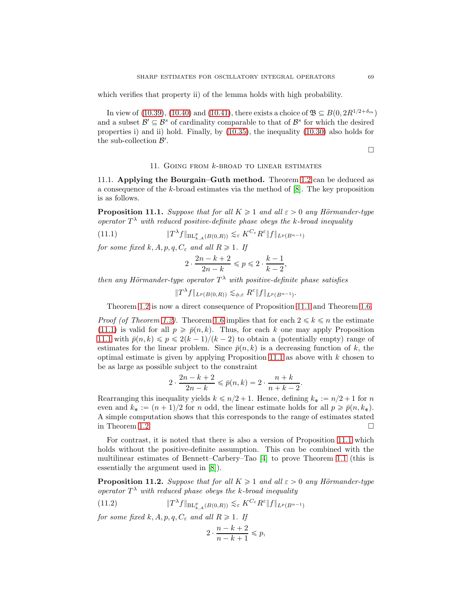which verifies that property ii) of the lemma holds with high probability.

In view of (10.39), (10.40) and (10.41), there exists a choice of  $\mathfrak{B} \subseteq B(0, 2R^{1/2+\delta_m})$ and a subset  $\mathcal{B}' \subseteq \mathcal{B}^s$  of cardinality comparable to that of  $\mathcal{B}^s$  for which the desired properties i) and ii) hold. Finally, by (10.35), the inequality (10.30) also holds for the sub-collection  $\mathcal{B}'$ .

$$
\Box
$$

### 11. Going from k-broad to linear estimates

11.1. Applying the Bourgain–Guth method. Theorem 1.2 can be deduced as a consequence of the k-broad estimates via the method of [8]. The key proposition is as follows.

**Proposition 11.1.** Suppose that for all  $K \geq 1$  and all  $\varepsilon > 0$  any Hörmander-type operator  $T^{\lambda}$  with reduced positive-definite phase obeys the k-broad inequality

(11.1) 
$$
\|T^{\lambda}f\|_{\mathrm{BL}_{k,A}^p(B(0,R))} \lesssim_{\varepsilon} K^{C_{\varepsilon}} R^{\varepsilon} \|f\|_{L^p(B^{n-1})}
$$

for some fixed k, A, p, q,  $C_{\varepsilon}$  and all  $R \geq 1$ . If

$$
2\cdot \frac{2n-k+2}{2n-k} \leqslant p \leqslant 2\cdot \frac{k-1}{k-2},
$$

then any Hörmander-type operator  $T^{\lambda}$  with positive-definite phase satisfies

$$
||T^{\lambda}f||_{L^p(B(0,R))} \lesssim_{\phi,\varepsilon} R^{\varepsilon}||f||_{L^p(B^{n-1})}.
$$

Theorem 1.2 is now a direct consequence of Proposition 11.1 and Theorem 1.6.

*Proof (of Theorem 1.2).* Theorem 1.6 implies that for each  $2 \leq k \leq n$  the estimate (11.1) is valid for all  $p \geq \bar{p}(n, k)$ . Thus, for each k one may apply Proposition 11.1 with  $\bar{p}(n, k) \leq p \leq 2(k - 1)/(k - 2)$  to obtain a (potentially empty) range of estimates for the linear problem. Since  $\bar{p}(n, k)$  is a decreasing function of k, the optimal estimate is given by applying Proposition 11.1 as above with  $k$  chosen to be as large as possible subject to the constraint

$$
2 \cdot \frac{2n - k + 2}{2n - k} \leq \bar{p}(n, k) = 2 \cdot \frac{n + k}{n + k - 2}.
$$

Rearranging this inequality yields  $k \le n/2 + 1$ . Hence, defining  $k_* := n/2 + 1$  for n even and  $k_* := (n + 1)/2$  for n odd, the linear estimate holds for all  $p \geq \bar{p}(n, k_*)$ . A simple computation shows that this corresponds to the range of estimates stated in Theorem 1.2.  $\Box$ 

For contrast, it is noted that there is also a version of Proposition 11.1 which holds without the positive-definite assumption. This can be combined with the multilinear estimates of Bennett–Carbery–Tao [4] to prove Theorem 1.1 (this is essentially the argument used in [8]).

**Proposition 11.2.** Suppose that for all  $K \geq 1$  and all  $\varepsilon > 0$  any Hörmander-type operator  $T^{\lambda}$  with reduced phase obeys the k-broad inequality

(11.2) }T λ f}BL<sup>p</sup> k,ApBp0,Rqq <sup>À</sup><sup>ε</sup> <sup>K</sup>Cε<sup>R</sup> ε }f}LppBn´1<sup>q</sup>

for some fixed k, A, p, q,  $C_{\varepsilon}$  and all  $R \geq 1$ . If

$$
2\cdot \frac{n-k+2}{n-k+1}\leqslant p,
$$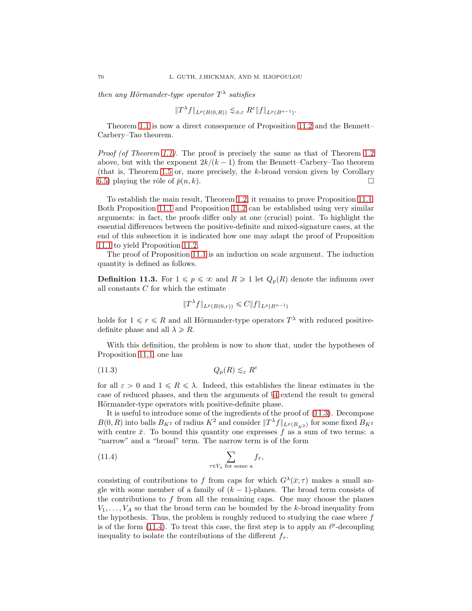then any Hörmander-type operator  $T^{\lambda}$  satisfies

$$
||T^{\lambda}f||_{L^p(B(0,R))} \lesssim_{\phi,\varepsilon} R^{\varepsilon}||f||_{L^p(B^{n-1})}.
$$

Theorem 1.1 is now a direct consequence of Proposition 11.2 and the Bennett– Carbery–Tao theorem.

Proof (of Theorem 1.1). The proof is precisely the same as that of Theorem 1.2 above, but with the exponent  $2k/(k - 1)$  from the Bennett–Carbery–Tao theorem (that is, Theorem 1.5 or, more precisely, the k-broad version given by Corollary 6.5) playing the rôle of  $\bar{p}(n, k)$ .

To establish the main result, Theorem 1.2, it remains to prove Proposition 11.1. Both Proposition 11.1 and Proposition 11.2 can be established using very similar arguments: in fact, the proofs differ only at one (crucial) point. To highlight the essential differences between the positive-definite and mixed-signature cases, at the end of this subsection it is indicated how one may adapt the proof of Proposition 11.1 to yield Proposition 11.2.

The proof of Proposition 11.1 is an induction on scale argument. The induction quantity is defined as follows.

**Definition 11.3.** For  $1 \leq p \leq \infty$  and  $R \geq 1$  let  $Q_p(R)$  denote the infimum over all constants  $C$  for which the estimate

$$
||T^{\lambda}f||_{L^p(B(0,r))} \leq C||f||_{L^p(B^{n-1})}
$$

holds for  $1 \leq r \leq R$  and all Hörmander-type operators  $T^{\lambda}$  with reduced positivedefinite phase and all  $\lambda \ge R$ .

With this definition, the problem is now to show that, under the hypotheses of Proposition 11.1, one has

$$
(11.3) \tQ_p(R) \lesssim_{\varepsilon} R^{\varepsilon}
$$

for all  $\varepsilon > 0$  and  $1 \le R \le \lambda$ . Indeed, this establishes the linear estimates in the case of reduced phases, and then the arguments of §4 extend the result to general Hörmander-type operators with positive-definite phase.

It is useful to introduce some of the ingredients of the proof of (11.3). Decompose  $B(0, R)$  into balls  $B_{K^2}$  of radius  $K^2$  and consider  $||T^{\lambda}f||_{L^p(B_{K^2})}$  for some fixed  $B_{K^2}$ with centre  $\bar{x}$ . To bound this quantity one expresses f as a sum of two terms: a "narrow" and a "broad" term. The narrow term is of the form

(11.4) 
$$
\sum_{\tau \in V_a \text{ for some a}} f_{\tau},
$$

consisting of contributions to f from caps for which  $G^{\lambda}(\bar{x}; \tau)$  makes a small angle with some member of a family of  $(k - 1)$ -planes. The broad term consists of the contributions to  $f$  from all the remaining caps. One may choose the planes  $V_1, \ldots, V_A$  so that the broad term can be bounded by the k-broad inequality from the hypothesis. Thus, the problem is roughly reduced to studying the case where  $f$ is of the form  $(11.4)$ . To treat this case, the first step is to apply an  $\ell^p$ -decoupling inequality to isolate the contributions of the different  $f_{\tau}$ .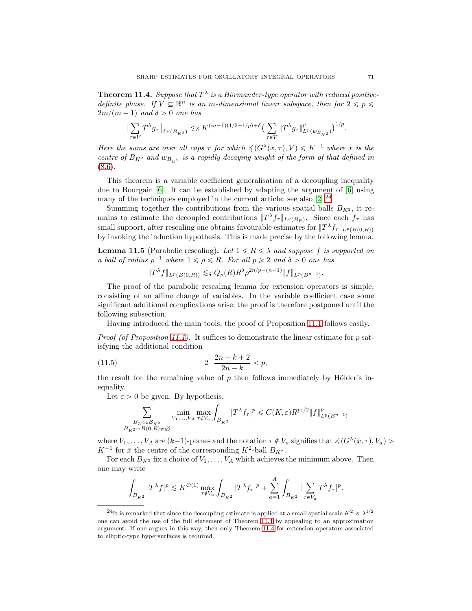**Theorem 11.4.** Suppose that  $T^{\lambda}$  is a Hörmander-type operator with reduced positivedefinite phase. If  $V \subseteq \mathbb{R}^n$  is an m-dimensional linear subspace, then for  $2 \leq p \leq \frac{1}{2}$  $2m/(m - 1)$  and  $\delta > 0$  one has

$$
\big\| \sum_{\tau \in V} T^{\lambda} g_{\tau} \big\|_{L^p(B_{K^2})} \lesssim_{\delta} K^{(m-1)(1/2-1/p) + \delta} \big( \sum_{\tau \in V} \| T^{\lambda} g_{\tau} \|^p_{L^p(w_{B_{K^2}})} \big)^{1/p}.
$$

Here the sums are over all caps  $\tau$  for which  $\measuredangle(G^\lambda(\bar{x}, \tau), V) \leq K^{-1}$  where  $\bar{x}$  is the centre of  $B_{K^2}$  and  $w_{B_{K^2}}$  is a rapidly decaying weight of the form of that defined in (8.6).

This theorem is a variable coefficient generalisation of a decoupling inequality due to Bourgain [6]. It can be established by adapting the argument of [6] using many of the techniques employed in the current article: see also  $[2].^{24}$ 

Summing together the contributions from the various spatial balls  $B_{K^2}$ , it remains to estimate the decoupled contributions  $||T^{\lambda} f_{\tau}||_{L^p(B_R)}$ . Since each  $f_{\tau}$  has small support, after rescaling one obtains favourable estimates for  $||T^{\lambda} f_{\tau}||_{L^p(B(0,R))}$ by invoking the induction hypothesis. This is made precise by the following lemma.

**Lemma 11.5** (Parabolic rescaling). Let  $1 \le R \le \lambda$  and suppose f is supported on a ball of radius  $\rho^{-1}$  where  $1 \leq \rho \leq R$ . For all  $p \geq 2$  and  $\delta > 0$  one has

$$
||T^{\lambda}f||_{L^{p}(B(0,R))} \lesssim_{\delta} Q_p(R)R^{\delta} \rho^{2n/p-(n-1)}||f||_{L^{p}(B^{n-1})}.
$$

The proof of the parabolic rescaling lemma for extension operators is simple, consisting of an affine change of variables. In the variable coefficient case some significant additional complications arise; the proof is therefore postponed until the following subsection.

Having introduced the main tools, the proof of Proposition 11.1 follows easily.

*Proof (of Proposition 11.1).* It suffices to demonstrate the linear estimate for p satisfying the additional condition

(11.5) 
$$
2 \cdot \frac{2n - k + 2}{2n - k} < p;
$$

the result for the remaining value of  $p$  then follows immediately by Hölder's inequality.

Let  $\varepsilon > 0$  be given. By hypothesis,

$$
\sum_{\substack{B_{K^2} \in \mathcal{B}_{K^2} \\ B_{K^2} \cap B(0,R) \neq \emptyset}} \min_{V_1, \dots, V_A} \max_{\tau \notin V_a} \int_{B_{K^2}} |T^{\lambda} f_{\tau}|^p \leq C(K,\varepsilon) R^{p\varepsilon/2} \|f\|_{L^p(B^{n-1})}^p
$$

where  $V_1, \ldots, V_A$  are  $(k-1)$ -planes and the notation  $\tau \notin V_a$  signifies that  $\measuredangle(G^\lambda(\bar{x}, \tau), V_a) >$  $K^{-1}$  for  $\bar{x}$  the centre of the corresponding  $K^2$ -ball  $B_{K^2}$ .

For each  $B_{K^2}$  fix a choice of  $V_1, \ldots, V_A$  which achieves the minimum above. Then one may write

$$
\int_{B_{K^2}}|T^\lambda f|^p\lesssim K^{O(1)}\max_{\tau\notin V_a}\int_{B_{K^2}}|T^\lambda f_\tau|^p+\sum_{a=1}^A\int_{B_{K^2}}|\sum_{\tau\in V_a}T^\lambda f_\tau|^p.
$$

<sup>&</sup>lt;sup>24</sup>It is remarked that since the decoupling estimate is applied at a small spatial scale  $K^2 \ll \lambda^{1/2}$ one can avoid the use of the full statement of Theorem 11.4 by appealing to an approximation argument. If one argues in this way, then only Theorem 11.4 for extension operators associated to elliptic-type hypersurfaces is required.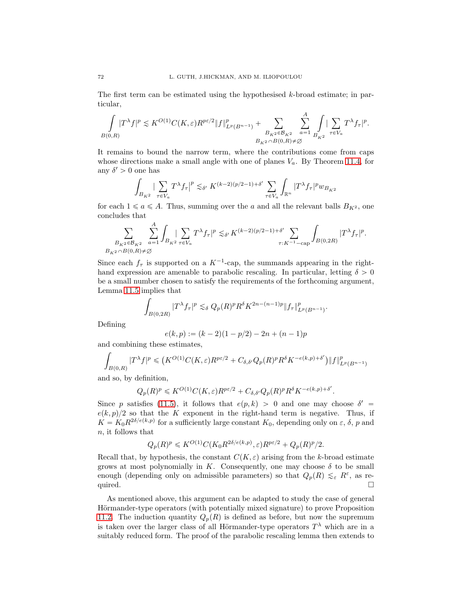The first term can be estimated using the hypothesised k-broad estimate; in particular,

$$
\int\limits_{B(0,R)}\!\!|T^\lambda f|^p\lesssim K^{O(1)}C(K,\varepsilon)R^{p\varepsilon/2}\|f\|^p_{L^p(B^{n-1})}+\sum_{\substack{B_{K^2}\in\mathcal{B}_{K^2}\\B_{K^2}\cap B(0,R)\not=\varnothing}}\sum_{a=1}^A\int\limits_{B_{K^2}}|\sum_{\tau\in V_a}T^\lambda f_\tau|^p.
$$

It remains to bound the narrow term, where the contributions come from caps whose directions make a small angle with one of planes  $V_a$ . By Theorem 11.4, for any  $\delta' > 0$  one has

$$
\int_{B_{K^2}} \left| \sum_{\tau \in V_a} T^{\lambda} f_{\tau} \right|^p \lesssim_{\delta'} K^{(k-2)(p/2-1)+\delta'} \sum_{\tau \in V_a} \int_{\mathbb{R}^n} |T^{\lambda} f_{\tau}|^p w_{B_{K^2}}
$$

for each  $1 \le a \le A$ . Thus, summing over the a and all the relevant balls  $B_{K^2}$ , one concludes that

$$
\sum_{\substack{B_{K^2} \in \mathcal{B}_{K^2} \\ B_{K^2} \cap B(0,R) \neq \emptyset}} \sum_{a=1}^A \int_{B_{K^2}} \sum_{\tau \in V_a} T^{\lambda} f_{\tau} |^p \lesssim_{\delta'} K^{(k-2)(p/2-1)+\delta'} \sum_{\tau: K^{-1}-\text{cap}} \int_{B(0,2R)} |T^{\lambda} f_{\tau}|^p.
$$

Since each  $f_{\tau}$  is supported on a  $K^{-1}$ -cap, the summands appearing in the righthand expression are amenable to parabolic rescaling. In particular, letting  $\delta > 0$ be a small number chosen to satisfy the requirements of the forthcoming argument, Lemma 11.5 implies that

$$
\int_{B(0,2R)} |T^{\lambda} f_{\tau}|^{p} \lesssim_{\delta} Q_{p}(R)^{p} R^{\delta} K^{2n-(n-1)p} \|f_{\tau}\|_{L^{p}(B^{n-1})}^{p}.
$$

Defining

$$
e(k, p) := (k - 2)(1 - p/2) - 2n + (n - 1)p
$$

and combining these estimates,

$$
\int_{B(0,R)} |T^{\lambda} f|^p \leq (K^{O(1)}C(K,\varepsilon)R^{p\varepsilon/2} + C_{\delta,\delta'}Q_p(R)^p R^{\delta} K^{-e(k,p)+\delta'}\big) \|f\|_{L^p(B^{n-1})}^p
$$

and so, by definition,

$$
Q_p(R)^p \leqslant K^{O(1)}C(K,\varepsilon)R^{p\varepsilon/2} + C_{\delta,\delta'}Q_p(R)^pR^{\delta}K^{-e(k,p)+\delta'}
$$

.

Since p satisfies (11.5), it follows that  $e(p, k) > 0$  and one may choose  $\delta' =$  $e(k, p)/2$  so that the K exponent in the right-hand term is negative. Thus, if  $K = K_0 R^{2\delta/e(k,p)}$  for a sufficiently large constant  $K_0$ , depending only on  $\varepsilon$ ,  $\delta$ , p and n, it follows that

$$
Q_p(R)^p \leqslant K^{O(1)}C(K_0R^{2\delta/e(k,p)}, \varepsilon)R^{p\varepsilon/2} + Q_p(R)^p/2.
$$

Recall that, by hypothesis, the constant  $C(K, \varepsilon)$  arising from the k-broad estimate grows at most polynomially in K. Consequently, one may choose  $\delta$  to be small enough (depending only on admissible parameters) so that  $Q_p(R) \lesssim_{\varepsilon} R^{\varepsilon}$ , as required.  $\Box$ 

As mentioned above, this argument can be adapted to study the case of general Hörmander-type operators (with potentially mixed signature) to prove Proposition 11.2. The induction quantity  $Q_p(R)$  is defined as before, but now the supremum is taken over the larger class of all Hörmander-type operators  $T^{\lambda}$  which are in a suitably reduced form. The proof of the parabolic rescaling lemma then extends to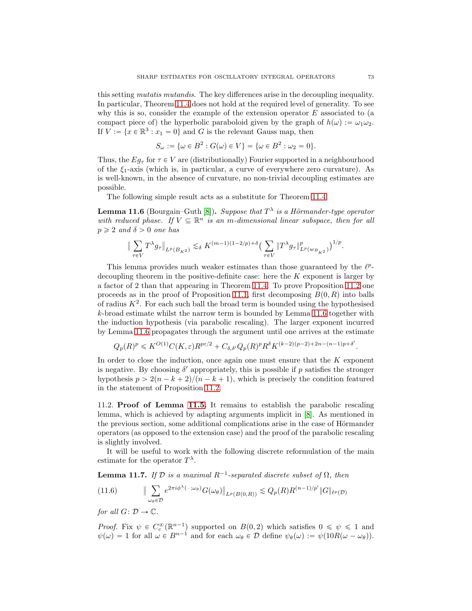this setting *mutatis mutandis*. The key differences arise in the decoupling inequality. In particular, Theorem 11.4 does not hold at the required level of generality. To see why this is so, consider the example of the extension operator  $E$  associated to (a compact piece of) the hyperbolic paraboloid given by the graph of  $h(\omega) := \omega_1 \omega_2$ . If  $V := \{x \in \mathbb{R}^3 : x_1 = 0\}$  and G is the relevant Gauss map, then

$$
S_{\omega} := \{\omega \in B^2 : G(\omega) \in V\} = \{\omega \in B^2 : \omega_2 = 0\}.
$$

Thus, the  $Eg_\tau$  for  $\tau \in V$  are (distributionally) Fourier supported in a neighbourhood of the  $\xi_1$ -axis (which is, in particular, a curve of everywhere zero curvature). As is well-known, in the absence of curvature, no non-trivial decoupling estimates are possible.

The following simple result acts as a substitute for Theorem 11.4.

**Lemma 11.6** (Bourgain–Guth [8]). Suppose that  $T^{\lambda}$  is a Hörmander-type operator with reduced phase. If  $V \subseteq \mathbb{R}^n$  is an m-dimensional linear subspace, then for all  $p \geqslant 2$  and  $\delta > 0$  one has

$$
\|\sum_{\tau\in V}T^{\lambda}g_{\tau}\|_{L^{p}(B_{K^{2}})}\lesssim_{\delta}K^{(m-1)(1-2/p)+\delta}\big(\sum_{\tau\in V}\|T^{\lambda}g_{\tau}\|^{p}_{L^{p}(w_{B_{K^{2}}})}\big)^{1/p}.
$$

This lemma provides much weaker estimates than those guaranteed by the  $\ell^{p}$ decoupling theorem in the positive-definite case: here the K exponent is larger by a factor of 2 than that appearing in Theorem 11.4. To prove Proposition 11.2 one proceeds as in the proof of Proposition 11.1, first decomposing  $B(0, R)$  into balls of radius  $K^2$ . For each such ball the broad term is bounded using the hypothesised k-broad estimate whilst the narrow term is bounded by Lemma 11.6 together with the induction hypothesis (via parabolic rescaling). The larger exponent incurred by Lemma 11.6 propagates through the argument until one arrives at the estimate

$$
Q_p(R)^p \leqslant K^{O(1)}C(K,\varepsilon)R^{p\varepsilon/2} + C_{\delta,\delta'}Q_p(R)^pR^{\delta}K^{(k-2)(p-2)+2n-(n-1)p+\delta'}.
$$

In order to close the induction, once again one must ensure that the  $K$  exponent is negative. By choosing  $\delta'$  appropriately, this is possible if p satisfies the stronger hypothesis  $p > 2(n - k + 2)/(n - k + 1)$ , which is precisely the condition featured in the statement of Proposition 11.2.

11.2. Proof of Lemma 11.5. It remains to establish the parabolic rescaling lemma, which is achieved by adapting arguments implicit in [8]. As mentioned in the previous section, some additional complications arise in the case of Hörmander operators (as opposed to the extension case) and the proof of the parabolic rescaling is slightly involved.

It will be useful to work with the following discrete reformulation of the main estimate for the operator  $T^{\lambda}$ .

**Lemma 11.7.** If  $D$  is a maximal  $R^{-1}$ -separated discrete subset of  $\Omega$ , then

(11.6) 
$$
\|\sum_{\omega_{\theta}\in\mathcal{D}}e^{2\pi i\phi^{\lambda}(\cdot;\omega_{\theta})}G(\omega_{\theta})\|_{L^{p}(B(0,R))}\lesssim Q_{p}(R)R^{(n-1)/p'}\|G\|_{\ell^{p}(\mathcal{D})}
$$

for all  $G: \mathcal{D} \to \mathbb{C}$ .

*Proof.* Fix  $\psi \in C_c^{\infty}(\mathbb{R}^{n-1})$  supported on  $B(0, 2)$  which satisfies  $0 \le \psi \le 1$  and  $\psi(\omega) = 1$  for all  $\omega \in B^{n-1}$  and for each  $\omega_{\theta} \in \mathcal{D}$  define  $\psi_{\theta}(\omega) := \psi(10R(\omega - \omega_{\theta}))$ .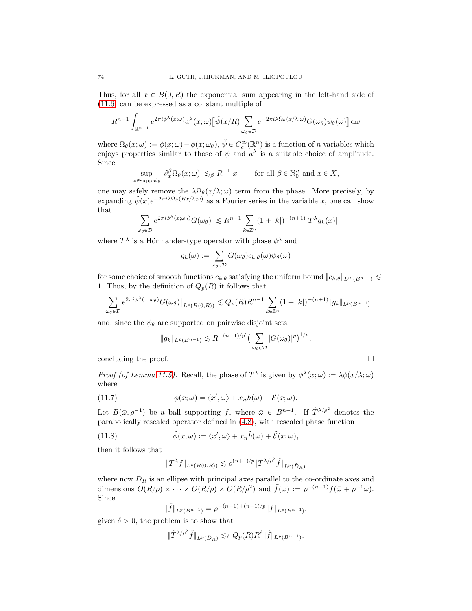Thus, for all  $x \in B(0, R)$  the exponential sum appearing in the left-hand side of (11.6) can be expressed as a constant multiple of

$$
R^{n-1} \int_{\mathbb{R}^{n-1}} e^{2\pi i \phi^{\lambda}(x;\omega)} a^{\lambda}(x;\omega) \left[ \tilde{\psi}(x/R) \sum_{\omega_{\theta} \in \mathcal{D}} e^{-2\pi i \lambda \Omega_{\theta}(x/\lambda;\omega)} G(\omega_{\theta}) \psi_{\theta}(\omega) \right] d\omega
$$

where  $\Omega_{\theta}(x;\omega) := \phi(x;\omega) - \phi(x;\omega_{\theta}), \, \tilde{\psi} \in C_c^{\infty}(\mathbb{R}^n)$  is a function of n variables which enjoys properties similar to those of  $\psi$  and  $a^{\lambda}$  is a suitable choice of amplitude. Since

$$
\sup_{\varepsilon \text{supp }\psi_{\theta}} |\partial_x^{\beta} \Omega_{\theta}(x;\omega)| \lesssim_{\beta} R^{-1}|x| \quad \text{for all }\beta \in \mathbb{N}_0^n \text{ and } x \in X,
$$

one may safely remove the  $\lambda \Omega_{\theta}(x/\lambda; \omega)$  term from the phase. More precisely, by expanding  $\tilde{\psi}(x)e^{-2\pi i\lambda\Omega_{\theta}(Rx/\lambda;\omega)}$  as a Fourier series in the variable x, one can show that

$$
\sum_{\omega_{\theta} \in \mathcal{D}} e^{2\pi i \phi^{\lambda}(x; \omega_{\theta})} G(\omega_{\theta}) \leq R^{n-1} \sum_{k \in \mathbb{Z}^n} (1 + |k|)^{-(n+1)} |T^{\lambda} g_k(x)|
$$

where  $T^{\lambda}$  is a Hörmander-type operator with phase  $\phi^{\lambda}$  and

$$
g_k(\omega) := \sum_{\omega_{\theta} \in \mathcal{D}} G(\omega_{\theta}) c_{k,\theta}(\omega) \psi_{\theta}(\omega)
$$

for some choice of smooth functions  $c_{k,\theta}$  satisfying the uniform bound  $||c_{k,\theta}||_{L^{\infty}(B^{n-1})} \lesssim$ 1. Thus, by the definition of  $Q_p(R)$  it follows that

$$
\|\sum_{\omega_{\theta}\in\mathcal{D}}e^{2\pi i\phi^{\lambda}(\cdot;\omega_{\theta})}G(\omega_{\theta})\|_{L^{p}(B(0,R))}\lesssim Q_{p}(R)R^{n-1}\sum_{k\in\mathbb{Z}^{n}}(1+|k|)^{-(n+1)}\|g_{k}\|_{L^{p}(B^{n-1})}
$$

and, since the  $\psi_{\theta}$  are supported on pairwise disjoint sets,

$$
||g_k||_{L^p(B^{n-1})} \lesssim R^{-(n-1)/p'} \big(\sum_{\omega_\theta \in \mathcal{D}} |G(\omega_\theta)|^p\big)^{1/p},
$$

concluding the proof.

 $\omega$ 

 $\begin{array}{c} \hline \end{array}$  $\overline{\phantom{a}}$ 

*Proof (of Lemma 11.5).* Recall, the phase of  $T^{\lambda}$  is given by  $\phi^{\lambda}(x;\omega) := \lambda \phi(x/\lambda;\omega)$ where

(11.7) 
$$
\phi(x; \omega) = \langle x', \omega \rangle + x_n h(\omega) + \mathcal{E}(x; \omega).
$$

Let  $B(\bar{\omega}, \rho^{-1})$  be a ball supporting f, where  $\bar{\omega} \in B^{n-1}$ . If  $\tilde{T}^{\lambda/\rho^2}$  denotes the parabolically rescaled operator defined in (4.8), with rescaled phase function

(11.8) 
$$
\tilde{\phi}(x;\omega) := \langle x',\omega \rangle + x_n \tilde{h}(\omega) + \tilde{\mathcal{E}}(x;\omega),
$$

then it follows that

$$
||T^{\lambda}f||_{L^p(B(0,R))} \lesssim \rho^{(n+1)/p}||\tilde{T}^{\lambda/\rho^2}\tilde{f}||_{L^p(\tilde{D}_R)}
$$

where now  $D_R$  is an ellipse with principal axes parallel to the co-ordinate axes and dimensions  $O(R/\rho) \times \cdots \times O(R/\rho) \times O(R/\rho^2)$  and  $\tilde{f}(\omega) := \rho^{-(n-1)} f(\bar{\omega} + \rho^{-1}\omega)$ . Since

$$
\|\tilde{f}\|_{L^p(B^{n-1})} = \rho^{-(n-1)+(n-1)/p} \|f\|_{L^p(B^{n-1})},
$$

given  $\delta > 0$ , the problem is to show that

$$
\|\tilde{T}^{\lambda/\rho^2}\tilde{f}\|_{L^p(\tilde{D}_R)}\lesssim_{\delta} Q_p(R)R^{\delta}\|\tilde{f}\|_{L^p(B^{n-1})}.
$$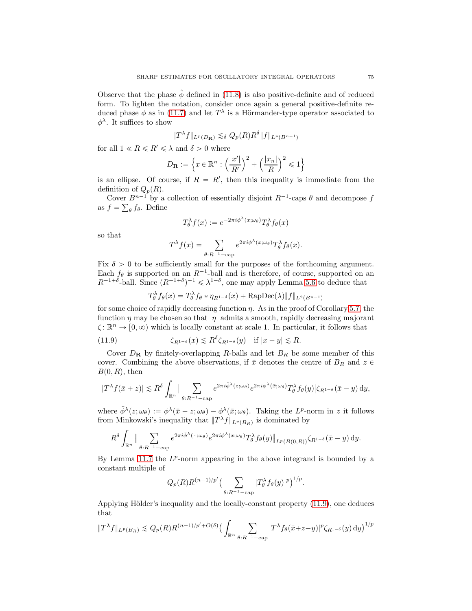Observe that the phase  $\phi$  defined in (11.8) is also positive-definite and of reduced form. To lighten the notation, consider once again a general positive-definite reduced phase  $\phi$  as in (11.7) and let  $T^{\lambda}$  is a Hörmander-type operator associated to  $\phi^{\lambda}$ . It suffices to show

$$
||T^{\lambda}f||_{L^p(D_{\mathbf{R}})} \lesssim_{\delta} Q_p(R)R^{\delta}||f||_{L^p(B^{n-1})}
$$

for all  $1 \ll R \leq R' \leq \lambda$  and  $\delta > 0$  where

$$
D_{\mathbf{R}}:=\Big\{x\in\mathbb{R}^n:\Big(\frac{|x'|}{R'}\Big)^2+\Big(\frac{|x_n|}{R}\Big)^2\leqslant 1\Big\}
$$

is an ellipse. Of course, if  $R = R'$ , then this inequality is immediate from the definition of  $Q_p(R)$ .

Cover  $B^{n-1}$  by a collection of essentially disjoint  $R^{-1}$ -caps  $\theta$  and decompose f as  $f = \sum_{\theta} f_{\theta}$ . Define

$$
T^{\lambda}_{\theta}f(x) := e^{-2\pi i \phi^{\lambda}(x; \omega_{\theta})} T^{\lambda}_{\theta}f_{\theta}(x)
$$

so that

$$
T^{\lambda}f(x) = \sum_{\theta:R^{-1}-\text{cap}} e^{2\pi i\phi^{\lambda}(x;\omega_{\theta})} T^{\lambda}_{\theta}f_{\theta}(x).
$$

Fix  $\delta > 0$  to be sufficiently small for the purposes of the forthcoming argument. Each  $f_{\theta}$  is supported on an  $R^{-1}$ -ball and is therefore, of course, supported on an  $R^{-1+\delta}$ -ball. Since  $(R^{-1+\delta})^{-1} \leq \lambda^{1-\delta}$ , one may apply Lemma 5.6 to deduce that

$$
T_{\theta}^{\lambda} f_{\theta}(x) = T_{\theta}^{\lambda} f_{\theta} * \eta_{R^{1-\delta}}(x) + \text{RapDec}(\lambda) ||f||_{L^{2}(B^{n-1})}
$$

for some choice of rapidly decreasing function  $\eta$ . As in the proof of Corollary 5.7, the function  $\eta$  may be chosen so that  $|\eta|$  admits a smooth, rapidly decreasing majorant  $\zeta: \mathbb{R}^n \to [0, \infty)$  which is locally constant at scale 1. In particular, it follows that

(11.9) 
$$
\zeta_{R^{1-\delta}}(x) \lesssim R^{\delta} \zeta_{R^{1-\delta}}(y) \quad \text{if } |x-y| \lesssim R.
$$

Cover  $D_{\mathbf{R}}$  by finitely-overlapping R-balls and let  $B_R$  be some member of this cover. Combining the above observations, if  $\bar{x}$  denotes the centre of  $B_R$  and  $z \in$  $B(0, R)$ , then

$$
|T^{\lambda}f(\bar{x}+z)| \lesssim R^{\delta} \int_{\mathbb{R}^n} \Big| \sum_{\theta: R^{-1}-\text{cap}} e^{2\pi i \tilde{\phi}^{\lambda}(z;\omega_{\theta})} e^{2\pi i \phi^{\lambda}(\bar{x};\omega_{\theta})} T^{\lambda}_{\theta}f_{\theta}(y) \Big| \zeta_{R^{1-\delta}}(\bar{x}-y) \, \mathrm{d}y,
$$

where  $\tilde{\phi}^{\lambda}(z;\omega_{\theta}) := \phi^{\lambda}(\bar{x}+z;\omega_{\theta}) - \phi^{\lambda}(\bar{x};\omega_{\theta})$ . Taking the L<sup>p</sup>-norm in z it follows from Minkowski's inequality that  $||T^{\lambda}f||_{L^p(B_R)}$  is dominated by

$$
R^{\delta}\int_{\mathbb{R}^n}\|\sum_{\theta:R^{-1}-\text{cap}}e^{2\pi i\tilde{\phi}^{\lambda}(\cdot;\omega_{\theta})}e^{2\pi i\phi^{\lambda}(\bar{x};\omega_{\theta})}T_{\theta}^{\lambda}f_{\theta}(y)\|_{L^p(B(0,R))}\zeta_{R^{1-\delta}}(\bar{x}-y)\,dy.
$$

By Lemma 11.7 the  $L^p$ -norm appearing in the above integrand is bounded by a constant multiple of

$$
Q_p(R)R^{(n-1)/p'}\left(\sum_{\theta:R^{-1}-\text{cap}}|T_{\theta}^{\lambda}f_{\theta}(y)|^p\right)^{1/p}.
$$

Applying Hölder's inequality and the locally-constant property  $(11.9)$ , one deduces that

$$
||T^{\lambda}f||_{L^{p}(B_R)} \lesssim Q_p(R)R^{(n-1)/p'+O(\delta)} \big(\int_{\mathbb{R}^n} \sum_{\theta:R^{-1}-\text{cap}} |T^{\lambda}f_{\theta}(\bar{x}+z-y)|^p \zeta_{R^{1-\delta}}(y) \,dy\big)^{1/p}
$$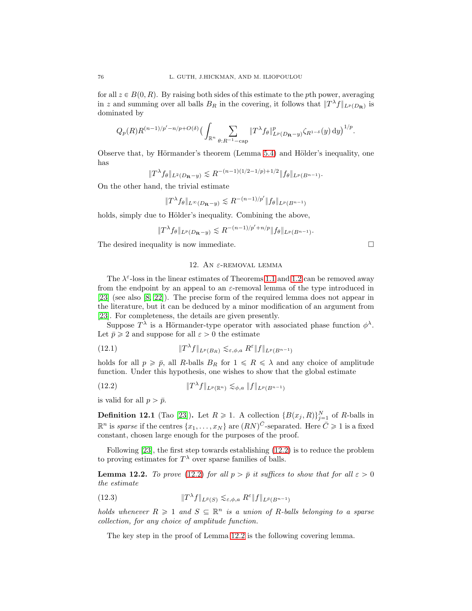for all  $z \in B(0, R)$ . By raising both sides of this estimate to the pth power, averaging in z and summing over all balls  $B_R$  in the covering, it follows that  $||T^{\lambda}f||_{L^p(D_R)}$  is dominated by

$$
Q_p(R)R^{(n-1)/p'-n/p+O(\delta)}\big(\int_{\mathbb{R}^n}\sum_{\theta:R^{-1}-\text{cap}}\|T^{\lambda}f_{\theta}\|_{L^p(D_{\mathbf{R}}-y)}^p\zeta_{R^{1-\delta}}(y)\,\mathrm{d}y\big)^{1/p}.
$$

Observe that, by Hörmander's theorem (Lemma 5.4) and Hölder's inequality, one has

$$
||T^{\lambda} f_{\theta}||_{L^2(D_{\mathbf{R}}-y)} \lesssim R^{-(n-1)(1/2-1/p)+1/2} ||f_{\theta}||_{L^p(B^{n-1})}.
$$

On the other hand, the trivial estimate

$$
||T^{\lambda} f_{\theta}||_{L^{\infty}(D_{\mathbf{R}}-y)} \lesssim R^{-(n-1)/p'}||f_{\theta}||_{L^{p}(B^{n-1})}
$$

holds, simply due to Hölder's inequality. Combining the above,

$$
||T^{\lambda} f_{\theta}||_{L^{p}(D_{\mathbf{R}}-y)} \lesssim R^{-(n-1)/p'+n/p} ||f_{\theta}||_{L^{p}(B^{n-1})}.
$$

The desired inequality is now immediate.  $\Box$ 

## 12. AN  $\varepsilon$ -REMOVAL LEMMA

The  $\lambda^{\varepsilon}$ -loss in the linear estimates of Theorems 1.1 and 1.2 can be removed away from the endpoint by an appeal to an  $\varepsilon$ -removal lemma of the type introduced in [23] (see also [8, 22]). The precise form of the required lemma does not appear in the literature, but it can be deduced by a minor modification of an argument from [23]. For completeness, the details are given presently.

Suppose  $T^{\lambda}$  is a Hörmander-type operator with associated phase function  $\phi^{\lambda}$ . Let  $\bar{p} \geq 2$  and suppose for all  $\varepsilon > 0$  the estimate

(12.1) 
$$
\|T^{\lambda}f\|_{L^p(B_R)} \lesssim_{\varepsilon,\phi,a} R^{\varepsilon} \|f\|_{L^p(B^{n-1})}
$$

holds for all  $p \geq \bar{p}$ , all R-balls  $B_R$  for  $1 \leq R \leq \lambda$  and any choice of amplitude function. Under this hypothesis, one wishes to show that the global estimate

(12.2) 
$$
\|T^{\lambda}f\|_{L^{p}(\mathbb{R}^{n})}\lesssim_{\phi,a} \|f\|_{L^{p}(B^{n-1})}
$$

is valid for all  $p > \bar{p}$ .

**Definition 12.1** (Tao [23]). Let  $R \ge 1$ . A collection  $\{B(x_j, R)\}_{j=1}^N$  of R-balls in  $\mathbb{R}^n$  is sparse if the centres  $\{x_1, \ldots, x_N\}$  are  $(RN)^{\bar{C}}$ -separated. Here  $\bar{C} \geqslant 1$  is a fixed constant, chosen large enough for the purposes of the proof.

Following [23], the first step towards establishing (12.2) is to reduce the problem to proving estimates for  $T^{\lambda}$  over sparse families of balls.

**Lemma 12.2.** To prove (12.2) for all  $p > \bar{p}$  it suffices to show that for all  $\varepsilon > 0$ the estimate

(12.3) 
$$
\|T^{\lambda}f\|_{L^{\bar{p}}(S)} \lesssim_{\varepsilon,\phi,a} R^{\varepsilon} \|f\|_{L^{\bar{p}}(B^{n-1})}
$$

holds whenever  $R \geq 1$  and  $S \subseteq \mathbb{R}^n$  is a union of R-balls belonging to a sparse collection, for any choice of amplitude function.

The key step in the proof of Lemma 12.2 is the following covering lemma.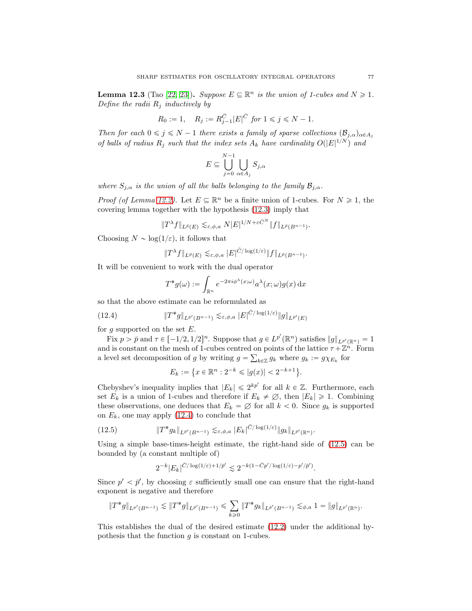**Lemma 12.3** (Tao [22, 23]). Suppose  $E \subseteq \mathbb{R}^n$  is the union of 1-cubes and  $N \geq 1$ . Define the radii  $R_i$  inductively by

$$
R_0 := 1
$$
,  $R_j := R_{j-1}^{\bar{C}} |E|^{\bar{C}} \text{ for } 1 \le j \le N - 1$ .

Then for each  $0 \le j \le N - 1$  there exists a family of sparse collections  $(\mathcal{B}_{j,\alpha})_{\alpha \in A_j}$ of balls of radius  $R_j$  such that the index sets  $A_k$  have cardinality  $O(|E|^{1/N})$  and

$$
E \subseteq \bigcup_{j=0}^{N-1} \bigcup_{\alpha \in A_j} S_{j,\alpha}
$$

where  $S_{j,\alpha}$  is the union of all the balls belonging to the family  $\mathcal{B}_{j,\alpha}$ .

*Proof (of Lemma 12.2)*. Let  $E \subseteq \mathbb{R}^n$  be a finite union of 1-cubes. For  $N \geq 1$ , the covering lemma together with the hypothesis (12.3) imply that

$$
||T^{\lambda}f||_{L^{\bar{p}}(E)} \lesssim_{\varepsilon,\phi,a} N|E|^{1/N + \varepsilon \bar{C}^N} ||f||_{L^{\bar{p}}(B^{n-1})}.
$$

Choosing  $N \sim \log(1/\varepsilon)$ , it follows that

$$
||T^{\lambda}f||_{L^{\bar{p}}(E)} \lesssim_{\varepsilon,\phi,a} |E|^{\bar{C}/\log(1/\varepsilon)} ||f||_{L^{\bar{p}}(B^{n-1})}.
$$

It will be convenient to work with the dual operator

$$
T^*g(\omega) := \int_{\mathbb{R}^n} e^{-2\pi i \phi^{\lambda}(x;\omega)} a^{\lambda}(x;\omega) g(x) \, \mathrm{d}x
$$

so that the above estimate can be reformulated as

(12.4) 
$$
||T^*g||_{L^{p'}(B^{n-1})} \lesssim_{\varepsilon,\phi,a} |E|^{C/\log(1/\varepsilon)} ||g||_{L^{p'}(E)}
$$

for g supported on the set  $E$ .

Fix  $p > \bar{p}$  and  $\tau \in [-1/2, 1/2]^n$ . Suppose that  $g \in L^{p'}(\mathbb{R}^n)$  satisfies  $||g||_{L^{p'}(\mathbb{R}^n)} = 1$ and is constant on the mesh of 1-cubes centred on points of the lattice  $\tau + \mathbb{Z}^n$ . Form a level set decomposition of g by writing  $g = \sum_{k \in \mathbb{Z}} g_k$  where  $g_k := g \chi_{E_k}$  for

$$
E_k := \{ x \in \mathbb{R}^n : 2^{-k} \leqslant |g(x)| < 2^{-k+1} \}.
$$

Chebyshev's inequality implies that  $|E_k| \leq 2^{kp'}$  for all  $k \in \mathbb{Z}$ . Furthermore, each set  $E_k$  is a union of 1-cubes and therefore if  $E_k \neq \emptyset$ , then  $|E_k| \geq 1$ . Combining these observations, one deduces that  $E_k = \emptyset$  for all  $k < 0$ . Since  $g_k$  is supported on  $E_k$ , one may apply (12.4) to conclude that

(12.5) 
$$
\|T^*g_k\|_{L^{\bar{p}'}(B^{n-1})} \lesssim_{\varepsilon,\phi,a} |E_k|^{\bar{C}/\log(1/\varepsilon)} \|g_k\|_{L^{\bar{p}'}(\mathbb{R}^n)}.
$$

Using a simple base-times-height estimate, the right-hand side of (12.5) can be bounded by (a constant multiple of)

$$
2^{-k}|E_k|^{\bar C/\log(1/\varepsilon)+1/\bar p'}\lesssim 2^{-k(1-\bar Cp'/\log(1/\varepsilon)-p'/\bar p')}.
$$

Since  $p' < \bar{p}'$ , by choosing  $\varepsilon$  sufficiently small one can ensure that the right-hand exponent is negative and therefore

$$
\|T^*g\|_{L^{p'}(B^{n-1})} \lesssim \|T^*g\|_{L^{\bar{p}'}(B^{n-1})} \leq \sum_{k\geq 0} \|T^*g_k\|_{L^{\bar{p}'}(B^{n-1})} \lesssim_{\phi,a} 1 = \|g\|_{L^{p'}(\mathbb{R}^n)}.
$$

This establishes the dual of the desired estimate (12.2) under the additional hypothesis that the function  $g$  is constant on 1-cubes.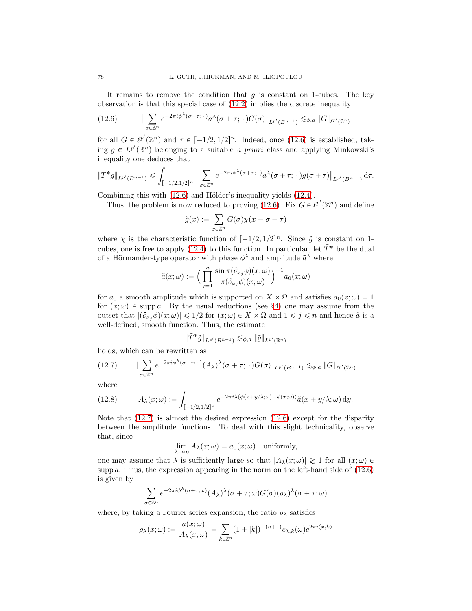It remains to remove the condition that  $g$  is constant on 1-cubes. The key observation is that this special case of (12.2) implies the discrete inequality

(12.6) 
$$
\|\sum_{\sigma \in \mathbb{Z}^n} e^{-2\pi i \phi^{\lambda}(\sigma + \tau; \cdot)} a^{\lambda}(\sigma + \tau; \cdot) G(\sigma)\|_{L^{p'}(B^{n-1})} \lesssim_{\phi, a} \|G\|_{\ell^{p'}(\mathbb{Z}^n)}
$$

for all  $G \in \ell^{p'}(\mathbb{Z}^n)$  and  $\tau \in [-1/2, 1/2]^n$ . Indeed, once (12.6) is established, taking  $g \in L^{p'}(\mathbb{R}^n)$  belonging to a suitable a priori class and applying Minkowski's inequality one deduces that

$$
||T^*g||_{L^{p'}(B^{n-1})} \leq \int_{[-1/2,1/2]^n} ||\sum_{\sigma \in \mathbb{Z}^n} e^{-2\pi i \phi^{\lambda}(\sigma + \tau, \cdot)} a^{\lambda}(\sigma + \tau, \cdot) g(\sigma + \tau)||_{L^{p'}(B^{n-1})} d\tau.
$$

Combining this with  $(12.6)$  and Hölder's inequality yields  $(12.4)$ .

Thus, the problem is now reduced to proving (12.6). Fix  $G \in \ell^{p'}(\mathbb{Z}^n)$  and define

$$
\tilde{g}(x) := \sum_{\sigma \in \mathbb{Z}^n} G(\sigma) \chi(x - \sigma - \tau)
$$

where  $\chi$  is the characteristic function of  $[-1/2, 1/2]^n$ . Since  $\tilde{g}$  is constant on 1cubes, one is free to apply (12.4) to this function. In particular, let  $\tilde{T}^*$  be the dual of a Hörmander-type operator with phase  $\phi^{\lambda}$  and amplitude  $\tilde{a}^{\lambda}$  where

$$
\tilde{a}(x;\omega):=\Big(\prod_{j=1}^n\frac{\sin\pi(\partial_{x_j}\phi)(x;\omega)}{\pi(\partial_{x_j}\phi)(x;\omega)}\Big)^{-1}a_0(x;\omega)
$$

for  $a_0$  a smooth amplitude which is supported on  $X \times \Omega$  and satisfies  $a_0(x; \omega) = 1$ for  $(x; \omega) \in \text{supp } a$ . By the usual reductions (see §4) one may assume from the outset that  $|(\partial_{x_j}\phi)(x;\omega)| \leq 1/2$  for  $(x;\omega) \in X \times \Omega$  and  $1 \leq j \leq n$  and hence  $\tilde{a}$  is a well-defined, smooth function. Thus, the estimate

$$
\|\tilde{T}^*\tilde{g}\|_{L^{p'}(B^{n-1})}\lesssim_{\phi,a} \|\tilde{g}\|_{L^{p'}(\mathbb{R}^n)}
$$

holds, which can be rewritten as

$$
(12.7) \qquad \|\sum_{\sigma\in\mathbb{Z}^n}e^{-2\pi i\phi^{\lambda}(\sigma+\tau;\,\cdot\,)}(A_{\lambda})^{\lambda}(\sigma+\tau;\,\cdot\,)G(\sigma)\|_{L^{p'}(B^{n-1})}\lesssim_{\phi,a} \|G\|_{\ell^{p'}(\mathbb{Z}^n)}
$$

where

(12.8) 
$$
A_{\lambda}(x;\omega) := \int_{[-1/2,1/2]^n} e^{-2\pi i \lambda (\phi(x+y/\lambda;\omega) - \phi(x;\omega))} \tilde{a}(x+y/\lambda;\omega) dy.
$$

Note that  $(12.7)$  is almost the desired expression  $(12.6)$  except for the disparity between the amplitude functions. To deal with this slight technicality, observe that, since

$$
\lim_{\lambda \to \infty} A_{\lambda}(x; \omega) = a_0(x; \omega) \quad \text{uniformly},
$$

one may assume that  $\lambda$  is sufficiently large so that  $|A_{\lambda}(x; \omega)| \geq 1$  for all  $(x; \omega) \in$ supp a. Thus, the expression appearing in the norm on the left-hand side of  $(12.6)$ is given by

$$
\sum_{\sigma \in \mathbb{Z}^n} e^{-2\pi i \phi^{\lambda}(\sigma + \tau; \omega)} (A_{\lambda})^{\lambda} (\sigma + \tau; \omega) G(\sigma) (\rho_{\lambda})^{\lambda} (\sigma + \tau; \omega)
$$

where, by taking a Fourier series expansion, the ratio  $\rho_{\lambda}$  satisfies

$$
\rho_\lambda(x;\omega):=\frac{a(x;\omega)}{A_\lambda(x;\omega)}=\sum_{k\in\mathbb{Z}^n}(1+|k|)^{-(n+1)}c_{\lambda,k}(\omega)e^{2\pi i\langle x,k\rangle}
$$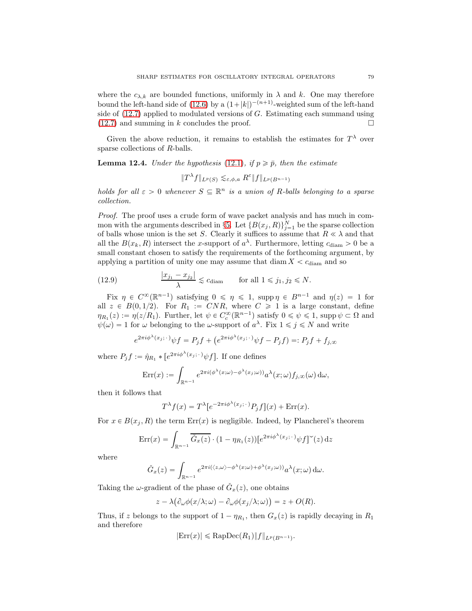where the  $c_{\lambda,k}$  are bounded functions, uniformly in  $\lambda$  and k. One may therefore bound the left-hand side of (12.6) by a  $(1+|k|)^{-(n+1)}$ -weighted sum of the left-hand side of  $(12.7)$  applied to modulated versions of G. Estimating each summand using  $(12.7)$  and summing in k concludes the proof.

Given the above reduction, it remains to establish the estimates for  $T^{\lambda}$  over sparse collections of R-balls.

**Lemma 12.4.** Under the hypothesis (12.1), if  $p \geq \bar{p}$ , then the estimate

$$
||T^{\lambda}f||_{L^p(S)} \lesssim_{\varepsilon,\phi,a} R^{\varepsilon} ||f||_{L^p(B^{n-1})}
$$

holds for all  $\varepsilon > 0$  whenever  $S \subseteq \mathbb{R}^n$  is a union of R-balls belonging to a sparse collection.

Proof. The proof uses a crude form of wave packet analysis and has much in common with the arguments described in §5. Let  $\{B(x_j, R)\}_{j=1}^N$  be the sparse collection of balls whose union is the set S. Clearly it suffices to assume that  $R \ll \lambda$  and that all the  $B(x_k, R)$  intersect the x-support of  $a^{\lambda}$ . Furthermore, letting  $c_{\text{diam}} > 0$  be a small constant chosen to satisfy the requirements of the forthcoming argument, by applying a partition of unity one may assume that  $\text{diam } X < c_{\text{diam}}$  and so

(12.9) 
$$
\frac{|x_{j_1} - x_{j_2}|}{\lambda} \lesssim c_{\text{diam}} \quad \text{for all } 1 \leq j_1, j_2 \leq N.
$$

Fix  $\eta \in C^{\infty}(\mathbb{R}^{n-1})$  satisfying  $0 \le \eta \le 1$ , supp $\eta \in B^{n-1}$  and  $\eta(z) = 1$  for all  $z \in B(0, 1/2)$ . For  $R_1 := CNR$ , where  $C \geq 1$  is a large constant, define  $\eta_{R_1}(z) := \eta(z/R_1)$ . Further, let  $\psi \in C_c^{\infty}(\mathbb{R}^{n-1})$  satisfy  $0 \le \psi \le 1$ , supp  $\psi \subset \Omega$  and  $\psi(\omega) = 1$  for  $\omega$  belonging to the  $\omega$ -support of  $a^{\lambda}$ . Fix  $1 \leq \omega \leq N$  and write

$$
e^{2\pi i\phi^{\lambda}(x_j;\cdot)}\psi f = P_j f + \left(e^{2\pi i\phi^{\lambda}(x_j;\cdot)}\psi f - P_j f\right) =: P_j f + f_{j,\infty}
$$

where  $P_j f := \hat{\eta}_{R_1} * [e^{2\pi i \phi^{\lambda}(x_j; \cdot)} \psi f]$ . If one defines

$$
\text{Err}(x) := \int_{\mathbb{R}^{n-1}} e^{2\pi i (\phi^{\lambda}(x;\omega) - \phi^{\lambda}(x_j;\omega))} a^{\lambda}(x;\omega) f_{j,\infty}(\omega) d\omega,
$$

then it follows that

$$
T^{\lambda}f(x) = T^{\lambda}[e^{-2\pi i\phi^{\lambda}(x_j;\cdot)}P_jf](x) + \text{Err}(x).
$$

For  $x \in B(x_i, R)$  the term  $Err(x)$  is negligible. Indeed, by Plancherel's theorem

$$
\operatorname{Err}(x) = \int_{\mathbb{R}^{n-1}} \overline{\check{G}_x(z)} \cdot (1 - \eta_{R_1}(z)) [e^{2\pi i \phi^{\lambda}(x_j; \cdot)} \psi f]^{\sim}(z) dz
$$

where

$$
\check{G}_x(z) = \int_{\mathbb{R}^{n-1}} e^{2\pi i (\langle z, \omega \rangle - \phi^\lambda(x; \omega) + \phi^\lambda(x_j; \omega))} a^\lambda(x; \omega) d\omega.
$$

Taking the  $\omega$ -gradient of the phase of  $\check{G}_x(z)$ , one obtains

$$
z - \lambda \big( \partial_{\omega} \phi(x/\lambda; \omega) - \partial_{\omega} \phi(x_j/\lambda; \omega) \big) = z + O(R).
$$

Thus, if z belongs to the support of  $1 - \eta_{R_1}$ , then  $G_x(z)$  is rapidly decaying in  $R_1$ and therefore

$$
|\text{Err}(x)| \leq RapDec(R_1) \|f\|_{L^p(B^{n-1})}.
$$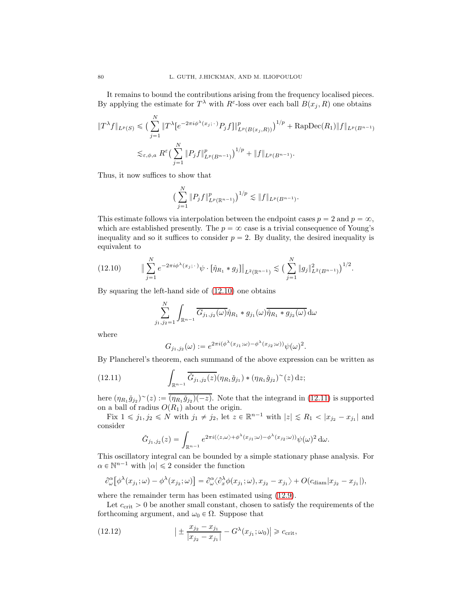It remains to bound the contributions arising from the frequency localised pieces. By applying the estimate for  $T^{\lambda}$  with  $R^{\varepsilon}$ -loss over each ball  $B(x_j, R)$  one obtains

$$
||T^{\lambda}f||_{L^{p}(S)} \leq (\sum_{j=1}^{N} ||T^{\lambda}[e^{-2\pi i\phi^{\lambda}(x_{j}; \cdot)}P_{j}f]||_{L^{p}(B(x_{j}, R))}^{p})^{1/p} + \text{RapDec}(R_{1})||f||_{L^{p}(B^{n-1})}
$$
  

$$
\lesssim_{\varepsilon, \phi, a} R^{\varepsilon} (\sum_{j=1}^{N} ||P_{j}f||_{L^{p}(B^{n-1})}^{p})^{1/p} + ||f||_{L^{p}(B^{n-1})}.
$$

Thus, it now suffices to show that

$$
\left(\sum_{j=1}^N \|P_j f\|_{L^p(\mathbb{R}^{n-1})}^p\right)^{1/p} \lesssim \|f\|_{L^p(B^{n-1})}.
$$

This estimate follows via interpolation between the endpoint cases  $p = 2$  and  $p = \infty$ , which are established presently. The  $p = \infty$  case is a trivial consequence of Young's inequality and so it suffices to consider  $p = 2$ . By duality, the desired inequality is equivalent to

$$
(12.10) \qquad \|\sum_{j=1}^N e^{-2\pi i \phi^{\lambda}(x_j;\cdot)} \psi \cdot [\hat{\eta}_{R_1} * g_j] \|_{L^2(\mathbb{R}^{n-1})} \lesssim \big(\sum_{j=1}^N \|g_j\|_{L^2(B^{n-1})}^2 \big)^{1/2}.
$$

By squaring the left-hand side of (12.10) one obtains

$$
\sum_{j_1,j_2=1}^N \int_{\mathbb{R}^{n-1}} \overline{G_{j_1,j_2}(\omega)} \hat{\eta}_{R_1} * g_{j_1}(\omega) \overline{\hat{\eta}_{R_1} * g_{j_2}(\omega)} d\omega
$$

where

$$
G_{j_1,j_2}(\omega) := e^{2\pi i (\phi^{\lambda}(x_{j_1};\omega) - \phi^{\lambda}(x_{j_2};\omega))} \psi(\omega)^2.
$$

By Plancherel's theorem, each summand of the above expression can be written as

(12.11) 
$$
\int_{\mathbb{R}^{n-1}} \overline{\check{G}}_{j_1,j_2}(z) (\eta_{R_1} \check{g}_{j_1}) * (\eta_{R_1} \check{g}_{j_2})^{\sim}(z) dz;
$$

here  $(\eta_{R_1} \check{g}_{j_2})^{\sim}(z) := \overline{(\eta_{R_1} \check{g}_{j_2})(-z)}$ . Note that the integrand in (12.11) is supported on a ball of radius  $O(R_1)$  about the origin.

Fix  $1 \leq j_1, j_2 \leq N$  with  $j_1 \neq j_2$ , let  $z \in \mathbb{R}^{n-1}$  with  $|z| \leq R_1 < |x_{j_2} - x_{j_1}|$  and consider

$$
\check{G}_{j_1,j_2}(z) = \int_{\mathbb{R}^{n-1}} e^{2\pi i (\langle z,\omega\rangle + \phi^\lambda(x_{j_1};\omega) - \phi^\lambda(x_{j_2};\omega))} \psi(\omega)^2 d\omega.
$$

This oscillatory integral can be bounded by a simple stationary phase analysis. For  $\alpha \in \mathbb{N}^{n-1}$  with  $|\alpha| \leq 2$  consider the function

$$
\partial_{\omega}^{\alpha} [\phi^{\lambda}(x_{j_1}; \omega) - \phi^{\lambda}(x_{j_2}; \omega)] = \partial_{\omega}^{\alpha} \langle \partial_x^{\lambda} \phi(x_{j_1}; \omega), x_{j_2} - x_{j_1} \rangle + O(c_{\text{diam}} |x_{j_2} - x_{j_1}|),
$$

where the remainder term has been estimated using (12.9).

Let  $c_{\text{crit}} > 0$  be another small constant, chosen to satisfy the requirements of the forthcoming argument, and  $\omega_0 \in \Omega$ . Suppose that

(12.12) 
$$
\left| \pm \frac{x_{j_2} - x_{j_1}}{|x_{j_2} - x_{j_1}|} - G^{\lambda}(x_{j_1}; \omega_0) \right| \geq c_{\text{crit}},
$$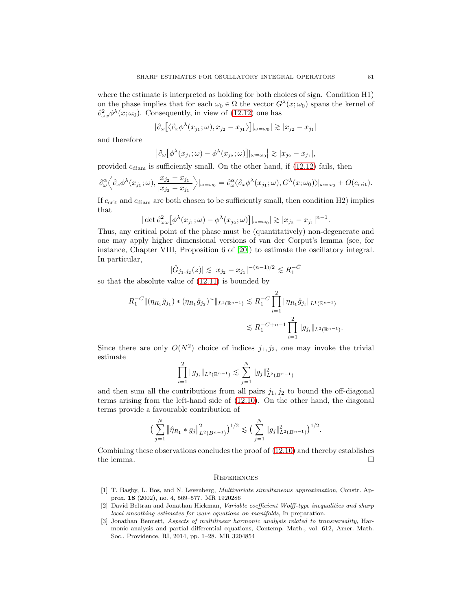where the estimate is interpreted as holding for both choices of sign. Condition H1) on the phase implies that for each  $\omega_0 \in \Omega$  the vector  $G^{\lambda}(x; \omega_0)$  spans the kernel of  $\partial_{\omega x}^2 \phi^{\lambda}(x; \omega_0)$ . Consequently, in view of (12.12) one has

$$
|\partial_{\omega}\big[\langle \partial_x \phi^{\lambda}(x_{j_1};\omega), x_{j_2} - x_{j_1} \rangle\big]|_{\omega = \omega_0}| \gtrsim |x_{j_2} - x_{j_1}|
$$

and therefore

$$
\left|\partial_{\omega}\left[\phi^{\lambda}(x_{j_1};\omega)-\phi^{\lambda}(x_{j_2};\omega)\right]\right|_{\omega=\omega_0}\right|\gtrsim |x_{j_2}-x_{j_1}|,
$$

provided  $c_{\text{diam}}$  is sufficiently small. On the other hand, if (12.12) fails, then

$$
\partial_{\omega}^{\alpha} \Big\langle \partial_x \phi^{\lambda}(x_{j_1}; \omega), \frac{x_{j_2} - x_{j_1}}{|x_{j_2} - x_{j_1}|} \Big\rangle |_{\omega = \omega_0} = \partial_{\omega}^{\alpha} \langle \partial_x \phi^{\lambda}(x_{j_1}; \omega), G^{\lambda}(x; \omega_0) \rangle |_{\omega = \omega_0} + O(c_{\text{crit}}).
$$

If  $c_{\text{crit}}$  and  $c_{\text{diam}}$  are both chosen to be sufficiently small, then condition H2) implies that

$$
|\det \partial_{\omega\omega}^2 [\phi^{\lambda}(x_{j_1}; \omega) - \phi^{\lambda}(x_{j_2}; \omega)]|_{\omega = \omega_0}|\gtrsim |x_{j_2}-x_{j_1}|^{n-1}.
$$

Thus, any critical point of the phase must be (quantitatively) non-degenerate and one may apply higher dimensional versions of van der Corput's lemma (see, for instance, Chapter VIII, Proposition 6 of [20]) to estimate the oscillatory integral. In particular,

$$
|\check{G}_{j_1,j_2}(z)| \lesssim |x_{j_2} - x_{j_1}|^{-(n-1)/2} \lesssim R_1^{-\bar{C}}
$$

so that the absolute value of (12.11) is bounded by

$$
R_1^{-\bar{C}} \| (\eta_{R_1} \check{g}_{j_1}) * (\eta_{R_1} \check{g}_{j_2})^{\sim} \|_{L^1(\mathbb{R}^{n-1})} \lesssim R_1^{-\bar{C}} \prod_{i=1}^2 \| \eta_{R_1} \check{g}_{j_i} \|_{L^1(\mathbb{R}^{n-1})}
$$
  

$$
\lesssim R_1^{-\bar{C}+n-1} \prod_{i=1}^2 \| g_{j_i} \|_{L^2(\mathbb{R}^{n-1})}.
$$

Since there are only  $O(N^2)$  choice of indices  $j_1, j_2$ , one may invoke the trivial estimate

$$
\prod_{i=1}^{2} \|g_{j_i}\|_{L^2(\mathbb{R}^{n-1})} \lesssim \sum_{j=1}^{N} \|g_j\|_{L^2(B^{n-1})}^2
$$

and then sum all the contributions from all pairs  $j_1, j_2$  to bound the off-diagonal terms arising from the left-hand side of (12.10). On the other hand, the diagonal terms provide a favourable contribution of

$$
\left(\sum_{j=1}^N \|\hat{\eta}_{R_1} * g_j\|_{L^2(B^{n-1})}^2\right)^{1/2} \lesssim \left(\sum_{j=1}^N \|g_j\|_{L^2(B^{n-1})}^2\right)^{1/2}.
$$

Combining these observations concludes the proof of (12.10) and thereby establishes the lemma.  $\Box$ 

## **REFERENCES**

- [1] T. Bagby, L. Bos, and N. Levenberg, Multivariate simultaneous approximation, Constr. Approx. 18 (2002), no. 4, 569–577. MR 1920286
- [2] David Beltran and Jonathan Hickman, Variable coefficient Wolff-type inequalities and sharp local smoothing estimates for wave equations on manifolds, In preparation.
- [3] Jonathan Bennett, Aspects of multilinear harmonic analysis related to transversality, Harmonic analysis and partial differential equations, Contemp. Math., vol. 612, Amer. Math. Soc., Providence, RI, 2014, pp. 1–28. MR 3204854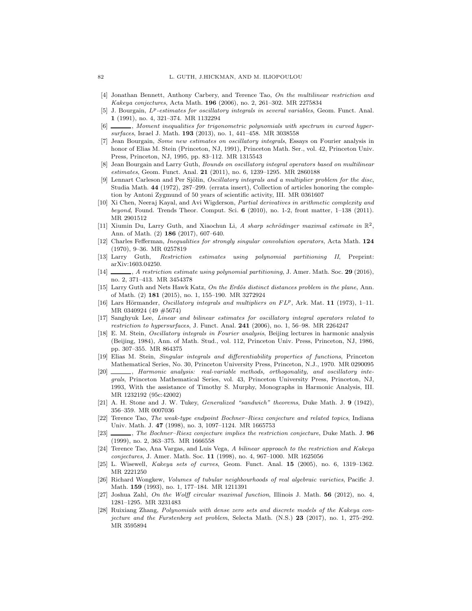- [4] Jonathan Bennett, Anthony Carbery, and Terence Tao, On the multilinear restriction and Kakeya conjectures, Acta Math. 196 (2006), no. 2, 261–302. MR 2275834
- [5] J. Bourgain,  $L^p$ -estimates for oscillatory integrals in several variables, Geom. Funct. Anal. 1 (1991), no. 4, 321–374. MR 1132294
- $\Box$ , Moment inequalities for trigonometric polynomials with spectrum in curved hypersurfaces, Israel J. Math. 193 (2013), no. 1, 441-458. MR 3038558
- [7] Jean Bourgain, Some new estimates on oscillatory integrals, Essays on Fourier analysis in honor of Elias M. Stein (Princeton, NJ, 1991), Princeton Math. Ser., vol. 42, Princeton Univ. Press, Princeton, NJ, 1995, pp. 83–112. MR 1315543
- [8] Jean Bourgain and Larry Guth, Bounds on oscillatory integral operators based on multilinear estimates, Geom. Funct. Anal. 21 (2011), no. 6, 1239-1295. MR 2860188
- [9] Lennart Carleson and Per Sjölin, *Oscillatory integrals and a multiplier problem for the disc*, Studia Math. 44 (1972), 287–299. (errata insert), Collection of articles honoring the completion by Antoni Zygmund of 50 years of scientific activity, III. MR 0361607
- [10] Xi Chen, Neeraj Kayal, and Avi Wigderson, Partial derivatives in arithmetic complexity and beyond, Found. Trends Theor. Comput. Sci.  $6$  (2010), no. 1-2, front matter, 1-138 (2011). MR 2901512
- [11] Xiumin Du, Larry Guth, and Xiaochun Li, A sharp schrödinger maximal estimate in  $\mathbb{R}^2$ , Ann. of Math. (2) 186 (2017), 607–640.
- [12] Charles Fefferman, Inequalities for strongly singular convolution operators, Acta Math. 124 (1970), 9–36. MR 0257819
- [13] Larry Guth, Restriction estimates using polynomial partitioning II, Preprint: arXiv:1603.04250.
- [14] , A restriction estimate using polynomial partitioning, J. Amer. Math. Soc. 29 (2016), no. 2, 371–413. MR 3454378
- [15] Larry Guth and Nets Hawk Katz, On the Erdös distinct distances problem in the plane, Ann. of Math. (2) 181 (2015), no. 1, 155–190. MR 3272924
- [16] Lars Hörmander, Oscillatory integrals and multipliers on FLP, Ark. Mat. 11 (1973), 1-11. MR 0340924 (49 #5674)
- [17] Sanghyuk Lee, Linear and bilinear estimates for oscillatory integral operators related to restriction to hypersurfaces, J. Funct. Anal.  $241$  (2006), no. 1, 56–98. MR 2264247
- [18] E. M. Stein, Oscillatory integrals in Fourier analysis, Beijing lectures in harmonic analysis (Beijing, 1984), Ann. of Math. Stud., vol. 112, Princeton Univ. Press, Princeton, NJ, 1986, pp. 307–355. MR 864375
- [19] Elias M. Stein, Singular integrals and differentiability properties of functions, Princeton Mathematical Series, No. 30, Princeton University Press, Princeton, N.J., 1970. MR 0290095
- [20] , Harmonic analysis: real-variable methods, orthogonality, and oscillatory integrals, Princeton Mathematical Series, vol. 43, Princeton University Press, Princeton, NJ, 1993, With the assistance of Timothy S. Murphy, Monographs in Harmonic Analysis, III. MR 1232192 (95c:42002)
- [21] A. H. Stone and J. W. Tukey, *Generalized "sandwich" theorems*, Duke Math. J. 9 (1942), 356–359. MR 0007036
- [22] Terence Tao, The weak-type endpoint Bochner–Riesz conjecture and related topics, Indiana Univ. Math. J. 47 (1998), no. 3, 1097–1124. MR 1665753
- [23]  $\_\_\_\_\_\_\_\$  The Bochner–Riesz conjecture implies the restriction conjecture, Duke Math. J. 96 (1999), no. 2, 363–375. MR 1666558
- [24] Terence Tao, Ana Vargas, and Luis Vega, A bilinear approach to the restriction and Kakeya conjectures, J. Amer. Math. Soc. 11 (1998), no. 4, 967–1000. MR 1625056
- [25] L. Wisewell, Kakeya sets of curves, Geom. Funct. Anal. 15 (2005), no. 6, 1319–1362. MR 2221250
- [26] Richard Wongkew, Volumes of tubular neighbourhoods of real algebraic varieties, Pacific J. Math. 159 (1993), no. 1, 177–184. MR 1211391
- [27] Joshua Zahl, On the Wolff circular maximal function, Illinois J. Math. 56 (2012), no. 4, 1281–1295. MR 3231483
- [28] Ruixiang Zhang, Polynomials with dense zero sets and discrete models of the Kakeya conjecture and the Furstenberg set problem, Selecta Math.  $(N.S.)$  23 (2017), no. 1, 275–292. MR 3595894